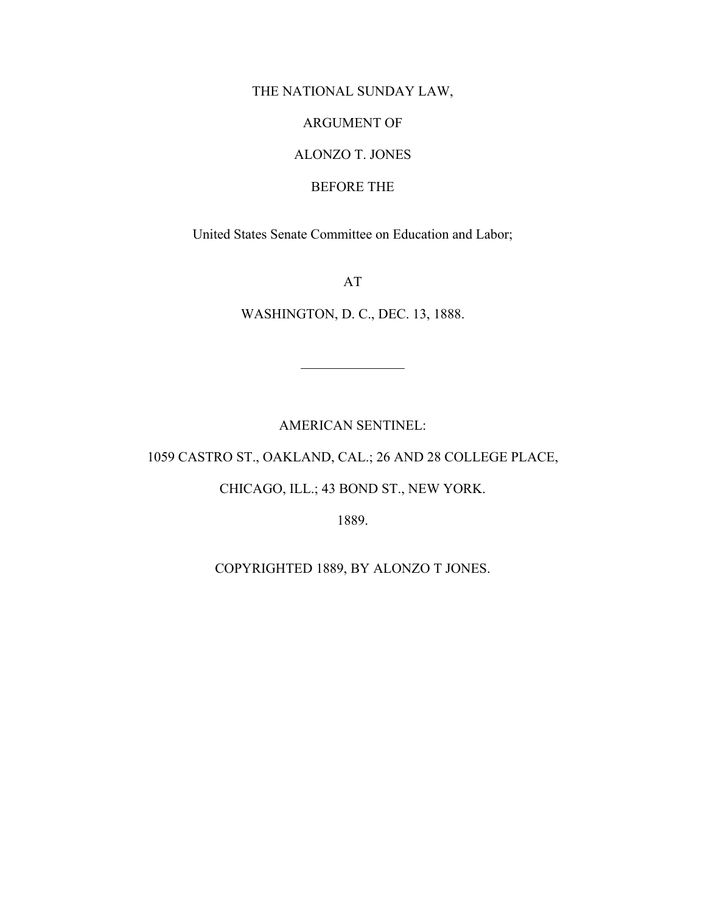## THE NATIONAL SUNDAY LAW,

## ARGUMENT OF

## ALONZO T. JONES

## BEFORE THE

United States Senate Committee on Education and Labor;

AT

WASHINGTON, D. C., DEC. 13, 1888.

 $\overline{\phantom{a}}$  , where  $\overline{\phantom{a}}$ 

AMERICAN SENTINEL:

1059 CASTRO ST., OAKLAND, CAL.; 26 AND 28 COLLEGE PLACE,

CHICAGO, ILL.; 43 BOND ST., NEW YORK.

1889.

COPYRIGHTED 1889, BY ALONZO T JONES.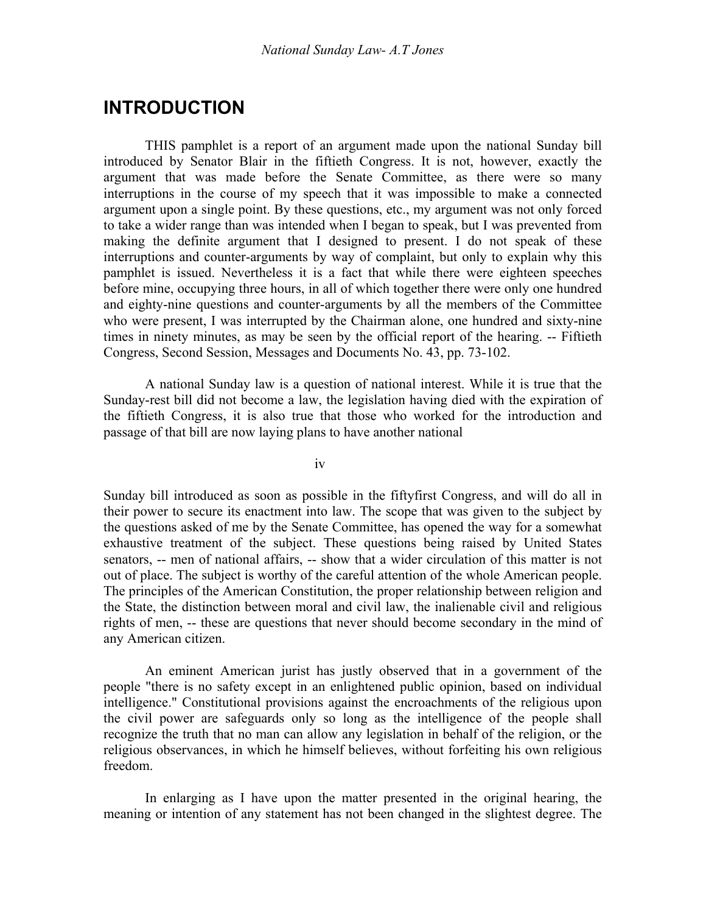# **INTRODUCTION**

 THIS pamphlet is a report of an argument made upon the national Sunday bill introduced by Senator Blair in the fiftieth Congress. It is not, however, exactly the argument that was made before the Senate Committee, as there were so many interruptions in the course of my speech that it was impossible to make a connected argument upon a single point. By these questions, etc., my argument was not only forced to take a wider range than was intended when I began to speak, but I was prevented from making the definite argument that I designed to present. I do not speak of these interruptions and counter-arguments by way of complaint, but only to explain why this pamphlet is issued. Nevertheless it is a fact that while there were eighteen speeches before mine, occupying three hours, in all of which together there were only one hundred and eighty-nine questions and counter-arguments by all the members of the Committee who were present, I was interrupted by the Chairman alone, one hundred and sixty-nine times in ninety minutes, as may be seen by the official report of the hearing. -- Fiftieth Congress, Second Session, Messages and Documents No. 43, pp. 73-102.

 A national Sunday law is a question of national interest. While it is true that the Sunday-rest bill did not become a law, the legislation having died with the expiration of the fiftieth Congress, it is also true that those who worked for the introduction and passage of that bill are now laying plans to have another national

iv

Sunday bill introduced as soon as possible in the fiftyfirst Congress, and will do all in their power to secure its enactment into law. The scope that was given to the subject by the questions asked of me by the Senate Committee, has opened the way for a somewhat exhaustive treatment of the subject. These questions being raised by United States senators, -- men of national affairs, -- show that a wider circulation of this matter is not out of place. The subject is worthy of the careful attention of the whole American people. The principles of the American Constitution, the proper relationship between religion and the State, the distinction between moral and civil law, the inalienable civil and religious rights of men, -- these are questions that never should become secondary in the mind of any American citizen.

 An eminent American jurist has justly observed that in a government of the people "there is no safety except in an enlightened public opinion, based on individual intelligence." Constitutional provisions against the encroachments of the religious upon the civil power are safeguards only so long as the intelligence of the people shall recognize the truth that no man can allow any legislation in behalf of the religion, or the religious observances, in which he himself believes, without forfeiting his own religious freedom.

 In enlarging as I have upon the matter presented in the original hearing, the meaning or intention of any statement has not been changed in the slightest degree. The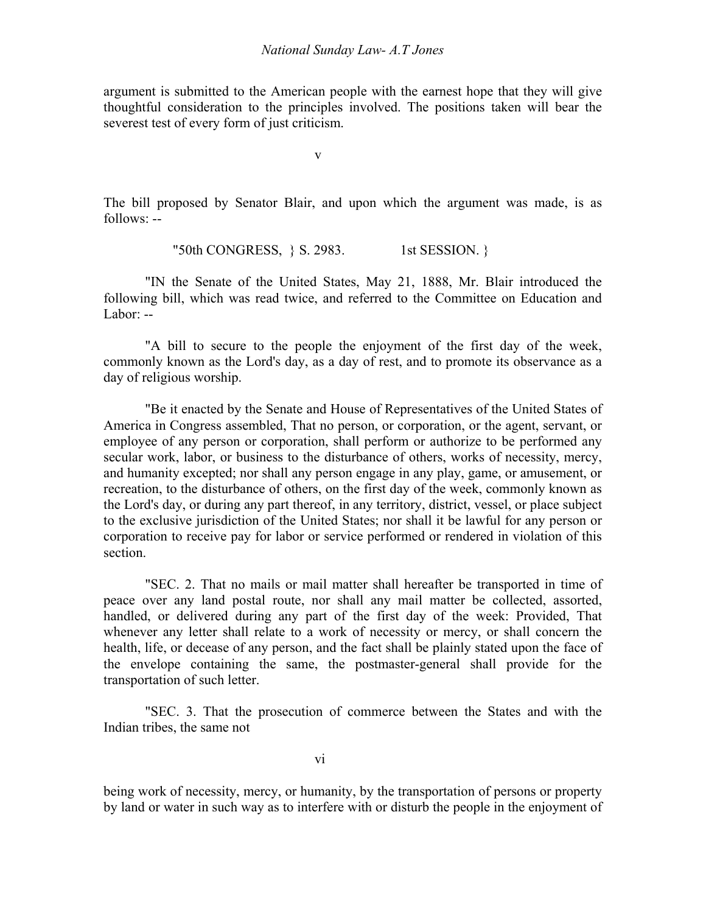argument is submitted to the American people with the earnest hope that they will give thoughtful consideration to the principles involved. The positions taken will bear the severest test of every form of just criticism.

v

The bill proposed by Senator Blair, and upon which the argument was made, is as follows: --

"50th CONGRESS, } S. 2983. 1st SESSION. }

 "IN the Senate of the United States, May 21, 1888, Mr. Blair introduced the following bill, which was read twice, and referred to the Committee on Education and Labor: --

 "A bill to secure to the people the enjoyment of the first day of the week, commonly known as the Lord's day, as a day of rest, and to promote its observance as a day of religious worship.

 "Be it enacted by the Senate and House of Representatives of the United States of America in Congress assembled, That no person, or corporation, or the agent, servant, or employee of any person or corporation, shall perform or authorize to be performed any secular work, labor, or business to the disturbance of others, works of necessity, mercy, and humanity excepted; nor shall any person engage in any play, game, or amusement, or recreation, to the disturbance of others, on the first day of the week, commonly known as the Lord's day, or during any part thereof, in any territory, district, vessel, or place subject to the exclusive jurisdiction of the United States; nor shall it be lawful for any person or corporation to receive pay for labor or service performed or rendered in violation of this section.

 "SEC. 2. That no mails or mail matter shall hereafter be transported in time of peace over any land postal route, nor shall any mail matter be collected, assorted, handled, or delivered during any part of the first day of the week: Provided, That whenever any letter shall relate to a work of necessity or mercy, or shall concern the health, life, or decease of any person, and the fact shall be plainly stated upon the face of the envelope containing the same, the postmaster-general shall provide for the transportation of such letter.

 "SEC. 3. That the prosecution of commerce between the States and with the Indian tribes, the same not

vi

being work of necessity, mercy, or humanity, by the transportation of persons or property by land or water in such way as to interfere with or disturb the people in the enjoyment of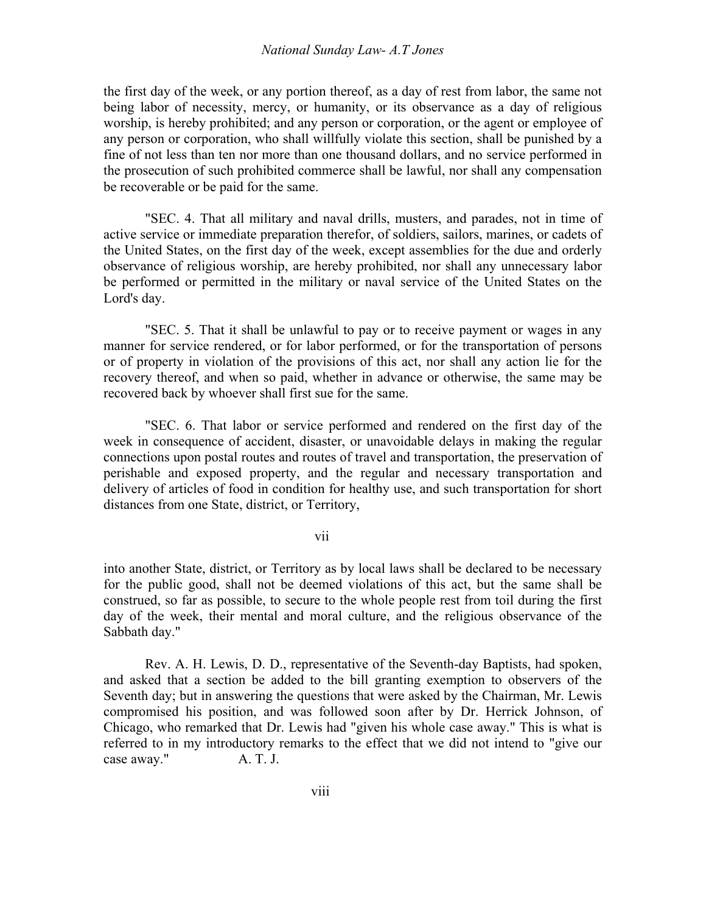the first day of the week, or any portion thereof, as a day of rest from labor, the same not being labor of necessity, mercy, or humanity, or its observance as a day of religious worship, is hereby prohibited; and any person or corporation, or the agent or employee of any person or corporation, who shall willfully violate this section, shall be punished by a fine of not less than ten nor more than one thousand dollars, and no service performed in the prosecution of such prohibited commerce shall be lawful, nor shall any compensation be recoverable or be paid for the same.

 "SEC. 4. That all military and naval drills, musters, and parades, not in time of active service or immediate preparation therefor, of soldiers, sailors, marines, or cadets of the United States, on the first day of the week, except assemblies for the due and orderly observance of religious worship, are hereby prohibited, nor shall any unnecessary labor be performed or permitted in the military or naval service of the United States on the Lord's day.

 "SEC. 5. That it shall be unlawful to pay or to receive payment or wages in any manner for service rendered, or for labor performed, or for the transportation of persons or of property in violation of the provisions of this act, nor shall any action lie for the recovery thereof, and when so paid, whether in advance or otherwise, the same may be recovered back by whoever shall first sue for the same.

 "SEC. 6. That labor or service performed and rendered on the first day of the week in consequence of accident, disaster, or unavoidable delays in making the regular connections upon postal routes and routes of travel and transportation, the preservation of perishable and exposed property, and the regular and necessary transportation and delivery of articles of food in condition for healthy use, and such transportation for short distances from one State, district, or Territory,

vii

into another State, district, or Territory as by local laws shall be declared to be necessary for the public good, shall not be deemed violations of this act, but the same shall be construed, so far as possible, to secure to the whole people rest from toil during the first day of the week, their mental and moral culture, and the religious observance of the Sabbath day."

 Rev. A. H. Lewis, D. D., representative of the Seventh-day Baptists, had spoken, and asked that a section be added to the bill granting exemption to observers of the Seventh day; but in answering the questions that were asked by the Chairman, Mr. Lewis compromised his position, and was followed soon after by Dr. Herrick Johnson, of Chicago, who remarked that Dr. Lewis had "given his whole case away." This is what is referred to in my introductory remarks to the effect that we did not intend to "give our case away." A. T. J.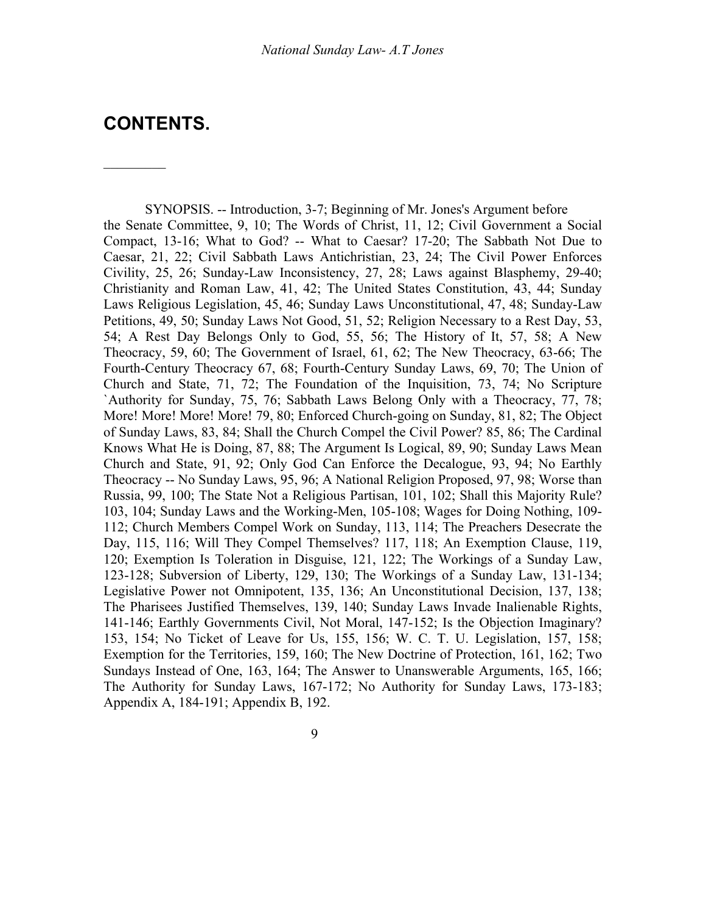# **CONTENTS.**

 $\frac{1}{2}$ 

 SYNOPSIS. -- Introduction, 3-7; Beginning of Mr. Jones's Argument before the Senate Committee, 9, 10; The Words of Christ, 11, 12; Civil Government a Social Compact, 13-16; What to God? -- What to Caesar? 17-20; The Sabbath Not Due to Caesar, 21, 22; Civil Sabbath Laws Antichristian, 23, 24; The Civil Power Enforces Civility, 25, 26; Sunday-Law Inconsistency, 27, 28; Laws against Blasphemy, 29-40; Christianity and Roman Law, 41, 42; The United States Constitution, 43, 44; Sunday Laws Religious Legislation, 45, 46; Sunday Laws Unconstitutional, 47, 48; Sunday-Law Petitions, 49, 50; Sunday Laws Not Good, 51, 52; Religion Necessary to a Rest Day, 53, 54; A Rest Day Belongs Only to God, 55, 56; The History of It, 57, 58; A New Theocracy, 59, 60; The Government of Israel, 61, 62; The New Theocracy, 63-66; The Fourth-Century Theocracy 67, 68; Fourth-Century Sunday Laws, 69, 70; The Union of Church and State, 71, 72; The Foundation of the Inquisition, 73, 74; No Scripture `Authority for Sunday, 75, 76; Sabbath Laws Belong Only with a Theocracy, 77, 78; More! More! More! More! 79, 80; Enforced Church-going on Sunday, 81, 82; The Object of Sunday Laws, 83, 84; Shall the Church Compel the Civil Power? 85, 86; The Cardinal Knows What He is Doing, 87, 88; The Argument Is Logical, 89, 90; Sunday Laws Mean Church and State, 91, 92; Only God Can Enforce the Decalogue, 93, 94; No Earthly Theocracy -- No Sunday Laws, 95, 96; A National Religion Proposed, 97, 98; Worse than Russia, 99, 100; The State Not a Religious Partisan, 101, 102; Shall this Majority Rule? 103, 104; Sunday Laws and the Working-Men, 105-108; Wages for Doing Nothing, 109- 112; Church Members Compel Work on Sunday, 113, 114; The Preachers Desecrate the Day, 115, 116; Will They Compel Themselves? 117, 118; An Exemption Clause, 119, 120; Exemption Is Toleration in Disguise, 121, 122; The Workings of a Sunday Law, 123-128; Subversion of Liberty, 129, 130; The Workings of a Sunday Law, 131-134; Legislative Power not Omnipotent, 135, 136; An Unconstitutional Decision, 137, 138; The Pharisees Justified Themselves, 139, 140; Sunday Laws Invade Inalienable Rights, 141-146; Earthly Governments Civil, Not Moral, 147-152; Is the Objection Imaginary? 153, 154; No Ticket of Leave for Us, 155, 156; W. C. T. U. Legislation, 157, 158; Exemption for the Territories, 159, 160; The New Doctrine of Protection, 161, 162; Two Sundays Instead of One, 163, 164; The Answer to Unanswerable Arguments, 165, 166; The Authority for Sunday Laws, 167-172; No Authority for Sunday Laws, 173-183; Appendix A, 184-191; Appendix B, 192.

9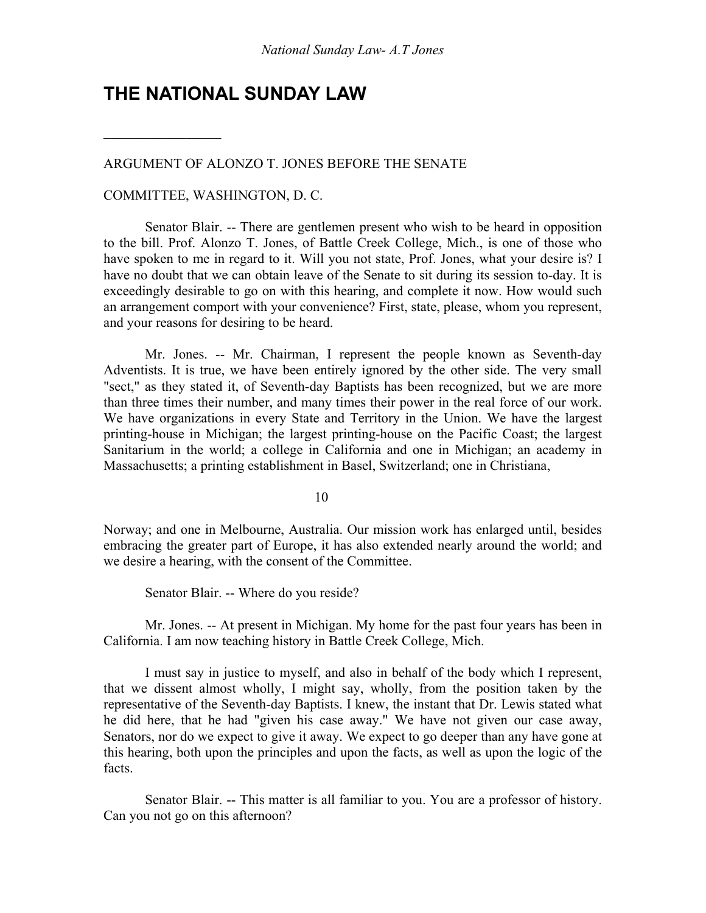# **THE NATIONAL SUNDAY LAW**

ARGUMENT OF ALONZO T. JONES BEFORE THE SENATE

## COMMITTEE, WASHINGTON, D. C.

 $\frac{1}{2}$  ,  $\frac{1}{2}$  ,  $\frac{1}{2}$  ,  $\frac{1}{2}$  ,  $\frac{1}{2}$  ,  $\frac{1}{2}$  ,  $\frac{1}{2}$  ,  $\frac{1}{2}$  ,  $\frac{1}{2}$ 

 Senator Blair. -- There are gentlemen present who wish to be heard in opposition to the bill. Prof. Alonzo T. Jones, of Battle Creek College, Mich., is one of those who have spoken to me in regard to it. Will you not state, Prof. Jones, what your desire is? I have no doubt that we can obtain leave of the Senate to sit during its session to-day. It is exceedingly desirable to go on with this hearing, and complete it now. How would such an arrangement comport with your convenience? First, state, please, whom you represent, and your reasons for desiring to be heard.

 Mr. Jones. -- Mr. Chairman, I represent the people known as Seventh-day Adventists. It is true, we have been entirely ignored by the other side. The very small "sect," as they stated it, of Seventh-day Baptists has been recognized, but we are more than three times their number, and many times their power in the real force of our work. We have organizations in every State and Territory in the Union. We have the largest printing-house in Michigan; the largest printing-house on the Pacific Coast; the largest Sanitarium in the world; a college in California and one in Michigan; an academy in Massachusetts; a printing establishment in Basel, Switzerland; one in Christiana,

10

Norway; and one in Melbourne, Australia. Our mission work has enlarged until, besides embracing the greater part of Europe, it has also extended nearly around the world; and we desire a hearing, with the consent of the Committee.

Senator Blair. -- Where do you reside?

 Mr. Jones. -- At present in Michigan. My home for the past four years has been in California. I am now teaching history in Battle Creek College, Mich.

 I must say in justice to myself, and also in behalf of the body which I represent, that we dissent almost wholly, I might say, wholly, from the position taken by the representative of the Seventh-day Baptists. I knew, the instant that Dr. Lewis stated what he did here, that he had "given his case away." We have not given our case away, Senators, nor do we expect to give it away. We expect to go deeper than any have gone at this hearing, both upon the principles and upon the facts, as well as upon the logic of the facts.

 Senator Blair. -- This matter is all familiar to you. You are a professor of history. Can you not go on this afternoon?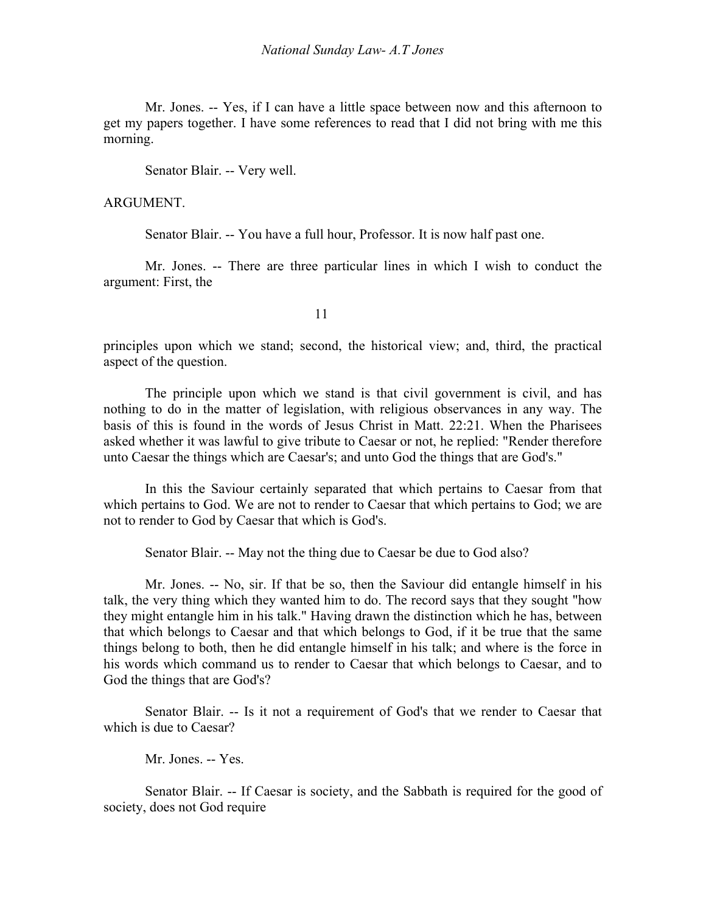Mr. Jones. -- Yes, if I can have a little space between now and this afternoon to get my papers together. I have some references to read that I did not bring with me this morning.

Senator Blair. -- Very well.

ARGUMENT.

Senator Blair. -- You have a full hour, Professor. It is now half past one.

 Mr. Jones. -- There are three particular lines in which I wish to conduct the argument: First, the

11

principles upon which we stand; second, the historical view; and, third, the practical aspect of the question.

 The principle upon which we stand is that civil government is civil, and has nothing to do in the matter of legislation, with religious observances in any way. The basis of this is found in the words of Jesus Christ in Matt. 22:21. When the Pharisees asked whether it was lawful to give tribute to Caesar or not, he replied: "Render therefore unto Caesar the things which are Caesar's; and unto God the things that are God's."

 In this the Saviour certainly separated that which pertains to Caesar from that which pertains to God. We are not to render to Caesar that which pertains to God; we are not to render to God by Caesar that which is God's.

Senator Blair. -- May not the thing due to Caesar be due to God also?

 Mr. Jones. -- No, sir. If that be so, then the Saviour did entangle himself in his talk, the very thing which they wanted him to do. The record says that they sought "how they might entangle him in his talk." Having drawn the distinction which he has, between that which belongs to Caesar and that which belongs to God, if it be true that the same things belong to both, then he did entangle himself in his talk; and where is the force in his words which command us to render to Caesar that which belongs to Caesar, and to God the things that are God's?

 Senator Blair. -- Is it not a requirement of God's that we render to Caesar that which is due to Caesar?

Mr. Jones. -- Yes.

 Senator Blair. -- If Caesar is society, and the Sabbath is required for the good of society, does not God require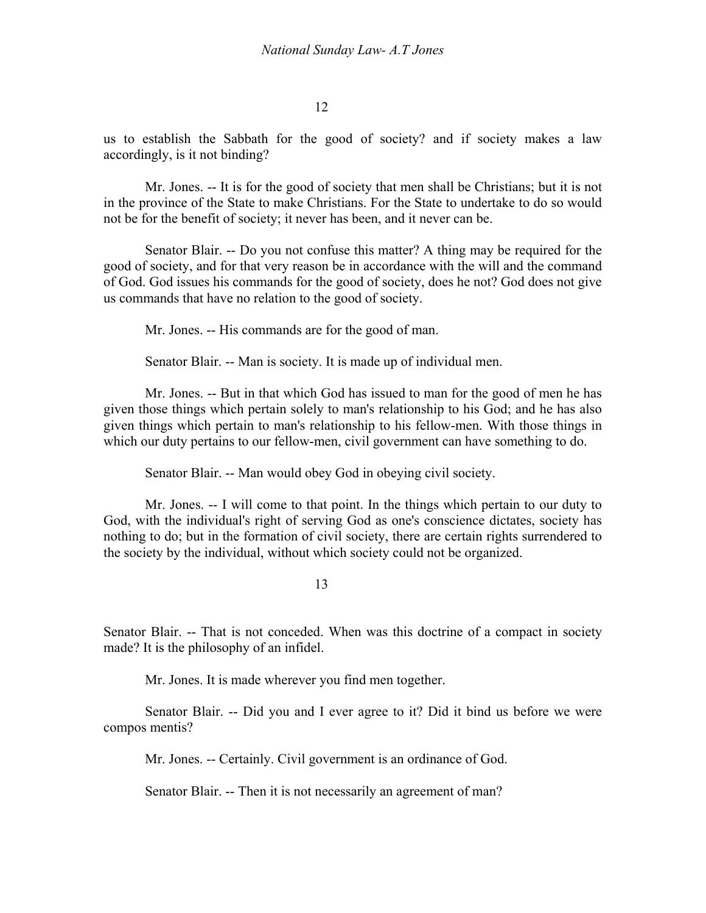us to establish the Sabbath for the good of society? and if society makes a law accordingly, is it not binding?

 Mr. Jones. -- It is for the good of society that men shall be Christians; but it is not in the province of the State to make Christians. For the State to undertake to do so would not be for the benefit of society; it never has been, and it never can be.

 Senator Blair. -- Do you not confuse this matter? A thing may be required for the good of society, and for that very reason be in accordance with the will and the command of God. God issues his commands for the good of society, does he not? God does not give us commands that have no relation to the good of society.

Mr. Jones. -- His commands are for the good of man.

Senator Blair. -- Man is society. It is made up of individual men.

 Mr. Jones. -- But in that which God has issued to man for the good of men he has given those things which pertain solely to man's relationship to his God; and he has also given things which pertain to man's relationship to his fellow-men. With those things in which our duty pertains to our fellow-men, civil government can have something to do.

Senator Blair. -- Man would obey God in obeying civil society.

 Mr. Jones. -- I will come to that point. In the things which pertain to our duty to God, with the individual's right of serving God as one's conscience dictates, society has nothing to do; but in the formation of civil society, there are certain rights surrendered to the society by the individual, without which society could not be organized.

13

Senator Blair. -- That is not conceded. When was this doctrine of a compact in society made? It is the philosophy of an infidel.

Mr. Jones. It is made wherever you find men together.

 Senator Blair. -- Did you and I ever agree to it? Did it bind us before we were compos mentis?

Mr. Jones. -- Certainly. Civil government is an ordinance of God.

Senator Blair. -- Then it is not necessarily an agreement of man?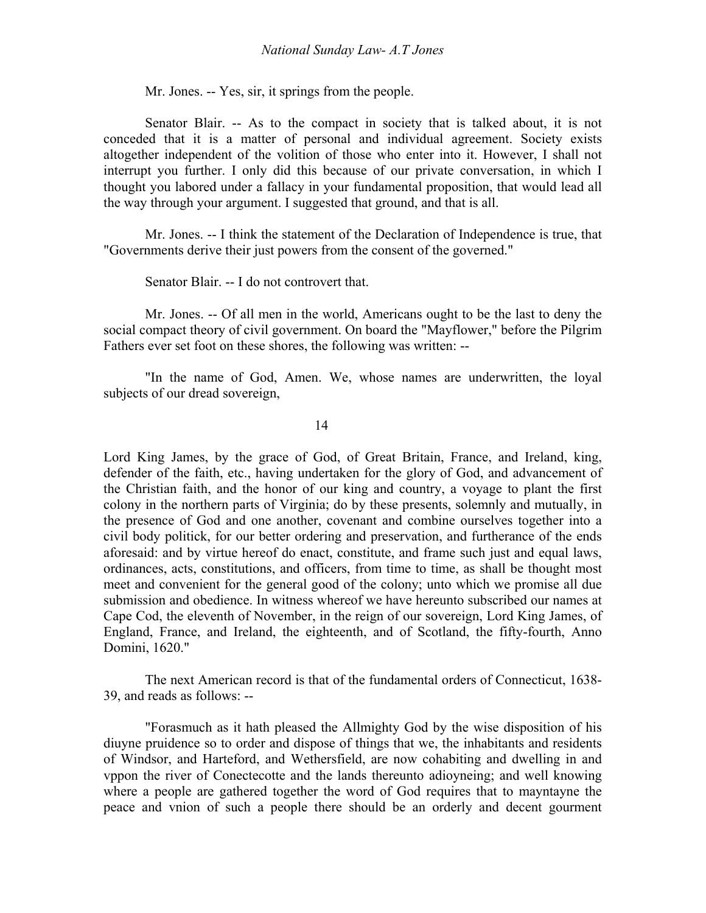Mr. Jones. -- Yes, sir, it springs from the people.

 Senator Blair. -- As to the compact in society that is talked about, it is not conceded that it is a matter of personal and individual agreement. Society exists altogether independent of the volition of those who enter into it. However, I shall not interrupt you further. I only did this because of our private conversation, in which I thought you labored under a fallacy in your fundamental proposition, that would lead all the way through your argument. I suggested that ground, and that is all.

 Mr. Jones. -- I think the statement of the Declaration of Independence is true, that "Governments derive their just powers from the consent of the governed."

Senator Blair. -- I do not controvert that.

 Mr. Jones. -- Of all men in the world, Americans ought to be the last to deny the social compact theory of civil government. On board the "Mayflower," before the Pilgrim Fathers ever set foot on these shores, the following was written: --

 "In the name of God, Amen. We, whose names are underwritten, the loyal subjects of our dread sovereign,

14

Lord King James, by the grace of God, of Great Britain, France, and Ireland, king, defender of the faith, etc., having undertaken for the glory of God, and advancement of the Christian faith, and the honor of our king and country, a voyage to plant the first colony in the northern parts of Virginia; do by these presents, solemnly and mutually, in the presence of God and one another, covenant and combine ourselves together into a civil body politick, for our better ordering and preservation, and furtherance of the ends aforesaid: and by virtue hereof do enact, constitute, and frame such just and equal laws, ordinances, acts, constitutions, and officers, from time to time, as shall be thought most meet and convenient for the general good of the colony; unto which we promise all due submission and obedience. In witness whereof we have hereunto subscribed our names at Cape Cod, the eleventh of November, in the reign of our sovereign, Lord King James, of England, France, and Ireland, the eighteenth, and of Scotland, the fifty-fourth, Anno Domini, 1620."

 The next American record is that of the fundamental orders of Connecticut, 1638- 39, and reads as follows: --

 "Forasmuch as it hath pleased the Allmighty God by the wise disposition of his diuyne pruidence so to order and dispose of things that we, the inhabitants and residents of Windsor, and Harteford, and Wethersfield, are now cohabiting and dwelling in and vppon the river of Conectecotte and the lands thereunto adioyneing; and well knowing where a people are gathered together the word of God requires that to mayntayne the peace and vnion of such a people there should be an orderly and decent gourment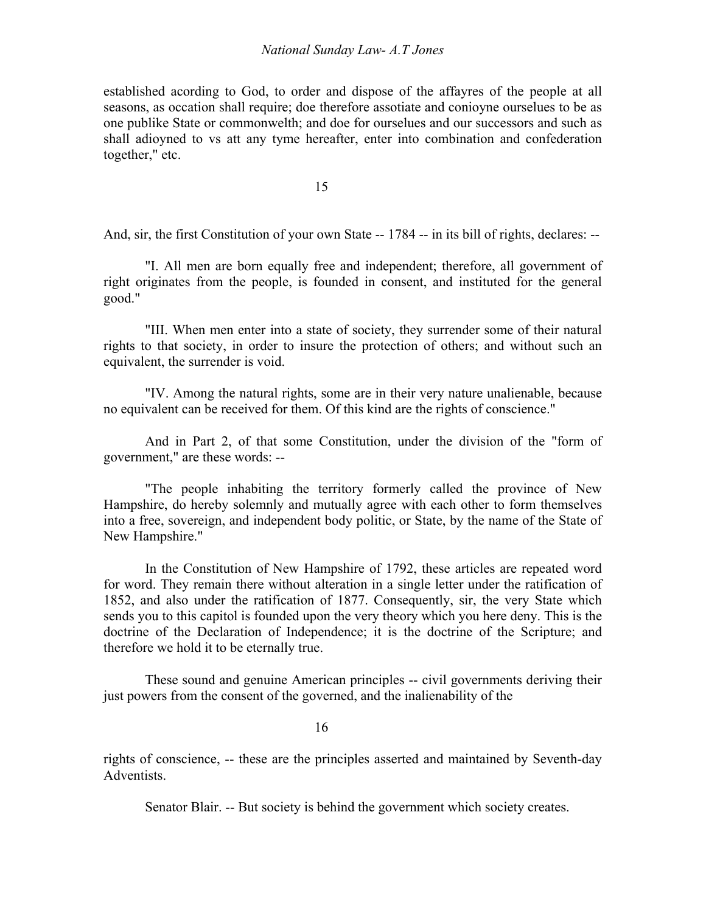established acording to God, to order and dispose of the affayres of the people at all seasons, as occation shall require; doe therefore assotiate and conioyne ourselues to be as one publike State or commonwelth; and doe for ourselues and our successors and such as shall adioyned to vs att any tyme hereafter, enter into combination and confederation together," etc.

15

And, sir, the first Constitution of your own State -- 1784 -- in its bill of rights, declares: --

 "I. All men are born equally free and independent; therefore, all government of right originates from the people, is founded in consent, and instituted for the general good."

 "III. When men enter into a state of society, they surrender some of their natural rights to that society, in order to insure the protection of others; and without such an equivalent, the surrender is void.

 "IV. Among the natural rights, some are in their very nature unalienable, because no equivalent can be received for them. Of this kind are the rights of conscience."

 And in Part 2, of that some Constitution, under the division of the "form of government," are these words: --

 "The people inhabiting the territory formerly called the province of New Hampshire, do hereby solemnly and mutually agree with each other to form themselves into a free, sovereign, and independent body politic, or State, by the name of the State of New Hampshire."

 In the Constitution of New Hampshire of 1792, these articles are repeated word for word. They remain there without alteration in a single letter under the ratification of 1852, and also under the ratification of 1877. Consequently, sir, the very State which sends you to this capitol is founded upon the very theory which you here deny. This is the doctrine of the Declaration of Independence; it is the doctrine of the Scripture; and therefore we hold it to be eternally true.

 These sound and genuine American principles -- civil governments deriving their just powers from the consent of the governed, and the inalienability of the

16

rights of conscience, -- these are the principles asserted and maintained by Seventh-day Adventists.

Senator Blair. -- But society is behind the government which society creates.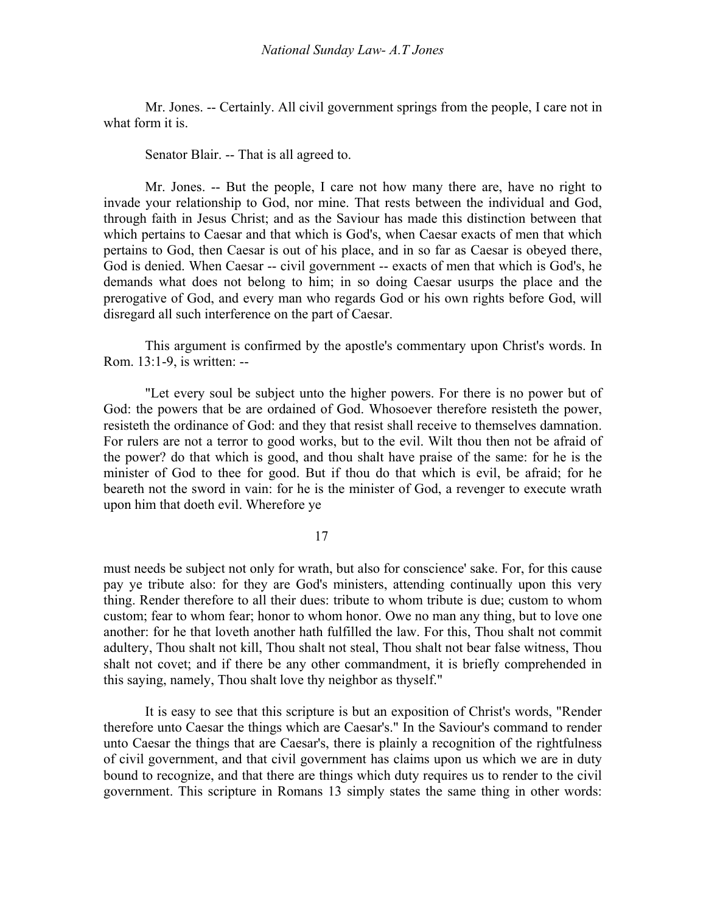Mr. Jones. -- Certainly. All civil government springs from the people, I care not in what form it is.

Senator Blair. -- That is all agreed to.

 Mr. Jones. -- But the people, I care not how many there are, have no right to invade your relationship to God, nor mine. That rests between the individual and God, through faith in Jesus Christ; and as the Saviour has made this distinction between that which pertains to Caesar and that which is God's, when Caesar exacts of men that which pertains to God, then Caesar is out of his place, and in so far as Caesar is obeyed there, God is denied. When Caesar -- civil government -- exacts of men that which is God's, he demands what does not belong to him; in so doing Caesar usurps the place and the prerogative of God, and every man who regards God or his own rights before God, will disregard all such interference on the part of Caesar.

 This argument is confirmed by the apostle's commentary upon Christ's words. In Rom. 13:1-9, is written: --

 "Let every soul be subject unto the higher powers. For there is no power but of God: the powers that be are ordained of God. Whosoever therefore resisteth the power, resisteth the ordinance of God: and they that resist shall receive to themselves damnation. For rulers are not a terror to good works, but to the evil. Wilt thou then not be afraid of the power? do that which is good, and thou shalt have praise of the same: for he is the minister of God to thee for good. But if thou do that which is evil, be afraid; for he beareth not the sword in vain: for he is the minister of God, a revenger to execute wrath upon him that doeth evil. Wherefore ye

17

must needs be subject not only for wrath, but also for conscience' sake. For, for this cause pay ye tribute also: for they are God's ministers, attending continually upon this very thing. Render therefore to all their dues: tribute to whom tribute is due; custom to whom custom; fear to whom fear; honor to whom honor. Owe no man any thing, but to love one another: for he that loveth another hath fulfilled the law. For this, Thou shalt not commit adultery, Thou shalt not kill, Thou shalt not steal, Thou shalt not bear false witness, Thou shalt not covet; and if there be any other commandment, it is briefly comprehended in this saying, namely, Thou shalt love thy neighbor as thyself."

 It is easy to see that this scripture is but an exposition of Christ's words, "Render therefore unto Caesar the things which are Caesar's." In the Saviour's command to render unto Caesar the things that are Caesar's, there is plainly a recognition of the rightfulness of civil government, and that civil government has claims upon us which we are in duty bound to recognize, and that there are things which duty requires us to render to the civil government. This scripture in Romans 13 simply states the same thing in other words: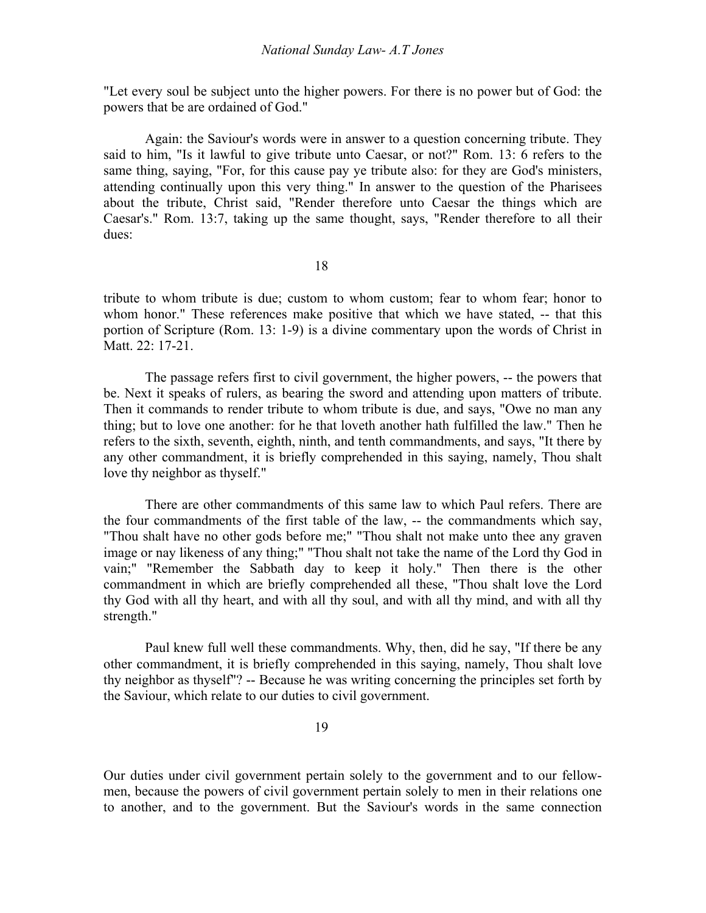"Let every soul be subject unto the higher powers. For there is no power but of God: the powers that be are ordained of God."

 Again: the Saviour's words were in answer to a question concerning tribute. They said to him, "Is it lawful to give tribute unto Caesar, or not?" Rom. 13: 6 refers to the same thing, saying, "For, for this cause pay ye tribute also: for they are God's ministers, attending continually upon this very thing." In answer to the question of the Pharisees about the tribute, Christ said, "Render therefore unto Caesar the things which are Caesar's." Rom. 13:7, taking up the same thought, says, "Render therefore to all their dues:

18

tribute to whom tribute is due; custom to whom custom; fear to whom fear; honor to whom honor." These references make positive that which we have stated, -- that this portion of Scripture (Rom. 13: 1-9) is a divine commentary upon the words of Christ in Matt. 22: 17-21.

 The passage refers first to civil government, the higher powers, -- the powers that be. Next it speaks of rulers, as bearing the sword and attending upon matters of tribute. Then it commands to render tribute to whom tribute is due, and says, "Owe no man any thing; but to love one another: for he that loveth another hath fulfilled the law." Then he refers to the sixth, seventh, eighth, ninth, and tenth commandments, and says, "It there by any other commandment, it is briefly comprehended in this saying, namely, Thou shalt love thy neighbor as thyself."

 There are other commandments of this same law to which Paul refers. There are the four commandments of the first table of the law, -- the commandments which say, "Thou shalt have no other gods before me;" "Thou shalt not make unto thee any graven image or nay likeness of any thing;" "Thou shalt not take the name of the Lord thy God in vain;" "Remember the Sabbath day to keep it holy." Then there is the other commandment in which are briefly comprehended all these, "Thou shalt love the Lord thy God with all thy heart, and with all thy soul, and with all thy mind, and with all thy strength."

 Paul knew full well these commandments. Why, then, did he say, "If there be any other commandment, it is briefly comprehended in this saying, namely, Thou shalt love thy neighbor as thyself"? -- Because he was writing concerning the principles set forth by the Saviour, which relate to our duties to civil government.

19

Our duties under civil government pertain solely to the government and to our fellowmen, because the powers of civil government pertain solely to men in their relations one to another, and to the government. But the Saviour's words in the same connection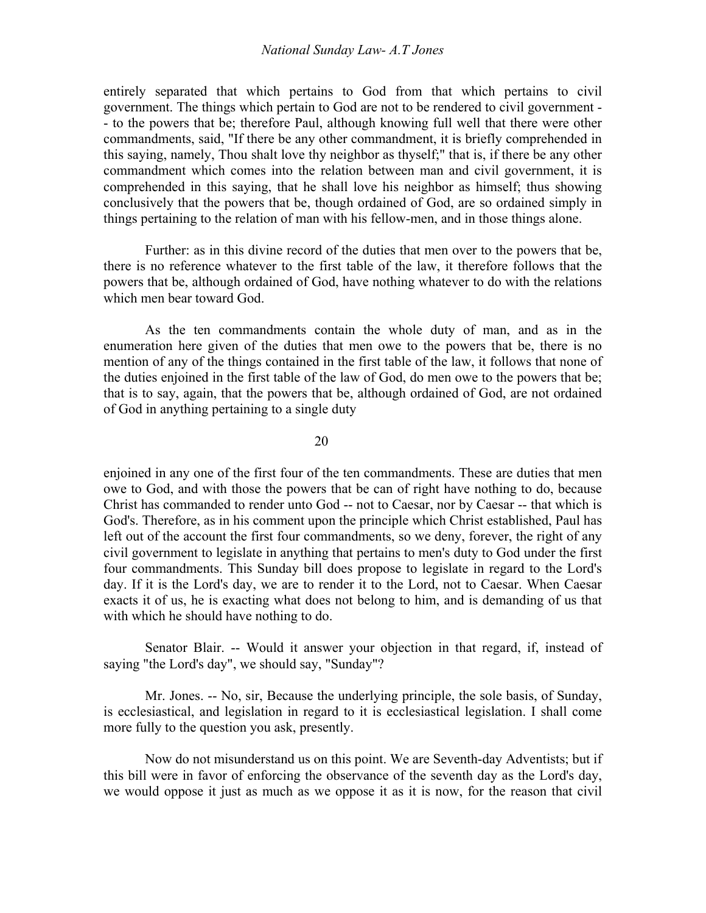entirely separated that which pertains to God from that which pertains to civil government. The things which pertain to God are not to be rendered to civil government - - to the powers that be; therefore Paul, although knowing full well that there were other commandments, said, "If there be any other commandment, it is briefly comprehended in this saying, namely, Thou shalt love thy neighbor as thyself;" that is, if there be any other commandment which comes into the relation between man and civil government, it is comprehended in this saying, that he shall love his neighbor as himself; thus showing conclusively that the powers that be, though ordained of God, are so ordained simply in things pertaining to the relation of man with his fellow-men, and in those things alone.

 Further: as in this divine record of the duties that men over to the powers that be, there is no reference whatever to the first table of the law, it therefore follows that the powers that be, although ordained of God, have nothing whatever to do with the relations which men bear toward God.

 As the ten commandments contain the whole duty of man, and as in the enumeration here given of the duties that men owe to the powers that be, there is no mention of any of the things contained in the first table of the law, it follows that none of the duties enjoined in the first table of the law of God, do men owe to the powers that be; that is to say, again, that the powers that be, although ordained of God, are not ordained of God in anything pertaining to a single duty

20

enjoined in any one of the first four of the ten commandments. These are duties that men owe to God, and with those the powers that be can of right have nothing to do, because Christ has commanded to render unto God -- not to Caesar, nor by Caesar -- that which is God's. Therefore, as in his comment upon the principle which Christ established, Paul has left out of the account the first four commandments, so we deny, forever, the right of any civil government to legislate in anything that pertains to men's duty to God under the first four commandments. This Sunday bill does propose to legislate in regard to the Lord's day. If it is the Lord's day, we are to render it to the Lord, not to Caesar. When Caesar exacts it of us, he is exacting what does not belong to him, and is demanding of us that with which he should have nothing to do.

 Senator Blair. -- Would it answer your objection in that regard, if, instead of saying "the Lord's day", we should say, "Sunday"?

 Mr. Jones. -- No, sir, Because the underlying principle, the sole basis, of Sunday, is ecclesiastical, and legislation in regard to it is ecclesiastical legislation. I shall come more fully to the question you ask, presently.

 Now do not misunderstand us on this point. We are Seventh-day Adventists; but if this bill were in favor of enforcing the observance of the seventh day as the Lord's day, we would oppose it just as much as we oppose it as it is now, for the reason that civil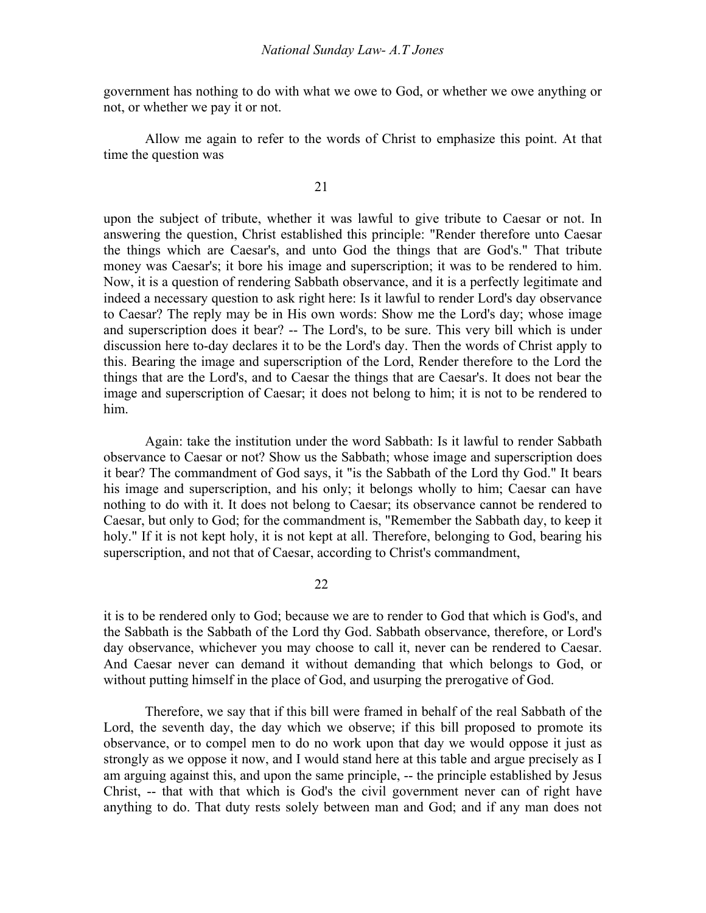government has nothing to do with what we owe to God, or whether we owe anything or not, or whether we pay it or not.

 Allow me again to refer to the words of Christ to emphasize this point. At that time the question was

21

upon the subject of tribute, whether it was lawful to give tribute to Caesar or not. In answering the question, Christ established this principle: "Render therefore unto Caesar the things which are Caesar's, and unto God the things that are God's." That tribute money was Caesar's; it bore his image and superscription; it was to be rendered to him. Now, it is a question of rendering Sabbath observance, and it is a perfectly legitimate and indeed a necessary question to ask right here: Is it lawful to render Lord's day observance to Caesar? The reply may be in His own words: Show me the Lord's day; whose image and superscription does it bear? -- The Lord's, to be sure. This very bill which is under discussion here to-day declares it to be the Lord's day. Then the words of Christ apply to this. Bearing the image and superscription of the Lord, Render therefore to the Lord the things that are the Lord's, and to Caesar the things that are Caesar's. It does not bear the image and superscription of Caesar; it does not belong to him; it is not to be rendered to him.

 Again: take the institution under the word Sabbath: Is it lawful to render Sabbath observance to Caesar or not? Show us the Sabbath; whose image and superscription does it bear? The commandment of God says, it "is the Sabbath of the Lord thy God." It bears his image and superscription, and his only; it belongs wholly to him; Caesar can have nothing to do with it. It does not belong to Caesar; its observance cannot be rendered to Caesar, but only to God; for the commandment is, "Remember the Sabbath day, to keep it holy." If it is not kept holy, it is not kept at all. Therefore, belonging to God, bearing his superscription, and not that of Caesar, according to Christ's commandment,

22

it is to be rendered only to God; because we are to render to God that which is God's, and the Sabbath is the Sabbath of the Lord thy God. Sabbath observance, therefore, or Lord's day observance, whichever you may choose to call it, never can be rendered to Caesar. And Caesar never can demand it without demanding that which belongs to God, or without putting himself in the place of God, and usurping the prerogative of God.

 Therefore, we say that if this bill were framed in behalf of the real Sabbath of the Lord, the seventh day, the day which we observe; if this bill proposed to promote its observance, or to compel men to do no work upon that day we would oppose it just as strongly as we oppose it now, and I would stand here at this table and argue precisely as I am arguing against this, and upon the same principle, -- the principle established by Jesus Christ, -- that with that which is God's the civil government never can of right have anything to do. That duty rests solely between man and God; and if any man does not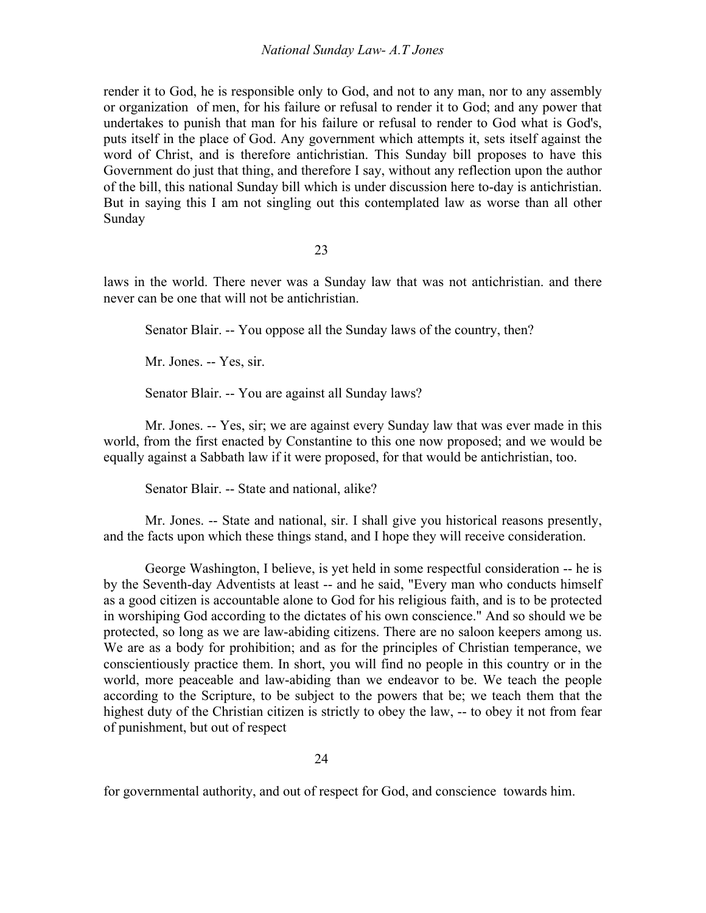render it to God, he is responsible only to God, and not to any man, nor to any assembly or organization of men, for his failure or refusal to render it to God; and any power that undertakes to punish that man for his failure or refusal to render to God what is God's, puts itself in the place of God. Any government which attempts it, sets itself against the word of Christ, and is therefore antichristian. This Sunday bill proposes to have this Government do just that thing, and therefore I say, without any reflection upon the author of the bill, this national Sunday bill which is under discussion here to-day is antichristian. But in saying this I am not singling out this contemplated law as worse than all other Sunday

## 23

laws in the world. There never was a Sunday law that was not antichristian. and there never can be one that will not be antichristian.

Senator Blair. -- You oppose all the Sunday laws of the country, then?

Mr. Jones. -- Yes, sir.

Senator Blair. -- You are against all Sunday laws?

 Mr. Jones. -- Yes, sir; we are against every Sunday law that was ever made in this world, from the first enacted by Constantine to this one now proposed; and we would be equally against a Sabbath law if it were proposed, for that would be antichristian, too.

Senator Blair. -- State and national, alike?

 Mr. Jones. -- State and national, sir. I shall give you historical reasons presently, and the facts upon which these things stand, and I hope they will receive consideration.

 George Washington, I believe, is yet held in some respectful consideration -- he is by the Seventh-day Adventists at least -- and he said, "Every man who conducts himself as a good citizen is accountable alone to God for his religious faith, and is to be protected in worshiping God according to the dictates of his own conscience." And so should we be protected, so long as we are law-abiding citizens. There are no saloon keepers among us. We are as a body for prohibition; and as for the principles of Christian temperance, we conscientiously practice them. In short, you will find no people in this country or in the world, more peaceable and law-abiding than we endeavor to be. We teach the people according to the Scripture, to be subject to the powers that be; we teach them that the highest duty of the Christian citizen is strictly to obey the law, -- to obey it not from fear of punishment, but out of respect

24

for governmental authority, and out of respect for God, and conscience towards him.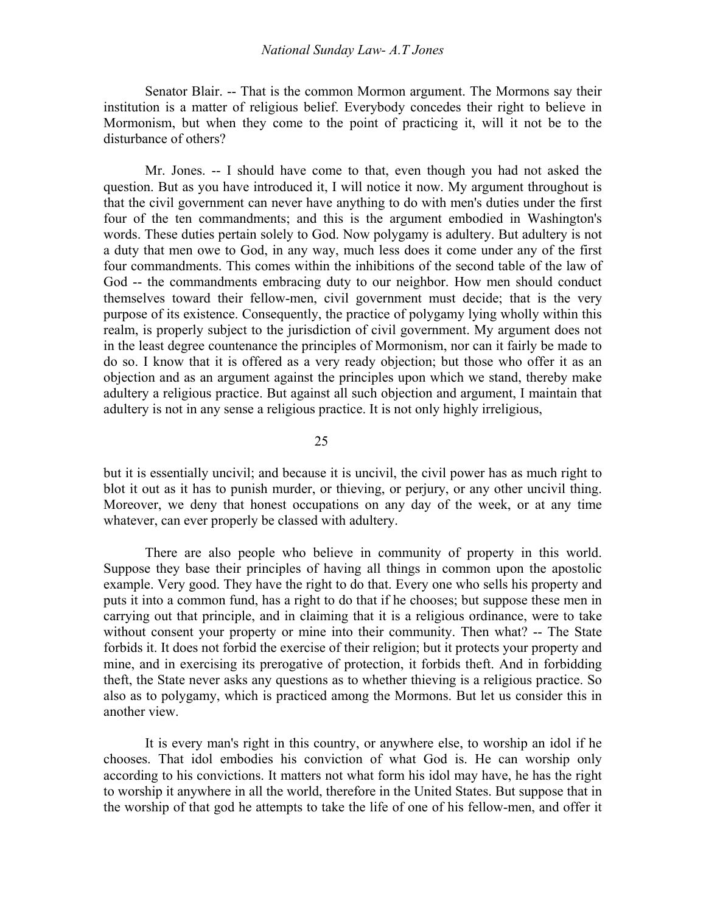Senator Blair. -- That is the common Mormon argument. The Mormons say their institution is a matter of religious belief. Everybody concedes their right to believe in Mormonism, but when they come to the point of practicing it, will it not be to the disturbance of others?

 Mr. Jones. -- I should have come to that, even though you had not asked the question. But as you have introduced it, I will notice it now. My argument throughout is that the civil government can never have anything to do with men's duties under the first four of the ten commandments; and this is the argument embodied in Washington's words. These duties pertain solely to God. Now polygamy is adultery. But adultery is not a duty that men owe to God, in any way, much less does it come under any of the first four commandments. This comes within the inhibitions of the second table of the law of God -- the commandments embracing duty to our neighbor. How men should conduct themselves toward their fellow-men, civil government must decide; that is the very purpose of its existence. Consequently, the practice of polygamy lying wholly within this realm, is properly subject to the jurisdiction of civil government. My argument does not in the least degree countenance the principles of Mormonism, nor can it fairly be made to do so. I know that it is offered as a very ready objection; but those who offer it as an objection and as an argument against the principles upon which we stand, thereby make adultery a religious practice. But against all such objection and argument, I maintain that adultery is not in any sense a religious practice. It is not only highly irreligious,

25

but it is essentially uncivil; and because it is uncivil, the civil power has as much right to blot it out as it has to punish murder, or thieving, or perjury, or any other uncivil thing. Moreover, we deny that honest occupations on any day of the week, or at any time whatever, can ever properly be classed with adultery.

 There are also people who believe in community of property in this world. Suppose they base their principles of having all things in common upon the apostolic example. Very good. They have the right to do that. Every one who sells his property and puts it into a common fund, has a right to do that if he chooses; but suppose these men in carrying out that principle, and in claiming that it is a religious ordinance, were to take without consent your property or mine into their community. Then what? -- The State forbids it. It does not forbid the exercise of their religion; but it protects your property and mine, and in exercising its prerogative of protection, it forbids theft. And in forbidding theft, the State never asks any questions as to whether thieving is a religious practice. So also as to polygamy, which is practiced among the Mormons. But let us consider this in another view.

 It is every man's right in this country, or anywhere else, to worship an idol if he chooses. That idol embodies his conviction of what God is. He can worship only according to his convictions. It matters not what form his idol may have, he has the right to worship it anywhere in all the world, therefore in the United States. But suppose that in the worship of that god he attempts to take the life of one of his fellow-men, and offer it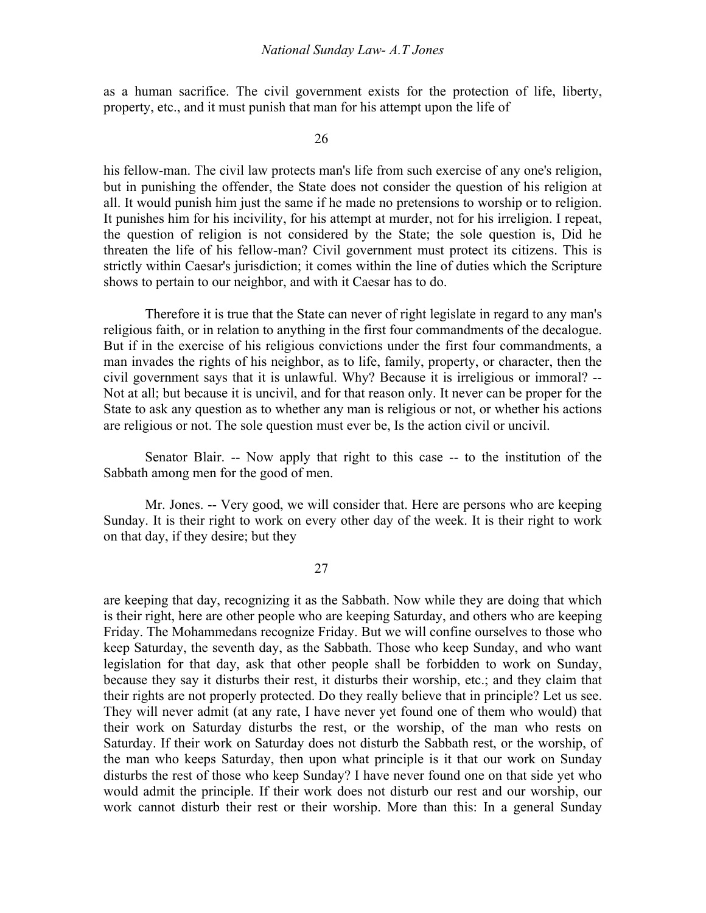as a human sacrifice. The civil government exists for the protection of life, liberty, property, etc., and it must punish that man for his attempt upon the life of

26

his fellow-man. The civil law protects man's life from such exercise of any one's religion, but in punishing the offender, the State does not consider the question of his religion at all. It would punish him just the same if he made no pretensions to worship or to religion. It punishes him for his incivility, for his attempt at murder, not for his irreligion. I repeat, the question of religion is not considered by the State; the sole question is, Did he threaten the life of his fellow-man? Civil government must protect its citizens. This is strictly within Caesar's jurisdiction; it comes within the line of duties which the Scripture shows to pertain to our neighbor, and with it Caesar has to do.

 Therefore it is true that the State can never of right legislate in regard to any man's religious faith, or in relation to anything in the first four commandments of the decalogue. But if in the exercise of his religious convictions under the first four commandments, a man invades the rights of his neighbor, as to life, family, property, or character, then the civil government says that it is unlawful. Why? Because it is irreligious or immoral? -- Not at all; but because it is uncivil, and for that reason only. It never can be proper for the State to ask any question as to whether any man is religious or not, or whether his actions are religious or not. The sole question must ever be, Is the action civil or uncivil.

 Senator Blair. -- Now apply that right to this case -- to the institution of the Sabbath among men for the good of men.

 Mr. Jones. -- Very good, we will consider that. Here are persons who are keeping Sunday. It is their right to work on every other day of the week. It is their right to work on that day, if they desire; but they

27

are keeping that day, recognizing it as the Sabbath. Now while they are doing that which is their right, here are other people who are keeping Saturday, and others who are keeping Friday. The Mohammedans recognize Friday. But we will confine ourselves to those who keep Saturday, the seventh day, as the Sabbath. Those who keep Sunday, and who want legislation for that day, ask that other people shall be forbidden to work on Sunday, because they say it disturbs their rest, it disturbs their worship, etc.; and they claim that their rights are not properly protected. Do they really believe that in principle? Let us see. They will never admit (at any rate, I have never yet found one of them who would) that their work on Saturday disturbs the rest, or the worship, of the man who rests on Saturday. If their work on Saturday does not disturb the Sabbath rest, or the worship, of the man who keeps Saturday, then upon what principle is it that our work on Sunday disturbs the rest of those who keep Sunday? I have never found one on that side yet who would admit the principle. If their work does not disturb our rest and our worship, our work cannot disturb their rest or their worship. More than this: In a general Sunday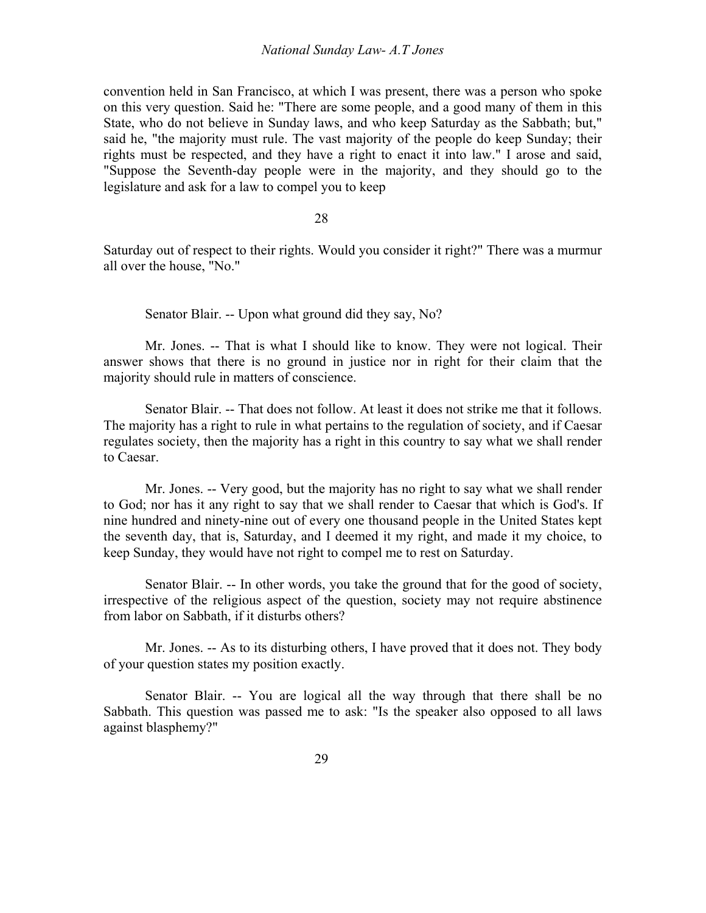convention held in San Francisco, at which I was present, there was a person who spoke on this very question. Said he: "There are some people, and a good many of them in this State, who do not believe in Sunday laws, and who keep Saturday as the Sabbath; but," said he, "the majority must rule. The vast majority of the people do keep Sunday; their rights must be respected, and they have a right to enact it into law." I arose and said, "Suppose the Seventh-day people were in the majority, and they should go to the legislature and ask for a law to compel you to keep

## 28

Saturday out of respect to their rights. Would you consider it right?" There was a murmur all over the house, "No."

Senator Blair. -- Upon what ground did they say, No?

 Mr. Jones. -- That is what I should like to know. They were not logical. Their answer shows that there is no ground in justice nor in right for their claim that the majority should rule in matters of conscience.

 Senator Blair. -- That does not follow. At least it does not strike me that it follows. The majority has a right to rule in what pertains to the regulation of society, and if Caesar regulates society, then the majority has a right in this country to say what we shall render to Caesar.

 Mr. Jones. -- Very good, but the majority has no right to say what we shall render to God; nor has it any right to say that we shall render to Caesar that which is God's. If nine hundred and ninety-nine out of every one thousand people in the United States kept the seventh day, that is, Saturday, and I deemed it my right, and made it my choice, to keep Sunday, they would have not right to compel me to rest on Saturday.

 Senator Blair. -- In other words, you take the ground that for the good of society, irrespective of the religious aspect of the question, society may not require abstinence from labor on Sabbath, if it disturbs others?

 Mr. Jones. -- As to its disturbing others, I have proved that it does not. They body of your question states my position exactly.

 Senator Blair. -- You are logical all the way through that there shall be no Sabbath. This question was passed me to ask: "Is the speaker also opposed to all laws against blasphemy?"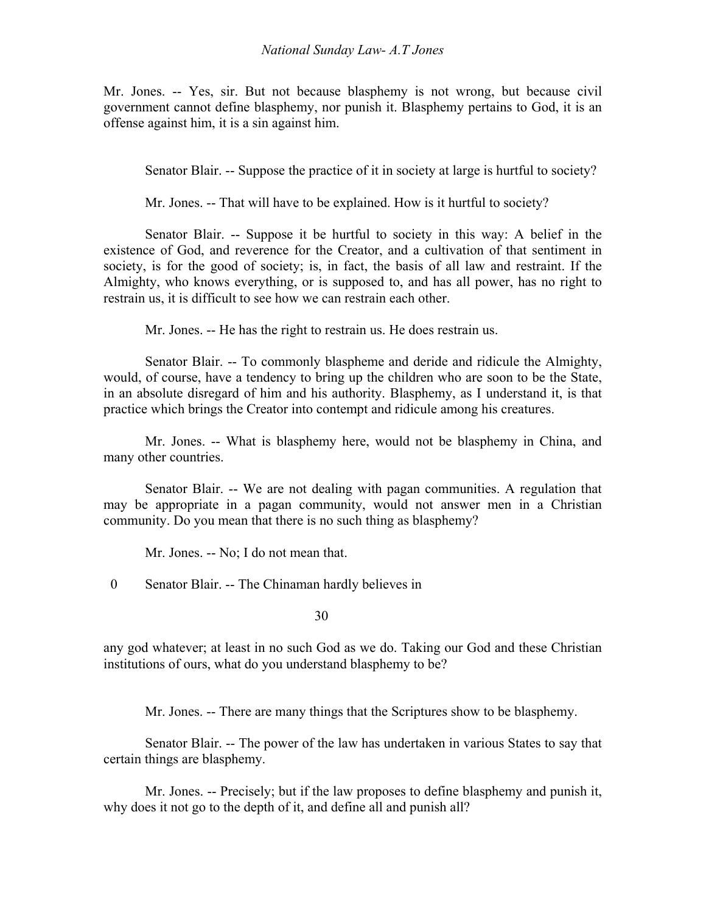Mr. Jones. -- Yes, sir. But not because blasphemy is not wrong, but because civil government cannot define blasphemy, nor punish it. Blasphemy pertains to God, it is an offense against him, it is a sin against him.

Senator Blair. -- Suppose the practice of it in society at large is hurtful to society?

Mr. Jones. -- That will have to be explained. How is it hurtful to society?

 Senator Blair. -- Suppose it be hurtful to society in this way: A belief in the existence of God, and reverence for the Creator, and a cultivation of that sentiment in society, is for the good of society; is, in fact, the basis of all law and restraint. If the Almighty, who knows everything, or is supposed to, and has all power, has no right to restrain us, it is difficult to see how we can restrain each other.

Mr. Jones. -- He has the right to restrain us. He does restrain us.

 Senator Blair. -- To commonly blaspheme and deride and ridicule the Almighty, would, of course, have a tendency to bring up the children who are soon to be the State, in an absolute disregard of him and his authority. Blasphemy, as I understand it, is that practice which brings the Creator into contempt and ridicule among his creatures.

 Mr. Jones. -- What is blasphemy here, would not be blasphemy in China, and many other countries.

 Senator Blair. -- We are not dealing with pagan communities. A regulation that may be appropriate in a pagan community, would not answer men in a Christian community. Do you mean that there is no such thing as blasphemy?

Mr. Jones. -- No; I do not mean that.

0 Senator Blair. -- The Chinaman hardly believes in

30

any god whatever; at least in no such God as we do. Taking our God and these Christian institutions of ours, what do you understand blasphemy to be?

Mr. Jones. -- There are many things that the Scriptures show to be blasphemy.

 Senator Blair. -- The power of the law has undertaken in various States to say that certain things are blasphemy.

 Mr. Jones. -- Precisely; but if the law proposes to define blasphemy and punish it, why does it not go to the depth of it, and define all and punish all?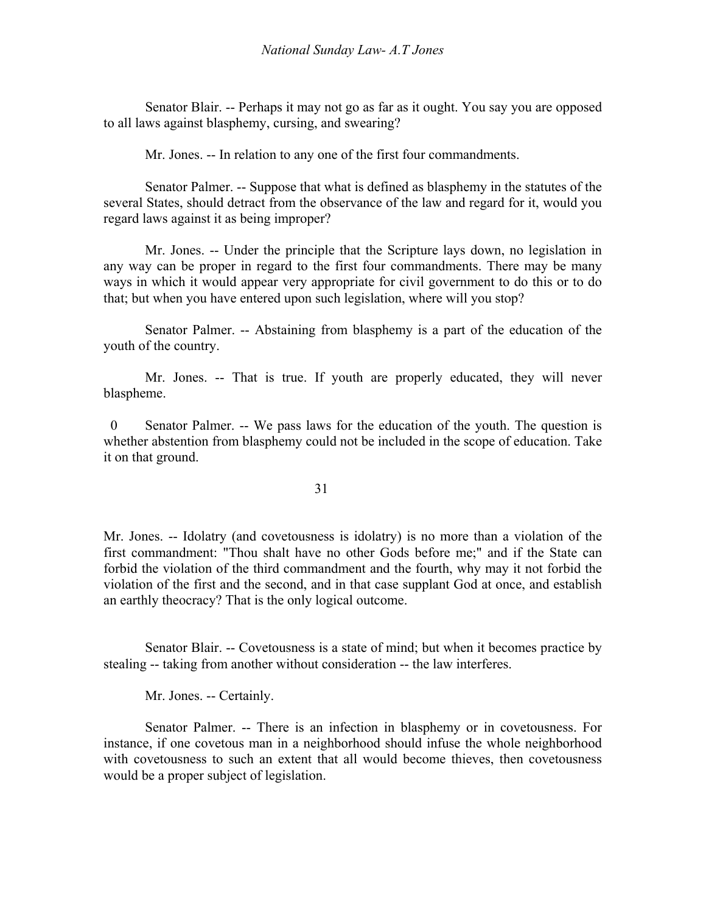Senator Blair. -- Perhaps it may not go as far as it ought. You say you are opposed to all laws against blasphemy, cursing, and swearing?

Mr. Jones. -- In relation to any one of the first four commandments.

 Senator Palmer. -- Suppose that what is defined as blasphemy in the statutes of the several States, should detract from the observance of the law and regard for it, would you regard laws against it as being improper?

 Mr. Jones. -- Under the principle that the Scripture lays down, no legislation in any way can be proper in regard to the first four commandments. There may be many ways in which it would appear very appropriate for civil government to do this or to do that; but when you have entered upon such legislation, where will you stop?

 Senator Palmer. -- Abstaining from blasphemy is a part of the education of the youth of the country.

 Mr. Jones. -- That is true. If youth are properly educated, they will never blaspheme.

 0 Senator Palmer. -- We pass laws for the education of the youth. The question is whether abstention from blasphemy could not be included in the scope of education. Take it on that ground.

## 31

Mr. Jones. -- Idolatry (and covetousness is idolatry) is no more than a violation of the first commandment: "Thou shalt have no other Gods before me;" and if the State can forbid the violation of the third commandment and the fourth, why may it not forbid the violation of the first and the second, and in that case supplant God at once, and establish an earthly theocracy? That is the only logical outcome.

 Senator Blair. -- Covetousness is a state of mind; but when it becomes practice by stealing -- taking from another without consideration -- the law interferes.

Mr. Jones. -- Certainly.

 Senator Palmer. -- There is an infection in blasphemy or in covetousness. For instance, if one covetous man in a neighborhood should infuse the whole neighborhood with covetousness to such an extent that all would become thieves, then covetousness would be a proper subject of legislation.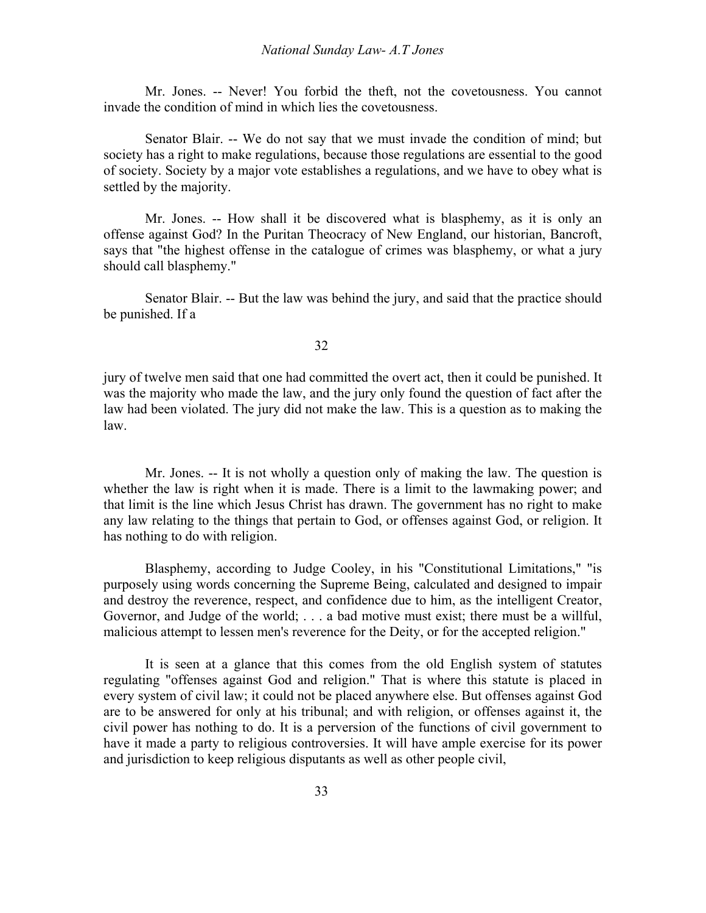Mr. Jones. -- Never! You forbid the theft, not the covetousness. You cannot invade the condition of mind in which lies the covetousness.

 Senator Blair. -- We do not say that we must invade the condition of mind; but society has a right to make regulations, because those regulations are essential to the good of society. Society by a major vote establishes a regulations, and we have to obey what is settled by the majority.

 Mr. Jones. -- How shall it be discovered what is blasphemy, as it is only an offense against God? In the Puritan Theocracy of New England, our historian, Bancroft, says that "the highest offense in the catalogue of crimes was blasphemy, or what a jury should call blasphemy."

 Senator Blair. -- But the law was behind the jury, and said that the practice should be punished. If a

32

jury of twelve men said that one had committed the overt act, then it could be punished. It was the majority who made the law, and the jury only found the question of fact after the law had been violated. The jury did not make the law. This is a question as to making the law.

 Mr. Jones. -- It is not wholly a question only of making the law. The question is whether the law is right when it is made. There is a limit to the lawmaking power; and that limit is the line which Jesus Christ has drawn. The government has no right to make any law relating to the things that pertain to God, or offenses against God, or religion. It has nothing to do with religion.

 Blasphemy, according to Judge Cooley, in his "Constitutional Limitations," "is purposely using words concerning the Supreme Being, calculated and designed to impair and destroy the reverence, respect, and confidence due to him, as the intelligent Creator, Governor, and Judge of the world; . . . a bad motive must exist; there must be a willful, malicious attempt to lessen men's reverence for the Deity, or for the accepted religion."

 It is seen at a glance that this comes from the old English system of statutes regulating "offenses against God and religion." That is where this statute is placed in every system of civil law; it could not be placed anywhere else. But offenses against God are to be answered for only at his tribunal; and with religion, or offenses against it, the civil power has nothing to do. It is a perversion of the functions of civil government to have it made a party to religious controversies. It will have ample exercise for its power and jurisdiction to keep religious disputants as well as other people civil,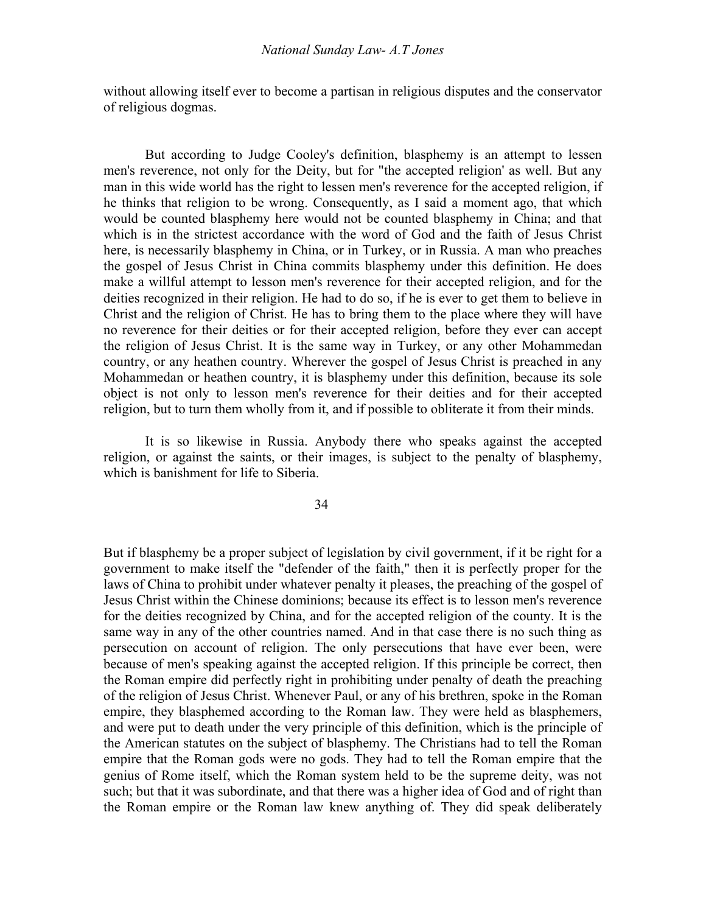without allowing itself ever to become a partisan in religious disputes and the conservator of religious dogmas.

 But according to Judge Cooley's definition, blasphemy is an attempt to lessen men's reverence, not only for the Deity, but for "the accepted religion' as well. But any man in this wide world has the right to lessen men's reverence for the accepted religion, if he thinks that religion to be wrong. Consequently, as I said a moment ago, that which would be counted blasphemy here would not be counted blasphemy in China; and that which is in the strictest accordance with the word of God and the faith of Jesus Christ here, is necessarily blasphemy in China, or in Turkey, or in Russia. A man who preaches the gospel of Jesus Christ in China commits blasphemy under this definition. He does make a willful attempt to lesson men's reverence for their accepted religion, and for the deities recognized in their religion. He had to do so, if he is ever to get them to believe in Christ and the religion of Christ. He has to bring them to the place where they will have no reverence for their deities or for their accepted religion, before they ever can accept the religion of Jesus Christ. It is the same way in Turkey, or any other Mohammedan country, or any heathen country. Wherever the gospel of Jesus Christ is preached in any Mohammedan or heathen country, it is blasphemy under this definition, because its sole object is not only to lesson men's reverence for their deities and for their accepted religion, but to turn them wholly from it, and if possible to obliterate it from their minds.

 It is so likewise in Russia. Anybody there who speaks against the accepted religion, or against the saints, or their images, is subject to the penalty of blasphemy, which is banishment for life to Siberia.

34

But if blasphemy be a proper subject of legislation by civil government, if it be right for a government to make itself the "defender of the faith," then it is perfectly proper for the laws of China to prohibit under whatever penalty it pleases, the preaching of the gospel of Jesus Christ within the Chinese dominions; because its effect is to lesson men's reverence for the deities recognized by China, and for the accepted religion of the county. It is the same way in any of the other countries named. And in that case there is no such thing as persecution on account of religion. The only persecutions that have ever been, were because of men's speaking against the accepted religion. If this principle be correct, then the Roman empire did perfectly right in prohibiting under penalty of death the preaching of the religion of Jesus Christ. Whenever Paul, or any of his brethren, spoke in the Roman empire, they blasphemed according to the Roman law. They were held as blasphemers, and were put to death under the very principle of this definition, which is the principle of the American statutes on the subject of blasphemy. The Christians had to tell the Roman empire that the Roman gods were no gods. They had to tell the Roman empire that the genius of Rome itself, which the Roman system held to be the supreme deity, was not such; but that it was subordinate, and that there was a higher idea of God and of right than the Roman empire or the Roman law knew anything of. They did speak deliberately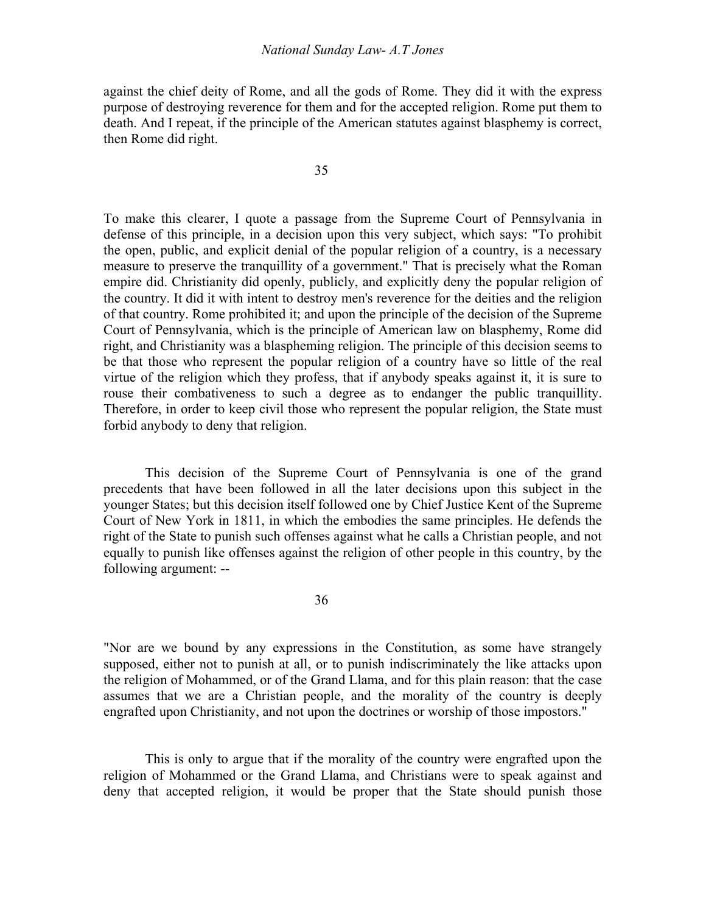against the chief deity of Rome, and all the gods of Rome. They did it with the express purpose of destroying reverence for them and for the accepted religion. Rome put them to death. And I repeat, if the principle of the American statutes against blasphemy is correct, then Rome did right.

35

To make this clearer, I quote a passage from the Supreme Court of Pennsylvania in defense of this principle, in a decision upon this very subject, which says: "To prohibit the open, public, and explicit denial of the popular religion of a country, is a necessary measure to preserve the tranquillity of a government." That is precisely what the Roman empire did. Christianity did openly, publicly, and explicitly deny the popular religion of the country. It did it with intent to destroy men's reverence for the deities and the religion of that country. Rome prohibited it; and upon the principle of the decision of the Supreme Court of Pennsylvania, which is the principle of American law on blasphemy, Rome did right, and Christianity was a blaspheming religion. The principle of this decision seems to be that those who represent the popular religion of a country have so little of the real virtue of the religion which they profess, that if anybody speaks against it, it is sure to rouse their combativeness to such a degree as to endanger the public tranquillity. Therefore, in order to keep civil those who represent the popular religion, the State must forbid anybody to deny that religion.

 This decision of the Supreme Court of Pennsylvania is one of the grand precedents that have been followed in all the later decisions upon this subject in the younger States; but this decision itself followed one by Chief Justice Kent of the Supreme Court of New York in 1811, in which the embodies the same principles. He defends the right of the State to punish such offenses against what he calls a Christian people, and not equally to punish like offenses against the religion of other people in this country, by the following argument: --

36

"Nor are we bound by any expressions in the Constitution, as some have strangely supposed, either not to punish at all, or to punish indiscriminately the like attacks upon the religion of Mohammed, or of the Grand Llama, and for this plain reason: that the case assumes that we are a Christian people, and the morality of the country is deeply engrafted upon Christianity, and not upon the doctrines or worship of those impostors."

 This is only to argue that if the morality of the country were engrafted upon the religion of Mohammed or the Grand Llama, and Christians were to speak against and deny that accepted religion, it would be proper that the State should punish those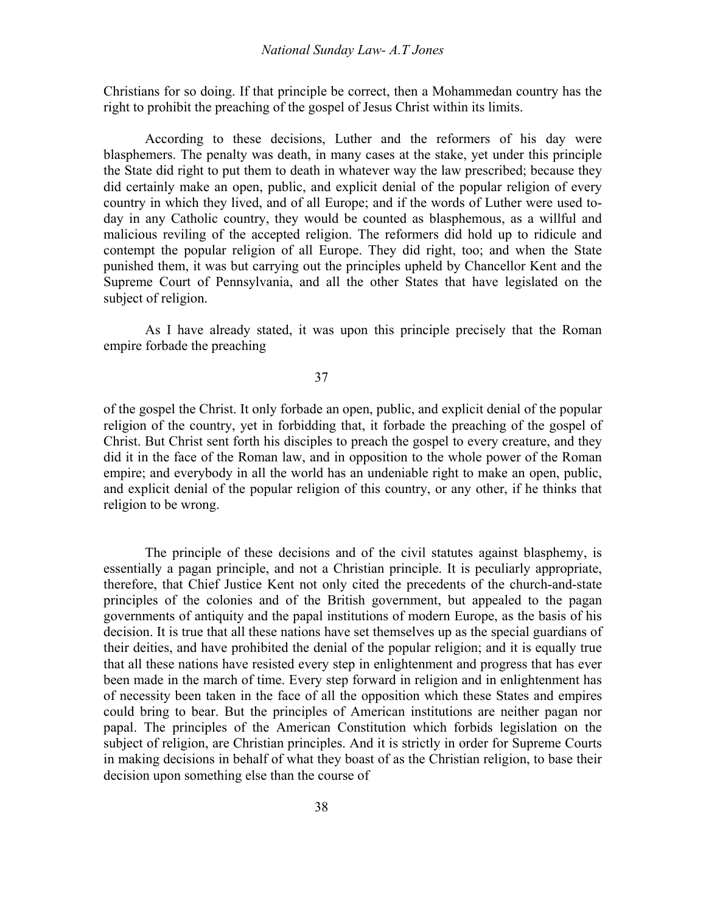Christians for so doing. If that principle be correct, then a Mohammedan country has the right to prohibit the preaching of the gospel of Jesus Christ within its limits.

 According to these decisions, Luther and the reformers of his day were blasphemers. The penalty was death, in many cases at the stake, yet under this principle the State did right to put them to death in whatever way the law prescribed; because they did certainly make an open, public, and explicit denial of the popular religion of every country in which they lived, and of all Europe; and if the words of Luther were used today in any Catholic country, they would be counted as blasphemous, as a willful and malicious reviling of the accepted religion. The reformers did hold up to ridicule and contempt the popular religion of all Europe. They did right, too; and when the State punished them, it was but carrying out the principles upheld by Chancellor Kent and the Supreme Court of Pennsylvania, and all the other States that have legislated on the subject of religion.

 As I have already stated, it was upon this principle precisely that the Roman empire forbade the preaching

37

of the gospel the Christ. It only forbade an open, public, and explicit denial of the popular religion of the country, yet in forbidding that, it forbade the preaching of the gospel of Christ. But Christ sent forth his disciples to preach the gospel to every creature, and they did it in the face of the Roman law, and in opposition to the whole power of the Roman empire; and everybody in all the world has an undeniable right to make an open, public, and explicit denial of the popular religion of this country, or any other, if he thinks that religion to be wrong.

 The principle of these decisions and of the civil statutes against blasphemy, is essentially a pagan principle, and not a Christian principle. It is peculiarly appropriate, therefore, that Chief Justice Kent not only cited the precedents of the church-and-state principles of the colonies and of the British government, but appealed to the pagan governments of antiquity and the papal institutions of modern Europe, as the basis of his decision. It is true that all these nations have set themselves up as the special guardians of their deities, and have prohibited the denial of the popular religion; and it is equally true that all these nations have resisted every step in enlightenment and progress that has ever been made in the march of time. Every step forward in religion and in enlightenment has of necessity been taken in the face of all the opposition which these States and empires could bring to bear. But the principles of American institutions are neither pagan nor papal. The principles of the American Constitution which forbids legislation on the subject of religion, are Christian principles. And it is strictly in order for Supreme Courts in making decisions in behalf of what they boast of as the Christian religion, to base their decision upon something else than the course of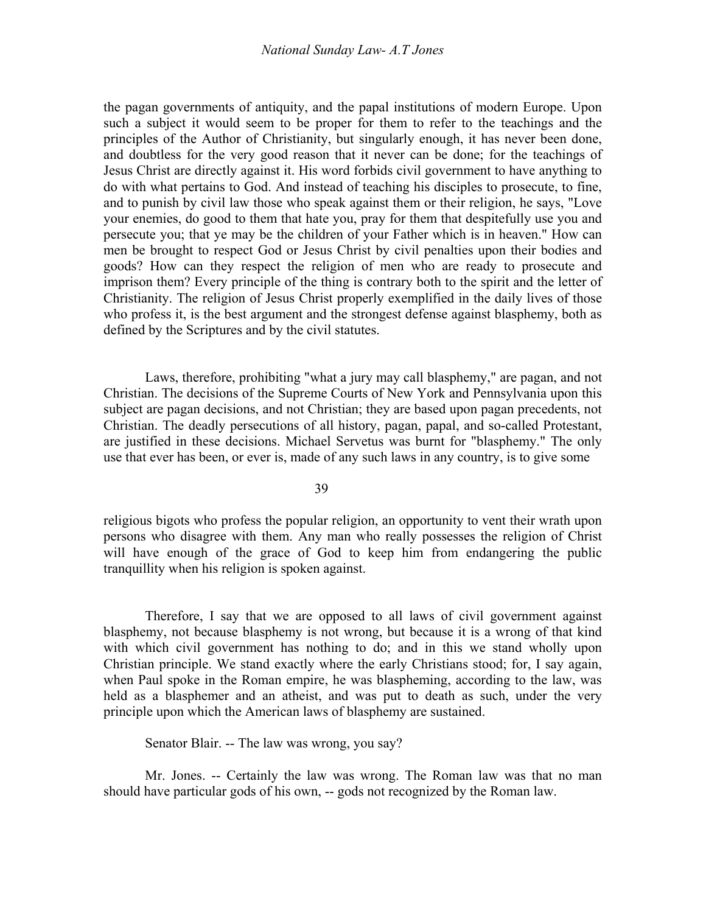the pagan governments of antiquity, and the papal institutions of modern Europe. Upon such a subject it would seem to be proper for them to refer to the teachings and the principles of the Author of Christianity, but singularly enough, it has never been done, and doubtless for the very good reason that it never can be done; for the teachings of Jesus Christ are directly against it. His word forbids civil government to have anything to do with what pertains to God. And instead of teaching his disciples to prosecute, to fine, and to punish by civil law those who speak against them or their religion, he says, "Love your enemies, do good to them that hate you, pray for them that despitefully use you and persecute you; that ye may be the children of your Father which is in heaven." How can men be brought to respect God or Jesus Christ by civil penalties upon their bodies and goods? How can they respect the religion of men who are ready to prosecute and imprison them? Every principle of the thing is contrary both to the spirit and the letter of Christianity. The religion of Jesus Christ properly exemplified in the daily lives of those who profess it, is the best argument and the strongest defense against blasphemy, both as defined by the Scriptures and by the civil statutes.

 Laws, therefore, prohibiting "what a jury may call blasphemy," are pagan, and not Christian. The decisions of the Supreme Courts of New York and Pennsylvania upon this subject are pagan decisions, and not Christian; they are based upon pagan precedents, not Christian. The deadly persecutions of all history, pagan, papal, and so-called Protestant, are justified in these decisions. Michael Servetus was burnt for "blasphemy." The only use that ever has been, or ever is, made of any such laws in any country, is to give some

39

religious bigots who profess the popular religion, an opportunity to vent their wrath upon persons who disagree with them. Any man who really possesses the religion of Christ will have enough of the grace of God to keep him from endangering the public tranquillity when his religion is spoken against.

 Therefore, I say that we are opposed to all laws of civil government against blasphemy, not because blasphemy is not wrong, but because it is a wrong of that kind with which civil government has nothing to do; and in this we stand wholly upon Christian principle. We stand exactly where the early Christians stood; for, I say again, when Paul spoke in the Roman empire, he was blaspheming, according to the law, was held as a blasphemer and an atheist, and was put to death as such, under the very principle upon which the American laws of blasphemy are sustained.

Senator Blair. -- The law was wrong, you say?

 Mr. Jones. -- Certainly the law was wrong. The Roman law was that no man should have particular gods of his own, -- gods not recognized by the Roman law.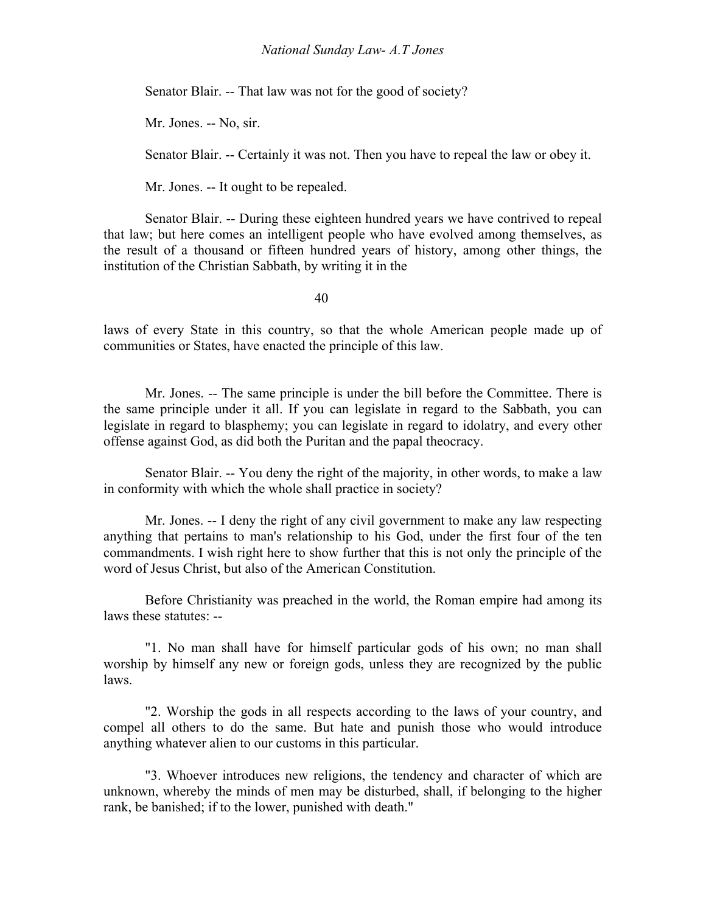Senator Blair. -- That law was not for the good of society?

Mr. Jones. -- No, sir.

Senator Blair. -- Certainly it was not. Then you have to repeal the law or obey it.

Mr. Jones. -- It ought to be repealed.

 Senator Blair. -- During these eighteen hundred years we have contrived to repeal that law; but here comes an intelligent people who have evolved among themselves, as the result of a thousand or fifteen hundred years of history, among other things, the institution of the Christian Sabbath, by writing it in the

40

laws of every State in this country, so that the whole American people made up of communities or States, have enacted the principle of this law.

 Mr. Jones. -- The same principle is under the bill before the Committee. There is the same principle under it all. If you can legislate in regard to the Sabbath, you can legislate in regard to blasphemy; you can legislate in regard to idolatry, and every other offense against God, as did both the Puritan and the papal theocracy.

 Senator Blair. -- You deny the right of the majority, in other words, to make a law in conformity with which the whole shall practice in society?

 Mr. Jones. -- I deny the right of any civil government to make any law respecting anything that pertains to man's relationship to his God, under the first four of the ten commandments. I wish right here to show further that this is not only the principle of the word of Jesus Christ, but also of the American Constitution.

 Before Christianity was preached in the world, the Roman empire had among its laws these statutes: --

 "1. No man shall have for himself particular gods of his own; no man shall worship by himself any new or foreign gods, unless they are recognized by the public laws.

 "2. Worship the gods in all respects according to the laws of your country, and compel all others to do the same. But hate and punish those who would introduce anything whatever alien to our customs in this particular.

 "3. Whoever introduces new religions, the tendency and character of which are unknown, whereby the minds of men may be disturbed, shall, if belonging to the higher rank, be banished; if to the lower, punished with death."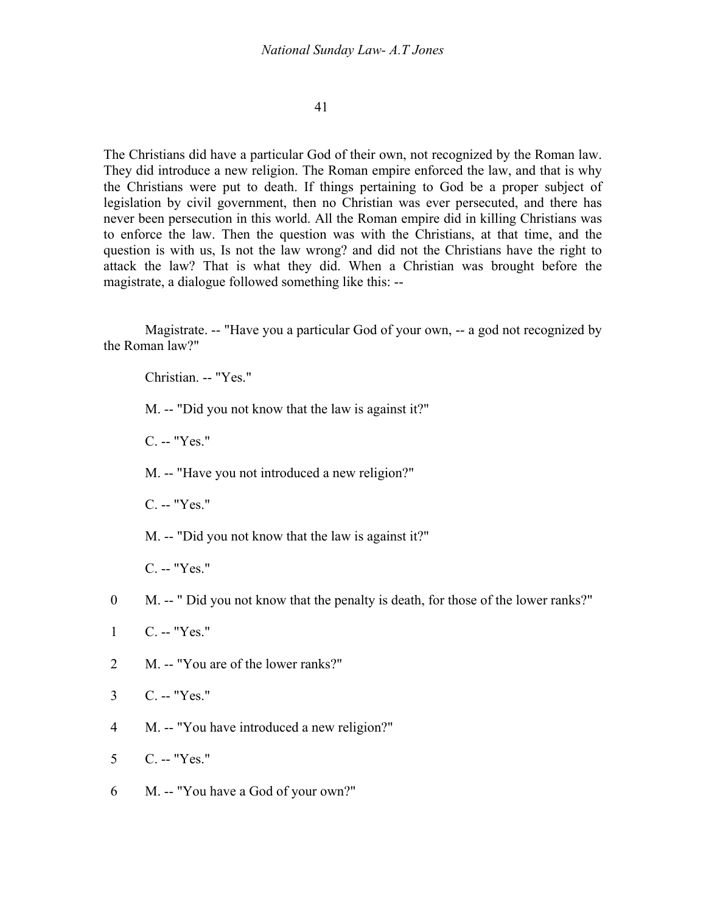## 41

The Christians did have a particular God of their own, not recognized by the Roman law. They did introduce a new religion. The Roman empire enforced the law, and that is why the Christians were put to death. If things pertaining to God be a proper subject of legislation by civil government, then no Christian was ever persecuted, and there has never been persecution in this world. All the Roman empire did in killing Christians was to enforce the law. Then the question was with the Christians, at that time, and the question is with us, Is not the law wrong? and did not the Christians have the right to attack the law? That is what they did. When a Christian was brought before the magistrate, a dialogue followed something like this: --

 Magistrate. -- "Have you a particular God of your own, -- a god not recognized by the Roman law?"

Christian. -- "Yes."

M. -- "Did you not know that the law is against it?"

C. -- "Yes."

M. -- "Have you not introduced a new religion?"

C. -- "Yes."

M. -- "Did you not know that the law is against it?"

C. -- "Yes."

0 M. -- " Did you not know that the penalty is death, for those of the lower ranks?"

$$
1 \qquad C. - "Yes." \qquad \qquad
$$

2 M. -- "You are of the lower ranks?"

$$
3 \qquad C. - "Yes." \qquad \qquad
$$

4 M. -- "You have introduced a new religion?"

5 C. -- "Yes."

6 M. -- "You have a God of your own?"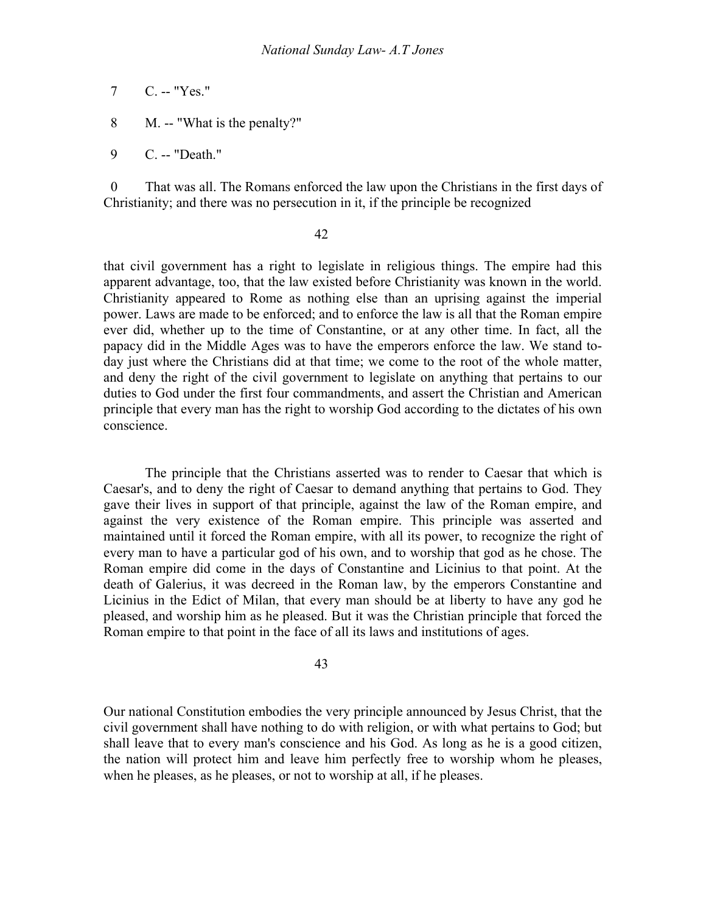7 C. -- "Yes."

8 M. -- "What is the penalty?"

9 C. -- "Death."

 0 That was all. The Romans enforced the law upon the Christians in the first days of Christianity; and there was no persecution in it, if the principle be recognized

## 42

that civil government has a right to legislate in religious things. The empire had this apparent advantage, too, that the law existed before Christianity was known in the world. Christianity appeared to Rome as nothing else than an uprising against the imperial power. Laws are made to be enforced; and to enforce the law is all that the Roman empire ever did, whether up to the time of Constantine, or at any other time. In fact, all the papacy did in the Middle Ages was to have the emperors enforce the law. We stand today just where the Christians did at that time; we come to the root of the whole matter, and deny the right of the civil government to legislate on anything that pertains to our duties to God under the first four commandments, and assert the Christian and American principle that every man has the right to worship God according to the dictates of his own conscience.

 The principle that the Christians asserted was to render to Caesar that which is Caesar's, and to deny the right of Caesar to demand anything that pertains to God. They gave their lives in support of that principle, against the law of the Roman empire, and against the very existence of the Roman empire. This principle was asserted and maintained until it forced the Roman empire, with all its power, to recognize the right of every man to have a particular god of his own, and to worship that god as he chose. The Roman empire did come in the days of Constantine and Licinius to that point. At the death of Galerius, it was decreed in the Roman law, by the emperors Constantine and Licinius in the Edict of Milan, that every man should be at liberty to have any god he pleased, and worship him as he pleased. But it was the Christian principle that forced the Roman empire to that point in the face of all its laws and institutions of ages.

## 43

Our national Constitution embodies the very principle announced by Jesus Christ, that the civil government shall have nothing to do with religion, or with what pertains to God; but shall leave that to every man's conscience and his God. As long as he is a good citizen, the nation will protect him and leave him perfectly free to worship whom he pleases, when he pleases, as he pleases, or not to worship at all, if he pleases.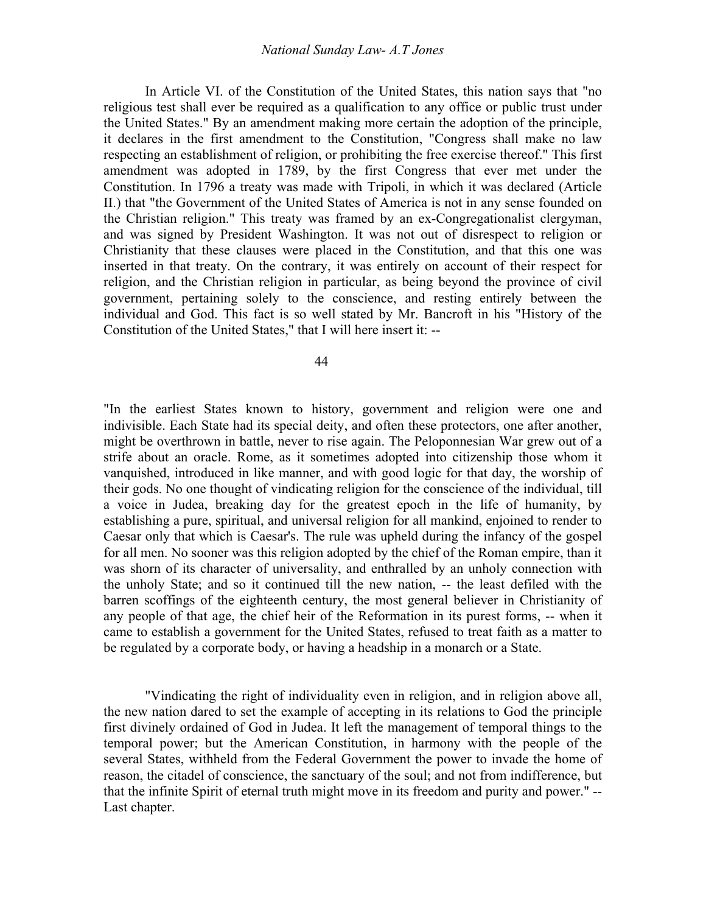In Article VI. of the Constitution of the United States, this nation says that "no religious test shall ever be required as a qualification to any office or public trust under the United States." By an amendment making more certain the adoption of the principle, it declares in the first amendment to the Constitution, "Congress shall make no law respecting an establishment of religion, or prohibiting the free exercise thereof." This first amendment was adopted in 1789, by the first Congress that ever met under the Constitution. In 1796 a treaty was made with Tripoli, in which it was declared (Article II.) that "the Government of the United States of America is not in any sense founded on the Christian religion." This treaty was framed by an ex-Congregationalist clergyman, and was signed by President Washington. It was not out of disrespect to religion or Christianity that these clauses were placed in the Constitution, and that this one was inserted in that treaty. On the contrary, it was entirely on account of their respect for religion, and the Christian religion in particular, as being beyond the province of civil government, pertaining solely to the conscience, and resting entirely between the individual and God. This fact is so well stated by Mr. Bancroft in his "History of the Constitution of the United States," that I will here insert it: --

44

"In the earliest States known to history, government and religion were one and indivisible. Each State had its special deity, and often these protectors, one after another, might be overthrown in battle, never to rise again. The Peloponnesian War grew out of a strife about an oracle. Rome, as it sometimes adopted into citizenship those whom it vanquished, introduced in like manner, and with good logic for that day, the worship of their gods. No one thought of vindicating religion for the conscience of the individual, till a voice in Judea, breaking day for the greatest epoch in the life of humanity, by establishing a pure, spiritual, and universal religion for all mankind, enjoined to render to Caesar only that which is Caesar's. The rule was upheld during the infancy of the gospel for all men. No sooner was this religion adopted by the chief of the Roman empire, than it was shorn of its character of universality, and enthralled by an unholy connection with the unholy State; and so it continued till the new nation, -- the least defiled with the barren scoffings of the eighteenth century, the most general believer in Christianity of any people of that age, the chief heir of the Reformation in its purest forms, -- when it came to establish a government for the United States, refused to treat faith as a matter to be regulated by a corporate body, or having a headship in a monarch or a State.

 "Vindicating the right of individuality even in religion, and in religion above all, the new nation dared to set the example of accepting in its relations to God the principle first divinely ordained of God in Judea. It left the management of temporal things to the temporal power; but the American Constitution, in harmony with the people of the several States, withheld from the Federal Government the power to invade the home of reason, the citadel of conscience, the sanctuary of the soul; and not from indifference, but that the infinite Spirit of eternal truth might move in its freedom and purity and power." -- Last chapter.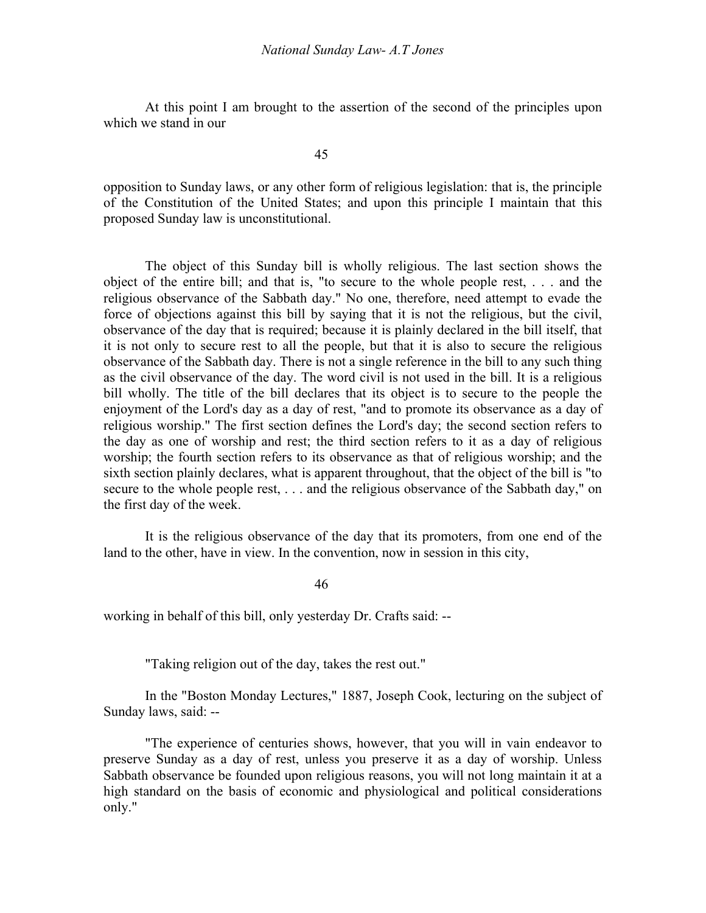At this point I am brought to the assertion of the second of the principles upon which we stand in our

45

opposition to Sunday laws, or any other form of religious legislation: that is, the principle of the Constitution of the United States; and upon this principle I maintain that this proposed Sunday law is unconstitutional.

 The object of this Sunday bill is wholly religious. The last section shows the object of the entire bill; and that is, "to secure to the whole people rest, . . . and the religious observance of the Sabbath day." No one, therefore, need attempt to evade the force of objections against this bill by saying that it is not the religious, but the civil, observance of the day that is required; because it is plainly declared in the bill itself, that it is not only to secure rest to all the people, but that it is also to secure the religious observance of the Sabbath day. There is not a single reference in the bill to any such thing as the civil observance of the day. The word civil is not used in the bill. It is a religious bill wholly. The title of the bill declares that its object is to secure to the people the enjoyment of the Lord's day as a day of rest, "and to promote its observance as a day of religious worship." The first section defines the Lord's day; the second section refers to the day as one of worship and rest; the third section refers to it as a day of religious worship; the fourth section refers to its observance as that of religious worship; and the sixth section plainly declares, what is apparent throughout, that the object of the bill is "to secure to the whole people rest, . . . and the religious observance of the Sabbath day," on the first day of the week.

 It is the religious observance of the day that its promoters, from one end of the land to the other, have in view. In the convention, now in session in this city,

46

working in behalf of this bill, only yesterday Dr. Crafts said: --

"Taking religion out of the day, takes the rest out."

 In the "Boston Monday Lectures," 1887, Joseph Cook, lecturing on the subject of Sunday laws, said: --

 "The experience of centuries shows, however, that you will in vain endeavor to preserve Sunday as a day of rest, unless you preserve it as a day of worship. Unless Sabbath observance be founded upon religious reasons, you will not long maintain it at a high standard on the basis of economic and physiological and political considerations only."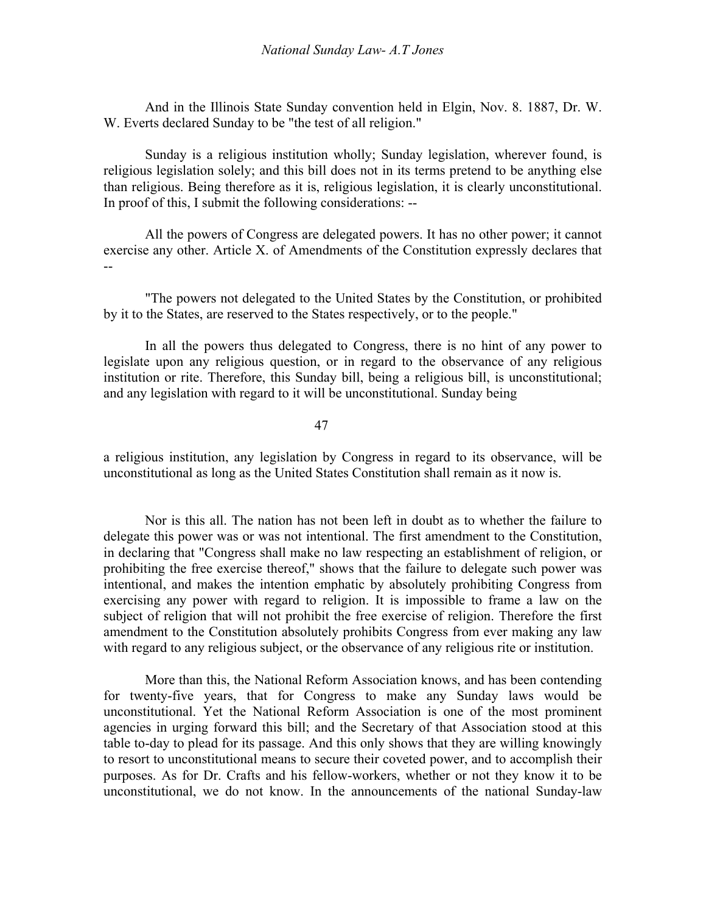And in the Illinois State Sunday convention held in Elgin, Nov. 8. 1887, Dr. W. W. Everts declared Sunday to be "the test of all religion."

 Sunday is a religious institution wholly; Sunday legislation, wherever found, is religious legislation solely; and this bill does not in its terms pretend to be anything else than religious. Being therefore as it is, religious legislation, it is clearly unconstitutional. In proof of this, I submit the following considerations: --

 All the powers of Congress are delegated powers. It has no other power; it cannot exercise any other. Article X. of Amendments of the Constitution expressly declares that --

 "The powers not delegated to the United States by the Constitution, or prohibited by it to the States, are reserved to the States respectively, or to the people."

 In all the powers thus delegated to Congress, there is no hint of any power to legislate upon any religious question, or in regard to the observance of any religious institution or rite. Therefore, this Sunday bill, being a religious bill, is unconstitutional; and any legislation with regard to it will be unconstitutional. Sunday being

47

a religious institution, any legislation by Congress in regard to its observance, will be unconstitutional as long as the United States Constitution shall remain as it now is.

 Nor is this all. The nation has not been left in doubt as to whether the failure to delegate this power was or was not intentional. The first amendment to the Constitution, in declaring that "Congress shall make no law respecting an establishment of religion, or prohibiting the free exercise thereof," shows that the failure to delegate such power was intentional, and makes the intention emphatic by absolutely prohibiting Congress from exercising any power with regard to religion. It is impossible to frame a law on the subject of religion that will not prohibit the free exercise of religion. Therefore the first amendment to the Constitution absolutely prohibits Congress from ever making any law with regard to any religious subject, or the observance of any religious rite or institution.

 More than this, the National Reform Association knows, and has been contending for twenty-five years, that for Congress to make any Sunday laws would be unconstitutional. Yet the National Reform Association is one of the most prominent agencies in urging forward this bill; and the Secretary of that Association stood at this table to-day to plead for its passage. And this only shows that they are willing knowingly to resort to unconstitutional means to secure their coveted power, and to accomplish their purposes. As for Dr. Crafts and his fellow-workers, whether or not they know it to be unconstitutional, we do not know. In the announcements of the national Sunday-law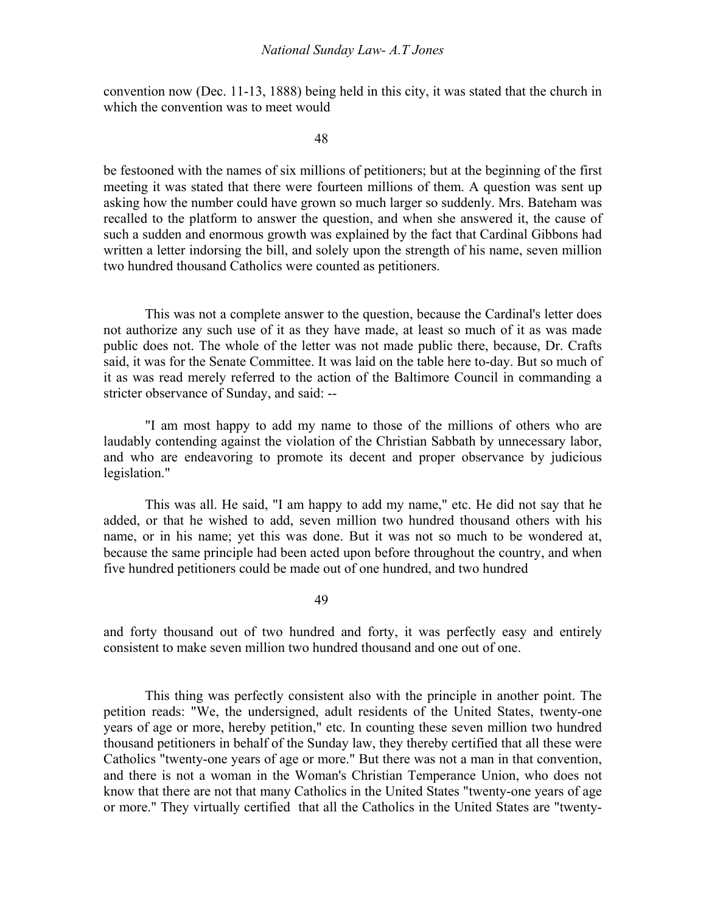convention now (Dec. 11-13, 1888) being held in this city, it was stated that the church in which the convention was to meet would

48

be festooned with the names of six millions of petitioners; but at the beginning of the first meeting it was stated that there were fourteen millions of them. A question was sent up asking how the number could have grown so much larger so suddenly. Mrs. Bateham was recalled to the platform to answer the question, and when she answered it, the cause of such a sudden and enormous growth was explained by the fact that Cardinal Gibbons had written a letter indorsing the bill, and solely upon the strength of his name, seven million two hundred thousand Catholics were counted as petitioners.

 This was not a complete answer to the question, because the Cardinal's letter does not authorize any such use of it as they have made, at least so much of it as was made public does not. The whole of the letter was not made public there, because, Dr. Crafts said, it was for the Senate Committee. It was laid on the table here to-day. But so much of it as was read merely referred to the action of the Baltimore Council in commanding a stricter observance of Sunday, and said: --

 "I am most happy to add my name to those of the millions of others who are laudably contending against the violation of the Christian Sabbath by unnecessary labor, and who are endeavoring to promote its decent and proper observance by judicious legislation."

 This was all. He said, "I am happy to add my name," etc. He did not say that he added, or that he wished to add, seven million two hundred thousand others with his name, or in his name; yet this was done. But it was not so much to be wondered at, because the same principle had been acted upon before throughout the country, and when five hundred petitioners could be made out of one hundred, and two hundred

49

and forty thousand out of two hundred and forty, it was perfectly easy and entirely consistent to make seven million two hundred thousand and one out of one.

 This thing was perfectly consistent also with the principle in another point. The petition reads: "We, the undersigned, adult residents of the United States, twenty-one years of age or more, hereby petition," etc. In counting these seven million two hundred thousand petitioners in behalf of the Sunday law, they thereby certified that all these were Catholics "twenty-one years of age or more." But there was not a man in that convention, and there is not a woman in the Woman's Christian Temperance Union, who does not know that there are not that many Catholics in the United States "twenty-one years of age or more." They virtually certified that all the Catholics in the United States are "twenty-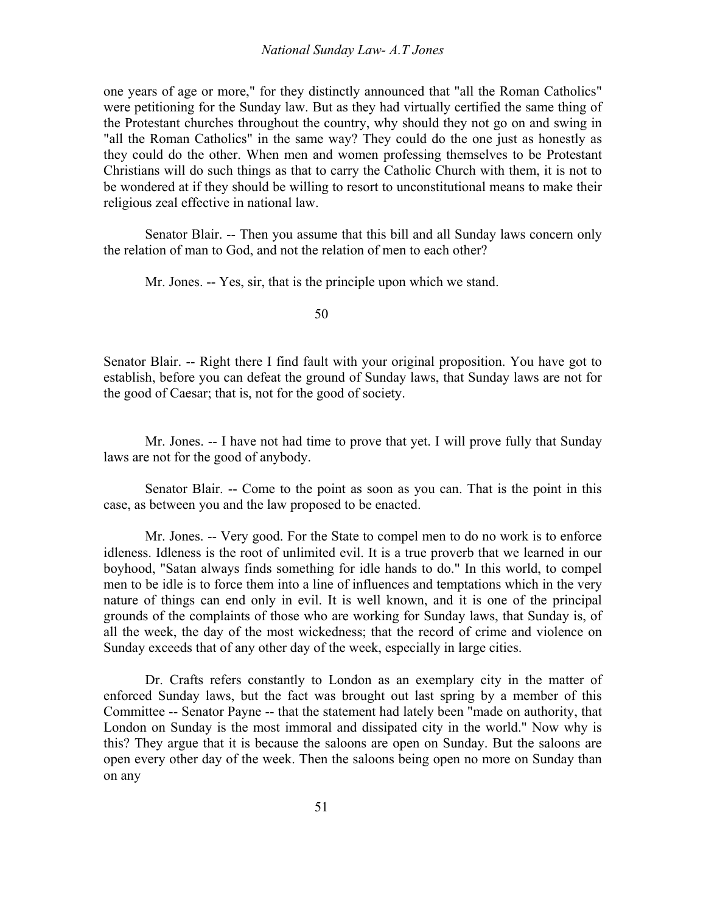one years of age or more," for they distinctly announced that "all the Roman Catholics" were petitioning for the Sunday law. But as they had virtually certified the same thing of the Protestant churches throughout the country, why should they not go on and swing in "all the Roman Catholics" in the same way? They could do the one just as honestly as they could do the other. When men and women professing themselves to be Protestant Christians will do such things as that to carry the Catholic Church with them, it is not to be wondered at if they should be willing to resort to unconstitutional means to make their religious zeal effective in national law.

 Senator Blair. -- Then you assume that this bill and all Sunday laws concern only the relation of man to God, and not the relation of men to each other?

Mr. Jones. -- Yes, sir, that is the principle upon which we stand.

50

Senator Blair. -- Right there I find fault with your original proposition. You have got to establish, before you can defeat the ground of Sunday laws, that Sunday laws are not for the good of Caesar; that is, not for the good of society.

 Mr. Jones. -- I have not had time to prove that yet. I will prove fully that Sunday laws are not for the good of anybody.

 Senator Blair. -- Come to the point as soon as you can. That is the point in this case, as between you and the law proposed to be enacted.

 Mr. Jones. -- Very good. For the State to compel men to do no work is to enforce idleness. Idleness is the root of unlimited evil. It is a true proverb that we learned in our boyhood, "Satan always finds something for idle hands to do." In this world, to compel men to be idle is to force them into a line of influences and temptations which in the very nature of things can end only in evil. It is well known, and it is one of the principal grounds of the complaints of those who are working for Sunday laws, that Sunday is, of all the week, the day of the most wickedness; that the record of crime and violence on Sunday exceeds that of any other day of the week, especially in large cities.

 Dr. Crafts refers constantly to London as an exemplary city in the matter of enforced Sunday laws, but the fact was brought out last spring by a member of this Committee -- Senator Payne -- that the statement had lately been "made on authority, that London on Sunday is the most immoral and dissipated city in the world." Now why is this? They argue that it is because the saloons are open on Sunday. But the saloons are open every other day of the week. Then the saloons being open no more on Sunday than on any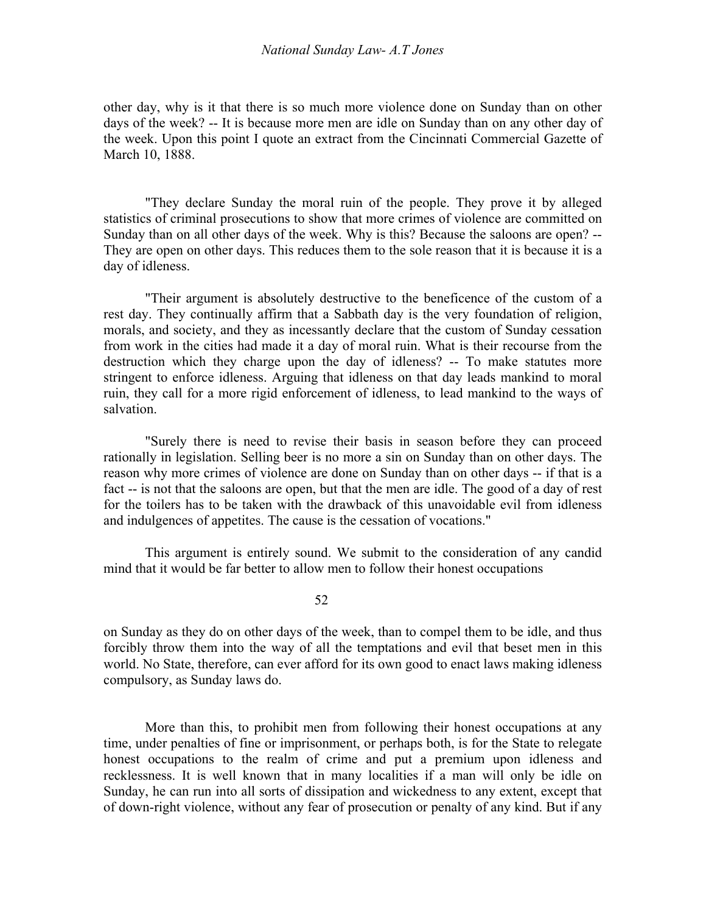other day, why is it that there is so much more violence done on Sunday than on other days of the week? -- It is because more men are idle on Sunday than on any other day of the week. Upon this point I quote an extract from the Cincinnati Commercial Gazette of March 10, 1888.

 "They declare Sunday the moral ruin of the people. They prove it by alleged statistics of criminal prosecutions to show that more crimes of violence are committed on Sunday than on all other days of the week. Why is this? Because the saloons are open? -- They are open on other days. This reduces them to the sole reason that it is because it is a day of idleness.

 "Their argument is absolutely destructive to the beneficence of the custom of a rest day. They continually affirm that a Sabbath day is the very foundation of religion, morals, and society, and they as incessantly declare that the custom of Sunday cessation from work in the cities had made it a day of moral ruin. What is their recourse from the destruction which they charge upon the day of idleness? -- To make statutes more stringent to enforce idleness. Arguing that idleness on that day leads mankind to moral ruin, they call for a more rigid enforcement of idleness, to lead mankind to the ways of salvation.

 "Surely there is need to revise their basis in season before they can proceed rationally in legislation. Selling beer is no more a sin on Sunday than on other days. The reason why more crimes of violence are done on Sunday than on other days -- if that is a fact -- is not that the saloons are open, but that the men are idle. The good of a day of rest for the toilers has to be taken with the drawback of this unavoidable evil from idleness and indulgences of appetites. The cause is the cessation of vocations."

 This argument is entirely sound. We submit to the consideration of any candid mind that it would be far better to allow men to follow their honest occupations

52

on Sunday as they do on other days of the week, than to compel them to be idle, and thus forcibly throw them into the way of all the temptations and evil that beset men in this world. No State, therefore, can ever afford for its own good to enact laws making idleness compulsory, as Sunday laws do.

 More than this, to prohibit men from following their honest occupations at any time, under penalties of fine or imprisonment, or perhaps both, is for the State to relegate honest occupations to the realm of crime and put a premium upon idleness and recklessness. It is well known that in many localities if a man will only be idle on Sunday, he can run into all sorts of dissipation and wickedness to any extent, except that of down-right violence, without any fear of prosecution or penalty of any kind. But if any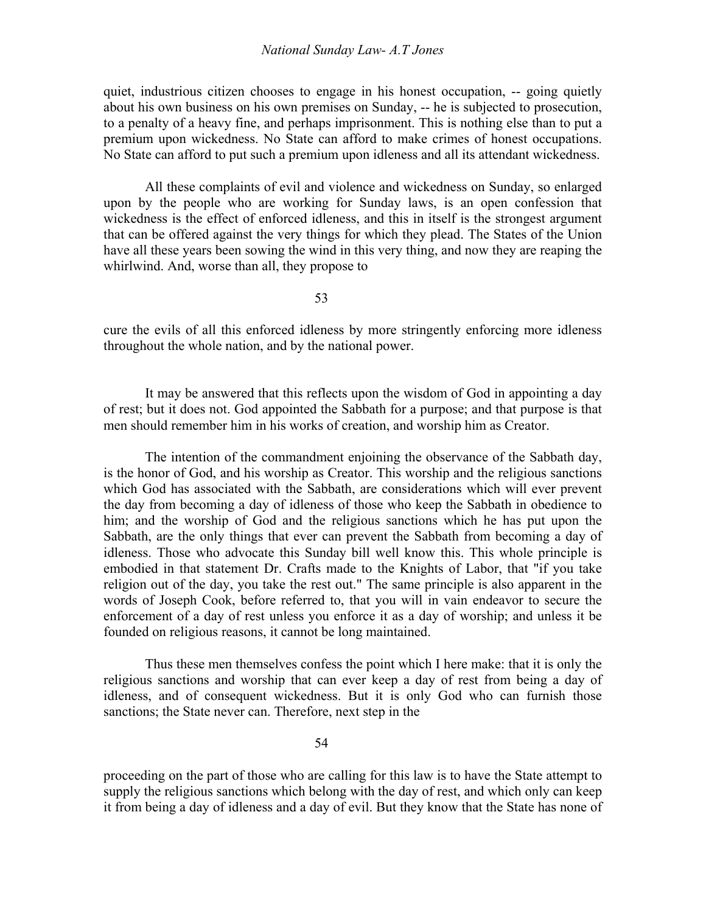quiet, industrious citizen chooses to engage in his honest occupation, -- going quietly about his own business on his own premises on Sunday, -- he is subjected to prosecution, to a penalty of a heavy fine, and perhaps imprisonment. This is nothing else than to put a premium upon wickedness. No State can afford to make crimes of honest occupations. No State can afford to put such a premium upon idleness and all its attendant wickedness.

 All these complaints of evil and violence and wickedness on Sunday, so enlarged upon by the people who are working for Sunday laws, is an open confession that wickedness is the effect of enforced idleness, and this in itself is the strongest argument that can be offered against the very things for which they plead. The States of the Union have all these years been sowing the wind in this very thing, and now they are reaping the whirlwind. And, worse than all, they propose to

53

cure the evils of all this enforced idleness by more stringently enforcing more idleness throughout the whole nation, and by the national power.

 It may be answered that this reflects upon the wisdom of God in appointing a day of rest; but it does not. God appointed the Sabbath for a purpose; and that purpose is that men should remember him in his works of creation, and worship him as Creator.

 The intention of the commandment enjoining the observance of the Sabbath day, is the honor of God, and his worship as Creator. This worship and the religious sanctions which God has associated with the Sabbath, are considerations which will ever prevent the day from becoming a day of idleness of those who keep the Sabbath in obedience to him; and the worship of God and the religious sanctions which he has put upon the Sabbath, are the only things that ever can prevent the Sabbath from becoming a day of idleness. Those who advocate this Sunday bill well know this. This whole principle is embodied in that statement Dr. Crafts made to the Knights of Labor, that "if you take religion out of the day, you take the rest out." The same principle is also apparent in the words of Joseph Cook, before referred to, that you will in vain endeavor to secure the enforcement of a day of rest unless you enforce it as a day of worship; and unless it be founded on religious reasons, it cannot be long maintained.

 Thus these men themselves confess the point which I here make: that it is only the religious sanctions and worship that can ever keep a day of rest from being a day of idleness, and of consequent wickedness. But it is only God who can furnish those sanctions; the State never can. Therefore, next step in the

54

proceeding on the part of those who are calling for this law is to have the State attempt to supply the religious sanctions which belong with the day of rest, and which only can keep it from being a day of idleness and a day of evil. But they know that the State has none of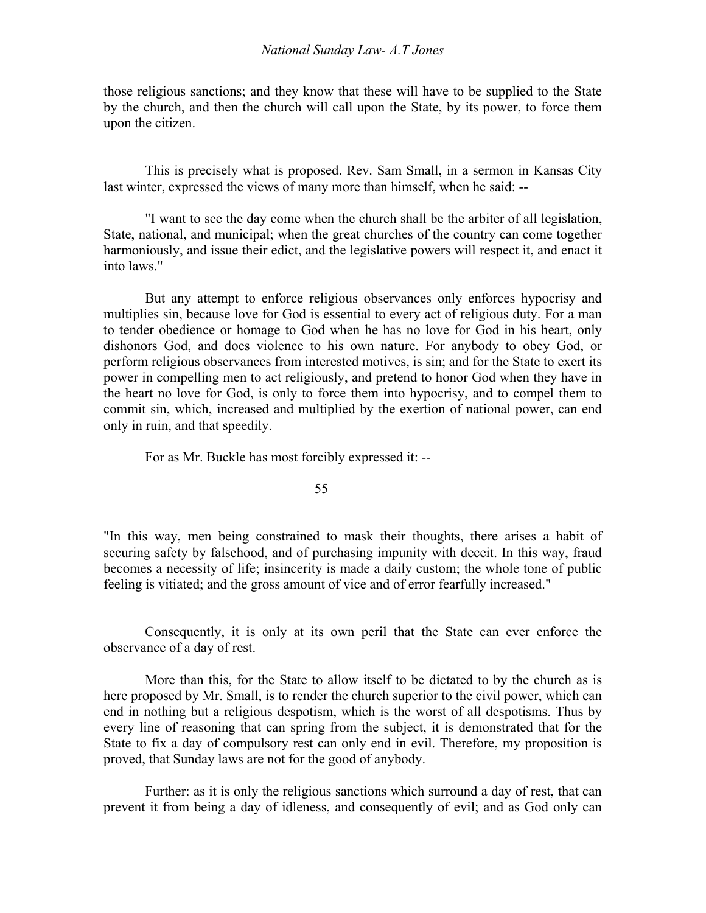those religious sanctions; and they know that these will have to be supplied to the State by the church, and then the church will call upon the State, by its power, to force them upon the citizen.

 This is precisely what is proposed. Rev. Sam Small, in a sermon in Kansas City last winter, expressed the views of many more than himself, when he said: --

 "I want to see the day come when the church shall be the arbiter of all legislation, State, national, and municipal; when the great churches of the country can come together harmoniously, and issue their edict, and the legislative powers will respect it, and enact it into laws."

 But any attempt to enforce religious observances only enforces hypocrisy and multiplies sin, because love for God is essential to every act of religious duty. For a man to tender obedience or homage to God when he has no love for God in his heart, only dishonors God, and does violence to his own nature. For anybody to obey God, or perform religious observances from interested motives, is sin; and for the State to exert its power in compelling men to act religiously, and pretend to honor God when they have in the heart no love for God, is only to force them into hypocrisy, and to compel them to commit sin, which, increased and multiplied by the exertion of national power, can end only in ruin, and that speedily.

For as Mr. Buckle has most forcibly expressed it: --

55

"In this way, men being constrained to mask their thoughts, there arises a habit of securing safety by falsehood, and of purchasing impunity with deceit. In this way, fraud becomes a necessity of life; insincerity is made a daily custom; the whole tone of public feeling is vitiated; and the gross amount of vice and of error fearfully increased."

 Consequently, it is only at its own peril that the State can ever enforce the observance of a day of rest.

 More than this, for the State to allow itself to be dictated to by the church as is here proposed by Mr. Small, is to render the church superior to the civil power, which can end in nothing but a religious despotism, which is the worst of all despotisms. Thus by every line of reasoning that can spring from the subject, it is demonstrated that for the State to fix a day of compulsory rest can only end in evil. Therefore, my proposition is proved, that Sunday laws are not for the good of anybody.

 Further: as it is only the religious sanctions which surround a day of rest, that can prevent it from being a day of idleness, and consequently of evil; and as God only can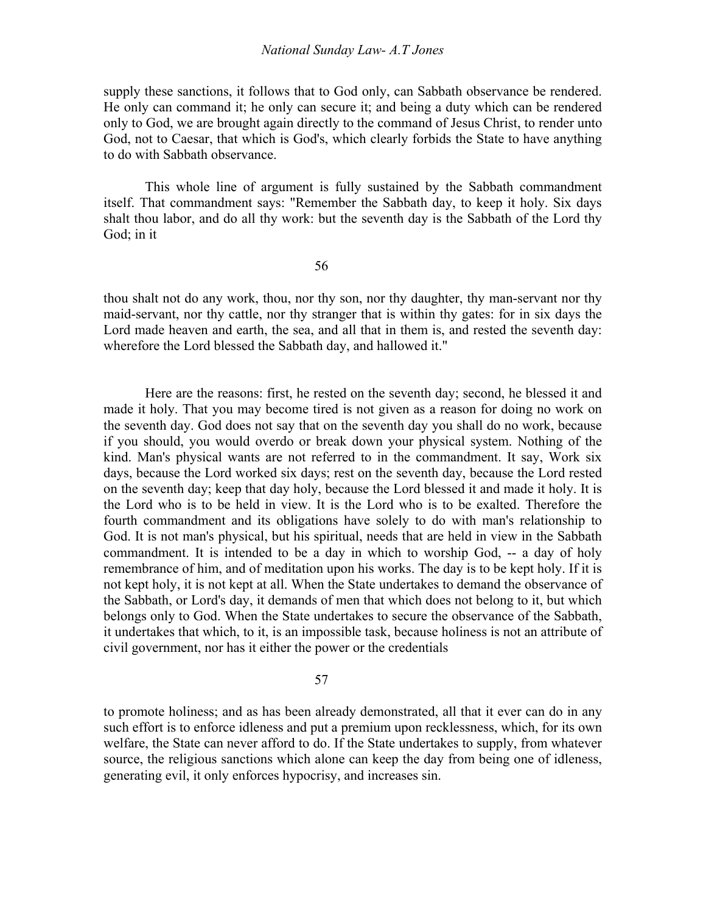supply these sanctions, it follows that to God only, can Sabbath observance be rendered. He only can command it; he only can secure it; and being a duty which can be rendered only to God, we are brought again directly to the command of Jesus Christ, to render unto God, not to Caesar, that which is God's, which clearly forbids the State to have anything to do with Sabbath observance.

 This whole line of argument is fully sustained by the Sabbath commandment itself. That commandment says: "Remember the Sabbath day, to keep it holy. Six days shalt thou labor, and do all thy work: but the seventh day is the Sabbath of the Lord thy God; in it

56

thou shalt not do any work, thou, nor thy son, nor thy daughter, thy man-servant nor thy maid-servant, nor thy cattle, nor thy stranger that is within thy gates: for in six days the Lord made heaven and earth, the sea, and all that in them is, and rested the seventh day: wherefore the Lord blessed the Sabbath day, and hallowed it."

 Here are the reasons: first, he rested on the seventh day; second, he blessed it and made it holy. That you may become tired is not given as a reason for doing no work on the seventh day. God does not say that on the seventh day you shall do no work, because if you should, you would overdo or break down your physical system. Nothing of the kind. Man's physical wants are not referred to in the commandment. It say, Work six days, because the Lord worked six days; rest on the seventh day, because the Lord rested on the seventh day; keep that day holy, because the Lord blessed it and made it holy. It is the Lord who is to be held in view. It is the Lord who is to be exalted. Therefore the fourth commandment and its obligations have solely to do with man's relationship to God. It is not man's physical, but his spiritual, needs that are held in view in the Sabbath commandment. It is intended to be a day in which to worship God, -- a day of holy remembrance of him, and of meditation upon his works. The day is to be kept holy. If it is not kept holy, it is not kept at all. When the State undertakes to demand the observance of the Sabbath, or Lord's day, it demands of men that which does not belong to it, but which belongs only to God. When the State undertakes to secure the observance of the Sabbath, it undertakes that which, to it, is an impossible task, because holiness is not an attribute of civil government, nor has it either the power or the credentials

## 57

to promote holiness; and as has been already demonstrated, all that it ever can do in any such effort is to enforce idleness and put a premium upon recklessness, which, for its own welfare, the State can never afford to do. If the State undertakes to supply, from whatever source, the religious sanctions which alone can keep the day from being one of idleness, generating evil, it only enforces hypocrisy, and increases sin.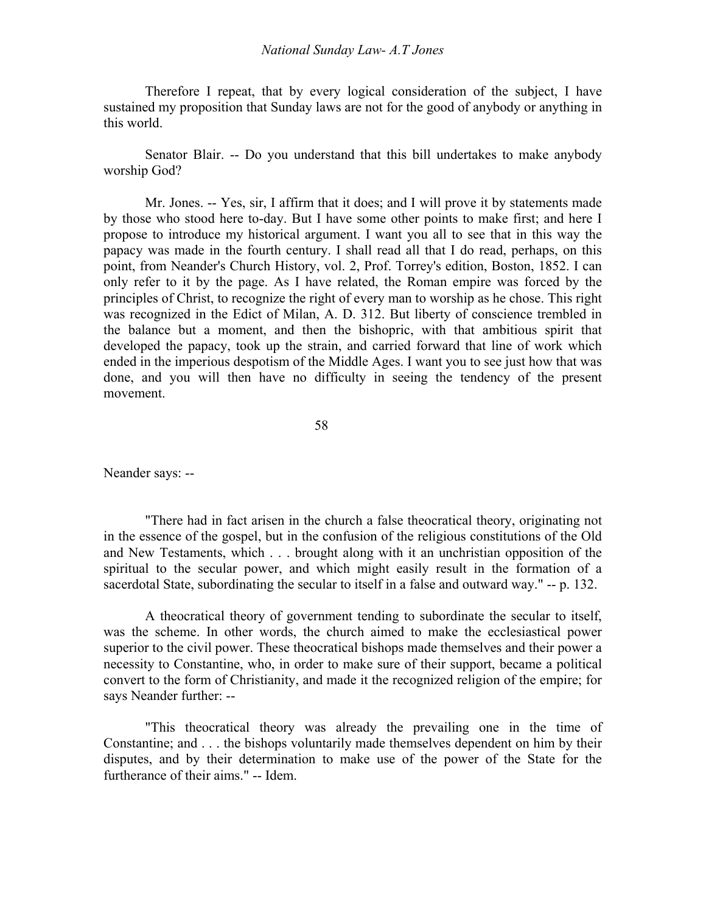Therefore I repeat, that by every logical consideration of the subject, I have sustained my proposition that Sunday laws are not for the good of anybody or anything in this world.

 Senator Blair. -- Do you understand that this bill undertakes to make anybody worship God?

 Mr. Jones. -- Yes, sir, I affirm that it does; and I will prove it by statements made by those who stood here to-day. But I have some other points to make first; and here I propose to introduce my historical argument. I want you all to see that in this way the papacy was made in the fourth century. I shall read all that I do read, perhaps, on this point, from Neander's Church History, vol. 2, Prof. Torrey's edition, Boston, 1852. I can only refer to it by the page. As I have related, the Roman empire was forced by the principles of Christ, to recognize the right of every man to worship as he chose. This right was recognized in the Edict of Milan, A. D. 312. But liberty of conscience trembled in the balance but a moment, and then the bishopric, with that ambitious spirit that developed the papacy, took up the strain, and carried forward that line of work which ended in the imperious despotism of the Middle Ages. I want you to see just how that was done, and you will then have no difficulty in seeing the tendency of the present movement.

58

Neander says: --

 "There had in fact arisen in the church a false theocratical theory, originating not in the essence of the gospel, but in the confusion of the religious constitutions of the Old and New Testaments, which . . . brought along with it an unchristian opposition of the spiritual to the secular power, and which might easily result in the formation of a sacerdotal State, subordinating the secular to itself in a false and outward way." -- p. 132.

 A theocratical theory of government tending to subordinate the secular to itself, was the scheme. In other words, the church aimed to make the ecclesiastical power superior to the civil power. These theocratical bishops made themselves and their power a necessity to Constantine, who, in order to make sure of their support, became a political convert to the form of Christianity, and made it the recognized religion of the empire; for says Neander further: --

 "This theocratical theory was already the prevailing one in the time of Constantine; and . . . the bishops voluntarily made themselves dependent on him by their disputes, and by their determination to make use of the power of the State for the furtherance of their aims." -- Idem.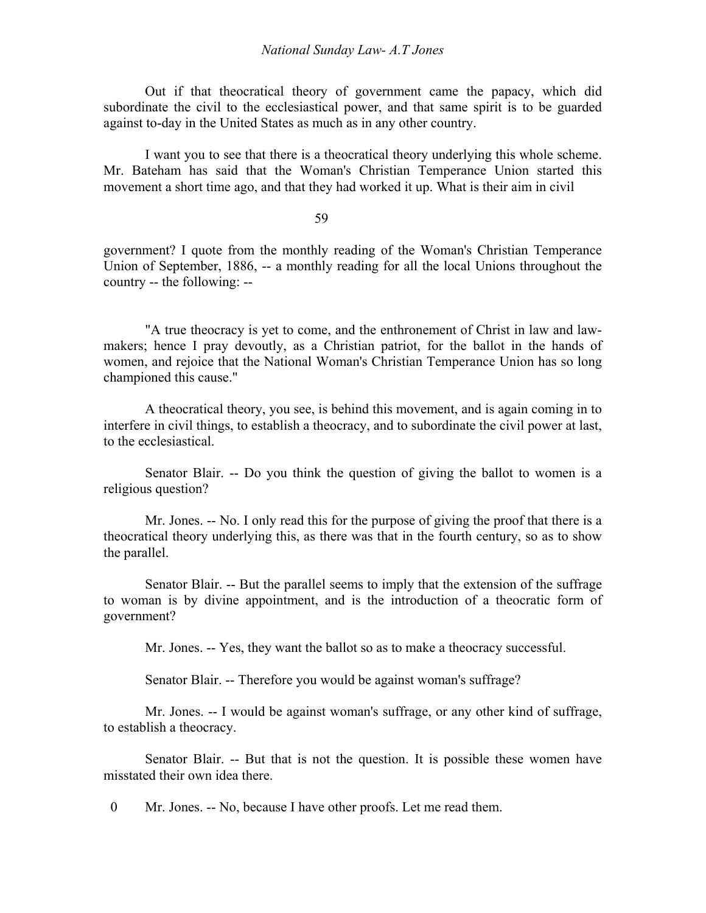Out if that theocratical theory of government came the papacy, which did subordinate the civil to the ecclesiastical power, and that same spirit is to be guarded against to-day in the United States as much as in any other country.

 I want you to see that there is a theocratical theory underlying this whole scheme. Mr. Bateham has said that the Woman's Christian Temperance Union started this movement a short time ago, and that they had worked it up. What is their aim in civil

59

government? I quote from the monthly reading of the Woman's Christian Temperance Union of September, 1886, -- a monthly reading for all the local Unions throughout the country -- the following: --

 "A true theocracy is yet to come, and the enthronement of Christ in law and lawmakers; hence I pray devoutly, as a Christian patriot, for the ballot in the hands of women, and rejoice that the National Woman's Christian Temperance Union has so long championed this cause."

 A theocratical theory, you see, is behind this movement, and is again coming in to interfere in civil things, to establish a theocracy, and to subordinate the civil power at last, to the ecclesiastical.

 Senator Blair. -- Do you think the question of giving the ballot to women is a religious question?

 Mr. Jones. -- No. I only read this for the purpose of giving the proof that there is a theocratical theory underlying this, as there was that in the fourth century, so as to show the parallel.

 Senator Blair. -- But the parallel seems to imply that the extension of the suffrage to woman is by divine appointment, and is the introduction of a theocratic form of government?

Mr. Jones. -- Yes, they want the ballot so as to make a theocracy successful.

Senator Blair. -- Therefore you would be against woman's suffrage?

 Mr. Jones. -- I would be against woman's suffrage, or any other kind of suffrage, to establish a theocracy.

 Senator Blair. -- But that is not the question. It is possible these women have misstated their own idea there.

0 Mr. Jones. -- No, because I have other proofs. Let me read them.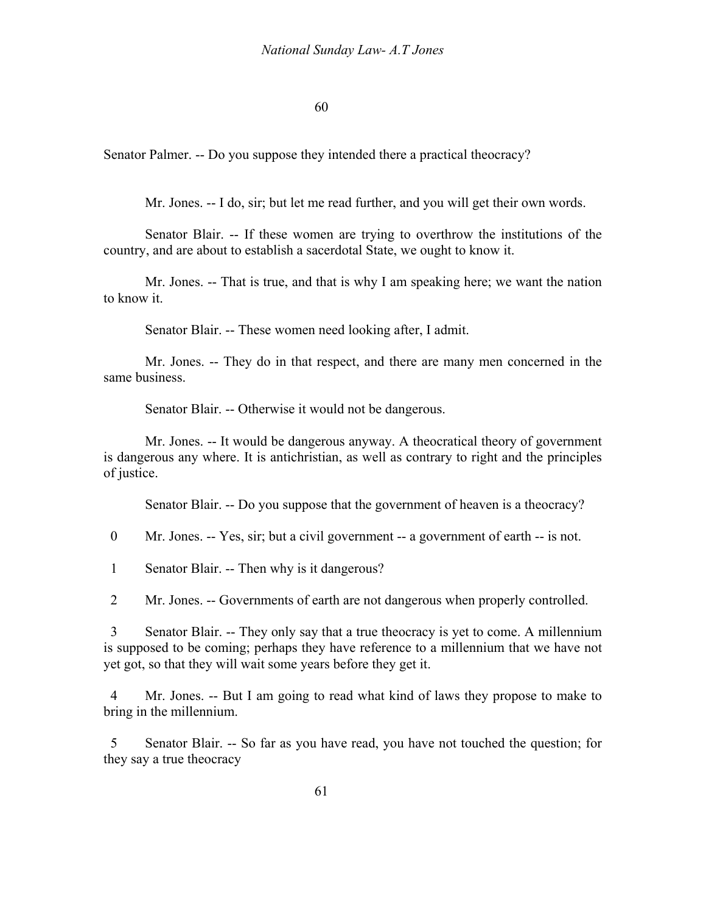60

Senator Palmer. -- Do you suppose they intended there a practical theocracy?

Mr. Jones. -- I do, sir; but let me read further, and you will get their own words.

 Senator Blair. -- If these women are trying to overthrow the institutions of the country, and are about to establish a sacerdotal State, we ought to know it.

 Mr. Jones. -- That is true, and that is why I am speaking here; we want the nation to know it.

Senator Blair. -- These women need looking after, I admit.

 Mr. Jones. -- They do in that respect, and there are many men concerned in the same business.

Senator Blair. -- Otherwise it would not be dangerous.

 Mr. Jones. -- It would be dangerous anyway. A theocratical theory of government is dangerous any where. It is antichristian, as well as contrary to right and the principles of justice.

Senator Blair. -- Do you suppose that the government of heaven is a theocracy?

0 Mr. Jones. -- Yes, sir; but a civil government -- a government of earth -- is not.

1 Senator Blair. -- Then why is it dangerous?

2 Mr. Jones. -- Governments of earth are not dangerous when properly controlled.

 3 Senator Blair. -- They only say that a true theocracy is yet to come. A millennium is supposed to be coming; perhaps they have reference to a millennium that we have not yet got, so that they will wait some years before they get it.

 4 Mr. Jones. -- But I am going to read what kind of laws they propose to make to bring in the millennium.

 5 Senator Blair. -- So far as you have read, you have not touched the question; for they say a true theocracy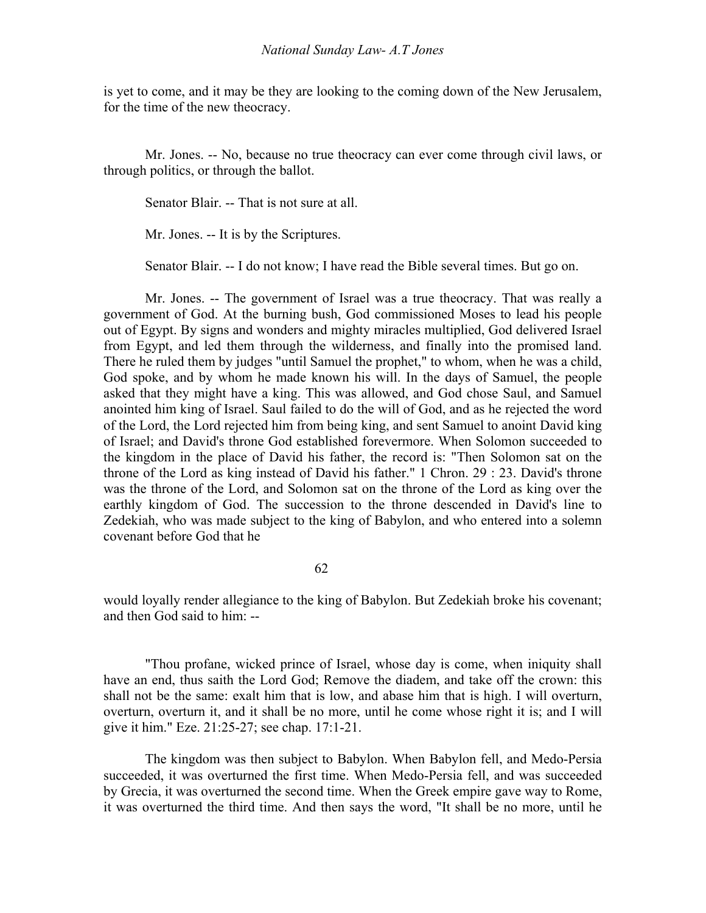is yet to come, and it may be they are looking to the coming down of the New Jerusalem, for the time of the new theocracy.

 Mr. Jones. -- No, because no true theocracy can ever come through civil laws, or through politics, or through the ballot.

Senator Blair. -- That is not sure at all.

Mr. Jones. -- It is by the Scriptures.

Senator Blair. -- I do not know; I have read the Bible several times. But go on.

 Mr. Jones. -- The government of Israel was a true theocracy. That was really a government of God. At the burning bush, God commissioned Moses to lead his people out of Egypt. By signs and wonders and mighty miracles multiplied, God delivered Israel from Egypt, and led them through the wilderness, and finally into the promised land. There he ruled them by judges "until Samuel the prophet," to whom, when he was a child, God spoke, and by whom he made known his will. In the days of Samuel, the people asked that they might have a king. This was allowed, and God chose Saul, and Samuel anointed him king of Israel. Saul failed to do the will of God, and as he rejected the word of the Lord, the Lord rejected him from being king, and sent Samuel to anoint David king of Israel; and David's throne God established forevermore. When Solomon succeeded to the kingdom in the place of David his father, the record is: "Then Solomon sat on the throne of the Lord as king instead of David his father." 1 Chron. 29 : 23. David's throne was the throne of the Lord, and Solomon sat on the throne of the Lord as king over the earthly kingdom of God. The succession to the throne descended in David's line to Zedekiah, who was made subject to the king of Babylon, and who entered into a solemn covenant before God that he

## 62

would loyally render allegiance to the king of Babylon. But Zedekiah broke his covenant; and then God said to him: --

 "Thou profane, wicked prince of Israel, whose day is come, when iniquity shall have an end, thus saith the Lord God; Remove the diadem, and take off the crown: this shall not be the same: exalt him that is low, and abase him that is high. I will overturn, overturn, overturn it, and it shall be no more, until he come whose right it is; and I will give it him." Eze. 21:25-27; see chap. 17:1-21.

 The kingdom was then subject to Babylon. When Babylon fell, and Medo-Persia succeeded, it was overturned the first time. When Medo-Persia fell, and was succeeded by Grecia, it was overturned the second time. When the Greek empire gave way to Rome, it was overturned the third time. And then says the word, "It shall be no more, until he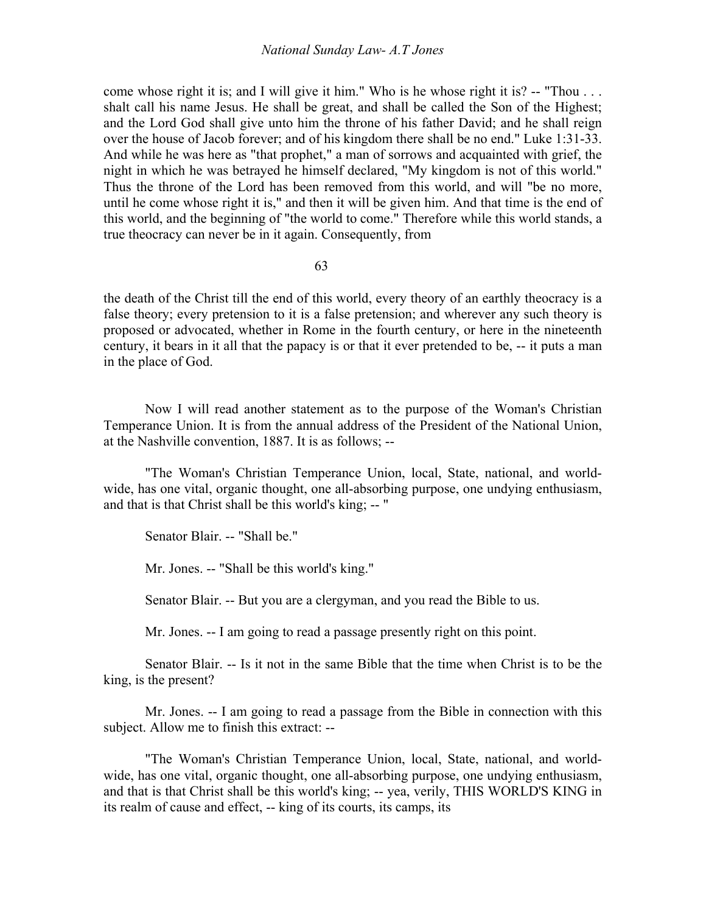come whose right it is; and I will give it him." Who is he whose right it is? -- "Thou . . . shalt call his name Jesus. He shall be great, and shall be called the Son of the Highest; and the Lord God shall give unto him the throne of his father David; and he shall reign over the house of Jacob forever; and of his kingdom there shall be no end." Luke 1:31-33. And while he was here as "that prophet," a man of sorrows and acquainted with grief, the night in which he was betrayed he himself declared, "My kingdom is not of this world." Thus the throne of the Lord has been removed from this world, and will "be no more, until he come whose right it is," and then it will be given him. And that time is the end of this world, and the beginning of "the world to come." Therefore while this world stands, a true theocracy can never be in it again. Consequently, from

# 63

the death of the Christ till the end of this world, every theory of an earthly theocracy is a false theory; every pretension to it is a false pretension; and wherever any such theory is proposed or advocated, whether in Rome in the fourth century, or here in the nineteenth century, it bears in it all that the papacy is or that it ever pretended to be, -- it puts a man in the place of God.

 Now I will read another statement as to the purpose of the Woman's Christian Temperance Union. It is from the annual address of the President of the National Union, at the Nashville convention, 1887. It is as follows; --

 "The Woman's Christian Temperance Union, local, State, national, and worldwide, has one vital, organic thought, one all-absorbing purpose, one undying enthusiasm, and that is that Christ shall be this world's king; -- "

Senator Blair. -- "Shall be."

Mr. Jones. -- "Shall be this world's king."

Senator Blair. -- But you are a clergyman, and you read the Bible to us.

Mr. Jones. -- I am going to read a passage presently right on this point.

 Senator Blair. -- Is it not in the same Bible that the time when Christ is to be the king, is the present?

 Mr. Jones. -- I am going to read a passage from the Bible in connection with this subject. Allow me to finish this extract: --

 "The Woman's Christian Temperance Union, local, State, national, and worldwide, has one vital, organic thought, one all-absorbing purpose, one undying enthusiasm, and that is that Christ shall be this world's king; -- yea, verily, THIS WORLD'S KING in its realm of cause and effect, -- king of its courts, its camps, its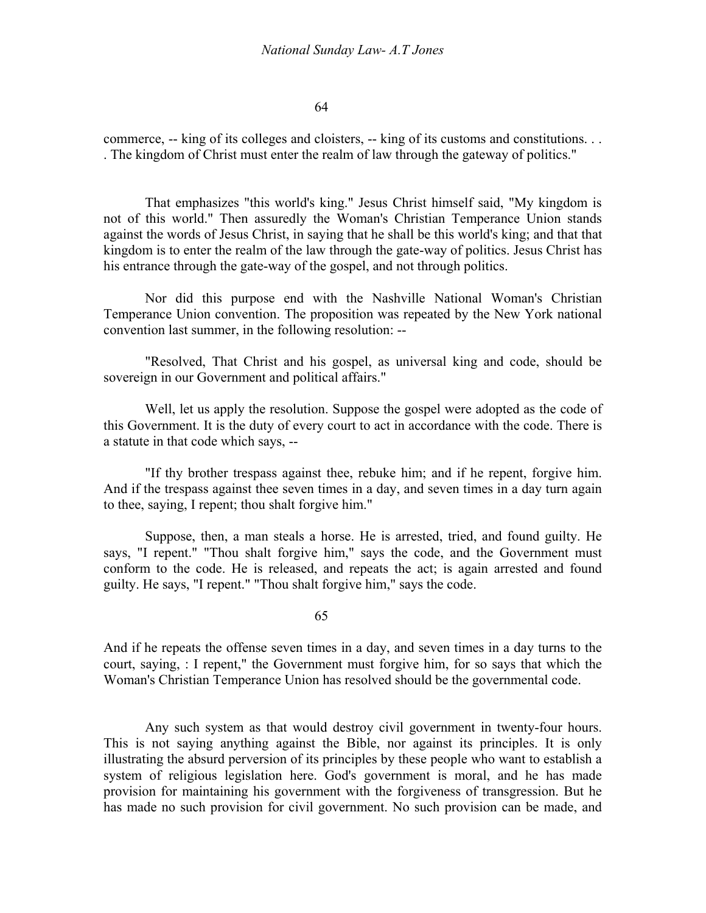# 64

commerce, -- king of its colleges and cloisters, -- king of its customs and constitutions. . . . The kingdom of Christ must enter the realm of law through the gateway of politics."

 That emphasizes "this world's king." Jesus Christ himself said, "My kingdom is not of this world." Then assuredly the Woman's Christian Temperance Union stands against the words of Jesus Christ, in saying that he shall be this world's king; and that that kingdom is to enter the realm of the law through the gate-way of politics. Jesus Christ has his entrance through the gate-way of the gospel, and not through politics.

 Nor did this purpose end with the Nashville National Woman's Christian Temperance Union convention. The proposition was repeated by the New York national convention last summer, in the following resolution: --

 "Resolved, That Christ and his gospel, as universal king and code, should be sovereign in our Government and political affairs."

 Well, let us apply the resolution. Suppose the gospel were adopted as the code of this Government. It is the duty of every court to act in accordance with the code. There is a statute in that code which says, --

 "If thy brother trespass against thee, rebuke him; and if he repent, forgive him. And if the trespass against thee seven times in a day, and seven times in a day turn again to thee, saying, I repent; thou shalt forgive him."

 Suppose, then, a man steals a horse. He is arrested, tried, and found guilty. He says, "I repent." "Thou shalt forgive him," says the code, and the Government must conform to the code. He is released, and repeats the act; is again arrested and found guilty. He says, "I repent." "Thou shalt forgive him," says the code.

## 65

And if he repeats the offense seven times in a day, and seven times in a day turns to the court, saying, : I repent," the Government must forgive him, for so says that which the Woman's Christian Temperance Union has resolved should be the governmental code.

 Any such system as that would destroy civil government in twenty-four hours. This is not saying anything against the Bible, nor against its principles. It is only illustrating the absurd perversion of its principles by these people who want to establish a system of religious legislation here. God's government is moral, and he has made provision for maintaining his government with the forgiveness of transgression. But he has made no such provision for civil government. No such provision can be made, and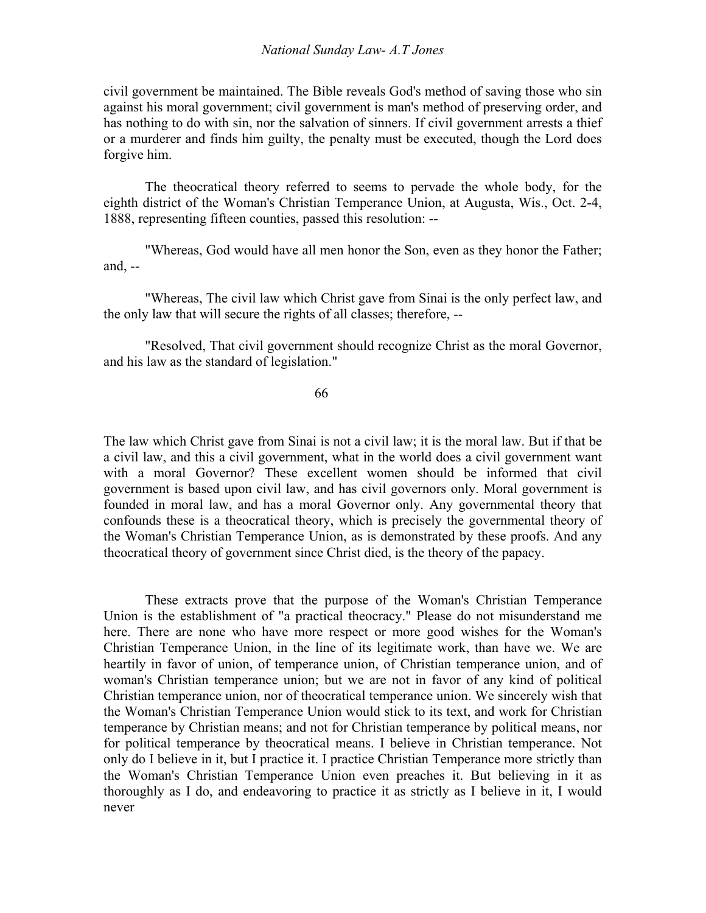civil government be maintained. The Bible reveals God's method of saving those who sin against his moral government; civil government is man's method of preserving order, and has nothing to do with sin, nor the salvation of sinners. If civil government arrests a thief or a murderer and finds him guilty, the penalty must be executed, though the Lord does forgive him.

 The theocratical theory referred to seems to pervade the whole body, for the eighth district of the Woman's Christian Temperance Union, at Augusta, Wis., Oct. 2-4, 1888, representing fifteen counties, passed this resolution: --

 "Whereas, God would have all men honor the Son, even as they honor the Father; and, --

 "Whereas, The civil law which Christ gave from Sinai is the only perfect law, and the only law that will secure the rights of all classes; therefore, --

 "Resolved, That civil government should recognize Christ as the moral Governor, and his law as the standard of legislation."

66

The law which Christ gave from Sinai is not a civil law; it is the moral law. But if that be a civil law, and this a civil government, what in the world does a civil government want with a moral Governor? These excellent women should be informed that civil government is based upon civil law, and has civil governors only. Moral government is founded in moral law, and has a moral Governor only. Any governmental theory that confounds these is a theocratical theory, which is precisely the governmental theory of the Woman's Christian Temperance Union, as is demonstrated by these proofs. And any theocratical theory of government since Christ died, is the theory of the papacy.

 These extracts prove that the purpose of the Woman's Christian Temperance Union is the establishment of "a practical theocracy." Please do not misunderstand me here. There are none who have more respect or more good wishes for the Woman's Christian Temperance Union, in the line of its legitimate work, than have we. We are heartily in favor of union, of temperance union, of Christian temperance union, and of woman's Christian temperance union; but we are not in favor of any kind of political Christian temperance union, nor of theocratical temperance union. We sincerely wish that the Woman's Christian Temperance Union would stick to its text, and work for Christian temperance by Christian means; and not for Christian temperance by political means, nor for political temperance by theocratical means. I believe in Christian temperance. Not only do I believe in it, but I practice it. I practice Christian Temperance more strictly than the Woman's Christian Temperance Union even preaches it. But believing in it as thoroughly as I do, and endeavoring to practice it as strictly as I believe in it, I would never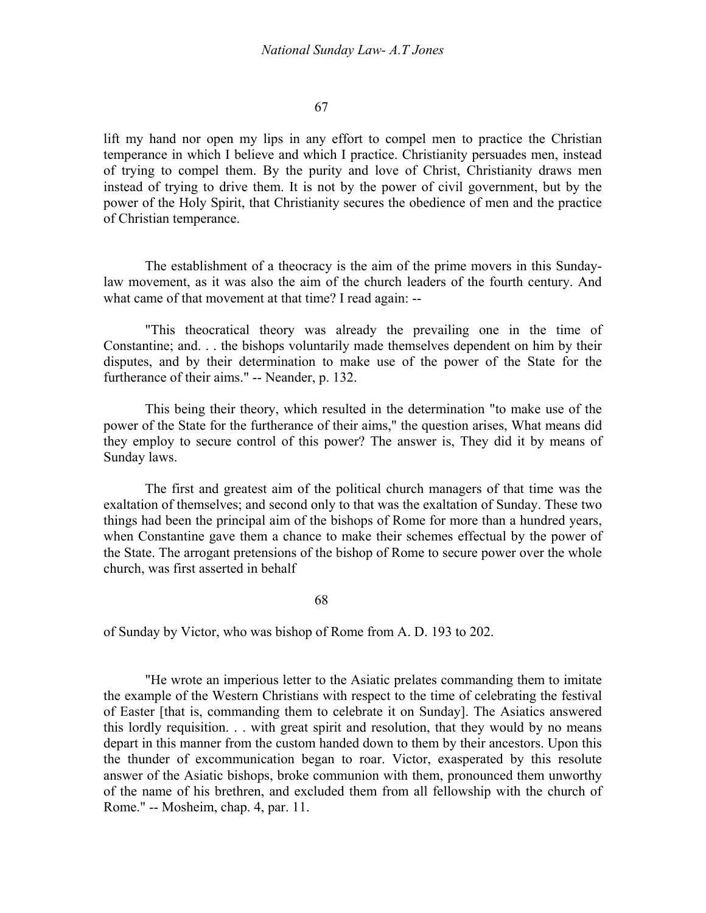# 67

lift my hand nor open my lips in any effort to compel men to practice the Christian temperance in which I believe and which I practice. Christianity persuades men, instead of trying to compel them. By the purity and love of Christ, Christianity draws men instead of trying to drive them. It is not by the power of civil government, but by the power of the Holy Spirit, that Christianity secures the obedience of men and the practice of Christian temperance.

 The establishment of a theocracy is the aim of the prime movers in this Sundaylaw movement, as it was also the aim of the church leaders of the fourth century. And what came of that movement at that time? I read again: --

 "This theocratical theory was already the prevailing one in the time of Constantine; and. . . the bishops voluntarily made themselves dependent on him by their disputes, and by their determination to make use of the power of the State for the furtherance of their aims." -- Neander, p. 132.

 This being their theory, which resulted in the determination "to make use of the power of the State for the furtherance of their aims," the question arises, What means did they employ to secure control of this power? The answer is, They did it by means of Sunday laws.

 The first and greatest aim of the political church managers of that time was the exaltation of themselves; and second only to that was the exaltation of Sunday. These two things had been the principal aim of the bishops of Rome for more than a hundred years, when Constantine gave them a chance to make their schemes effectual by the power of the State. The arrogant pretensions of the bishop of Rome to secure power over the whole church, was first asserted in behalf

## 68

of Sunday by Victor, who was bishop of Rome from A. D. 193 to 202.

 "He wrote an imperious letter to the Asiatic prelates commanding them to imitate the example of the Western Christians with respect to the time of celebrating the festival of Easter [that is, commanding them to celebrate it on Sunday]. The Asiatics answered this lordly requisition. . . with great spirit and resolution, that they would by no means depart in this manner from the custom handed down to them by their ancestors. Upon this the thunder of excommunication began to roar. Victor, exasperated by this resolute answer of the Asiatic bishops, broke communion with them, pronounced them unworthy of the name of his brethren, and excluded them from all fellowship with the church of Rome." -- Mosheim, chap. 4, par. 11.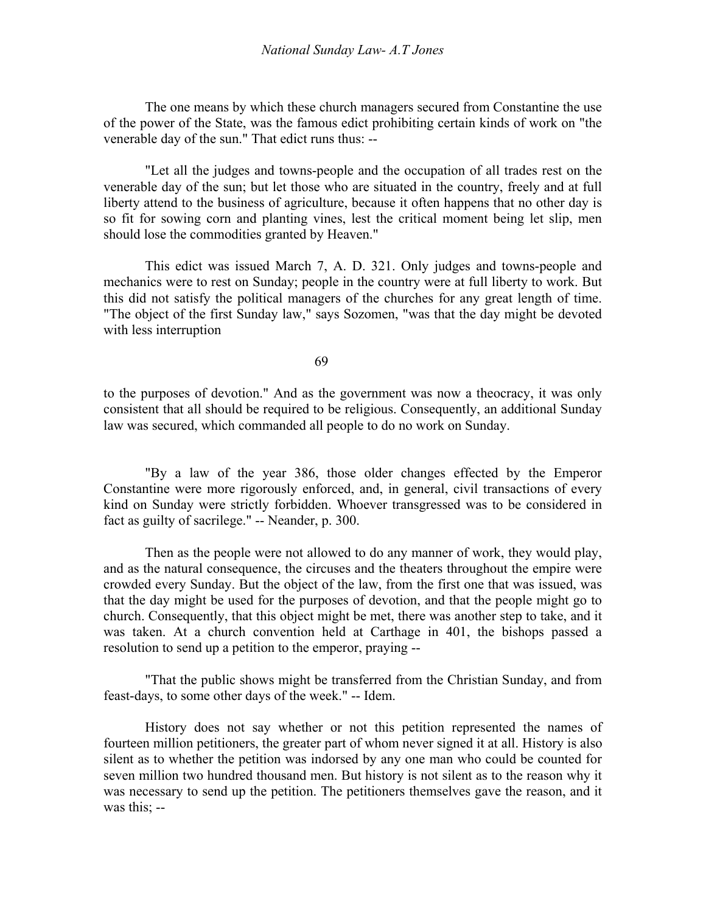The one means by which these church managers secured from Constantine the use of the power of the State, was the famous edict prohibiting certain kinds of work on "the venerable day of the sun." That edict runs thus: --

 "Let all the judges and towns-people and the occupation of all trades rest on the venerable day of the sun; but let those who are situated in the country, freely and at full liberty attend to the business of agriculture, because it often happens that no other day is so fit for sowing corn and planting vines, lest the critical moment being let slip, men should lose the commodities granted by Heaven."

 This edict was issued March 7, A. D. 321. Only judges and towns-people and mechanics were to rest on Sunday; people in the country were at full liberty to work. But this did not satisfy the political managers of the churches for any great length of time. "The object of the first Sunday law," says Sozomen, "was that the day might be devoted with less interruption

69

to the purposes of devotion." And as the government was now a theocracy, it was only consistent that all should be required to be religious. Consequently, an additional Sunday law was secured, which commanded all people to do no work on Sunday.

 "By a law of the year 386, those older changes effected by the Emperor Constantine were more rigorously enforced, and, in general, civil transactions of every kind on Sunday were strictly forbidden. Whoever transgressed was to be considered in fact as guilty of sacrilege." -- Neander, p. 300.

 Then as the people were not allowed to do any manner of work, they would play, and as the natural consequence, the circuses and the theaters throughout the empire were crowded every Sunday. But the object of the law, from the first one that was issued, was that the day might be used for the purposes of devotion, and that the people might go to church. Consequently, that this object might be met, there was another step to take, and it was taken. At a church convention held at Carthage in 401, the bishops passed a resolution to send up a petition to the emperor, praying --

 "That the public shows might be transferred from the Christian Sunday, and from feast-days, to some other days of the week." -- Idem.

 History does not say whether or not this petition represented the names of fourteen million petitioners, the greater part of whom never signed it at all. History is also silent as to whether the petition was indorsed by any one man who could be counted for seven million two hundred thousand men. But history is not silent as to the reason why it was necessary to send up the petition. The petitioners themselves gave the reason, and it was this; --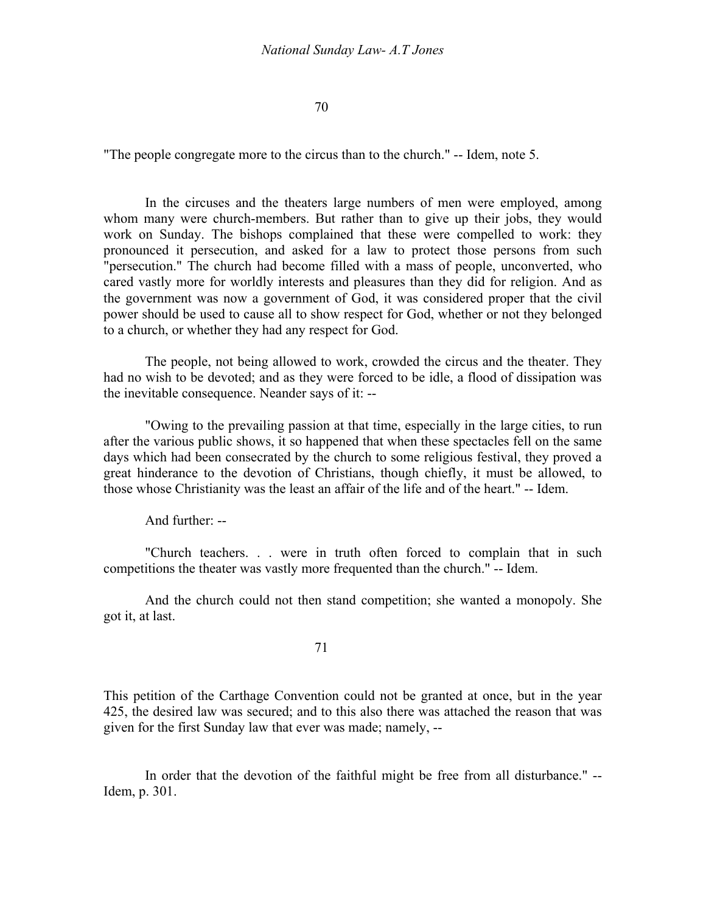# 70

"The people congregate more to the circus than to the church." -- Idem, note 5.

 In the circuses and the theaters large numbers of men were employed, among whom many were church-members. But rather than to give up their jobs, they would work on Sunday. The bishops complained that these were compelled to work: they pronounced it persecution, and asked for a law to protect those persons from such "persecution." The church had become filled with a mass of people, unconverted, who cared vastly more for worldly interests and pleasures than they did for religion. And as the government was now a government of God, it was considered proper that the civil power should be used to cause all to show respect for God, whether or not they belonged to a church, or whether they had any respect for God.

 The people, not being allowed to work, crowded the circus and the theater. They had no wish to be devoted; and as they were forced to be idle, a flood of dissipation was the inevitable consequence. Neander says of it: --

 "Owing to the prevailing passion at that time, especially in the large cities, to run after the various public shows, it so happened that when these spectacles fell on the same days which had been consecrated by the church to some religious festival, they proved a great hinderance to the devotion of Christians, though chiefly, it must be allowed, to those whose Christianity was the least an affair of the life and of the heart." -- Idem.

And further: --

 "Church teachers. . . were in truth often forced to complain that in such competitions the theater was vastly more frequented than the church." -- Idem.

 And the church could not then stand competition; she wanted a monopoly. She got it, at last.

# 71

This petition of the Carthage Convention could not be granted at once, but in the year 425, the desired law was secured; and to this also there was attached the reason that was given for the first Sunday law that ever was made; namely, --

 In order that the devotion of the faithful might be free from all disturbance." -- Idem, p. 301.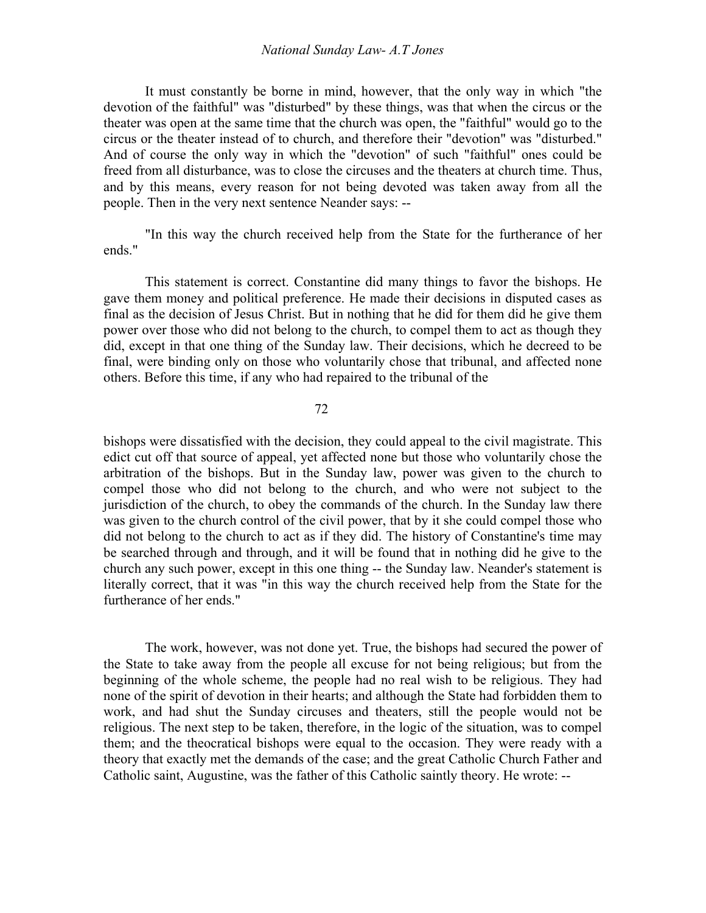It must constantly be borne in mind, however, that the only way in which "the devotion of the faithful" was "disturbed" by these things, was that when the circus or the theater was open at the same time that the church was open, the "faithful" would go to the circus or the theater instead of to church, and therefore their "devotion" was "disturbed." And of course the only way in which the "devotion" of such "faithful" ones could be freed from all disturbance, was to close the circuses and the theaters at church time. Thus, and by this means, every reason for not being devoted was taken away from all the people. Then in the very next sentence Neander says: --

 "In this way the church received help from the State for the furtherance of her ends."

 This statement is correct. Constantine did many things to favor the bishops. He gave them money and political preference. He made their decisions in disputed cases as final as the decision of Jesus Christ. But in nothing that he did for them did he give them power over those who did not belong to the church, to compel them to act as though they did, except in that one thing of the Sunday law. Their decisions, which he decreed to be final, were binding only on those who voluntarily chose that tribunal, and affected none others. Before this time, if any who had repaired to the tribunal of the

72

bishops were dissatisfied with the decision, they could appeal to the civil magistrate. This edict cut off that source of appeal, yet affected none but those who voluntarily chose the arbitration of the bishops. But in the Sunday law, power was given to the church to compel those who did not belong to the church, and who were not subject to the jurisdiction of the church, to obey the commands of the church. In the Sunday law there was given to the church control of the civil power, that by it she could compel those who did not belong to the church to act as if they did. The history of Constantine's time may be searched through and through, and it will be found that in nothing did he give to the church any such power, except in this one thing -- the Sunday law. Neander's statement is literally correct, that it was "in this way the church received help from the State for the furtherance of her ends."

 The work, however, was not done yet. True, the bishops had secured the power of the State to take away from the people all excuse for not being religious; but from the beginning of the whole scheme, the people had no real wish to be religious. They had none of the spirit of devotion in their hearts; and although the State had forbidden them to work, and had shut the Sunday circuses and theaters, still the people would not be religious. The next step to be taken, therefore, in the logic of the situation, was to compel them; and the theocratical bishops were equal to the occasion. They were ready with a theory that exactly met the demands of the case; and the great Catholic Church Father and Catholic saint, Augustine, was the father of this Catholic saintly theory. He wrote: --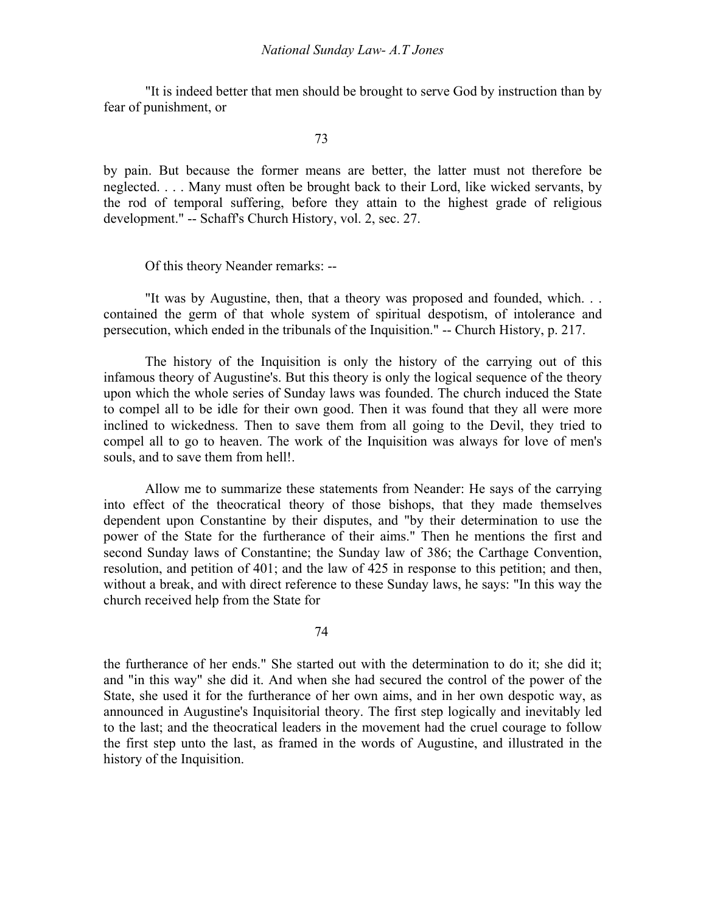"It is indeed better that men should be brought to serve God by instruction than by fear of punishment, or

## 73

by pain. But because the former means are better, the latter must not therefore be neglected. . . . Many must often be brought back to their Lord, like wicked servants, by the rod of temporal suffering, before they attain to the highest grade of religious development." -- Schaff's Church History, vol. 2, sec. 27.

Of this theory Neander remarks: --

 "It was by Augustine, then, that a theory was proposed and founded, which. . . contained the germ of that whole system of spiritual despotism, of intolerance and persecution, which ended in the tribunals of the Inquisition." -- Church History, p. 217.

 The history of the Inquisition is only the history of the carrying out of this infamous theory of Augustine's. But this theory is only the logical sequence of the theory upon which the whole series of Sunday laws was founded. The church induced the State to compel all to be idle for their own good. Then it was found that they all were more inclined to wickedness. Then to save them from all going to the Devil, they tried to compel all to go to heaven. The work of the Inquisition was always for love of men's souls, and to save them from hell!.

 Allow me to summarize these statements from Neander: He says of the carrying into effect of the theocratical theory of those bishops, that they made themselves dependent upon Constantine by their disputes, and "by their determination to use the power of the State for the furtherance of their aims." Then he mentions the first and second Sunday laws of Constantine; the Sunday law of 386; the Carthage Convention, resolution, and petition of 401; and the law of 425 in response to this petition; and then, without a break, and with direct reference to these Sunday laws, he says: "In this way the church received help from the State for

# 74

the furtherance of her ends." She started out with the determination to do it; she did it; and "in this way" she did it. And when she had secured the control of the power of the State, she used it for the furtherance of her own aims, and in her own despotic way, as announced in Augustine's Inquisitorial theory. The first step logically and inevitably led to the last; and the theocratical leaders in the movement had the cruel courage to follow the first step unto the last, as framed in the words of Augustine, and illustrated in the history of the Inquisition.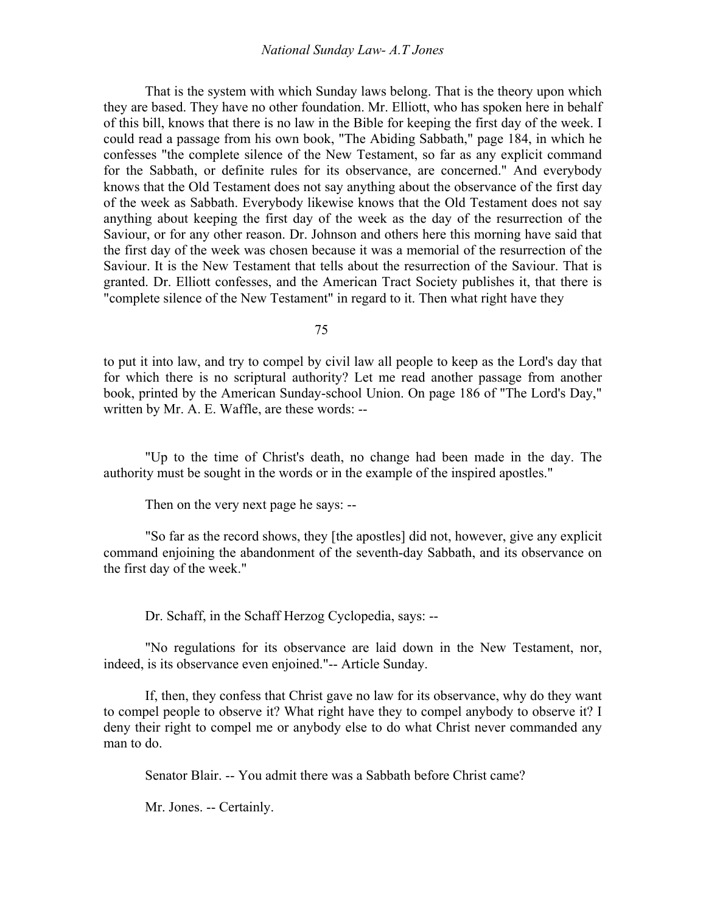That is the system with which Sunday laws belong. That is the theory upon which they are based. They have no other foundation. Mr. Elliott, who has spoken here in behalf of this bill, knows that there is no law in the Bible for keeping the first day of the week. I could read a passage from his own book, "The Abiding Sabbath," page 184, in which he confesses "the complete silence of the New Testament, so far as any explicit command for the Sabbath, or definite rules for its observance, are concerned." And everybody knows that the Old Testament does not say anything about the observance of the first day of the week as Sabbath. Everybody likewise knows that the Old Testament does not say anything about keeping the first day of the week as the day of the resurrection of the Saviour, or for any other reason. Dr. Johnson and others here this morning have said that the first day of the week was chosen because it was a memorial of the resurrection of the Saviour. It is the New Testament that tells about the resurrection of the Saviour. That is granted. Dr. Elliott confesses, and the American Tract Society publishes it, that there is "complete silence of the New Testament" in regard to it. Then what right have they

75

to put it into law, and try to compel by civil law all people to keep as the Lord's day that for which there is no scriptural authority? Let me read another passage from another book, printed by the American Sunday-school Union. On page 186 of "The Lord's Day," written by Mr. A. E. Waffle, are these words: --

 "Up to the time of Christ's death, no change had been made in the day. The authority must be sought in the words or in the example of the inspired apostles."

Then on the very next page he says: --

 "So far as the record shows, they [the apostles] did not, however, give any explicit command enjoining the abandonment of the seventh-day Sabbath, and its observance on the first day of the week."

Dr. Schaff, in the Schaff Herzog Cyclopedia, says: --

 "No regulations for its observance are laid down in the New Testament, nor, indeed, is its observance even enjoined."-- Article Sunday.

 If, then, they confess that Christ gave no law for its observance, why do they want to compel people to observe it? What right have they to compel anybody to observe it? I deny their right to compel me or anybody else to do what Christ never commanded any man to do.

Senator Blair. -- You admit there was a Sabbath before Christ came?

Mr. Jones. -- Certainly.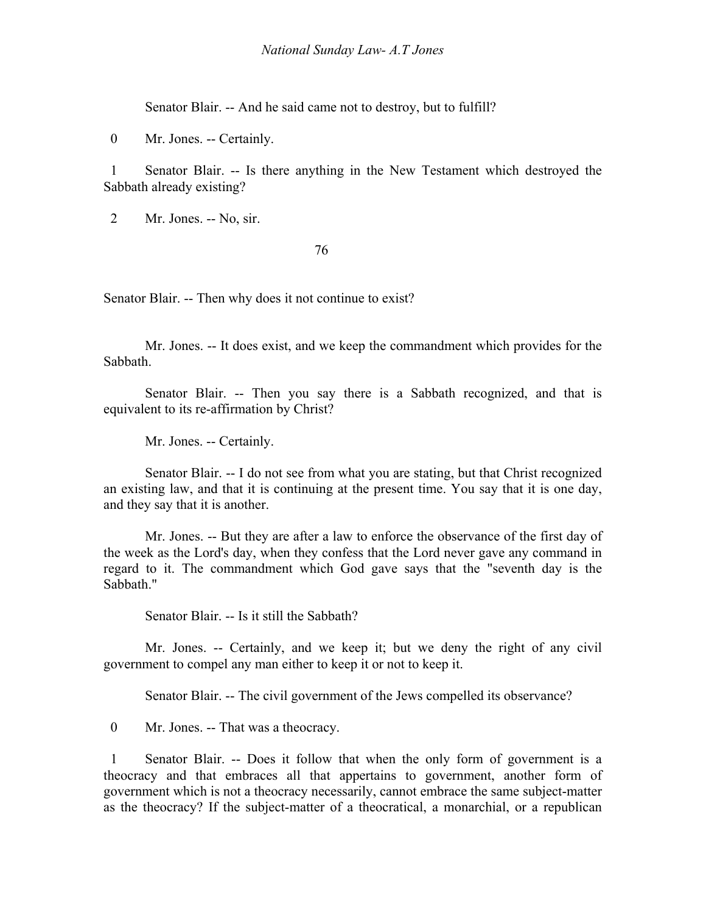Senator Blair. -- And he said came not to destroy, but to fulfill?

0 Mr. Jones. -- Certainly.

 1 Senator Blair. -- Is there anything in the New Testament which destroyed the Sabbath already existing?

2 Mr. Jones. -- No, sir.

76

Senator Blair. -- Then why does it not continue to exist?

 Mr. Jones. -- It does exist, and we keep the commandment which provides for the Sabbath.

 Senator Blair. -- Then you say there is a Sabbath recognized, and that is equivalent to its re-affirmation by Christ?

Mr. Jones. -- Certainly.

 Senator Blair. -- I do not see from what you are stating, but that Christ recognized an existing law, and that it is continuing at the present time. You say that it is one day, and they say that it is another.

 Mr. Jones. -- But they are after a law to enforce the observance of the first day of the week as the Lord's day, when they confess that the Lord never gave any command in regard to it. The commandment which God gave says that the "seventh day is the Sabbath."

Senator Blair. -- Is it still the Sabbath?

 Mr. Jones. -- Certainly, and we keep it; but we deny the right of any civil government to compel any man either to keep it or not to keep it.

Senator Blair. -- The civil government of the Jews compelled its observance?

0 Mr. Jones. -- That was a theocracy.

 1 Senator Blair. -- Does it follow that when the only form of government is a theocracy and that embraces all that appertains to government, another form of government which is not a theocracy necessarily, cannot embrace the same subject-matter as the theocracy? If the subject-matter of a theocratical, a monarchial, or a republican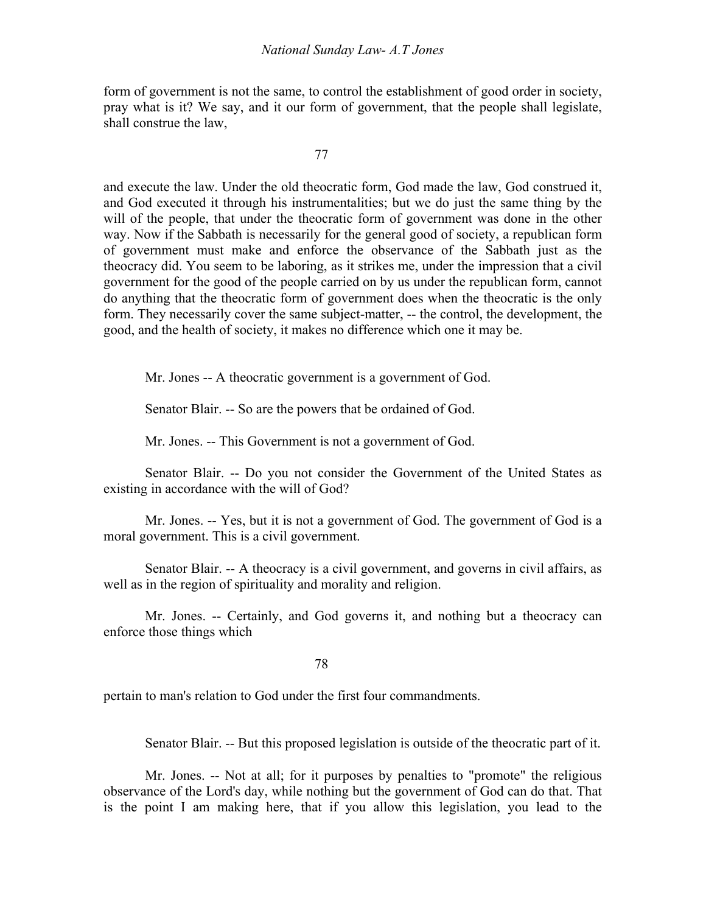form of government is not the same, to control the establishment of good order in society, pray what is it? We say, and it our form of government, that the people shall legislate, shall construe the law,

77

and execute the law. Under the old theocratic form, God made the law, God construed it, and God executed it through his instrumentalities; but we do just the same thing by the will of the people, that under the theocratic form of government was done in the other way. Now if the Sabbath is necessarily for the general good of society, a republican form of government must make and enforce the observance of the Sabbath just as the theocracy did. You seem to be laboring, as it strikes me, under the impression that a civil government for the good of the people carried on by us under the republican form, cannot do anything that the theocratic form of government does when the theocratic is the only form. They necessarily cover the same subject-matter, -- the control, the development, the good, and the health of society, it makes no difference which one it may be.

Mr. Jones -- A theocratic government is a government of God.

Senator Blair. -- So are the powers that be ordained of God.

Mr. Jones. -- This Government is not a government of God.

 Senator Blair. -- Do you not consider the Government of the United States as existing in accordance with the will of God?

 Mr. Jones. -- Yes, but it is not a government of God. The government of God is a moral government. This is a civil government.

 Senator Blair. -- A theocracy is a civil government, and governs in civil affairs, as well as in the region of spirituality and morality and religion.

 Mr. Jones. -- Certainly, and God governs it, and nothing but a theocracy can enforce those things which

78

pertain to man's relation to God under the first four commandments.

Senator Blair. -- But this proposed legislation is outside of the theocratic part of it.

 Mr. Jones. -- Not at all; for it purposes by penalties to "promote" the religious observance of the Lord's day, while nothing but the government of God can do that. That is the point I am making here, that if you allow this legislation, you lead to the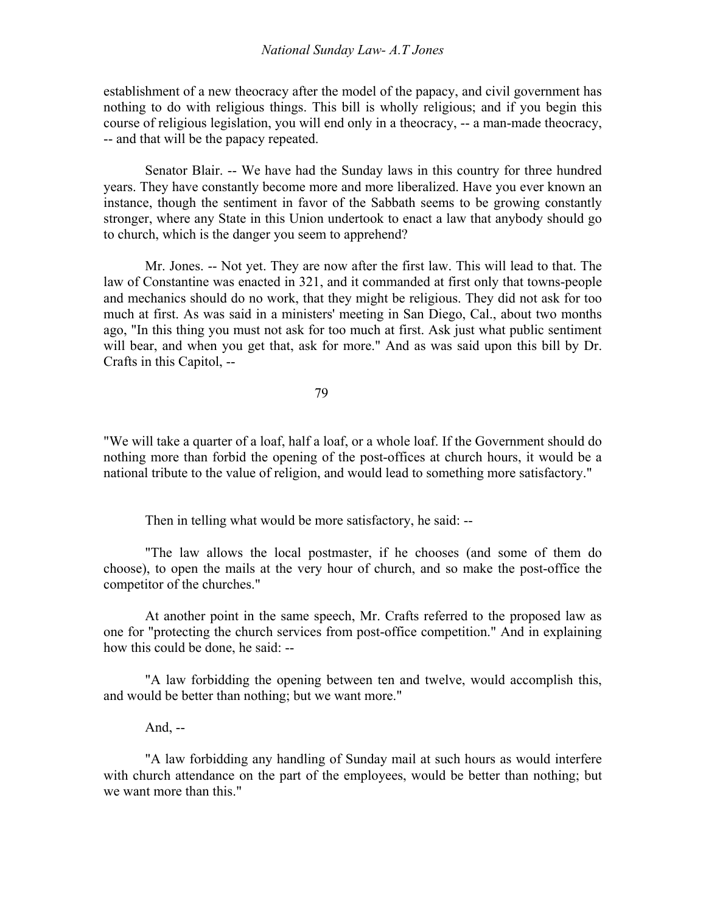establishment of a new theocracy after the model of the papacy, and civil government has nothing to do with religious things. This bill is wholly religious; and if you begin this course of religious legislation, you will end only in a theocracy, -- a man-made theocracy, -- and that will be the papacy repeated.

 Senator Blair. -- We have had the Sunday laws in this country for three hundred years. They have constantly become more and more liberalized. Have you ever known an instance, though the sentiment in favor of the Sabbath seems to be growing constantly stronger, where any State in this Union undertook to enact a law that anybody should go to church, which is the danger you seem to apprehend?

 Mr. Jones. -- Not yet. They are now after the first law. This will lead to that. The law of Constantine was enacted in 321, and it commanded at first only that towns-people and mechanics should do no work, that they might be religious. They did not ask for too much at first. As was said in a ministers' meeting in San Diego, Cal., about two months ago, "In this thing you must not ask for too much at first. Ask just what public sentiment will bear, and when you get that, ask for more." And as was said upon this bill by Dr. Crafts in this Capitol, --

79

"We will take a quarter of a loaf, half a loaf, or a whole loaf. If the Government should do nothing more than forbid the opening of the post-offices at church hours, it would be a national tribute to the value of religion, and would lead to something more satisfactory."

Then in telling what would be more satisfactory, he said: --

 "The law allows the local postmaster, if he chooses (and some of them do choose), to open the mails at the very hour of church, and so make the post-office the competitor of the churches."

 At another point in the same speech, Mr. Crafts referred to the proposed law as one for "protecting the church services from post-office competition." And in explaining how this could be done, he said: --

 "A law forbidding the opening between ten and twelve, would accomplish this, and would be better than nothing; but we want more."

And, --

 "A law forbidding any handling of Sunday mail at such hours as would interfere with church attendance on the part of the employees, would be better than nothing; but we want more than this."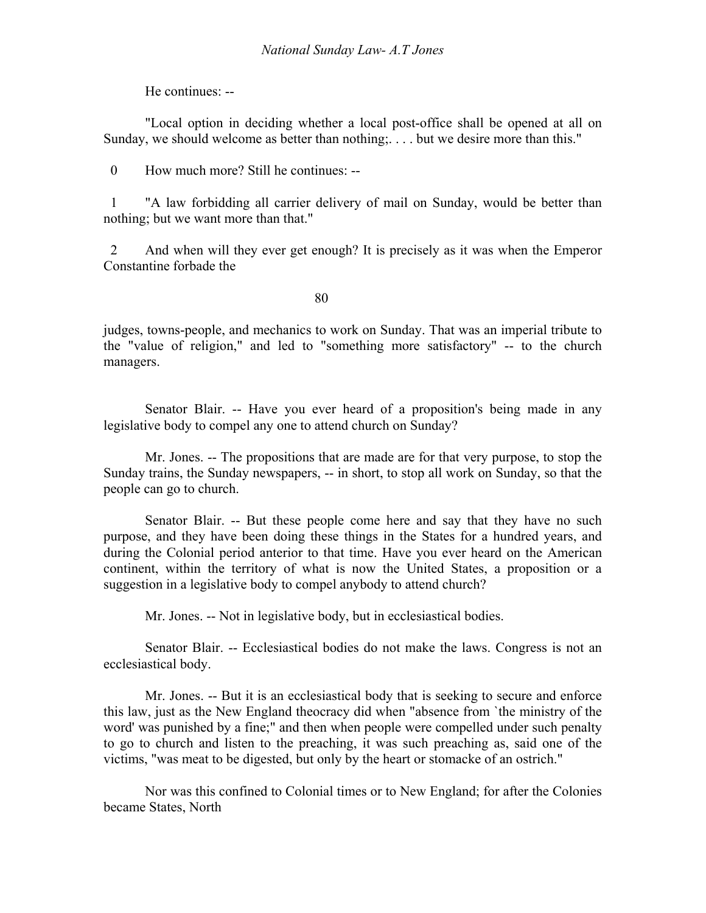He continues: --

 "Local option in deciding whether a local post-office shall be opened at all on Sunday, we should welcome as better than nothing;. . . . but we desire more than this."

0 How much more? Still he continues: --

 1 "A law forbidding all carrier delivery of mail on Sunday, would be better than nothing; but we want more than that."

 2 And when will they ever get enough? It is precisely as it was when the Emperor Constantine forbade the

80

judges, towns-people, and mechanics to work on Sunday. That was an imperial tribute to the "value of religion," and led to "something more satisfactory" -- to the church managers.

 Senator Blair. -- Have you ever heard of a proposition's being made in any legislative body to compel any one to attend church on Sunday?

 Mr. Jones. -- The propositions that are made are for that very purpose, to stop the Sunday trains, the Sunday newspapers, -- in short, to stop all work on Sunday, so that the people can go to church.

 Senator Blair. -- But these people come here and say that they have no such purpose, and they have been doing these things in the States for a hundred years, and during the Colonial period anterior to that time. Have you ever heard on the American continent, within the territory of what is now the United States, a proposition or a suggestion in a legislative body to compel anybody to attend church?

Mr. Jones. -- Not in legislative body, but in ecclesiastical bodies.

 Senator Blair. -- Ecclesiastical bodies do not make the laws. Congress is not an ecclesiastical body.

 Mr. Jones. -- But it is an ecclesiastical body that is seeking to secure and enforce this law, just as the New England theocracy did when "absence from `the ministry of the word' was punished by a fine;" and then when people were compelled under such penalty to go to church and listen to the preaching, it was such preaching as, said one of the victims, "was meat to be digested, but only by the heart or stomacke of an ostrich."

 Nor was this confined to Colonial times or to New England; for after the Colonies became States, North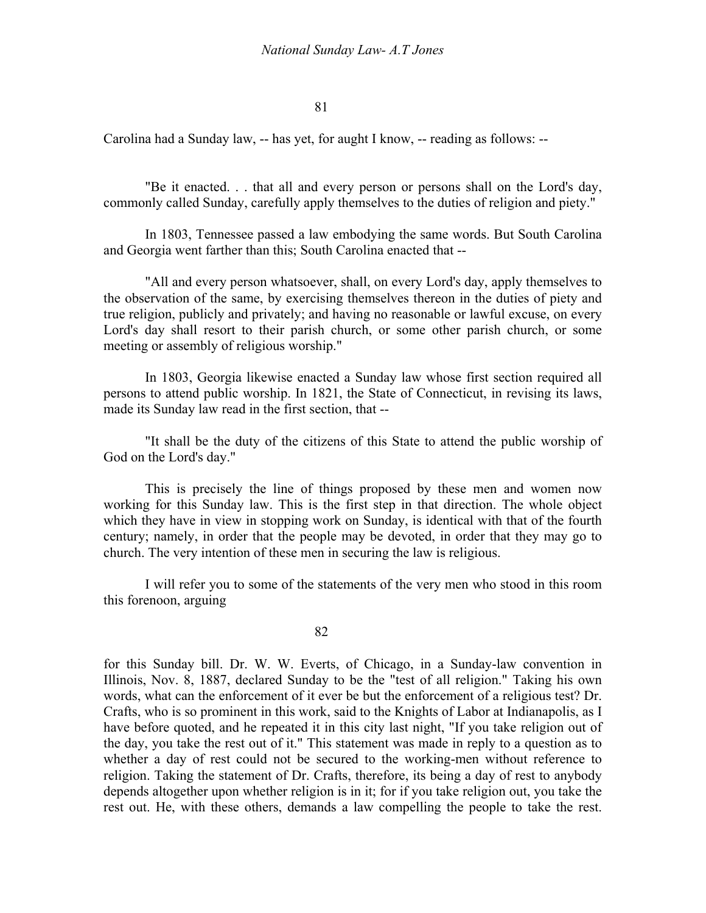81

Carolina had a Sunday law, -- has yet, for aught I know, -- reading as follows: --

 "Be it enacted. . . that all and every person or persons shall on the Lord's day, commonly called Sunday, carefully apply themselves to the duties of religion and piety."

 In 1803, Tennessee passed a law embodying the same words. But South Carolina and Georgia went farther than this; South Carolina enacted that --

 "All and every person whatsoever, shall, on every Lord's day, apply themselves to the observation of the same, by exercising themselves thereon in the duties of piety and true religion, publicly and privately; and having no reasonable or lawful excuse, on every Lord's day shall resort to their parish church, or some other parish church, or some meeting or assembly of religious worship."

 In 1803, Georgia likewise enacted a Sunday law whose first section required all persons to attend public worship. In 1821, the State of Connecticut, in revising its laws, made its Sunday law read in the first section, that --

 "It shall be the duty of the citizens of this State to attend the public worship of God on the Lord's day."

 This is precisely the line of things proposed by these men and women now working for this Sunday law. This is the first step in that direction. The whole object which they have in view in stopping work on Sunday, is identical with that of the fourth century; namely, in order that the people may be devoted, in order that they may go to church. The very intention of these men in securing the law is religious.

 I will refer you to some of the statements of the very men who stood in this room this forenoon, arguing

82

for this Sunday bill. Dr. W. W. Everts, of Chicago, in a Sunday-law convention in Illinois, Nov. 8, 1887, declared Sunday to be the "test of all religion." Taking his own words, what can the enforcement of it ever be but the enforcement of a religious test? Dr. Crafts, who is so prominent in this work, said to the Knights of Labor at Indianapolis, as I have before quoted, and he repeated it in this city last night, "If you take religion out of the day, you take the rest out of it." This statement was made in reply to a question as to whether a day of rest could not be secured to the working-men without reference to religion. Taking the statement of Dr. Crafts, therefore, its being a day of rest to anybody depends altogether upon whether religion is in it; for if you take religion out, you take the rest out. He, with these others, demands a law compelling the people to take the rest.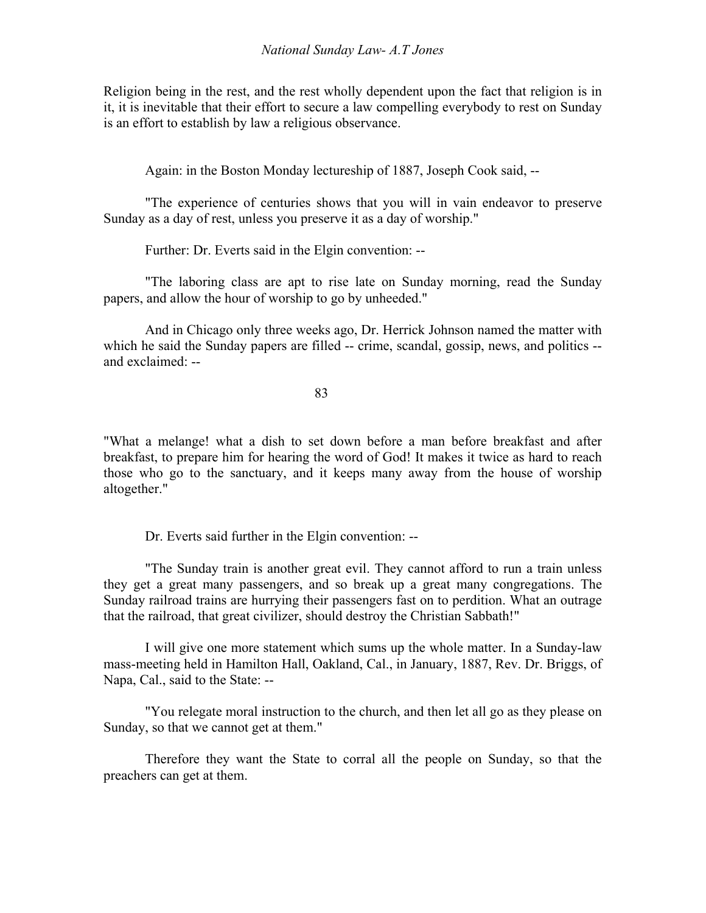Religion being in the rest, and the rest wholly dependent upon the fact that religion is in it, it is inevitable that their effort to secure a law compelling everybody to rest on Sunday is an effort to establish by law a religious observance.

Again: in the Boston Monday lectureship of 1887, Joseph Cook said, --

 "The experience of centuries shows that you will in vain endeavor to preserve Sunday as a day of rest, unless you preserve it as a day of worship."

Further: Dr. Everts said in the Elgin convention: --

 "The laboring class are apt to rise late on Sunday morning, read the Sunday papers, and allow the hour of worship to go by unheeded."

 And in Chicago only three weeks ago, Dr. Herrick Johnson named the matter with which he said the Sunday papers are filled -- crime, scandal, gossip, news, and politics -and exclaimed: --

83

"What a melange! what a dish to set down before a man before breakfast and after breakfast, to prepare him for hearing the word of God! It makes it twice as hard to reach those who go to the sanctuary, and it keeps many away from the house of worship altogether."

Dr. Everts said further in the Elgin convention: --

 "The Sunday train is another great evil. They cannot afford to run a train unless they get a great many passengers, and so break up a great many congregations. The Sunday railroad trains are hurrying their passengers fast on to perdition. What an outrage that the railroad, that great civilizer, should destroy the Christian Sabbath!"

 I will give one more statement which sums up the whole matter. In a Sunday-law mass-meeting held in Hamilton Hall, Oakland, Cal., in January, 1887, Rev. Dr. Briggs, of Napa, Cal., said to the State: --

 "You relegate moral instruction to the church, and then let all go as they please on Sunday, so that we cannot get at them."

 Therefore they want the State to corral all the people on Sunday, so that the preachers can get at them.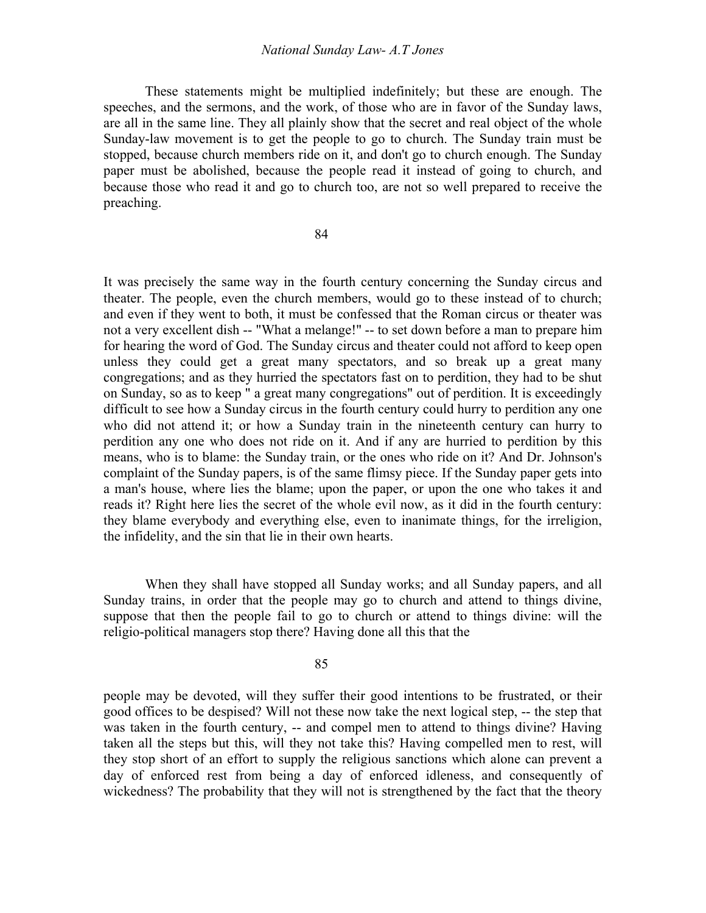These statements might be multiplied indefinitely; but these are enough. The speeches, and the sermons, and the work, of those who are in favor of the Sunday laws, are all in the same line. They all plainly show that the secret and real object of the whole Sunday-law movement is to get the people to go to church. The Sunday train must be stopped, because church members ride on it, and don't go to church enough. The Sunday paper must be abolished, because the people read it instead of going to church, and because those who read it and go to church too, are not so well prepared to receive the preaching.

84

It was precisely the same way in the fourth century concerning the Sunday circus and theater. The people, even the church members, would go to these instead of to church; and even if they went to both, it must be confessed that the Roman circus or theater was not a very excellent dish -- "What a melange!" -- to set down before a man to prepare him for hearing the word of God. The Sunday circus and theater could not afford to keep open unless they could get a great many spectators, and so break up a great many congregations; and as they hurried the spectators fast on to perdition, they had to be shut on Sunday, so as to keep " a great many congregations" out of perdition. It is exceedingly difficult to see how a Sunday circus in the fourth century could hurry to perdition any one who did not attend it; or how a Sunday train in the nineteenth century can hurry to perdition any one who does not ride on it. And if any are hurried to perdition by this means, who is to blame: the Sunday train, or the ones who ride on it? And Dr. Johnson's complaint of the Sunday papers, is of the same flimsy piece. If the Sunday paper gets into a man's house, where lies the blame; upon the paper, or upon the one who takes it and reads it? Right here lies the secret of the whole evil now, as it did in the fourth century: they blame everybody and everything else, even to inanimate things, for the irreligion, the infidelity, and the sin that lie in their own hearts.

 When they shall have stopped all Sunday works; and all Sunday papers, and all Sunday trains, in order that the people may go to church and attend to things divine, suppose that then the people fail to go to church or attend to things divine: will the religio-political managers stop there? Having done all this that the

## **85**

people may be devoted, will they suffer their good intentions to be frustrated, or their good offices to be despised? Will not these now take the next logical step, -- the step that was taken in the fourth century, -- and compel men to attend to things divine? Having taken all the steps but this, will they not take this? Having compelled men to rest, will they stop short of an effort to supply the religious sanctions which alone can prevent a day of enforced rest from being a day of enforced idleness, and consequently of wickedness? The probability that they will not is strengthened by the fact that the theory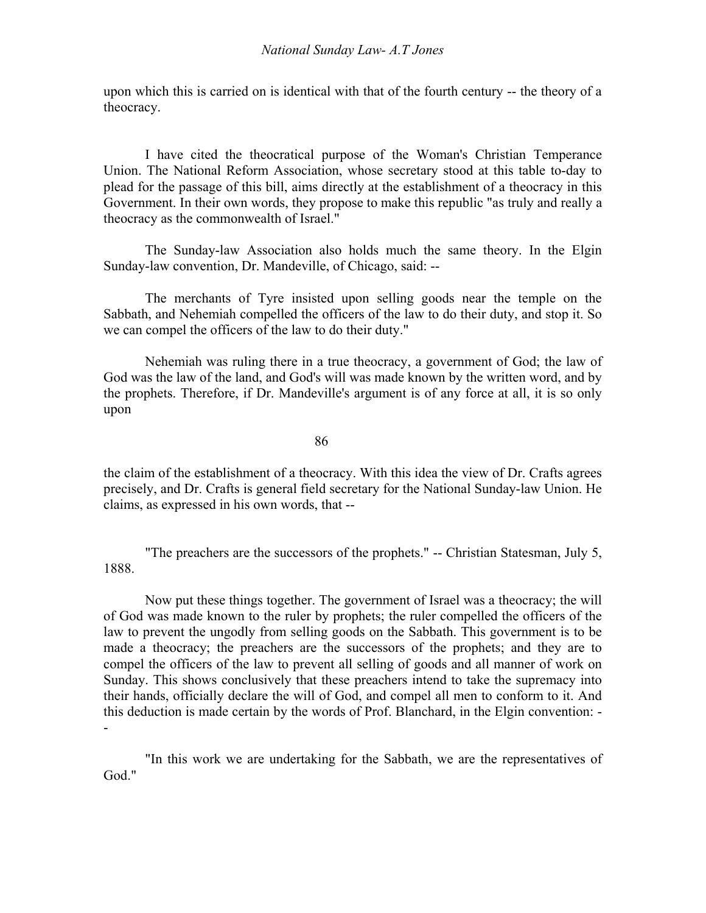upon which this is carried on is identical with that of the fourth century -- the theory of a theocracy.

 I have cited the theocratical purpose of the Woman's Christian Temperance Union. The National Reform Association, whose secretary stood at this table to-day to plead for the passage of this bill, aims directly at the establishment of a theocracy in this Government. In their own words, they propose to make this republic "as truly and really a theocracy as the commonwealth of Israel."

 The Sunday-law Association also holds much the same theory. In the Elgin Sunday-law convention, Dr. Mandeville, of Chicago, said: --

 The merchants of Tyre insisted upon selling goods near the temple on the Sabbath, and Nehemiah compelled the officers of the law to do their duty, and stop it. So we can compel the officers of the law to do their duty."

 Nehemiah was ruling there in a true theocracy, a government of God; the law of God was the law of the land, and God's will was made known by the written word, and by the prophets. Therefore, if Dr. Mandeville's argument is of any force at all, it is so only upon

86

the claim of the establishment of a theocracy. With this idea the view of Dr. Crafts agrees precisely, and Dr. Crafts is general field secretary for the National Sunday-law Union. He claims, as expressed in his own words, that --

 "The preachers are the successors of the prophets." -- Christian Statesman, July 5, 1888.

 Now put these things together. The government of Israel was a theocracy; the will of God was made known to the ruler by prophets; the ruler compelled the officers of the law to prevent the ungodly from selling goods on the Sabbath. This government is to be made a theocracy; the preachers are the successors of the prophets; and they are to compel the officers of the law to prevent all selling of goods and all manner of work on Sunday. This shows conclusively that these preachers intend to take the supremacy into their hands, officially declare the will of God, and compel all men to conform to it. And this deduction is made certain by the words of Prof. Blanchard, in the Elgin convention: - -

 "In this work we are undertaking for the Sabbath, we are the representatives of God."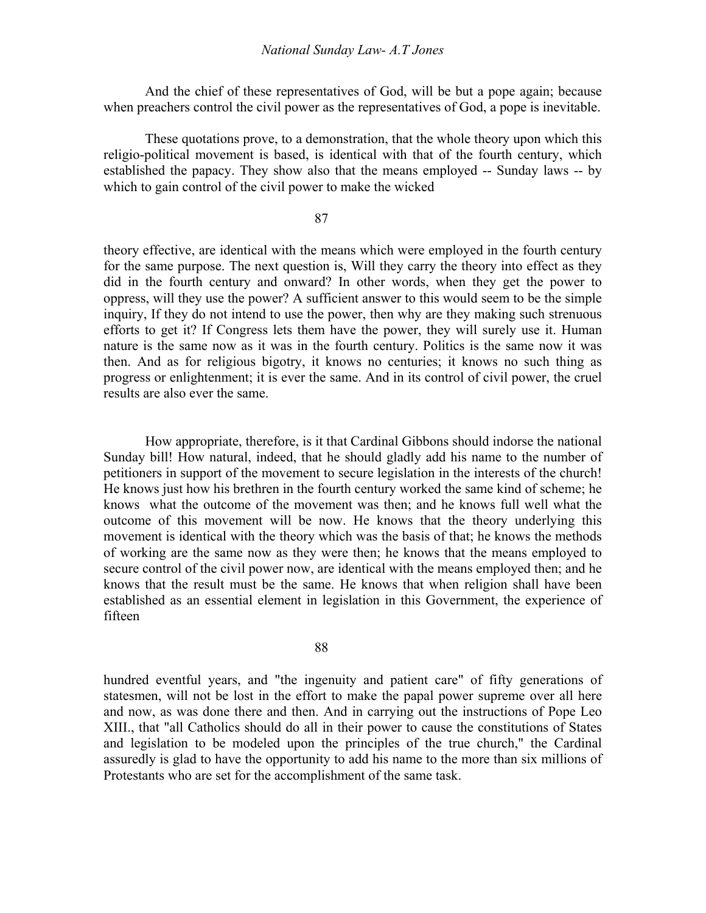And the chief of these representatives of God, will be but a pope again; because when preachers control the civil power as the representatives of God, a pope is inevitable.

 These quotations prove, to a demonstration, that the whole theory upon which this religio-political movement is based, is identical with that of the fourth century, which established the papacy. They show also that the means employed -- Sunday laws -- by which to gain control of the civil power to make the wicked

87

theory effective, are identical with the means which were employed in the fourth century for the same purpose. The next question is, Will they carry the theory into effect as they did in the fourth century and onward? In other words, when they get the power to oppress, will they use the power? A sufficient answer to this would seem to be the simple inquiry, If they do not intend to use the power, then why are they making such strenuous efforts to get it? If Congress lets them have the power, they will surely use it. Human nature is the same now as it was in the fourth century. Politics is the same now it was then. And as for religious bigotry, it knows no centuries; it knows no such thing as progress or enlightenment; it is ever the same. And in its control of civil power, the cruel results are also ever the same.

 How appropriate, therefore, is it that Cardinal Gibbons should indorse the national Sunday bill! How natural, indeed, that he should gladly add his name to the number of petitioners in support of the movement to secure legislation in the interests of the church! He knows just how his brethren in the fourth century worked the same kind of scheme; he knows what the outcome of the movement was then; and he knows full well what the outcome of this movement will be now. He knows that the theory underlying this movement is identical with the theory which was the basis of that; he knows the methods of working are the same now as they were then; he knows that the means employed to secure control of the civil power now, are identical with the means employed then; and he knows that the result must be the same. He knows that when religion shall have been established as an essential element in legislation in this Government, the experience of fifteen

88

hundred eventful years, and "the ingenuity and patient care" of fifty generations of statesmen, will not be lost in the effort to make the papal power supreme over all here and now, as was done there and then. And in carrying out the instructions of Pope Leo XIII., that "all Catholics should do all in their power to cause the constitutions of States and legislation to be modeled upon the principles of the true church," the Cardinal assuredly is glad to have the opportunity to add his name to the more than six millions of Protestants who are set for the accomplishment of the same task.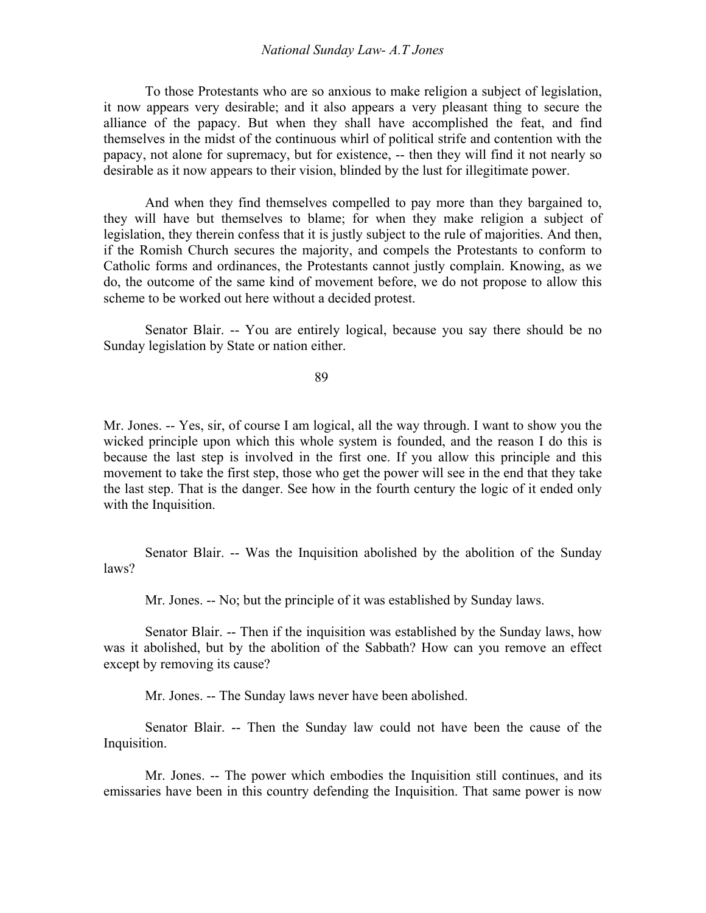To those Protestants who are so anxious to make religion a subject of legislation, it now appears very desirable; and it also appears a very pleasant thing to secure the alliance of the papacy. But when they shall have accomplished the feat, and find themselves in the midst of the continuous whirl of political strife and contention with the papacy, not alone for supremacy, but for existence, -- then they will find it not nearly so desirable as it now appears to their vision, blinded by the lust for illegitimate power.

 And when they find themselves compelled to pay more than they bargained to, they will have but themselves to blame; for when they make religion a subject of legislation, they therein confess that it is justly subject to the rule of majorities. And then, if the Romish Church secures the majority, and compels the Protestants to conform to Catholic forms and ordinances, the Protestants cannot justly complain. Knowing, as we do, the outcome of the same kind of movement before, we do not propose to allow this scheme to be worked out here without a decided protest.

 Senator Blair. -- You are entirely logical, because you say there should be no Sunday legislation by State or nation either.

89

Mr. Jones. -- Yes, sir, of course I am logical, all the way through. I want to show you the wicked principle upon which this whole system is founded, and the reason I do this is because the last step is involved in the first one. If you allow this principle and this movement to take the first step, those who get the power will see in the end that they take the last step. That is the danger. See how in the fourth century the logic of it ended only with the Inquisition.

 Senator Blair. -- Was the Inquisition abolished by the abolition of the Sunday laws?

Mr. Jones. -- No; but the principle of it was established by Sunday laws.

 Senator Blair. -- Then if the inquisition was established by the Sunday laws, how was it abolished, but by the abolition of the Sabbath? How can you remove an effect except by removing its cause?

Mr. Jones. -- The Sunday laws never have been abolished.

 Senator Blair. -- Then the Sunday law could not have been the cause of the Inquisition.

 Mr. Jones. -- The power which embodies the Inquisition still continues, and its emissaries have been in this country defending the Inquisition. That same power is now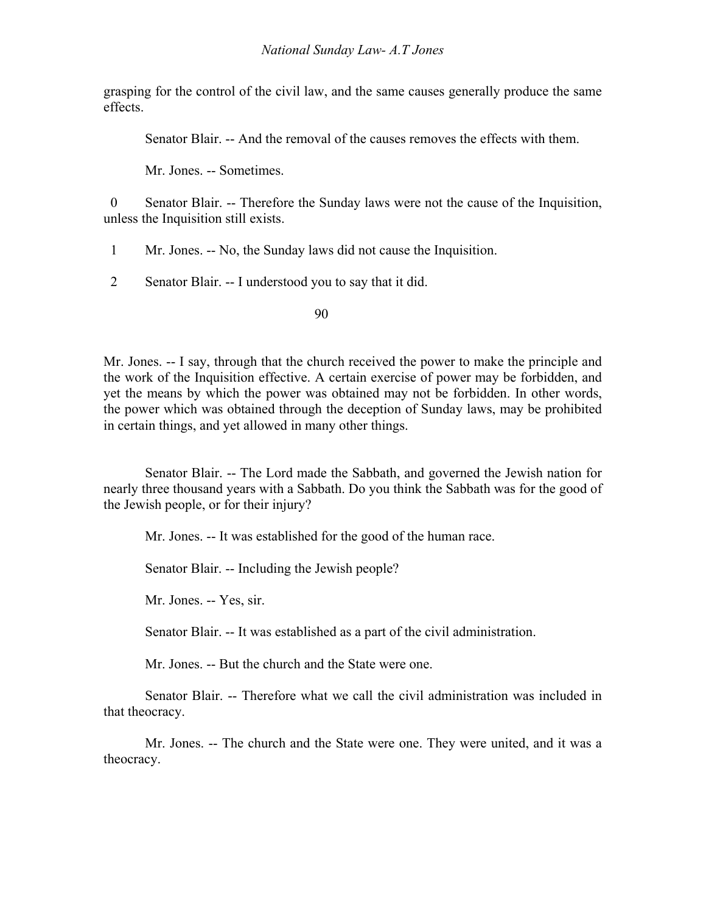grasping for the control of the civil law, and the same causes generally produce the same effects.

Senator Blair. -- And the removal of the causes removes the effects with them.

Mr. Jones. -- Sometimes.

 0 Senator Blair. -- Therefore the Sunday laws were not the cause of the Inquisition, unless the Inquisition still exists.

1 Mr. Jones. -- No, the Sunday laws did not cause the Inquisition.

2 Senator Blair. -- I understood you to say that it did.

90

Mr. Jones. -- I say, through that the church received the power to make the principle and the work of the Inquisition effective. A certain exercise of power may be forbidden, and yet the means by which the power was obtained may not be forbidden. In other words, the power which was obtained through the deception of Sunday laws, may be prohibited in certain things, and yet allowed in many other things.

 Senator Blair. -- The Lord made the Sabbath, and governed the Jewish nation for nearly three thousand years with a Sabbath. Do you think the Sabbath was for the good of the Jewish people, or for their injury?

Mr. Jones. -- It was established for the good of the human race.

Senator Blair. -- Including the Jewish people?

Mr. Jones. -- Yes, sir.

Senator Blair. -- It was established as a part of the civil administration.

Mr. Jones. -- But the church and the State were one.

 Senator Blair. -- Therefore what we call the civil administration was included in that theocracy.

 Mr. Jones. -- The church and the State were one. They were united, and it was a theocracy.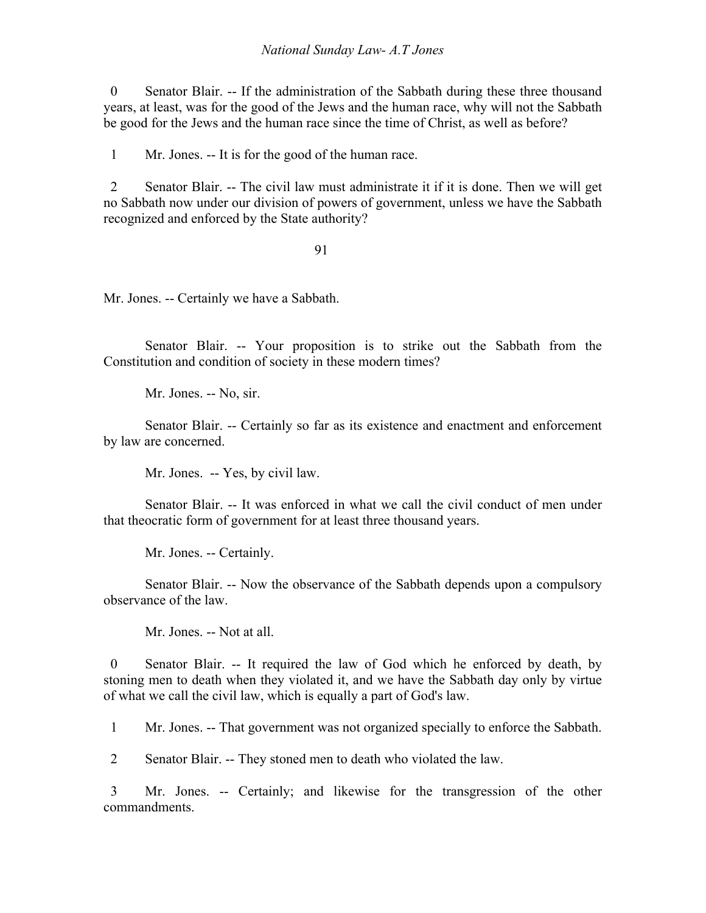0 Senator Blair. -- If the administration of the Sabbath during these three thousand years, at least, was for the good of the Jews and the human race, why will not the Sabbath be good for the Jews and the human race since the time of Christ, as well as before?

1 Mr. Jones. -- It is for the good of the human race.

 2 Senator Blair. -- The civil law must administrate it if it is done. Then we will get no Sabbath now under our division of powers of government, unless we have the Sabbath recognized and enforced by the State authority?

91

Mr. Jones. -- Certainly we have a Sabbath.

 Senator Blair. -- Your proposition is to strike out the Sabbath from the Constitution and condition of society in these modern times?

Mr. Jones. -- No, sir.

 Senator Blair. -- Certainly so far as its existence and enactment and enforcement by law are concerned.

Mr. Jones. -- Yes, by civil law.

 Senator Blair. -- It was enforced in what we call the civil conduct of men under that theocratic form of government for at least three thousand years.

Mr. Jones. -- Certainly.

 Senator Blair. -- Now the observance of the Sabbath depends upon a compulsory observance of the law.

Mr. Jones. -- Not at all.

 0 Senator Blair. -- It required the law of God which he enforced by death, by stoning men to death when they violated it, and we have the Sabbath day only by virtue of what we call the civil law, which is equally a part of God's law.

1 Mr. Jones. -- That government was not organized specially to enforce the Sabbath.

2 Senator Blair. -- They stoned men to death who violated the law.

 3 Mr. Jones. -- Certainly; and likewise for the transgression of the other commandments.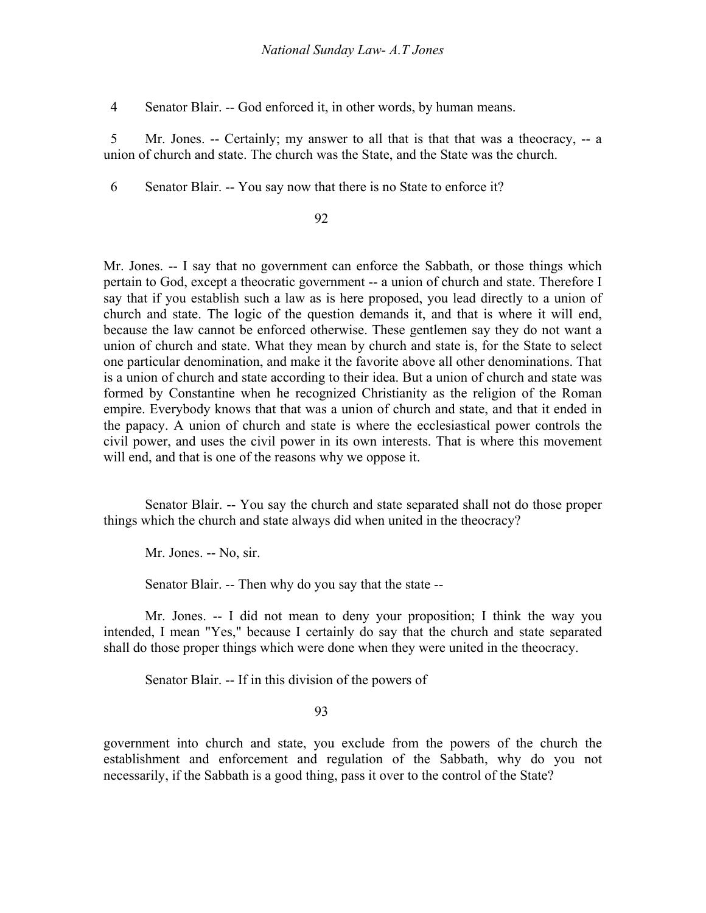4 Senator Blair. -- God enforced it, in other words, by human means.

 5 Mr. Jones. -- Certainly; my answer to all that is that that was a theocracy, -- a union of church and state. The church was the State, and the State was the church.

6 Senator Blair. -- You say now that there is no State to enforce it?

## 92

Mr. Jones. -- I say that no government can enforce the Sabbath, or those things which pertain to God, except a theocratic government -- a union of church and state. Therefore I say that if you establish such a law as is here proposed, you lead directly to a union of church and state. The logic of the question demands it, and that is where it will end, because the law cannot be enforced otherwise. These gentlemen say they do not want a union of church and state. What they mean by church and state is, for the State to select one particular denomination, and make it the favorite above all other denominations. That is a union of church and state according to their idea. But a union of church and state was formed by Constantine when he recognized Christianity as the religion of the Roman empire. Everybody knows that that was a union of church and state, and that it ended in the papacy. A union of church and state is where the ecclesiastical power controls the civil power, and uses the civil power in its own interests. That is where this movement will end, and that is one of the reasons why we oppose it.

 Senator Blair. -- You say the church and state separated shall not do those proper things which the church and state always did when united in the theocracy?

Mr. Jones. -- No, sir.

Senator Blair. -- Then why do you say that the state --

 Mr. Jones. -- I did not mean to deny your proposition; I think the way you intended, I mean "Yes," because I certainly do say that the church and state separated shall do those proper things which were done when they were united in the theocracy.

Senator Blair. -- If in this division of the powers of

93

government into church and state, you exclude from the powers of the church the establishment and enforcement and regulation of the Sabbath, why do you not necessarily, if the Sabbath is a good thing, pass it over to the control of the State?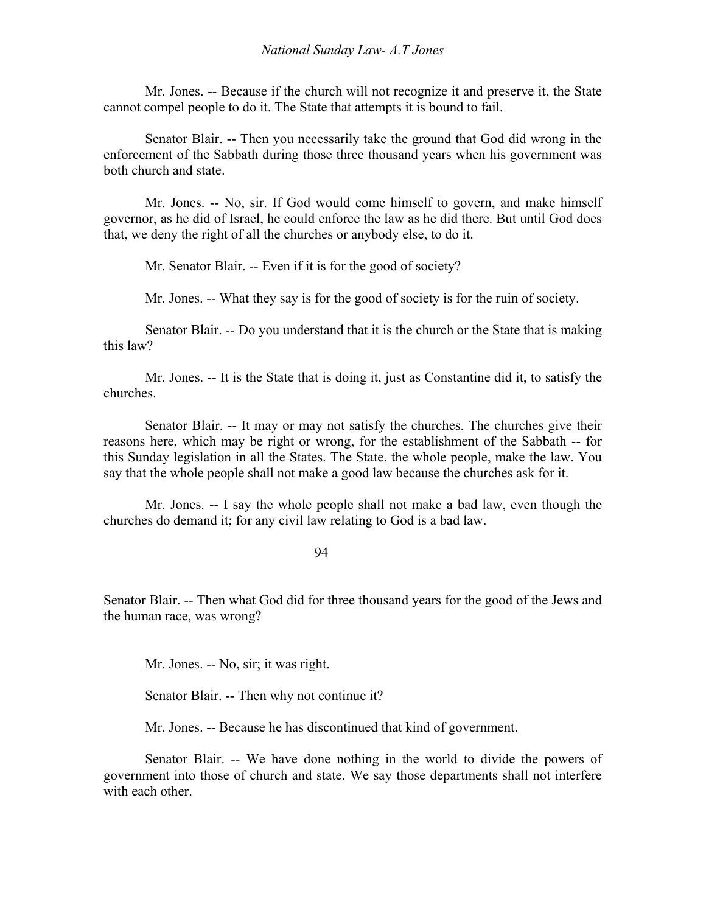Mr. Jones. -- Because if the church will not recognize it and preserve it, the State cannot compel people to do it. The State that attempts it is bound to fail.

 Senator Blair. -- Then you necessarily take the ground that God did wrong in the enforcement of the Sabbath during those three thousand years when his government was both church and state.

 Mr. Jones. -- No, sir. If God would come himself to govern, and make himself governor, as he did of Israel, he could enforce the law as he did there. But until God does that, we deny the right of all the churches or anybody else, to do it.

Mr. Senator Blair. -- Even if it is for the good of society?

Mr. Jones. -- What they say is for the good of society is for the ruin of society.

 Senator Blair. -- Do you understand that it is the church or the State that is making this law?

 Mr. Jones. -- It is the State that is doing it, just as Constantine did it, to satisfy the churches.

 Senator Blair. -- It may or may not satisfy the churches. The churches give their reasons here, which may be right or wrong, for the establishment of the Sabbath -- for this Sunday legislation in all the States. The State, the whole people, make the law. You say that the whole people shall not make a good law because the churches ask for it.

 Mr. Jones. -- I say the whole people shall not make a bad law, even though the churches do demand it; for any civil law relating to God is a bad law.

94

Senator Blair. -- Then what God did for three thousand years for the good of the Jews and the human race, was wrong?

Mr. Jones. -- No, sir; it was right.

Senator Blair. -- Then why not continue it?

Mr. Jones. -- Because he has discontinued that kind of government.

 Senator Blair. -- We have done nothing in the world to divide the powers of government into those of church and state. We say those departments shall not interfere with each other.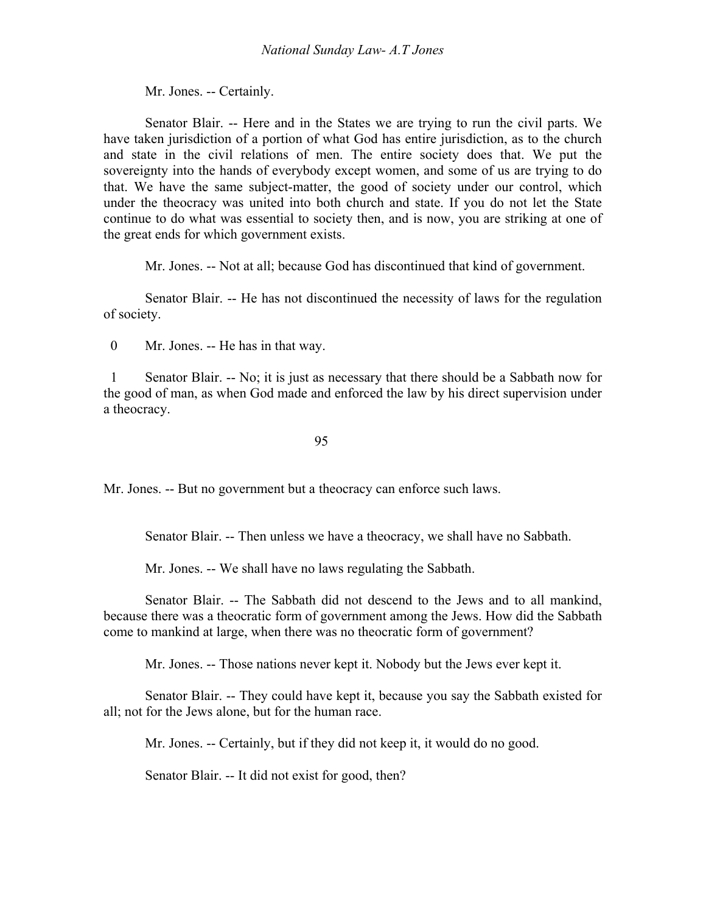Mr. Jones. -- Certainly.

 Senator Blair. -- Here and in the States we are trying to run the civil parts. We have taken jurisdiction of a portion of what God has entire jurisdiction, as to the church and state in the civil relations of men. The entire society does that. We put the sovereignty into the hands of everybody except women, and some of us are trying to do that. We have the same subject-matter, the good of society under our control, which under the theocracy was united into both church and state. If you do not let the State continue to do what was essential to society then, and is now, you are striking at one of the great ends for which government exists.

Mr. Jones. -- Not at all; because God has discontinued that kind of government.

 Senator Blair. -- He has not discontinued the necessity of laws for the regulation of society.

0 Mr. Jones. -- He has in that way.

 1 Senator Blair. -- No; it is just as necessary that there should be a Sabbath now for the good of man, as when God made and enforced the law by his direct supervision under a theocracy.

# 95

Mr. Jones. -- But no government but a theocracy can enforce such laws.

Senator Blair. -- Then unless we have a theocracy, we shall have no Sabbath.

Mr. Jones. -- We shall have no laws regulating the Sabbath.

 Senator Blair. -- The Sabbath did not descend to the Jews and to all mankind, because there was a theocratic form of government among the Jews. How did the Sabbath come to mankind at large, when there was no theocratic form of government?

Mr. Jones. -- Those nations never kept it. Nobody but the Jews ever kept it.

 Senator Blair. -- They could have kept it, because you say the Sabbath existed for all; not for the Jews alone, but for the human race.

Mr. Jones. -- Certainly, but if they did not keep it, it would do no good.

Senator Blair. -- It did not exist for good, then?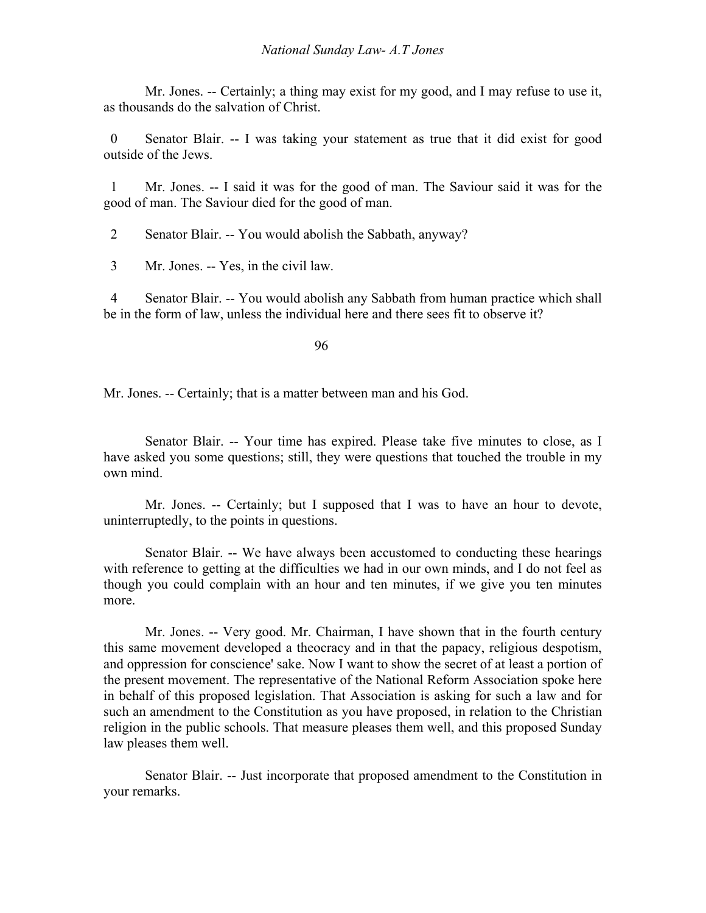Mr. Jones. -- Certainly; a thing may exist for my good, and I may refuse to use it, as thousands do the salvation of Christ.

 0 Senator Blair. -- I was taking your statement as true that it did exist for good outside of the Jews.

 1 Mr. Jones. -- I said it was for the good of man. The Saviour said it was for the good of man. The Saviour died for the good of man.

2 Senator Blair. -- You would abolish the Sabbath, anyway?

3 Mr. Jones. -- Yes, in the civil law.

 4 Senator Blair. -- You would abolish any Sabbath from human practice which shall be in the form of law, unless the individual here and there sees fit to observe it?

96

Mr. Jones. -- Certainly; that is a matter between man and his God.

 Senator Blair. -- Your time has expired. Please take five minutes to close, as I have asked you some questions; still, they were questions that touched the trouble in my own mind.

 Mr. Jones. -- Certainly; but I supposed that I was to have an hour to devote, uninterruptedly, to the points in questions.

 Senator Blair. -- We have always been accustomed to conducting these hearings with reference to getting at the difficulties we had in our own minds, and I do not feel as though you could complain with an hour and ten minutes, if we give you ten minutes more.

 Mr. Jones. -- Very good. Mr. Chairman, I have shown that in the fourth century this same movement developed a theocracy and in that the papacy, religious despotism, and oppression for conscience' sake. Now I want to show the secret of at least a portion of the present movement. The representative of the National Reform Association spoke here in behalf of this proposed legislation. That Association is asking for such a law and for such an amendment to the Constitution as you have proposed, in relation to the Christian religion in the public schools. That measure pleases them well, and this proposed Sunday law pleases them well.

 Senator Blair. -- Just incorporate that proposed amendment to the Constitution in your remarks.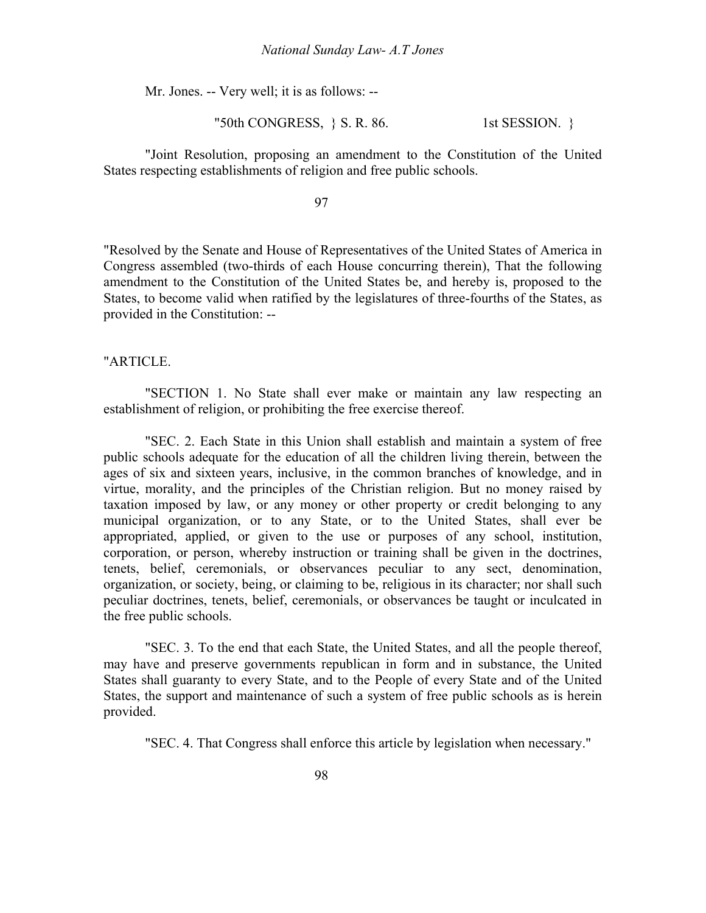Mr. Jones. -- Very well; it is as follows: --

"50th CONGRESS,  $\{S. R. 86.$  1st SESSION.  $\}$ 

 "Joint Resolution, proposing an amendment to the Constitution of the United States respecting establishments of religion and free public schools.

97

"Resolved by the Senate and House of Representatives of the United States of America in Congress assembled (two-thirds of each House concurring therein), That the following amendment to the Constitution of the United States be, and hereby is, proposed to the States, to become valid when ratified by the legislatures of three-fourths of the States, as provided in the Constitution: --

"ARTICLE.

 "SECTION 1. No State shall ever make or maintain any law respecting an establishment of religion, or prohibiting the free exercise thereof.

 "SEC. 2. Each State in this Union shall establish and maintain a system of free public schools adequate for the education of all the children living therein, between the ages of six and sixteen years, inclusive, in the common branches of knowledge, and in virtue, morality, and the principles of the Christian religion. But no money raised by taxation imposed by law, or any money or other property or credit belonging to any municipal organization, or to any State, or to the United States, shall ever be appropriated, applied, or given to the use or purposes of any school, institution, corporation, or person, whereby instruction or training shall be given in the doctrines, tenets, belief, ceremonials, or observances peculiar to any sect, denomination, organization, or society, being, or claiming to be, religious in its character; nor shall such peculiar doctrines, tenets, belief, ceremonials, or observances be taught or inculcated in the free public schools.

 "SEC. 3. To the end that each State, the United States, and all the people thereof, may have and preserve governments republican in form and in substance, the United States shall guaranty to every State, and to the People of every State and of the United States, the support and maintenance of such a system of free public schools as is herein provided.

"SEC. 4. That Congress shall enforce this article by legislation when necessary."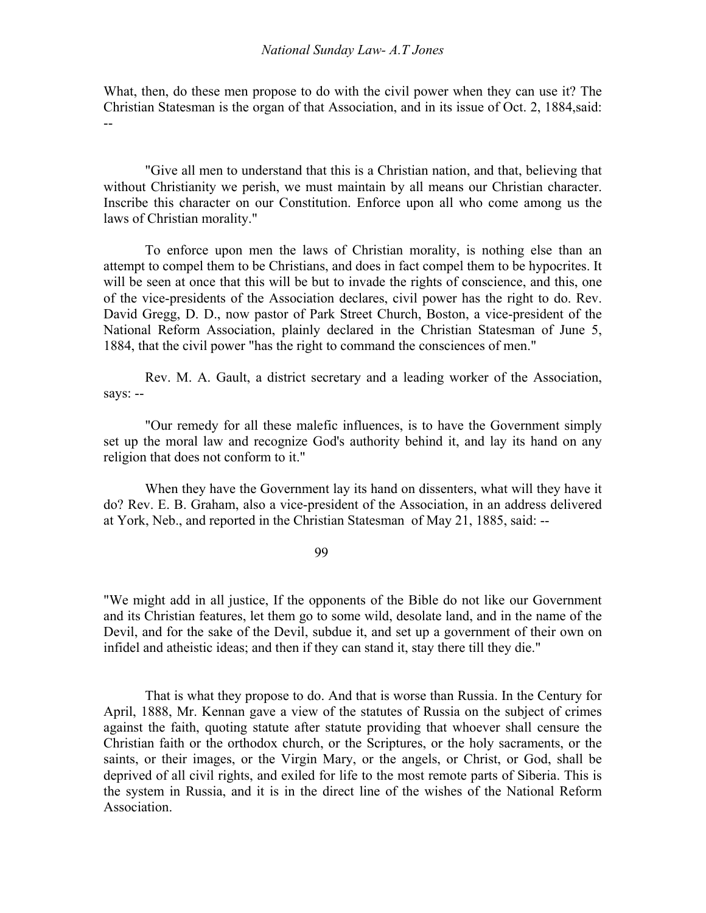What, then, do these men propose to do with the civil power when they can use it? The Christian Statesman is the organ of that Association, and in its issue of Oct. 2, 1884,said: --

 "Give all men to understand that this is a Christian nation, and that, believing that without Christianity we perish, we must maintain by all means our Christian character. Inscribe this character on our Constitution. Enforce upon all who come among us the laws of Christian morality."

 To enforce upon men the laws of Christian morality, is nothing else than an attempt to compel them to be Christians, and does in fact compel them to be hypocrites. It will be seen at once that this will be but to invade the rights of conscience, and this, one of the vice-presidents of the Association declares, civil power has the right to do. Rev. David Gregg, D. D., now pastor of Park Street Church, Boston, a vice-president of the National Reform Association, plainly declared in the Christian Statesman of June 5, 1884, that the civil power "has the right to command the consciences of men."

 Rev. M. A. Gault, a district secretary and a leading worker of the Association, says: --

 "Our remedy for all these malefic influences, is to have the Government simply set up the moral law and recognize God's authority behind it, and lay its hand on any religion that does not conform to it."

 When they have the Government lay its hand on dissenters, what will they have it do? Rev. E. B. Graham, also a vice-president of the Association, in an address delivered at York, Neb., and reported in the Christian Statesman of May 21, 1885, said: --

99

"We might add in all justice, If the opponents of the Bible do not like our Government and its Christian features, let them go to some wild, desolate land, and in the name of the Devil, and for the sake of the Devil, subdue it, and set up a government of their own on infidel and atheistic ideas; and then if they can stand it, stay there till they die."

 That is what they propose to do. And that is worse than Russia. In the Century for April, 1888, Mr. Kennan gave a view of the statutes of Russia on the subject of crimes against the faith, quoting statute after statute providing that whoever shall censure the Christian faith or the orthodox church, or the Scriptures, or the holy sacraments, or the saints, or their images, or the Virgin Mary, or the angels, or Christ, or God, shall be deprived of all civil rights, and exiled for life to the most remote parts of Siberia. This is the system in Russia, and it is in the direct line of the wishes of the National Reform Association.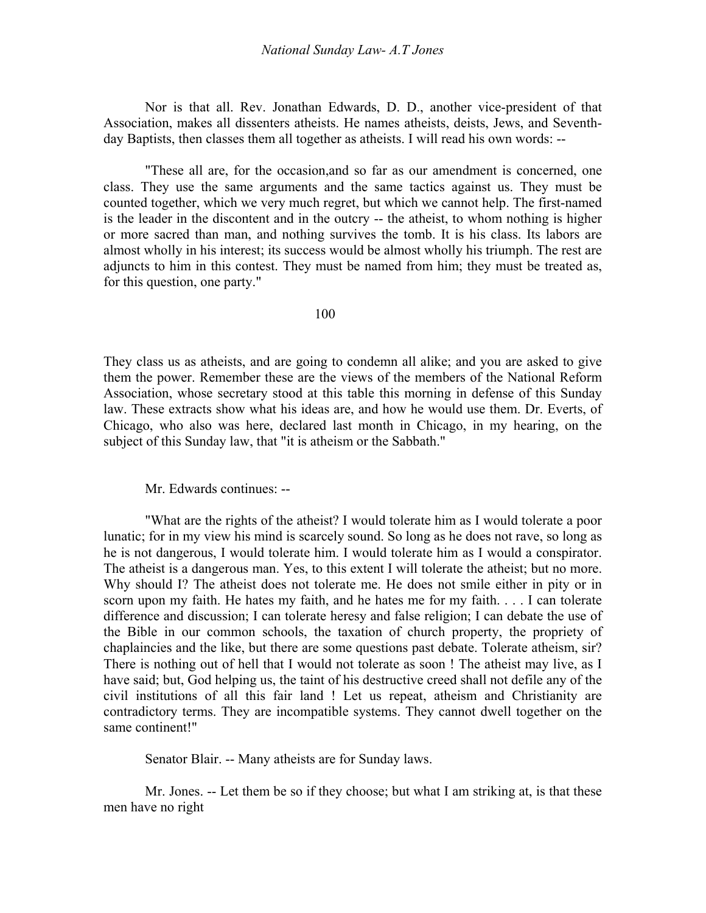Nor is that all. Rev. Jonathan Edwards, D. D., another vice-president of that Association, makes all dissenters atheists. He names atheists, deists, Jews, and Seventhday Baptists, then classes them all together as atheists. I will read his own words: --

 "These all are, for the occasion,and so far as our amendment is concerned, one class. They use the same arguments and the same tactics against us. They must be counted together, which we very much regret, but which we cannot help. The first-named is the leader in the discontent and in the outcry -- the atheist, to whom nothing is higher or more sacred than man, and nothing survives the tomb. It is his class. Its labors are almost wholly in his interest; its success would be almost wholly his triumph. The rest are adjuncts to him in this contest. They must be named from him; they must be treated as, for this question, one party."

100

They class us as atheists, and are going to condemn all alike; and you are asked to give them the power. Remember these are the views of the members of the National Reform Association, whose secretary stood at this table this morning in defense of this Sunday law. These extracts show what his ideas are, and how he would use them. Dr. Everts, of Chicago, who also was here, declared last month in Chicago, in my hearing, on the subject of this Sunday law, that "it is atheism or the Sabbath."

Mr. Edwards continues: --

 "What are the rights of the atheist? I would tolerate him as I would tolerate a poor lunatic; for in my view his mind is scarcely sound. So long as he does not rave, so long as he is not dangerous, I would tolerate him. I would tolerate him as I would a conspirator. The atheist is a dangerous man. Yes, to this extent I will tolerate the atheist; but no more. Why should I? The atheist does not tolerate me. He does not smile either in pity or in scorn upon my faith. He hates my faith, and he hates me for my faith. . . . I can tolerate difference and discussion; I can tolerate heresy and false religion; I can debate the use of the Bible in our common schools, the taxation of church property, the propriety of chaplaincies and the like, but there are some questions past debate. Tolerate atheism, sir? There is nothing out of hell that I would not tolerate as soon ! The atheist may live, as I have said; but, God helping us, the taint of his destructive creed shall not defile any of the civil institutions of all this fair land ! Let us repeat, atheism and Christianity are contradictory terms. They are incompatible systems. They cannot dwell together on the same continent!"

Senator Blair. -- Many atheists are for Sunday laws.

 Mr. Jones. -- Let them be so if they choose; but what I am striking at, is that these men have no right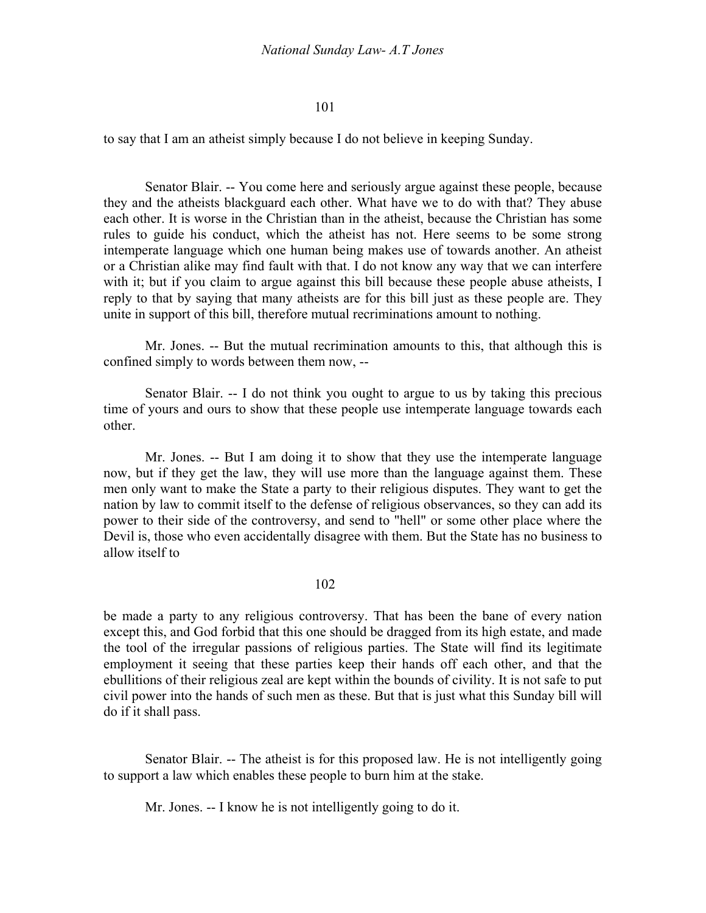## 101

to say that I am an atheist simply because I do not believe in keeping Sunday.

 Senator Blair. -- You come here and seriously argue against these people, because they and the atheists blackguard each other. What have we to do with that? They abuse each other. It is worse in the Christian than in the atheist, because the Christian has some rules to guide his conduct, which the atheist has not. Here seems to be some strong intemperate language which one human being makes use of towards another. An atheist or a Christian alike may find fault with that. I do not know any way that we can interfere with it; but if you claim to argue against this bill because these people abuse atheists. I reply to that by saying that many atheists are for this bill just as these people are. They unite in support of this bill, therefore mutual recriminations amount to nothing.

 Mr. Jones. -- But the mutual recrimination amounts to this, that although this is confined simply to words between them now, --

 Senator Blair. -- I do not think you ought to argue to us by taking this precious time of yours and ours to show that these people use intemperate language towards each other.

 Mr. Jones. -- But I am doing it to show that they use the intemperate language now, but if they get the law, they will use more than the language against them. These men only want to make the State a party to their religious disputes. They want to get the nation by law to commit itself to the defense of religious observances, so they can add its power to their side of the controversy, and send to "hell" or some other place where the Devil is, those who even accidentally disagree with them. But the State has no business to allow itself to

## 102

be made a party to any religious controversy. That has been the bane of every nation except this, and God forbid that this one should be dragged from its high estate, and made the tool of the irregular passions of religious parties. The State will find its legitimate employment it seeing that these parties keep their hands off each other, and that the ebullitions of their religious zeal are kept within the bounds of civility. It is not safe to put civil power into the hands of such men as these. But that is just what this Sunday bill will do if it shall pass.

 Senator Blair. -- The atheist is for this proposed law. He is not intelligently going to support a law which enables these people to burn him at the stake.

Mr. Jones. -- I know he is not intelligently going to do it.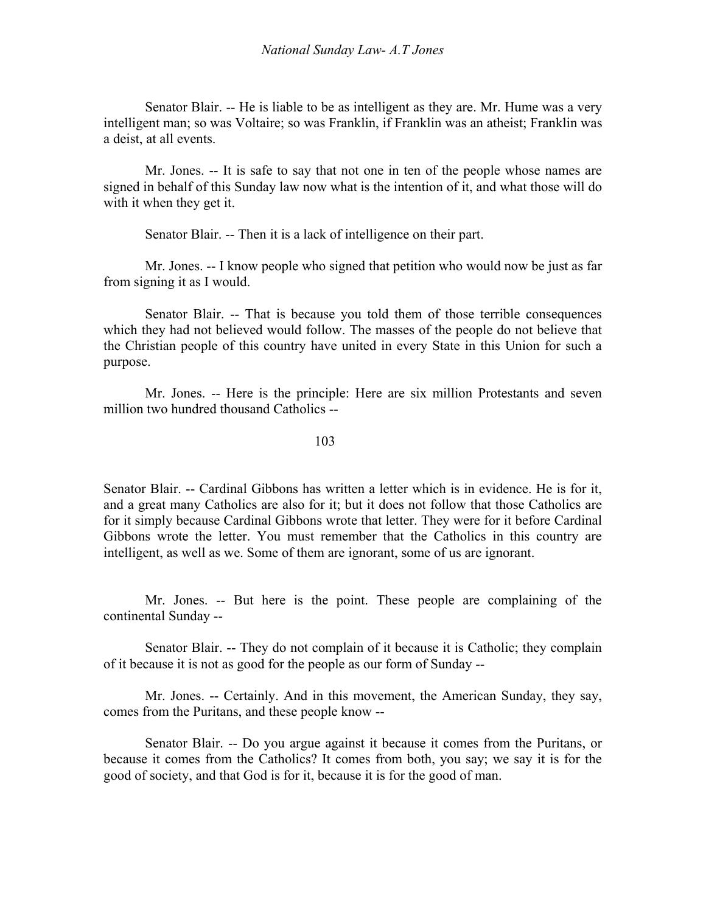Senator Blair. -- He is liable to be as intelligent as they are. Mr. Hume was a very intelligent man; so was Voltaire; so was Franklin, if Franklin was an atheist; Franklin was a deist, at all events.

 Mr. Jones. -- It is safe to say that not one in ten of the people whose names are signed in behalf of this Sunday law now what is the intention of it, and what those will do with it when they get it.

Senator Blair. -- Then it is a lack of intelligence on their part.

 Mr. Jones. -- I know people who signed that petition who would now be just as far from signing it as I would.

 Senator Blair. -- That is because you told them of those terrible consequences which they had not believed would follow. The masses of the people do not believe that the Christian people of this country have united in every State in this Union for such a purpose.

 Mr. Jones. -- Here is the principle: Here are six million Protestants and seven million two hundred thousand Catholics --

# 103

Senator Blair. -- Cardinal Gibbons has written a letter which is in evidence. He is for it, and a great many Catholics are also for it; but it does not follow that those Catholics are for it simply because Cardinal Gibbons wrote that letter. They were for it before Cardinal Gibbons wrote the letter. You must remember that the Catholics in this country are intelligent, as well as we. Some of them are ignorant, some of us are ignorant.

 Mr. Jones. -- But here is the point. These people are complaining of the continental Sunday --

 Senator Blair. -- They do not complain of it because it is Catholic; they complain of it because it is not as good for the people as our form of Sunday --

 Mr. Jones. -- Certainly. And in this movement, the American Sunday, they say, comes from the Puritans, and these people know --

 Senator Blair. -- Do you argue against it because it comes from the Puritans, or because it comes from the Catholics? It comes from both, you say; we say it is for the good of society, and that God is for it, because it is for the good of man.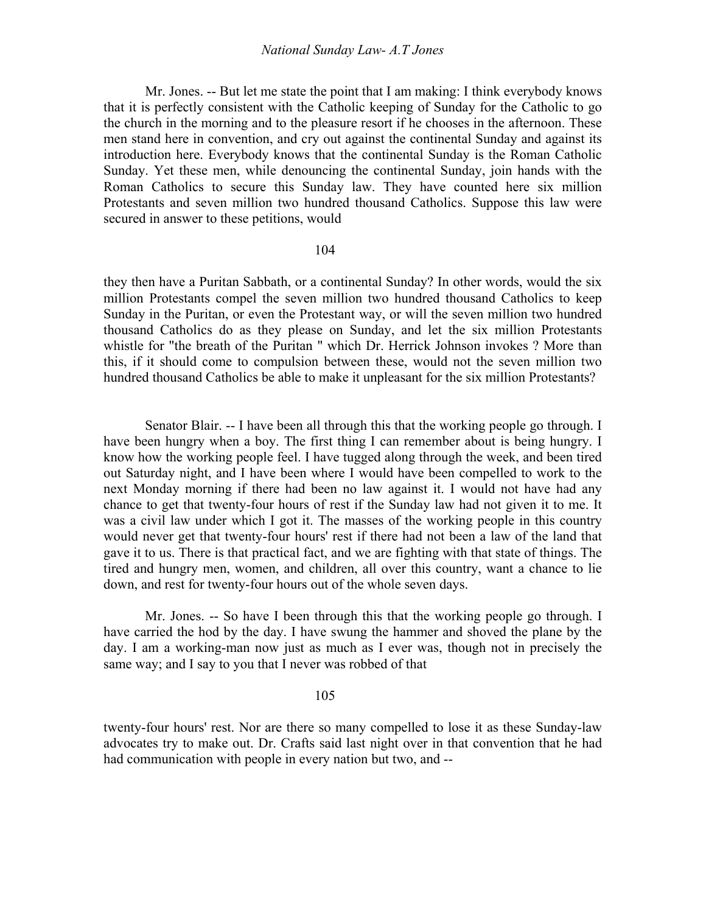Mr. Jones. -- But let me state the point that I am making: I think everybody knows that it is perfectly consistent with the Catholic keeping of Sunday for the Catholic to go the church in the morning and to the pleasure resort if he chooses in the afternoon. These men stand here in convention, and cry out against the continental Sunday and against its introduction here. Everybody knows that the continental Sunday is the Roman Catholic Sunday. Yet these men, while denouncing the continental Sunday, join hands with the Roman Catholics to secure this Sunday law. They have counted here six million Protestants and seven million two hundred thousand Catholics. Suppose this law were secured in answer to these petitions, would

## 104

they then have a Puritan Sabbath, or a continental Sunday? In other words, would the six million Protestants compel the seven million two hundred thousand Catholics to keep Sunday in the Puritan, or even the Protestant way, or will the seven million two hundred thousand Catholics do as they please on Sunday, and let the six million Protestants whistle for "the breath of the Puritan " which Dr. Herrick Johnson invokes ? More than this, if it should come to compulsion between these, would not the seven million two hundred thousand Catholics be able to make it unpleasant for the six million Protestants?

 Senator Blair. -- I have been all through this that the working people go through. I have been hungry when a boy. The first thing I can remember about is being hungry. I know how the working people feel. I have tugged along through the week, and been tired out Saturday night, and I have been where I would have been compelled to work to the next Monday morning if there had been no law against it. I would not have had any chance to get that twenty-four hours of rest if the Sunday law had not given it to me. It was a civil law under which I got it. The masses of the working people in this country would never get that twenty-four hours' rest if there had not been a law of the land that gave it to us. There is that practical fact, and we are fighting with that state of things. The tired and hungry men, women, and children, all over this country, want a chance to lie down, and rest for twenty-four hours out of the whole seven days.

 Mr. Jones. -- So have I been through this that the working people go through. I have carried the hod by the day. I have swung the hammer and shoved the plane by the day. I am a working-man now just as much as I ever was, though not in precisely the same way; and I say to you that I never was robbed of that

## 105

twenty-four hours' rest. Nor are there so many compelled to lose it as these Sunday-law advocates try to make out. Dr. Crafts said last night over in that convention that he had had communication with people in every nation but two, and --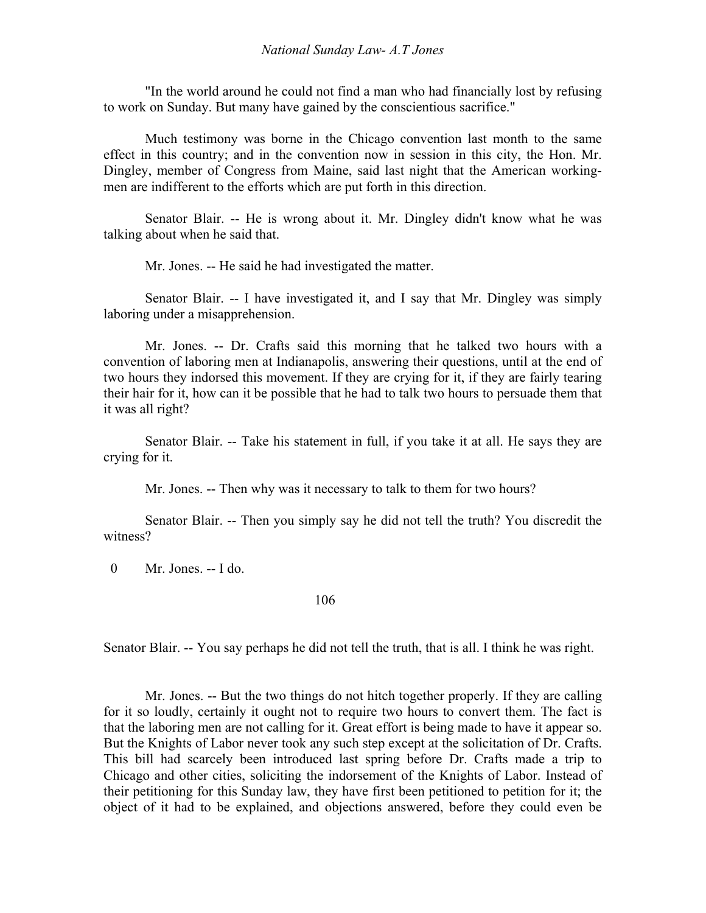"In the world around he could not find a man who had financially lost by refusing to work on Sunday. But many have gained by the conscientious sacrifice."

 Much testimony was borne in the Chicago convention last month to the same effect in this country; and in the convention now in session in this city, the Hon. Mr. Dingley, member of Congress from Maine, said last night that the American workingmen are indifferent to the efforts which are put forth in this direction.

 Senator Blair. -- He is wrong about it. Mr. Dingley didn't know what he was talking about when he said that.

Mr. Jones. -- He said he had investigated the matter.

 Senator Blair. -- I have investigated it, and I say that Mr. Dingley was simply laboring under a misapprehension.

 Mr. Jones. -- Dr. Crafts said this morning that he talked two hours with a convention of laboring men at Indianapolis, answering their questions, until at the end of two hours they indorsed this movement. If they are crying for it, if they are fairly tearing their hair for it, how can it be possible that he had to talk two hours to persuade them that it was all right?

 Senator Blair. -- Take his statement in full, if you take it at all. He says they are crying for it.

Mr. Jones. -- Then why was it necessary to talk to them for two hours?

 Senator Blair. -- Then you simply say he did not tell the truth? You discredit the witness?

0 Mr. Jones. -- I do.

106

Senator Blair. -- You say perhaps he did not tell the truth, that is all. I think he was right.

 Mr. Jones. -- But the two things do not hitch together properly. If they are calling for it so loudly, certainly it ought not to require two hours to convert them. The fact is that the laboring men are not calling for it. Great effort is being made to have it appear so. But the Knights of Labor never took any such step except at the solicitation of Dr. Crafts. This bill had scarcely been introduced last spring before Dr. Crafts made a trip to Chicago and other cities, soliciting the indorsement of the Knights of Labor. Instead of their petitioning for this Sunday law, they have first been petitioned to petition for it; the object of it had to be explained, and objections answered, before they could even be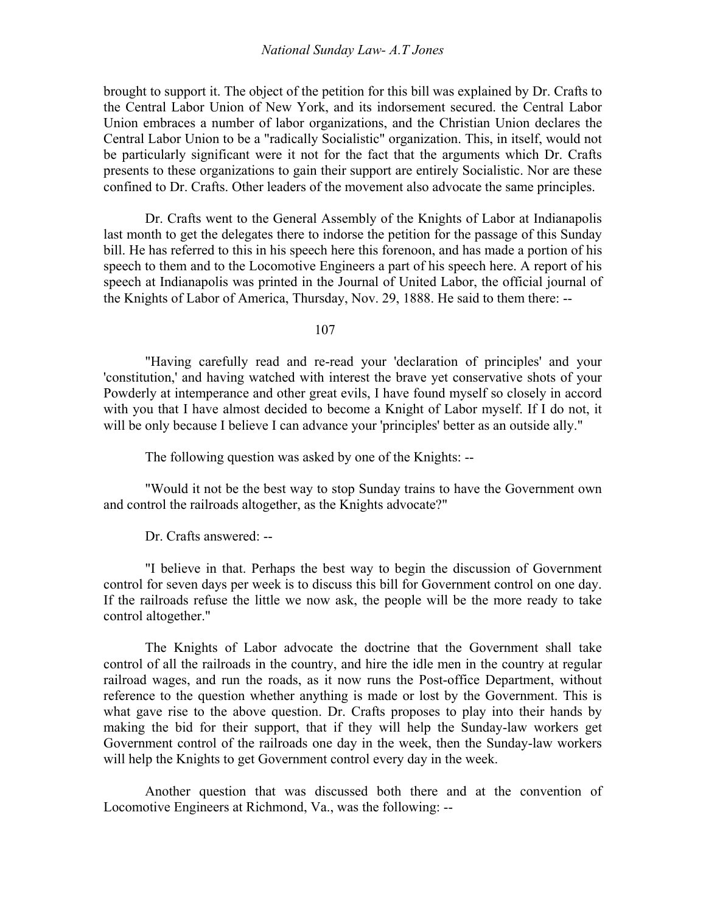brought to support it. The object of the petition for this bill was explained by Dr. Crafts to the Central Labor Union of New York, and its indorsement secured. the Central Labor Union embraces a number of labor organizations, and the Christian Union declares the Central Labor Union to be a "radically Socialistic" organization. This, in itself, would not be particularly significant were it not for the fact that the arguments which Dr. Crafts presents to these organizations to gain their support are entirely Socialistic. Nor are these confined to Dr. Crafts. Other leaders of the movement also advocate the same principles.

 Dr. Crafts went to the General Assembly of the Knights of Labor at Indianapolis last month to get the delegates there to indorse the petition for the passage of this Sunday bill. He has referred to this in his speech here this forenoon, and has made a portion of his speech to them and to the Locomotive Engineers a part of his speech here. A report of his speech at Indianapolis was printed in the Journal of United Labor, the official journal of the Knights of Labor of America, Thursday, Nov. 29, 1888. He said to them there: --

107

 "Having carefully read and re-read your 'declaration of principles' and your 'constitution,' and having watched with interest the brave yet conservative shots of your Powderly at intemperance and other great evils, I have found myself so closely in accord with you that I have almost decided to become a Knight of Labor myself. If I do not, it will be only because I believe I can advance your 'principles' better as an outside ally."

The following question was asked by one of the Knights: --

 "Would it not be the best way to stop Sunday trains to have the Government own and control the railroads altogether, as the Knights advocate?"

Dr. Crafts answered: --

 "I believe in that. Perhaps the best way to begin the discussion of Government control for seven days per week is to discuss this bill for Government control on one day. If the railroads refuse the little we now ask, the people will be the more ready to take control altogether."

 The Knights of Labor advocate the doctrine that the Government shall take control of all the railroads in the country, and hire the idle men in the country at regular railroad wages, and run the roads, as it now runs the Post-office Department, without reference to the question whether anything is made or lost by the Government. This is what gave rise to the above question. Dr. Crafts proposes to play into their hands by making the bid for their support, that if they will help the Sunday-law workers get Government control of the railroads one day in the week, then the Sunday-law workers will help the Knights to get Government control every day in the week.

 Another question that was discussed both there and at the convention of Locomotive Engineers at Richmond, Va., was the following: --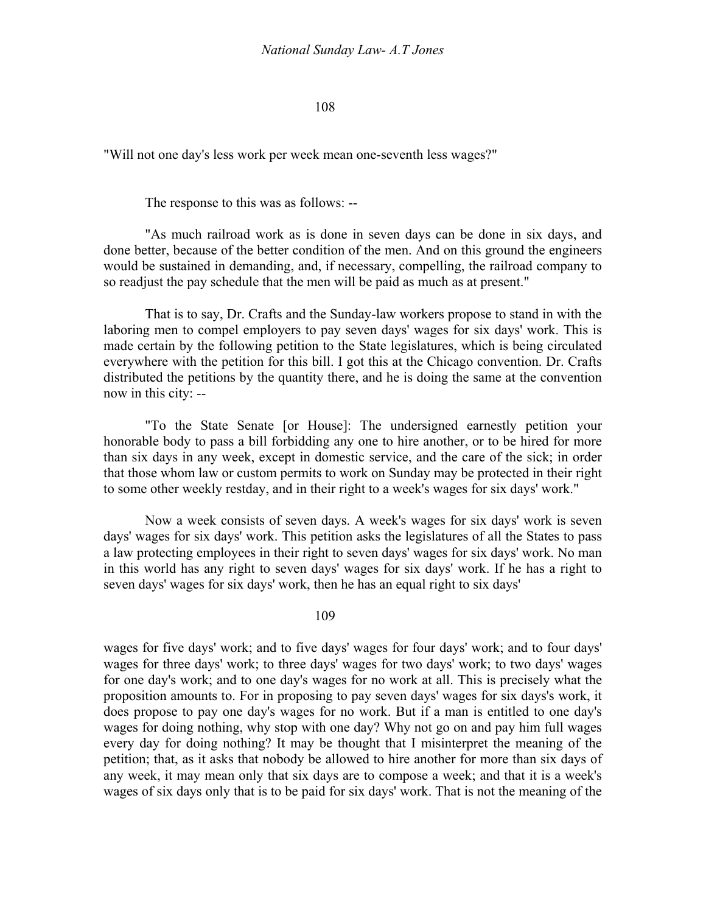### 108

"Will not one day's less work per week mean one-seventh less wages?"

The response to this was as follows: --

 "As much railroad work as is done in seven days can be done in six days, and done better, because of the better condition of the men. And on this ground the engineers would be sustained in demanding, and, if necessary, compelling, the railroad company to so readjust the pay schedule that the men will be paid as much as at present."

 That is to say, Dr. Crafts and the Sunday-law workers propose to stand in with the laboring men to compel employers to pay seven days' wages for six days' work. This is made certain by the following petition to the State legislatures, which is being circulated everywhere with the petition for this bill. I got this at the Chicago convention. Dr. Crafts distributed the petitions by the quantity there, and he is doing the same at the convention now in this city: --

 "To the State Senate [or House]: The undersigned earnestly petition your honorable body to pass a bill forbidding any one to hire another, or to be hired for more than six days in any week, except in domestic service, and the care of the sick; in order that those whom law or custom permits to work on Sunday may be protected in their right to some other weekly restday, and in their right to a week's wages for six days' work."

 Now a week consists of seven days. A week's wages for six days' work is seven days' wages for six days' work. This petition asks the legislatures of all the States to pass a law protecting employees in their right to seven days' wages for six days' work. No man in this world has any right to seven days' wages for six days' work. If he has a right to seven days' wages for six days' work, then he has an equal right to six days'

109

wages for five days' work; and to five days' wages for four days' work; and to four days' wages for three days' work; to three days' wages for two days' work; to two days' wages for one day's work; and to one day's wages for no work at all. This is precisely what the proposition amounts to. For in proposing to pay seven days' wages for six days's work, it does propose to pay one day's wages for no work. But if a man is entitled to one day's wages for doing nothing, why stop with one day? Why not go on and pay him full wages every day for doing nothing? It may be thought that I misinterpret the meaning of the petition; that, as it asks that nobody be allowed to hire another for more than six days of any week, it may mean only that six days are to compose a week; and that it is a week's wages of six days only that is to be paid for six days' work. That is not the meaning of the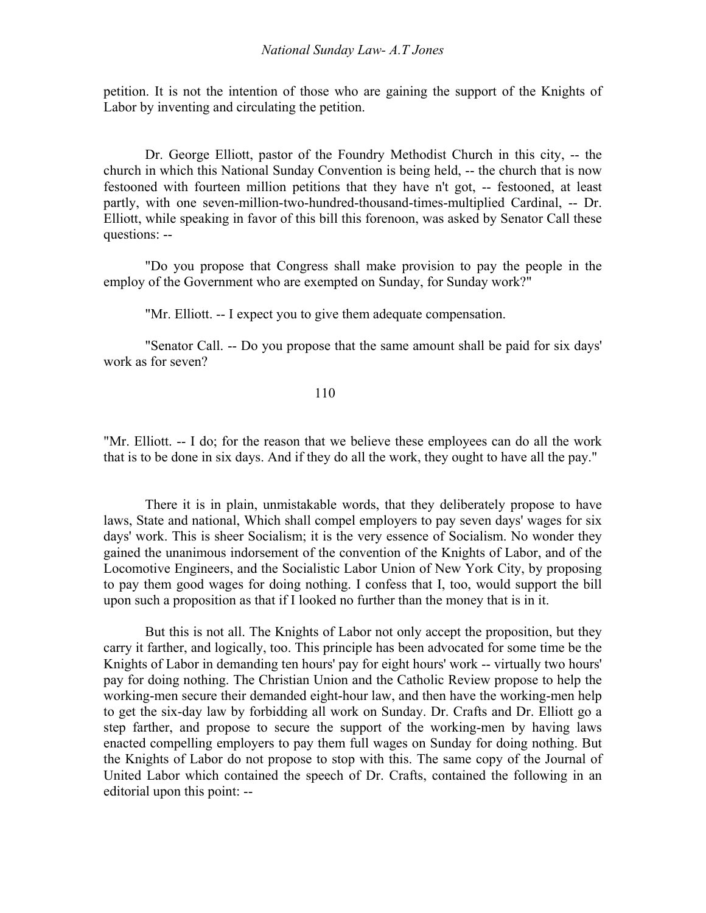petition. It is not the intention of those who are gaining the support of the Knights of Labor by inventing and circulating the petition.

 Dr. George Elliott, pastor of the Foundry Methodist Church in this city, -- the church in which this National Sunday Convention is being held, -- the church that is now festooned with fourteen million petitions that they have n't got, -- festooned, at least partly, with one seven-million-two-hundred-thousand-times-multiplied Cardinal, -- Dr. Elliott, while speaking in favor of this bill this forenoon, was asked by Senator Call these questions: --

 "Do you propose that Congress shall make provision to pay the people in the employ of the Government who are exempted on Sunday, for Sunday work?"

"Mr. Elliott. -- I expect you to give them adequate compensation.

 "Senator Call. -- Do you propose that the same amount shall be paid for six days' work as for seven?

### 110

"Mr. Elliott. -- I do; for the reason that we believe these employees can do all the work that is to be done in six days. And if they do all the work, they ought to have all the pay."

 There it is in plain, unmistakable words, that they deliberately propose to have laws, State and national, Which shall compel employers to pay seven days' wages for six days' work. This is sheer Socialism; it is the very essence of Socialism. No wonder they gained the unanimous indorsement of the convention of the Knights of Labor, and of the Locomotive Engineers, and the Socialistic Labor Union of New York City, by proposing to pay them good wages for doing nothing. I confess that I, too, would support the bill upon such a proposition as that if I looked no further than the money that is in it.

 But this is not all. The Knights of Labor not only accept the proposition, but they carry it farther, and logically, too. This principle has been advocated for some time be the Knights of Labor in demanding ten hours' pay for eight hours' work -- virtually two hours' pay for doing nothing. The Christian Union and the Catholic Review propose to help the working-men secure their demanded eight-hour law, and then have the working-men help to get the six-day law by forbidding all work on Sunday. Dr. Crafts and Dr. Elliott go a step farther, and propose to secure the support of the working-men by having laws enacted compelling employers to pay them full wages on Sunday for doing nothing. But the Knights of Labor do not propose to stop with this. The same copy of the Journal of United Labor which contained the speech of Dr. Crafts, contained the following in an editorial upon this point: --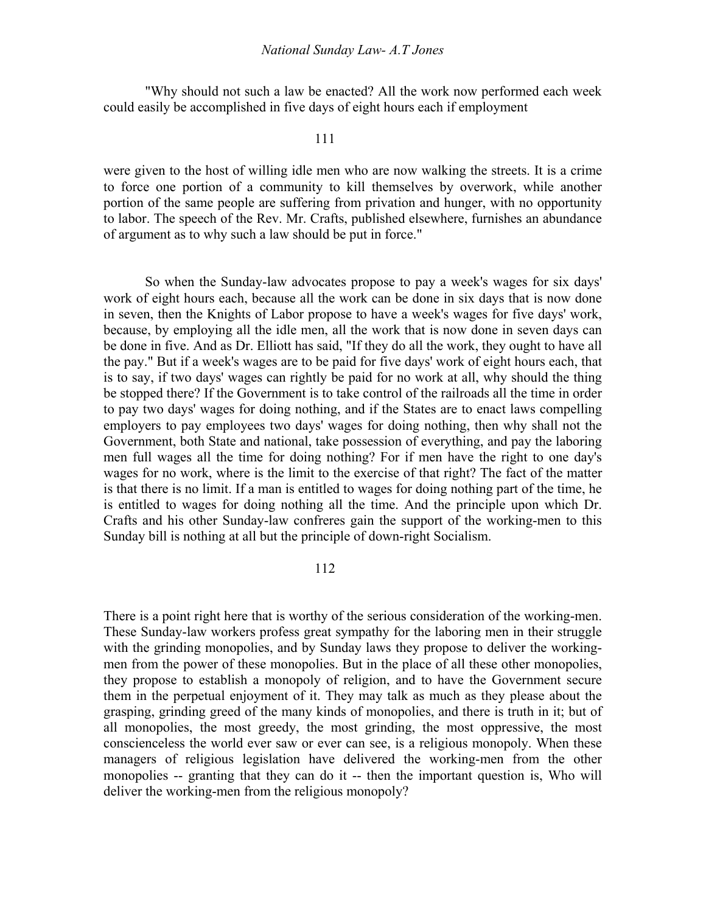"Why should not such a law be enacted? All the work now performed each week could easily be accomplished in five days of eight hours each if employment

### 111

were given to the host of willing idle men who are now walking the streets. It is a crime to force one portion of a community to kill themselves by overwork, while another portion of the same people are suffering from privation and hunger, with no opportunity to labor. The speech of the Rev. Mr. Crafts, published elsewhere, furnishes an abundance of argument as to why such a law should be put in force."

 So when the Sunday-law advocates propose to pay a week's wages for six days' work of eight hours each, because all the work can be done in six days that is now done in seven, then the Knights of Labor propose to have a week's wages for five days' work, because, by employing all the idle men, all the work that is now done in seven days can be done in five. And as Dr. Elliott has said, "If they do all the work, they ought to have all the pay." But if a week's wages are to be paid for five days' work of eight hours each, that is to say, if two days' wages can rightly be paid for no work at all, why should the thing be stopped there? If the Government is to take control of the railroads all the time in order to pay two days' wages for doing nothing, and if the States are to enact laws compelling employers to pay employees two days' wages for doing nothing, then why shall not the Government, both State and national, take possession of everything, and pay the laboring men full wages all the time for doing nothing? For if men have the right to one day's wages for no work, where is the limit to the exercise of that right? The fact of the matter is that there is no limit. If a man is entitled to wages for doing nothing part of the time, he is entitled to wages for doing nothing all the time. And the principle upon which Dr. Crafts and his other Sunday-law confreres gain the support of the working-men to this Sunday bill is nothing at all but the principle of down-right Socialism.

# 112

There is a point right here that is worthy of the serious consideration of the working-men. These Sunday-law workers profess great sympathy for the laboring men in their struggle with the grinding monopolies, and by Sunday laws they propose to deliver the workingmen from the power of these monopolies. But in the place of all these other monopolies, they propose to establish a monopoly of religion, and to have the Government secure them in the perpetual enjoyment of it. They may talk as much as they please about the grasping, grinding greed of the many kinds of monopolies, and there is truth in it; but of all monopolies, the most greedy, the most grinding, the most oppressive, the most conscienceless the world ever saw or ever can see, is a religious monopoly. When these managers of religious legislation have delivered the working-men from the other monopolies -- granting that they can do it -- then the important question is, Who will deliver the working-men from the religious monopoly?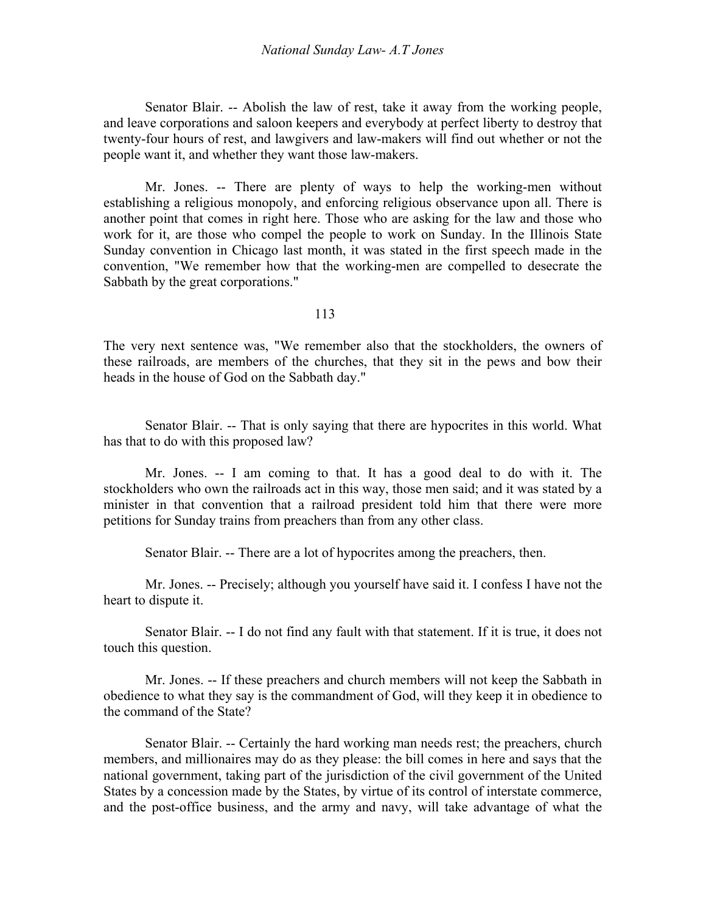Senator Blair. -- Abolish the law of rest, take it away from the working people, and leave corporations and saloon keepers and everybody at perfect liberty to destroy that twenty-four hours of rest, and lawgivers and law-makers will find out whether or not the people want it, and whether they want those law-makers.

 Mr. Jones. -- There are plenty of ways to help the working-men without establishing a religious monopoly, and enforcing religious observance upon all. There is another point that comes in right here. Those who are asking for the law and those who work for it, are those who compel the people to work on Sunday. In the Illinois State Sunday convention in Chicago last month, it was stated in the first speech made in the convention, "We remember how that the working-men are compelled to desecrate the Sabbath by the great corporations."

# 113

The very next sentence was, "We remember also that the stockholders, the owners of these railroads, are members of the churches, that they sit in the pews and bow their heads in the house of God on the Sabbath day."

 Senator Blair. -- That is only saying that there are hypocrites in this world. What has that to do with this proposed law?

 Mr. Jones. -- I am coming to that. It has a good deal to do with it. The stockholders who own the railroads act in this way, those men said; and it was stated by a minister in that convention that a railroad president told him that there were more petitions for Sunday trains from preachers than from any other class.

Senator Blair. -- There are a lot of hypocrites among the preachers, then.

 Mr. Jones. -- Precisely; although you yourself have said it. I confess I have not the heart to dispute it.

 Senator Blair. -- I do not find any fault with that statement. If it is true, it does not touch this question.

 Mr. Jones. -- If these preachers and church members will not keep the Sabbath in obedience to what they say is the commandment of God, will they keep it in obedience to the command of the State?

 Senator Blair. -- Certainly the hard working man needs rest; the preachers, church members, and millionaires may do as they please: the bill comes in here and says that the national government, taking part of the jurisdiction of the civil government of the United States by a concession made by the States, by virtue of its control of interstate commerce, and the post-office business, and the army and navy, will take advantage of what the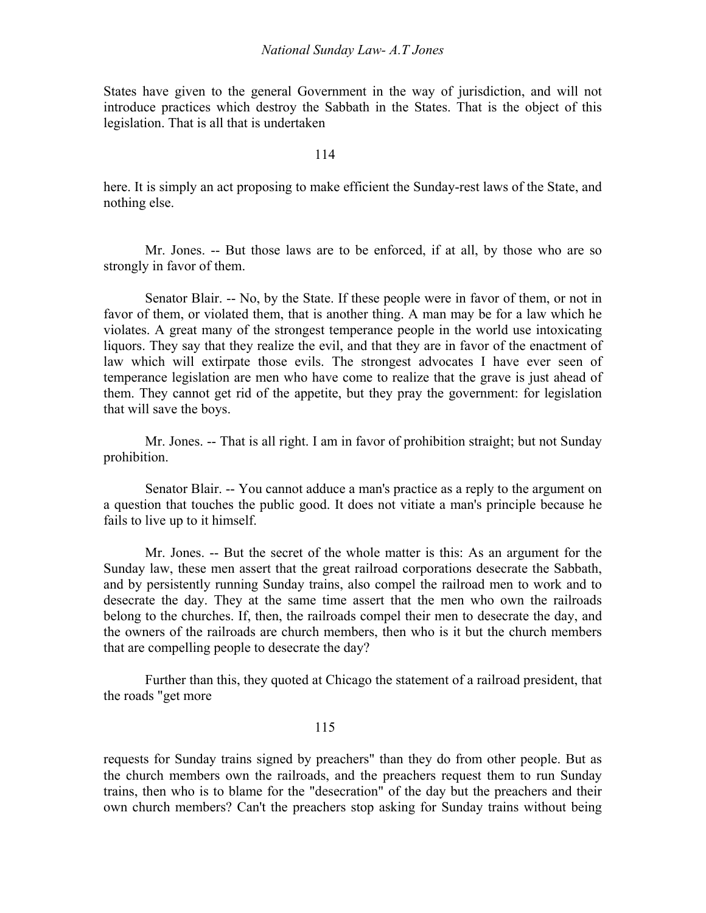States have given to the general Government in the way of jurisdiction, and will not introduce practices which destroy the Sabbath in the States. That is the object of this legislation. That is all that is undertaken

### 114

here. It is simply an act proposing to make efficient the Sunday-rest laws of the State, and nothing else.

 Mr. Jones. -- But those laws are to be enforced, if at all, by those who are so strongly in favor of them.

 Senator Blair. -- No, by the State. If these people were in favor of them, or not in favor of them, or violated them, that is another thing. A man may be for a law which he violates. A great many of the strongest temperance people in the world use intoxicating liquors. They say that they realize the evil, and that they are in favor of the enactment of law which will extirpate those evils. The strongest advocates I have ever seen of temperance legislation are men who have come to realize that the grave is just ahead of them. They cannot get rid of the appetite, but they pray the government: for legislation that will save the boys.

 Mr. Jones. -- That is all right. I am in favor of prohibition straight; but not Sunday prohibition.

 Senator Blair. -- You cannot adduce a man's practice as a reply to the argument on a question that touches the public good. It does not vitiate a man's principle because he fails to live up to it himself.

 Mr. Jones. -- But the secret of the whole matter is this: As an argument for the Sunday law, these men assert that the great railroad corporations desecrate the Sabbath, and by persistently running Sunday trains, also compel the railroad men to work and to desecrate the day. They at the same time assert that the men who own the railroads belong to the churches. If, then, the railroads compel their men to desecrate the day, and the owners of the railroads are church members, then who is it but the church members that are compelling people to desecrate the day?

 Further than this, they quoted at Chicago the statement of a railroad president, that the roads "get more

### 115

requests for Sunday trains signed by preachers" than they do from other people. But as the church members own the railroads, and the preachers request them to run Sunday trains, then who is to blame for the "desecration" of the day but the preachers and their own church members? Can't the preachers stop asking for Sunday trains without being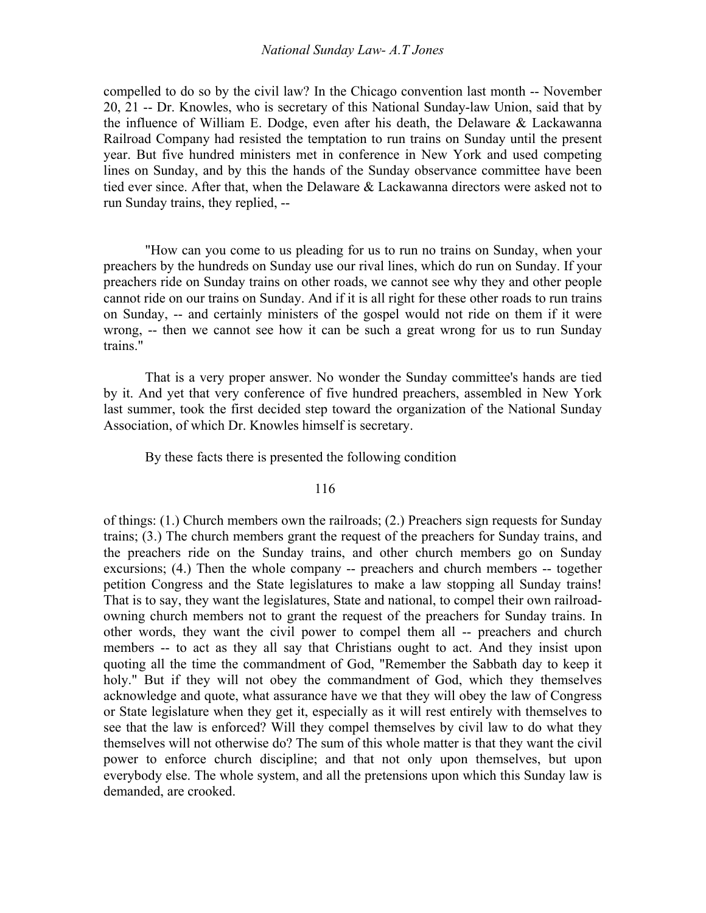compelled to do so by the civil law? In the Chicago convention last month -- November 20, 21 -- Dr. Knowles, who is secretary of this National Sunday-law Union, said that by the influence of William E. Dodge, even after his death, the Delaware & Lackawanna Railroad Company had resisted the temptation to run trains on Sunday until the present year. But five hundred ministers met in conference in New York and used competing lines on Sunday, and by this the hands of the Sunday observance committee have been tied ever since. After that, when the Delaware & Lackawanna directors were asked not to run Sunday trains, they replied, --

 "How can you come to us pleading for us to run no trains on Sunday, when your preachers by the hundreds on Sunday use our rival lines, which do run on Sunday. If your preachers ride on Sunday trains on other roads, we cannot see why they and other people cannot ride on our trains on Sunday. And if it is all right for these other roads to run trains on Sunday, -- and certainly ministers of the gospel would not ride on them if it were wrong, -- then we cannot see how it can be such a great wrong for us to run Sunday trains."

 That is a very proper answer. No wonder the Sunday committee's hands are tied by it. And yet that very conference of five hundred preachers, assembled in New York last summer, took the first decided step toward the organization of the National Sunday Association, of which Dr. Knowles himself is secretary.

By these facts there is presented the following condition

### 116

of things: (1.) Church members own the railroads; (2.) Preachers sign requests for Sunday trains; (3.) The church members grant the request of the preachers for Sunday trains, and the preachers ride on the Sunday trains, and other church members go on Sunday excursions; (4.) Then the whole company -- preachers and church members -- together petition Congress and the State legislatures to make a law stopping all Sunday trains! That is to say, they want the legislatures, State and national, to compel their own railroadowning church members not to grant the request of the preachers for Sunday trains. In other words, they want the civil power to compel them all -- preachers and church members -- to act as they all say that Christians ought to act. And they insist upon quoting all the time the commandment of God, "Remember the Sabbath day to keep it holy." But if they will not obey the commandment of God, which they themselves acknowledge and quote, what assurance have we that they will obey the law of Congress or State legislature when they get it, especially as it will rest entirely with themselves to see that the law is enforced? Will they compel themselves by civil law to do what they themselves will not otherwise do? The sum of this whole matter is that they want the civil power to enforce church discipline; and that not only upon themselves, but upon everybody else. The whole system, and all the pretensions upon which this Sunday law is demanded, are crooked.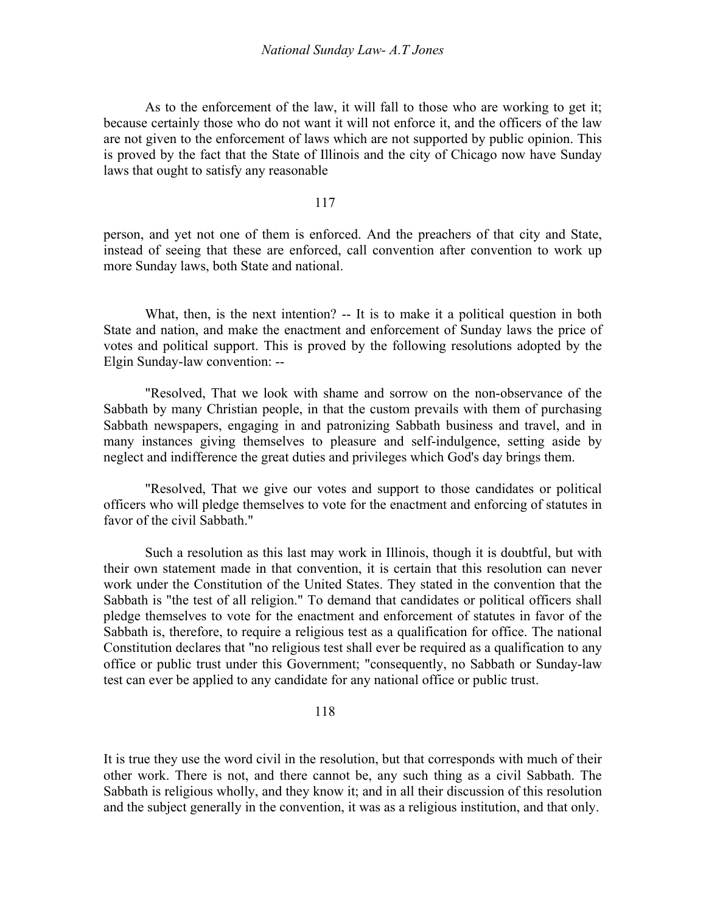As to the enforcement of the law, it will fall to those who are working to get it; because certainly those who do not want it will not enforce it, and the officers of the law are not given to the enforcement of laws which are not supported by public opinion. This is proved by the fact that the State of Illinois and the city of Chicago now have Sunday laws that ought to satisfy any reasonable

117

person, and yet not one of them is enforced. And the preachers of that city and State, instead of seeing that these are enforced, call convention after convention to work up more Sunday laws, both State and national.

What, then, is the next intention? -- It is to make it a political question in both State and nation, and make the enactment and enforcement of Sunday laws the price of votes and political support. This is proved by the following resolutions adopted by the Elgin Sunday-law convention: --

 "Resolved, That we look with shame and sorrow on the non-observance of the Sabbath by many Christian people, in that the custom prevails with them of purchasing Sabbath newspapers, engaging in and patronizing Sabbath business and travel, and in many instances giving themselves to pleasure and self-indulgence, setting aside by neglect and indifference the great duties and privileges which God's day brings them.

 "Resolved, That we give our votes and support to those candidates or political officers who will pledge themselves to vote for the enactment and enforcing of statutes in favor of the civil Sabbath."

 Such a resolution as this last may work in Illinois, though it is doubtful, but with their own statement made in that convention, it is certain that this resolution can never work under the Constitution of the United States. They stated in the convention that the Sabbath is "the test of all religion." To demand that candidates or political officers shall pledge themselves to vote for the enactment and enforcement of statutes in favor of the Sabbath is, therefore, to require a religious test as a qualification for office. The national Constitution declares that "no religious test shall ever be required as a qualification to any office or public trust under this Government; "consequently, no Sabbath or Sunday-law test can ever be applied to any candidate for any national office or public trust.

118

It is true they use the word civil in the resolution, but that corresponds with much of their other work. There is not, and there cannot be, any such thing as a civil Sabbath. The Sabbath is religious wholly, and they know it; and in all their discussion of this resolution and the subject generally in the convention, it was as a religious institution, and that only.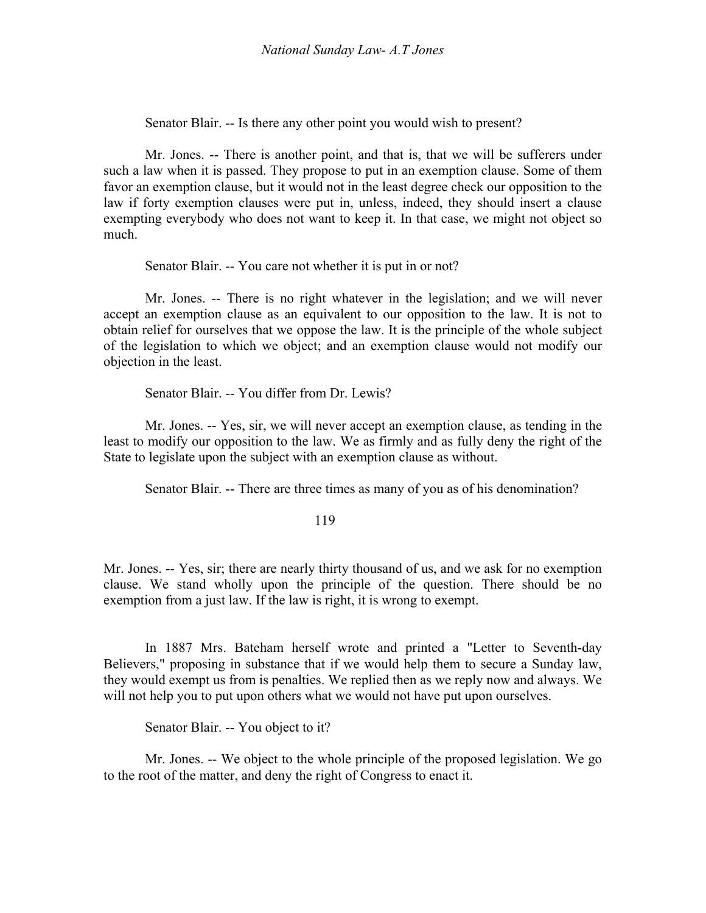Senator Blair. -- Is there any other point you would wish to present?

 Mr. Jones. -- There is another point, and that is, that we will be sufferers under such a law when it is passed. They propose to put in an exemption clause. Some of them favor an exemption clause, but it would not in the least degree check our opposition to the law if forty exemption clauses were put in, unless, indeed, they should insert a clause exempting everybody who does not want to keep it. In that case, we might not object so much.

Senator Blair. -- You care not whether it is put in or not?

 Mr. Jones. -- There is no right whatever in the legislation; and we will never accept an exemption clause as an equivalent to our opposition to the law. It is not to obtain relief for ourselves that we oppose the law. It is the principle of the whole subject of the legislation to which we object; and an exemption clause would not modify our objection in the least.

Senator Blair. -- You differ from Dr. Lewis?

 Mr. Jones. -- Yes, sir, we will never accept an exemption clause, as tending in the least to modify our opposition to the law. We as firmly and as fully deny the right of the State to legislate upon the subject with an exemption clause as without.

Senator Blair. -- There are three times as many of you as of his denomination?

119

Mr. Jones. -- Yes, sir; there are nearly thirty thousand of us, and we ask for no exemption clause. We stand wholly upon the principle of the question. There should be no exemption from a just law. If the law is right, it is wrong to exempt.

 In 1887 Mrs. Bateham herself wrote and printed a "Letter to Seventh-day Believers," proposing in substance that if we would help them to secure a Sunday law, they would exempt us from is penalties. We replied then as we reply now and always. We will not help you to put upon others what we would not have put upon ourselves.

Senator Blair. -- You object to it?

 Mr. Jones. -- We object to the whole principle of the proposed legislation. We go to the root of the matter, and deny the right of Congress to enact it.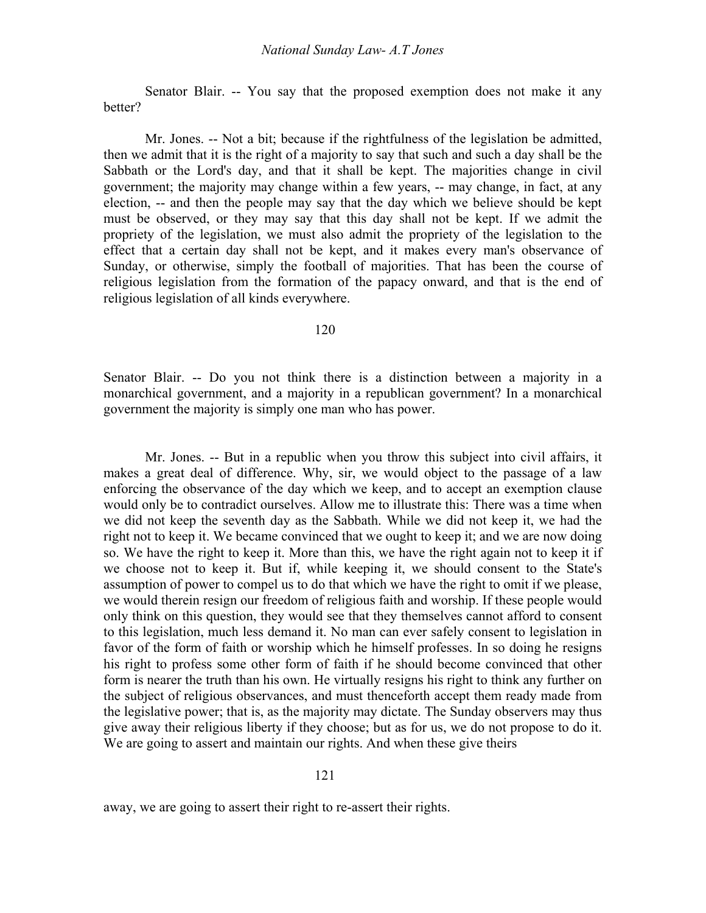Senator Blair. -- You say that the proposed exemption does not make it any better?

 Mr. Jones. -- Not a bit; because if the rightfulness of the legislation be admitted, then we admit that it is the right of a majority to say that such and such a day shall be the Sabbath or the Lord's day, and that it shall be kept. The majorities change in civil government; the majority may change within a few years, -- may change, in fact, at any election, -- and then the people may say that the day which we believe should be kept must be observed, or they may say that this day shall not be kept. If we admit the propriety of the legislation, we must also admit the propriety of the legislation to the effect that a certain day shall not be kept, and it makes every man's observance of Sunday, or otherwise, simply the football of majorities. That has been the course of religious legislation from the formation of the papacy onward, and that is the end of religious legislation of all kinds everywhere.

120

Senator Blair. -- Do you not think there is a distinction between a majority in a monarchical government, and a majority in a republican government? In a monarchical government the majority is simply one man who has power.

 Mr. Jones. -- But in a republic when you throw this subject into civil affairs, it makes a great deal of difference. Why, sir, we would object to the passage of a law enforcing the observance of the day which we keep, and to accept an exemption clause would only be to contradict ourselves. Allow me to illustrate this: There was a time when we did not keep the seventh day as the Sabbath. While we did not keep it, we had the right not to keep it. We became convinced that we ought to keep it; and we are now doing so. We have the right to keep it. More than this, we have the right again not to keep it if we choose not to keep it. But if, while keeping it, we should consent to the State's assumption of power to compel us to do that which we have the right to omit if we please, we would therein resign our freedom of religious faith and worship. If these people would only think on this question, they would see that they themselves cannot afford to consent to this legislation, much less demand it. No man can ever safely consent to legislation in favor of the form of faith or worship which he himself professes. In so doing he resigns his right to profess some other form of faith if he should become convinced that other form is nearer the truth than his own. He virtually resigns his right to think any further on the subject of religious observances, and must thenceforth accept them ready made from the legislative power; that is, as the majority may dictate. The Sunday observers may thus give away their religious liberty if they choose; but as for us, we do not propose to do it. We are going to assert and maintain our rights. And when these give theirs

121

away, we are going to assert their right to re-assert their rights.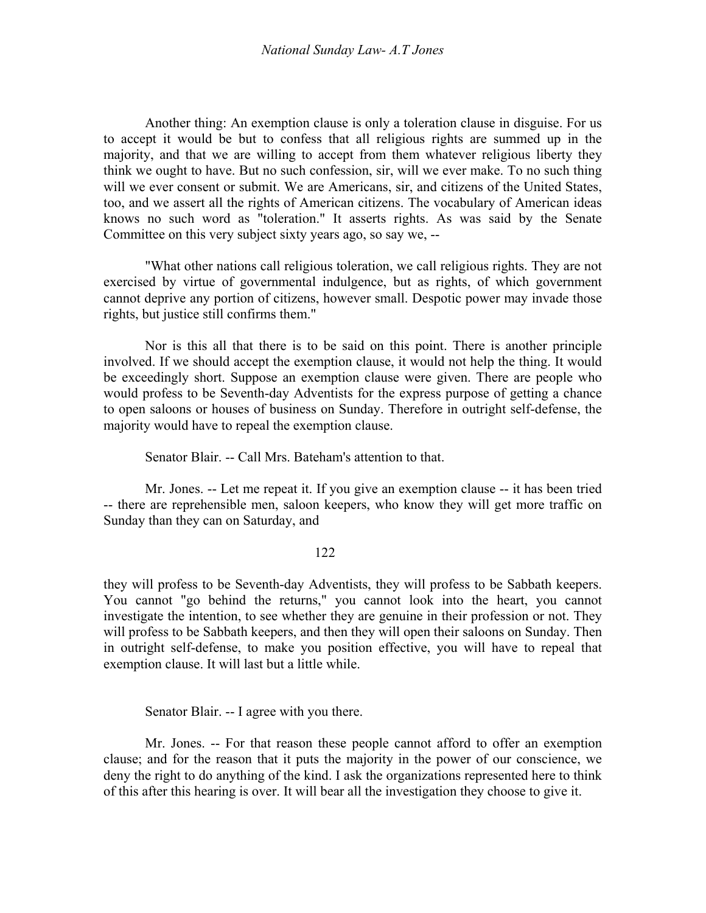Another thing: An exemption clause is only a toleration clause in disguise. For us to accept it would be but to confess that all religious rights are summed up in the majority, and that we are willing to accept from them whatever religious liberty they think we ought to have. But no such confession, sir, will we ever make. To no such thing will we ever consent or submit. We are Americans, sir, and citizens of the United States, too, and we assert all the rights of American citizens. The vocabulary of American ideas knows no such word as "toleration." It asserts rights. As was said by the Senate Committee on this very subject sixty years ago, so say we, --

 "What other nations call religious toleration, we call religious rights. They are not exercised by virtue of governmental indulgence, but as rights, of which government cannot deprive any portion of citizens, however small. Despotic power may invade those rights, but justice still confirms them."

 Nor is this all that there is to be said on this point. There is another principle involved. If we should accept the exemption clause, it would not help the thing. It would be exceedingly short. Suppose an exemption clause were given. There are people who would profess to be Seventh-day Adventists for the express purpose of getting a chance to open saloons or houses of business on Sunday. Therefore in outright self-defense, the majority would have to repeal the exemption clause.

Senator Blair. -- Call Mrs. Bateham's attention to that.

 Mr. Jones. -- Let me repeat it. If you give an exemption clause -- it has been tried -- there are reprehensible men, saloon keepers, who know they will get more traffic on Sunday than they can on Saturday, and

# 122

they will profess to be Seventh-day Adventists, they will profess to be Sabbath keepers. You cannot "go behind the returns," you cannot look into the heart, you cannot investigate the intention, to see whether they are genuine in their profession or not. They will profess to be Sabbath keepers, and then they will open their saloons on Sunday. Then in outright self-defense, to make you position effective, you will have to repeal that exemption clause. It will last but a little while.

Senator Blair. -- I agree with you there.

 Mr. Jones. -- For that reason these people cannot afford to offer an exemption clause; and for the reason that it puts the majority in the power of our conscience, we deny the right to do anything of the kind. I ask the organizations represented here to think of this after this hearing is over. It will bear all the investigation they choose to give it.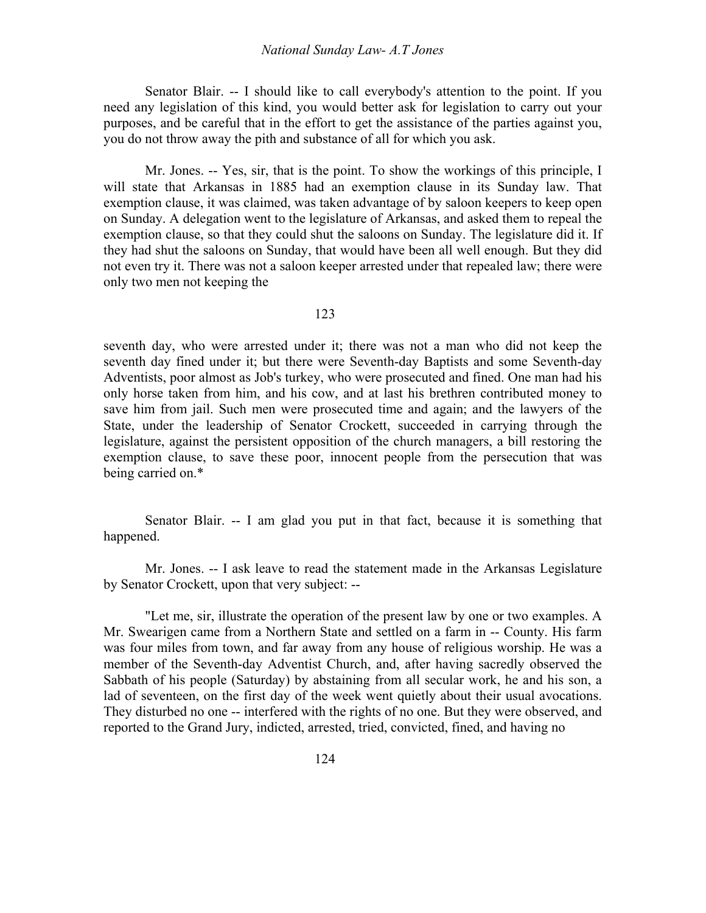Senator Blair. -- I should like to call everybody's attention to the point. If you need any legislation of this kind, you would better ask for legislation to carry out your purposes, and be careful that in the effort to get the assistance of the parties against you, you do not throw away the pith and substance of all for which you ask.

 Mr. Jones. -- Yes, sir, that is the point. To show the workings of this principle, I will state that Arkansas in 1885 had an exemption clause in its Sunday law. That exemption clause, it was claimed, was taken advantage of by saloon keepers to keep open on Sunday. A delegation went to the legislature of Arkansas, and asked them to repeal the exemption clause, so that they could shut the saloons on Sunday. The legislature did it. If they had shut the saloons on Sunday, that would have been all well enough. But they did not even try it. There was not a saloon keeper arrested under that repealed law; there were only two men not keeping the

### 123

seventh day, who were arrested under it; there was not a man who did not keep the seventh day fined under it; but there were Seventh-day Baptists and some Seventh-day Adventists, poor almost as Job's turkey, who were prosecuted and fined. One man had his only horse taken from him, and his cow, and at last his brethren contributed money to save him from jail. Such men were prosecuted time and again; and the lawyers of the State, under the leadership of Senator Crockett, succeeded in carrying through the legislature, against the persistent opposition of the church managers, a bill restoring the exemption clause, to save these poor, innocent people from the persecution that was being carried on.\*

 Senator Blair. -- I am glad you put in that fact, because it is something that happened.

 Mr. Jones. -- I ask leave to read the statement made in the Arkansas Legislature by Senator Crockett, upon that very subject: --

 "Let me, sir, illustrate the operation of the present law by one or two examples. A Mr. Swearigen came from a Northern State and settled on a farm in -- County. His farm was four miles from town, and far away from any house of religious worship. He was a member of the Seventh-day Adventist Church, and, after having sacredly observed the Sabbath of his people (Saturday) by abstaining from all secular work, he and his son, a lad of seventeen, on the first day of the week went quietly about their usual avocations. They disturbed no one -- interfered with the rights of no one. But they were observed, and reported to the Grand Jury, indicted, arrested, tried, convicted, fined, and having no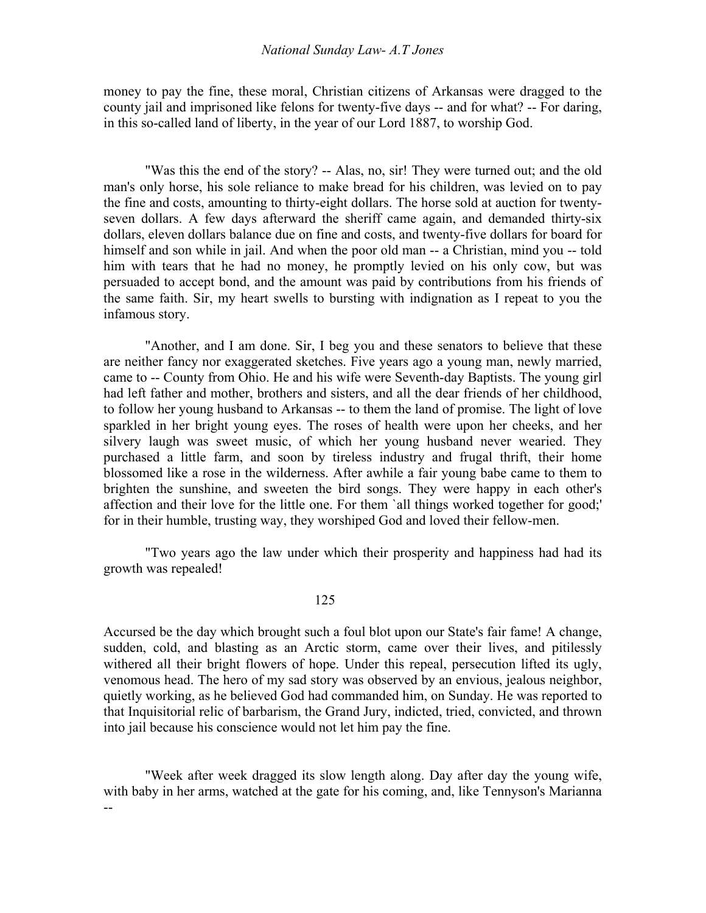money to pay the fine, these moral, Christian citizens of Arkansas were dragged to the county jail and imprisoned like felons for twenty-five days -- and for what? -- For daring, in this so-called land of liberty, in the year of our Lord 1887, to worship God.

 "Was this the end of the story? -- Alas, no, sir! They were turned out; and the old man's only horse, his sole reliance to make bread for his children, was levied on to pay the fine and costs, amounting to thirty-eight dollars. The horse sold at auction for twentyseven dollars. A few days afterward the sheriff came again, and demanded thirty-six dollars, eleven dollars balance due on fine and costs, and twenty-five dollars for board for himself and son while in jail. And when the poor old man -- a Christian, mind you -- told him with tears that he had no money, he promptly levied on his only cow, but was persuaded to accept bond, and the amount was paid by contributions from his friends of the same faith. Sir, my heart swells to bursting with indignation as I repeat to you the infamous story.

 "Another, and I am done. Sir, I beg you and these senators to believe that these are neither fancy nor exaggerated sketches. Five years ago a young man, newly married, came to -- County from Ohio. He and his wife were Seventh-day Baptists. The young girl had left father and mother, brothers and sisters, and all the dear friends of her childhood, to follow her young husband to Arkansas -- to them the land of promise. The light of love sparkled in her bright young eyes. The roses of health were upon her cheeks, and her silvery laugh was sweet music, of which her young husband never wearied. They purchased a little farm, and soon by tireless industry and frugal thrift, their home blossomed like a rose in the wilderness. After awhile a fair young babe came to them to brighten the sunshine, and sweeten the bird songs. They were happy in each other's affection and their love for the little one. For them `all things worked together for good;' for in their humble, trusting way, they worshiped God and loved their fellow-men.

 "Two years ago the law under which their prosperity and happiness had had its growth was repealed!

### 125

Accursed be the day which brought such a foul blot upon our State's fair fame! A change, sudden, cold, and blasting as an Arctic storm, came over their lives, and pitilessly withered all their bright flowers of hope. Under this repeal, persecution lifted its ugly, venomous head. The hero of my sad story was observed by an envious, jealous neighbor, quietly working, as he believed God had commanded him, on Sunday. He was reported to that Inquisitorial relic of barbarism, the Grand Jury, indicted, tried, convicted, and thrown into jail because his conscience would not let him pay the fine.

 "Week after week dragged its slow length along. Day after day the young wife, with baby in her arms, watched at the gate for his coming, and, like Tennyson's Marianna --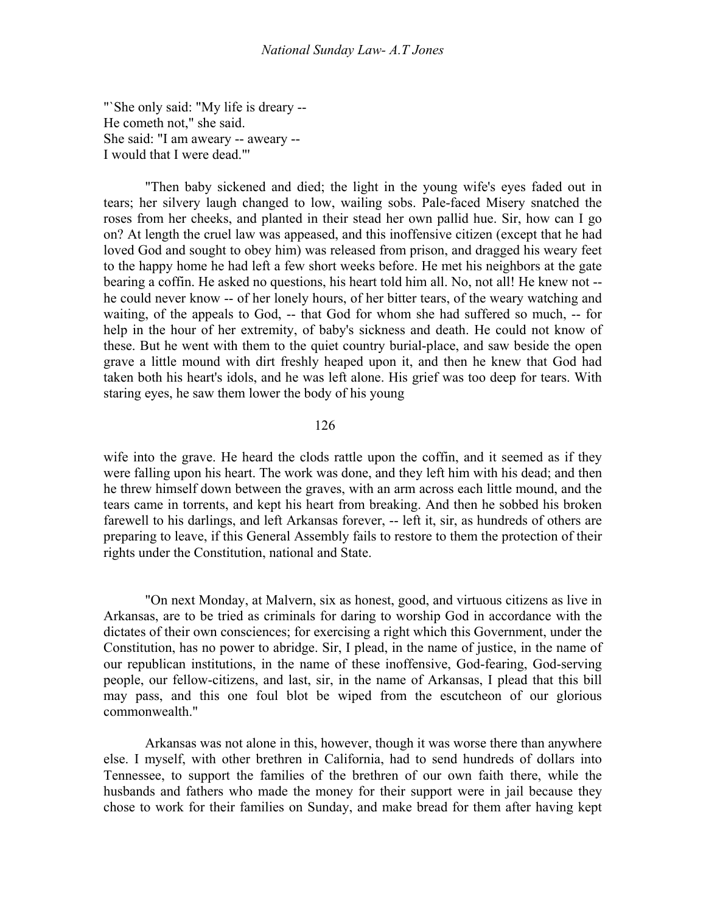"`She only said: "My life is dreary --He cometh not," she said. She said: "I am aweary -- aweary -- I would that I were dead."'

 "Then baby sickened and died; the light in the young wife's eyes faded out in tears; her silvery laugh changed to low, wailing sobs. Pale-faced Misery snatched the roses from her cheeks, and planted in their stead her own pallid hue. Sir, how can I go on? At length the cruel law was appeased, and this inoffensive citizen (except that he had loved God and sought to obey him) was released from prison, and dragged his weary feet to the happy home he had left a few short weeks before. He met his neighbors at the gate bearing a coffin. He asked no questions, his heart told him all. No, not all! He knew not - he could never know -- of her lonely hours, of her bitter tears, of the weary watching and waiting, of the appeals to God, -- that God for whom she had suffered so much, -- for help in the hour of her extremity, of baby's sickness and death. He could not know of these. But he went with them to the quiet country burial-place, and saw beside the open grave a little mound with dirt freshly heaped upon it, and then he knew that God had taken both his heart's idols, and he was left alone. His grief was too deep for tears. With staring eyes, he saw them lower the body of his young

126

wife into the grave. He heard the clods rattle upon the coffin, and it seemed as if they were falling upon his heart. The work was done, and they left him with his dead; and then he threw himself down between the graves, with an arm across each little mound, and the tears came in torrents, and kept his heart from breaking. And then he sobbed his broken farewell to his darlings, and left Arkansas forever, -- left it, sir, as hundreds of others are preparing to leave, if this General Assembly fails to restore to them the protection of their rights under the Constitution, national and State.

 "On next Monday, at Malvern, six as honest, good, and virtuous citizens as live in Arkansas, are to be tried as criminals for daring to worship God in accordance with the dictates of their own consciences; for exercising a right which this Government, under the Constitution, has no power to abridge. Sir, I plead, in the name of justice, in the name of our republican institutions, in the name of these inoffensive, God-fearing, God-serving people, our fellow-citizens, and last, sir, in the name of Arkansas, I plead that this bill may pass, and this one foul blot be wiped from the escutcheon of our glorious commonwealth."

 Arkansas was not alone in this, however, though it was worse there than anywhere else. I myself, with other brethren in California, had to send hundreds of dollars into Tennessee, to support the families of the brethren of our own faith there, while the husbands and fathers who made the money for their support were in jail because they chose to work for their families on Sunday, and make bread for them after having kept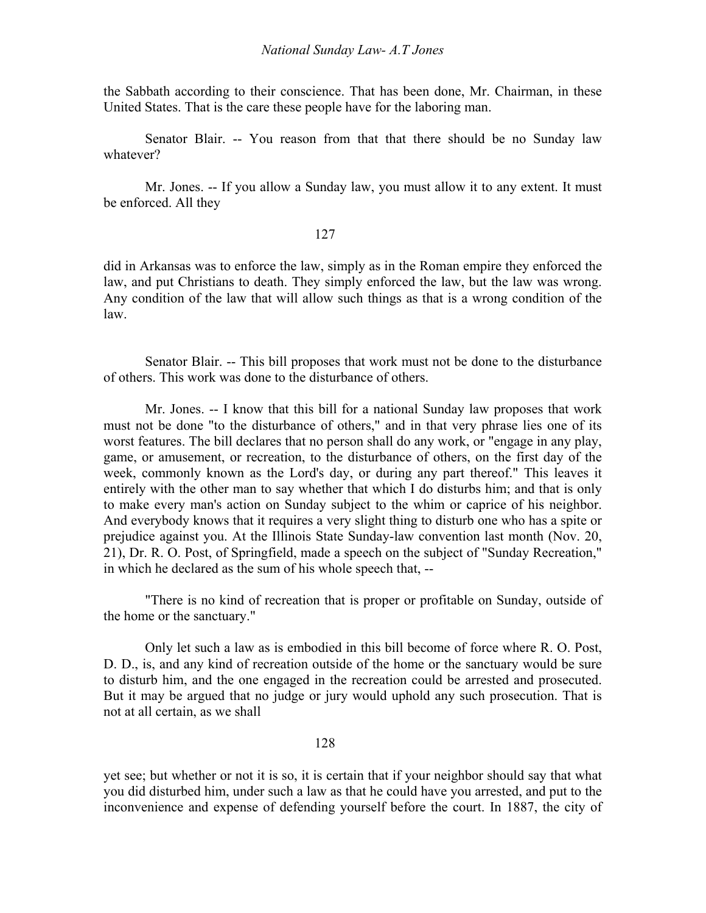the Sabbath according to their conscience. That has been done, Mr. Chairman, in these United States. That is the care these people have for the laboring man.

 Senator Blair. -- You reason from that that there should be no Sunday law whatever?

 Mr. Jones. -- If you allow a Sunday law, you must allow it to any extent. It must be enforced. All they

### 127

did in Arkansas was to enforce the law, simply as in the Roman empire they enforced the law, and put Christians to death. They simply enforced the law, but the law was wrong. Any condition of the law that will allow such things as that is a wrong condition of the law.

 Senator Blair. -- This bill proposes that work must not be done to the disturbance of others. This work was done to the disturbance of others.

 Mr. Jones. -- I know that this bill for a national Sunday law proposes that work must not be done "to the disturbance of others," and in that very phrase lies one of its worst features. The bill declares that no person shall do any work, or "engage in any play, game, or amusement, or recreation, to the disturbance of others, on the first day of the week, commonly known as the Lord's day, or during any part thereof." This leaves it entirely with the other man to say whether that which I do disturbs him; and that is only to make every man's action on Sunday subject to the whim or caprice of his neighbor. And everybody knows that it requires a very slight thing to disturb one who has a spite or prejudice against you. At the Illinois State Sunday-law convention last month (Nov. 20, 21), Dr. R. O. Post, of Springfield, made a speech on the subject of "Sunday Recreation," in which he declared as the sum of his whole speech that, --

 "There is no kind of recreation that is proper or profitable on Sunday, outside of the home or the sanctuary."

 Only let such a law as is embodied in this bill become of force where R. O. Post, D. D., is, and any kind of recreation outside of the home or the sanctuary would be sure to disturb him, and the one engaged in the recreation could be arrested and prosecuted. But it may be argued that no judge or jury would uphold any such prosecution. That is not at all certain, as we shall

### 128

yet see; but whether or not it is so, it is certain that if your neighbor should say that what you did disturbed him, under such a law as that he could have you arrested, and put to the inconvenience and expense of defending yourself before the court. In 1887, the city of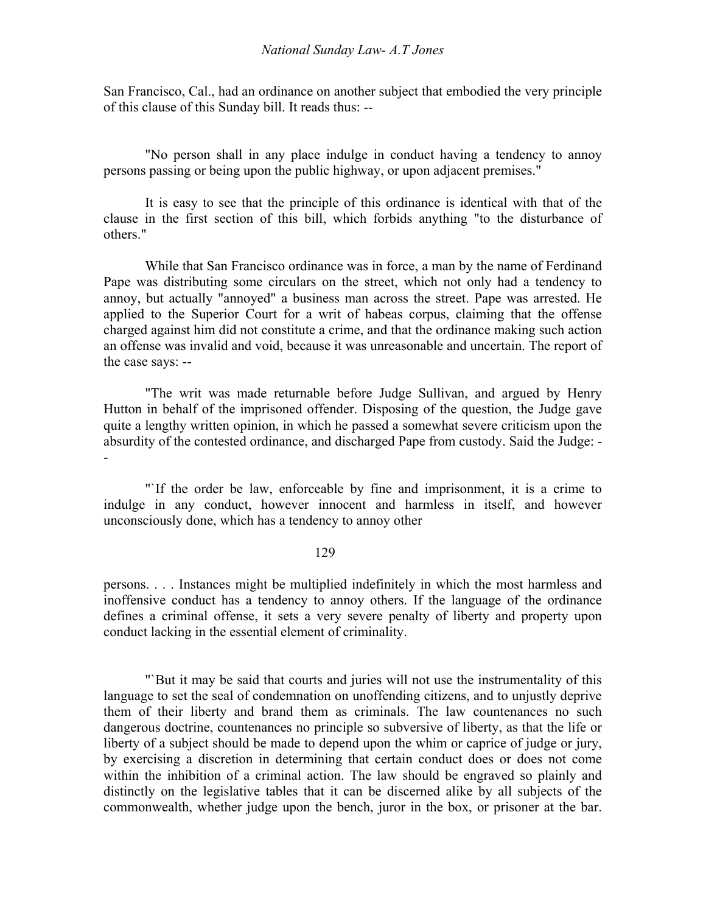San Francisco, Cal., had an ordinance on another subject that embodied the very principle of this clause of this Sunday bill. It reads thus: --

 "No person shall in any place indulge in conduct having a tendency to annoy persons passing or being upon the public highway, or upon adjacent premises."

 It is easy to see that the principle of this ordinance is identical with that of the clause in the first section of this bill, which forbids anything "to the disturbance of others."

 While that San Francisco ordinance was in force, a man by the name of Ferdinand Pape was distributing some circulars on the street, which not only had a tendency to annoy, but actually "annoyed" a business man across the street. Pape was arrested. He applied to the Superior Court for a writ of habeas corpus, claiming that the offense charged against him did not constitute a crime, and that the ordinance making such action an offense was invalid and void, because it was unreasonable and uncertain. The report of the case says: --

 "The writ was made returnable before Judge Sullivan, and argued by Henry Hutton in behalf of the imprisoned offender. Disposing of the question, the Judge gave quite a lengthy written opinion, in which he passed a somewhat severe criticism upon the absurdity of the contested ordinance, and discharged Pape from custody. Said the Judge: - -

"If the order be law, enforceable by fine and imprisonment, it is a crime to indulge in any conduct, however innocent and harmless in itself, and however unconsciously done, which has a tendency to annoy other

### 129

persons. . . . Instances might be multiplied indefinitely in which the most harmless and inoffensive conduct has a tendency to annoy others. If the language of the ordinance defines a criminal offense, it sets a very severe penalty of liberty and property upon conduct lacking in the essential element of criminality.

 "`But it may be said that courts and juries will not use the instrumentality of this language to set the seal of condemnation on unoffending citizens, and to unjustly deprive them of their liberty and brand them as criminals. The law countenances no such dangerous doctrine, countenances no principle so subversive of liberty, as that the life or liberty of a subject should be made to depend upon the whim or caprice of judge or jury, by exercising a discretion in determining that certain conduct does or does not come within the inhibition of a criminal action. The law should be engraved so plainly and distinctly on the legislative tables that it can be discerned alike by all subjects of the commonwealth, whether judge upon the bench, juror in the box, or prisoner at the bar.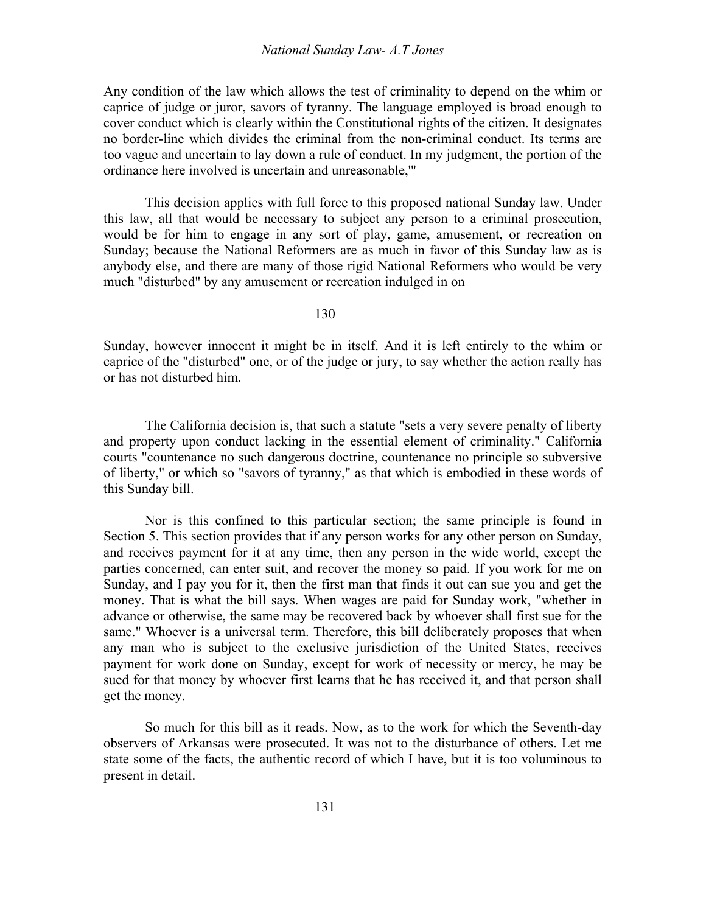Any condition of the law which allows the test of criminality to depend on the whim or caprice of judge or juror, savors of tyranny. The language employed is broad enough to cover conduct which is clearly within the Constitutional rights of the citizen. It designates no border-line which divides the criminal from the non-criminal conduct. Its terms are too vague and uncertain to lay down a rule of conduct. In my judgment, the portion of the ordinance here involved is uncertain and unreasonable,'"

 This decision applies with full force to this proposed national Sunday law. Under this law, all that would be necessary to subject any person to a criminal prosecution, would be for him to engage in any sort of play, game, amusement, or recreation on Sunday; because the National Reformers are as much in favor of this Sunday law as is anybody else, and there are many of those rigid National Reformers who would be very much "disturbed" by any amusement or recreation indulged in on

130

Sunday, however innocent it might be in itself. And it is left entirely to the whim or caprice of the "disturbed" one, or of the judge or jury, to say whether the action really has or has not disturbed him.

 The California decision is, that such a statute "sets a very severe penalty of liberty and property upon conduct lacking in the essential element of criminality." California courts "countenance no such dangerous doctrine, countenance no principle so subversive of liberty," or which so "savors of tyranny," as that which is embodied in these words of this Sunday bill.

 Nor is this confined to this particular section; the same principle is found in Section 5. This section provides that if any person works for any other person on Sunday, and receives payment for it at any time, then any person in the wide world, except the parties concerned, can enter suit, and recover the money so paid. If you work for me on Sunday, and I pay you for it, then the first man that finds it out can sue you and get the money. That is what the bill says. When wages are paid for Sunday work, "whether in advance or otherwise, the same may be recovered back by whoever shall first sue for the same." Whoever is a universal term. Therefore, this bill deliberately proposes that when any man who is subject to the exclusive jurisdiction of the United States, receives payment for work done on Sunday, except for work of necessity or mercy, he may be sued for that money by whoever first learns that he has received it, and that person shall get the money.

 So much for this bill as it reads. Now, as to the work for which the Seventh-day observers of Arkansas were prosecuted. It was not to the disturbance of others. Let me state some of the facts, the authentic record of which I have, but it is too voluminous to present in detail.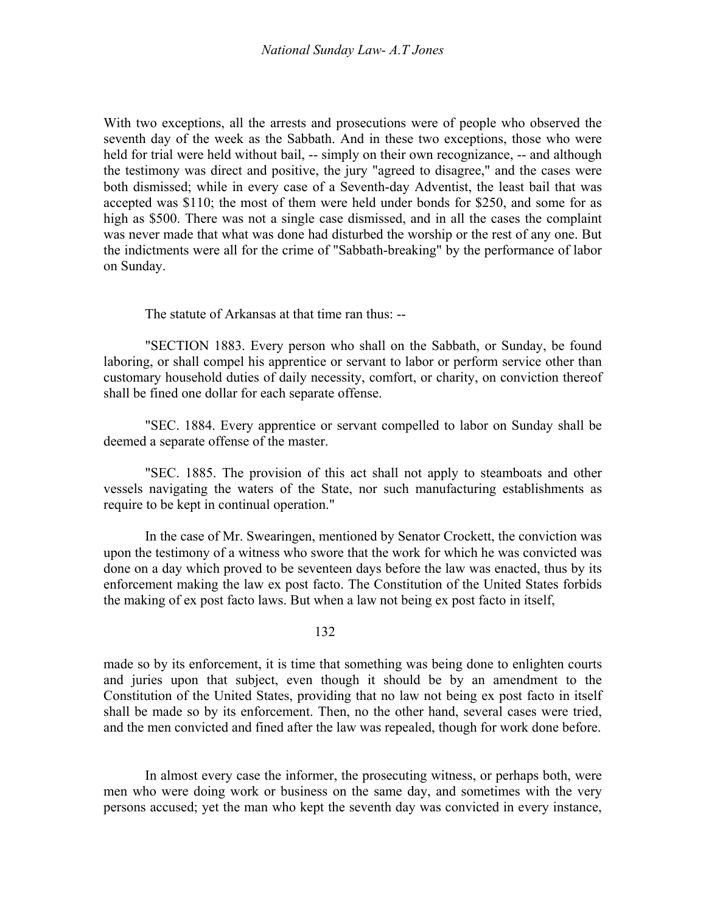With two exceptions, all the arrests and prosecutions were of people who observed the seventh day of the week as the Sabbath. And in these two exceptions, those who were held for trial were held without bail, -- simply on their own recognizance, -- and although the testimony was direct and positive, the jury "agreed to disagree," and the cases were both dismissed; while in every case of a Seventh-day Adventist, the least bail that was accepted was \$110; the most of them were held under bonds for \$250, and some for as high as \$500. There was not a single case dismissed, and in all the cases the complaint was never made that what was done had disturbed the worship or the rest of any one. But the indictments were all for the crime of "Sabbath-breaking" by the performance of labor on Sunday.

The statute of Arkansas at that time ran thus: --

 "SECTION 1883. Every person who shall on the Sabbath, or Sunday, be found laboring, or shall compel his apprentice or servant to labor or perform service other than customary household duties of daily necessity, comfort, or charity, on conviction thereof shall be fined one dollar for each separate offense.

 "SEC. 1884. Every apprentice or servant compelled to labor on Sunday shall be deemed a separate offense of the master.

 "SEC. 1885. The provision of this act shall not apply to steamboats and other vessels navigating the waters of the State, nor such manufacturing establishments as require to be kept in continual operation."

 In the case of Mr. Swearingen, mentioned by Senator Crockett, the conviction was upon the testimony of a witness who swore that the work for which he was convicted was done on a day which proved to be seventeen days before the law was enacted, thus by its enforcement making the law ex post facto. The Constitution of the United States forbids the making of ex post facto laws. But when a law not being ex post facto in itself,

# 132

made so by its enforcement, it is time that something was being done to enlighten courts and juries upon that subject, even though it should be by an amendment to the Constitution of the United States, providing that no law not being ex post facto in itself shall be made so by its enforcement. Then, no the other hand, several cases were tried, and the men convicted and fined after the law was repealed, though for work done before.

 In almost every case the informer, the prosecuting witness, or perhaps both, were men who were doing work or business on the same day, and sometimes with the very persons accused; yet the man who kept the seventh day was convicted in every instance,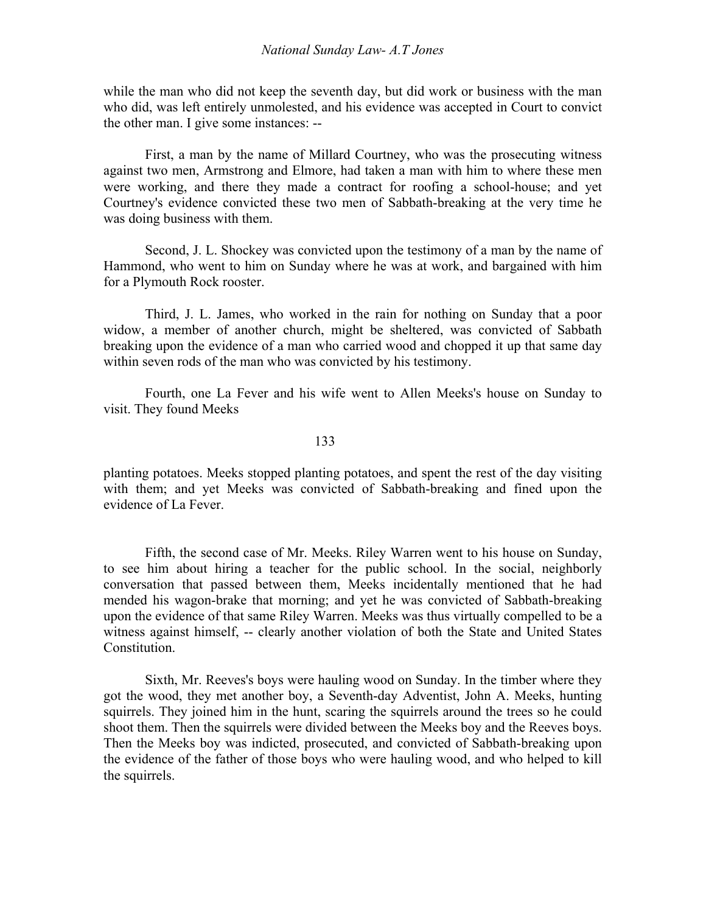while the man who did not keep the seventh day, but did work or business with the man who did, was left entirely unmolested, and his evidence was accepted in Court to convict the other man. I give some instances: --

 First, a man by the name of Millard Courtney, who was the prosecuting witness against two men, Armstrong and Elmore, had taken a man with him to where these men were working, and there they made a contract for roofing a school-house; and yet Courtney's evidence convicted these two men of Sabbath-breaking at the very time he was doing business with them.

 Second, J. L. Shockey was convicted upon the testimony of a man by the name of Hammond, who went to him on Sunday where he was at work, and bargained with him for a Plymouth Rock rooster.

 Third, J. L. James, who worked in the rain for nothing on Sunday that a poor widow, a member of another church, might be sheltered, was convicted of Sabbath breaking upon the evidence of a man who carried wood and chopped it up that same day within seven rods of the man who was convicted by his testimony.

 Fourth, one La Fever and his wife went to Allen Meeks's house on Sunday to visit. They found Meeks

### 133

planting potatoes. Meeks stopped planting potatoes, and spent the rest of the day visiting with them; and yet Meeks was convicted of Sabbath-breaking and fined upon the evidence of La Fever.

 Fifth, the second case of Mr. Meeks. Riley Warren went to his house on Sunday, to see him about hiring a teacher for the public school. In the social, neighborly conversation that passed between them, Meeks incidentally mentioned that he had mended his wagon-brake that morning; and yet he was convicted of Sabbath-breaking upon the evidence of that same Riley Warren. Meeks was thus virtually compelled to be a witness against himself, -- clearly another violation of both the State and United States Constitution.

 Sixth, Mr. Reeves's boys were hauling wood on Sunday. In the timber where they got the wood, they met another boy, a Seventh-day Adventist, John A. Meeks, hunting squirrels. They joined him in the hunt, scaring the squirrels around the trees so he could shoot them. Then the squirrels were divided between the Meeks boy and the Reeves boys. Then the Meeks boy was indicted, prosecuted, and convicted of Sabbath-breaking upon the evidence of the father of those boys who were hauling wood, and who helped to kill the squirrels.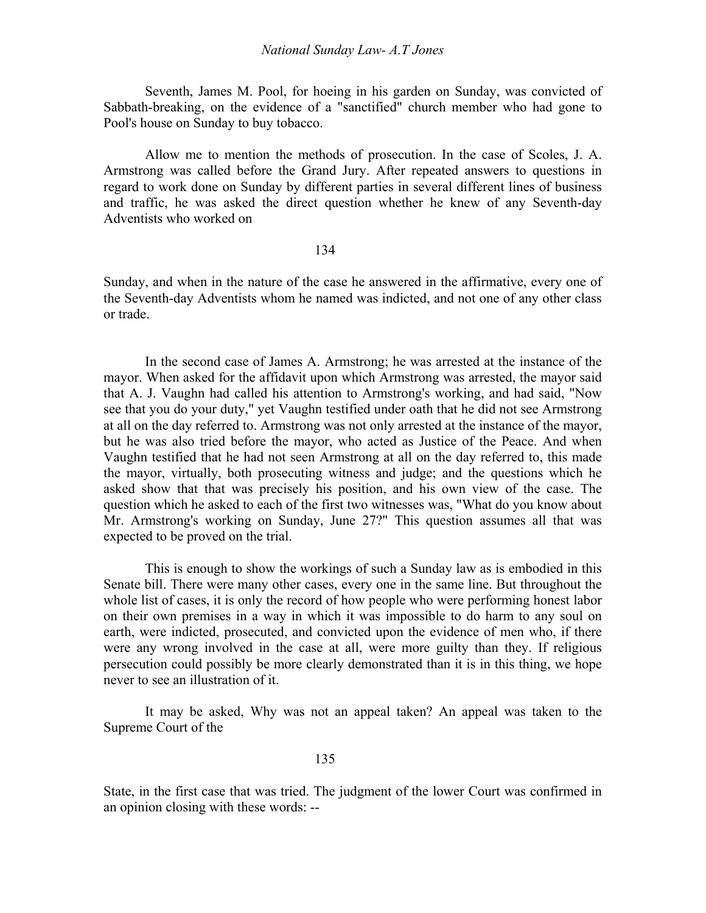Seventh, James M. Pool, for hoeing in his garden on Sunday, was convicted of Sabbath-breaking, on the evidence of a "sanctified" church member who had gone to Pool's house on Sunday to buy tobacco.

 Allow me to mention the methods of prosecution. In the case of Scoles, J. A. Armstrong was called before the Grand Jury. After repeated answers to questions in regard to work done on Sunday by different parties in several different lines of business and traffic, he was asked the direct question whether he knew of any Seventh-day Adventists who worked on

### 134

Sunday, and when in the nature of the case he answered in the affirmative, every one of the Seventh-day Adventists whom he named was indicted, and not one of any other class or trade.

 In the second case of James A. Armstrong; he was arrested at the instance of the mayor. When asked for the affidavit upon which Armstrong was arrested, the mayor said that A. J. Vaughn had called his attention to Armstrong's working, and had said, "Now see that you do your duty," yet Vaughn testified under oath that he did not see Armstrong at all on the day referred to. Armstrong was not only arrested at the instance of the mayor, but he was also tried before the mayor, who acted as Justice of the Peace. And when Vaughn testified that he had not seen Armstrong at all on the day referred to, this made the mayor, virtually, both prosecuting witness and judge; and the questions which he asked show that that was precisely his position, and his own view of the case. The question which he asked to each of the first two witnesses was, "What do you know about Mr. Armstrong's working on Sunday, June 27?" This question assumes all that was expected to be proved on the trial.

 This is enough to show the workings of such a Sunday law as is embodied in this Senate bill. There were many other cases, every one in the same line. But throughout the whole list of cases, it is only the record of how people who were performing honest labor on their own premises in a way in which it was impossible to do harm to any soul on earth, were indicted, prosecuted, and convicted upon the evidence of men who, if there were any wrong involved in the case at all, were more guilty than they. If religious persecution could possibly be more clearly demonstrated than it is in this thing, we hope never to see an illustration of it.

 It may be asked, Why was not an appeal taken? An appeal was taken to the Supreme Court of the

### 135

State, in the first case that was tried. The judgment of the lower Court was confirmed in an opinion closing with these words: --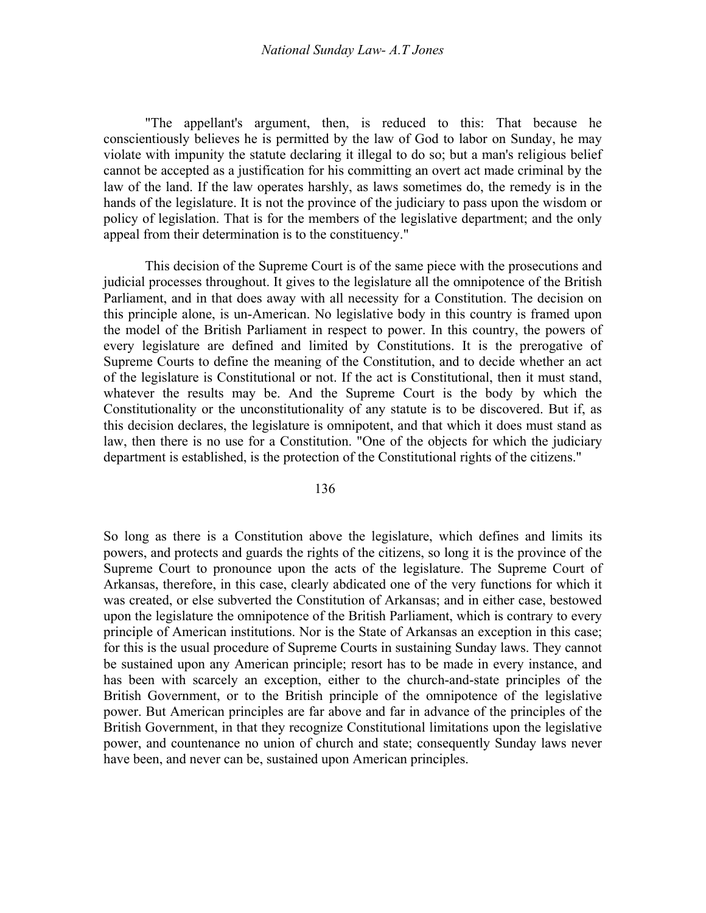"The appellant's argument, then, is reduced to this: That because he conscientiously believes he is permitted by the law of God to labor on Sunday, he may violate with impunity the statute declaring it illegal to do so; but a man's religious belief cannot be accepted as a justification for his committing an overt act made criminal by the law of the land. If the law operates harshly, as laws sometimes do, the remedy is in the hands of the legislature. It is not the province of the judiciary to pass upon the wisdom or policy of legislation. That is for the members of the legislative department; and the only appeal from their determination is to the constituency."

 This decision of the Supreme Court is of the same piece with the prosecutions and judicial processes throughout. It gives to the legislature all the omnipotence of the British Parliament, and in that does away with all necessity for a Constitution. The decision on this principle alone, is un-American. No legislative body in this country is framed upon the model of the British Parliament in respect to power. In this country, the powers of every legislature are defined and limited by Constitutions. It is the prerogative of Supreme Courts to define the meaning of the Constitution, and to decide whether an act of the legislature is Constitutional or not. If the act is Constitutional, then it must stand, whatever the results may be. And the Supreme Court is the body by which the Constitutionality or the unconstitutionality of any statute is to be discovered. But if, as this decision declares, the legislature is omnipotent, and that which it does must stand as law, then there is no use for a Constitution. "One of the objects for which the judiciary department is established, is the protection of the Constitutional rights of the citizens."

136

So long as there is a Constitution above the legislature, which defines and limits its powers, and protects and guards the rights of the citizens, so long it is the province of the Supreme Court to pronounce upon the acts of the legislature. The Supreme Court of Arkansas, therefore, in this case, clearly abdicated one of the very functions for which it was created, or else subverted the Constitution of Arkansas; and in either case, bestowed upon the legislature the omnipotence of the British Parliament, which is contrary to every principle of American institutions. Nor is the State of Arkansas an exception in this case; for this is the usual procedure of Supreme Courts in sustaining Sunday laws. They cannot be sustained upon any American principle; resort has to be made in every instance, and has been with scarcely an exception, either to the church-and-state principles of the British Government, or to the British principle of the omnipotence of the legislative power. But American principles are far above and far in advance of the principles of the British Government, in that they recognize Constitutional limitations upon the legislative power, and countenance no union of church and state; consequently Sunday laws never have been, and never can be, sustained upon American principles.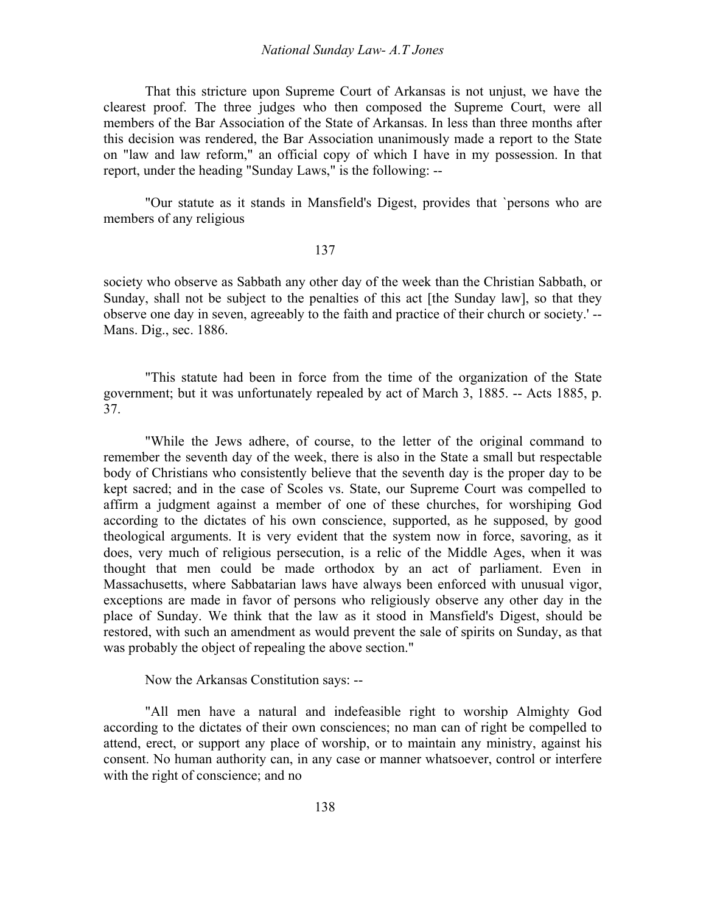That this stricture upon Supreme Court of Arkansas is not unjust, we have the clearest proof. The three judges who then composed the Supreme Court, were all members of the Bar Association of the State of Arkansas. In less than three months after this decision was rendered, the Bar Association unanimously made a report to the State on "law and law reform," an official copy of which I have in my possession. In that report, under the heading "Sunday Laws," is the following: --

 "Our statute as it stands in Mansfield's Digest, provides that `persons who are members of any religious

### 137

society who observe as Sabbath any other day of the week than the Christian Sabbath, or Sunday, shall not be subject to the penalties of this act [the Sunday law], so that they observe one day in seven, agreeably to the faith and practice of their church or society.' -- Mans. Dig., sec. 1886.

 "This statute had been in force from the time of the organization of the State government; but it was unfortunately repealed by act of March 3, 1885. -- Acts 1885, p. 37.

 "While the Jews adhere, of course, to the letter of the original command to remember the seventh day of the week, there is also in the State a small but respectable body of Christians who consistently believe that the seventh day is the proper day to be kept sacred; and in the case of Scoles vs. State, our Supreme Court was compelled to affirm a judgment against a member of one of these churches, for worshiping God according to the dictates of his own conscience, supported, as he supposed, by good theological arguments. It is very evident that the system now in force, savoring, as it does, very much of religious persecution, is a relic of the Middle Ages, when it was thought that men could be made orthodox by an act of parliament. Even in Massachusetts, where Sabbatarian laws have always been enforced with unusual vigor, exceptions are made in favor of persons who religiously observe any other day in the place of Sunday. We think that the law as it stood in Mansfield's Digest, should be restored, with such an amendment as would prevent the sale of spirits on Sunday, as that was probably the object of repealing the above section."

Now the Arkansas Constitution says: --

 "All men have a natural and indefeasible right to worship Almighty God according to the dictates of their own consciences; no man can of right be compelled to attend, erect, or support any place of worship, or to maintain any ministry, against his consent. No human authority can, in any case or manner whatsoever, control or interfere with the right of conscience; and no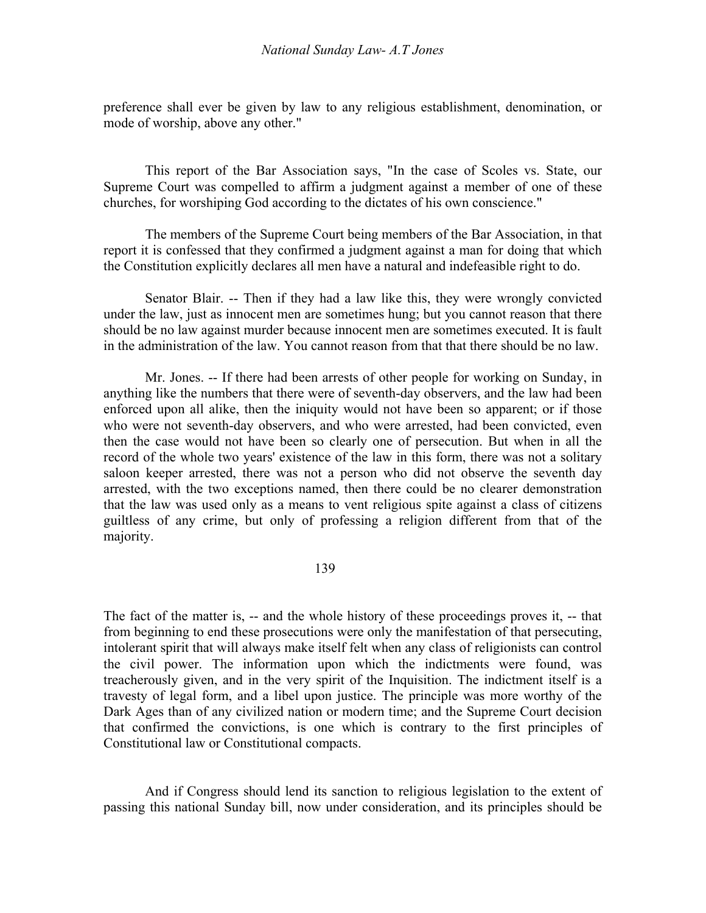preference shall ever be given by law to any religious establishment, denomination, or mode of worship, above any other."

 This report of the Bar Association says, "In the case of Scoles vs. State, our Supreme Court was compelled to affirm a judgment against a member of one of these churches, for worshiping God according to the dictates of his own conscience."

 The members of the Supreme Court being members of the Bar Association, in that report it is confessed that they confirmed a judgment against a man for doing that which the Constitution explicitly declares all men have a natural and indefeasible right to do.

 Senator Blair. -- Then if they had a law like this, they were wrongly convicted under the law, just as innocent men are sometimes hung; but you cannot reason that there should be no law against murder because innocent men are sometimes executed. It is fault in the administration of the law. You cannot reason from that that there should be no law.

 Mr. Jones. -- If there had been arrests of other people for working on Sunday, in anything like the numbers that there were of seventh-day observers, and the law had been enforced upon all alike, then the iniquity would not have been so apparent; or if those who were not seventh-day observers, and who were arrested, had been convicted, even then the case would not have been so clearly one of persecution. But when in all the record of the whole two years' existence of the law in this form, there was not a solitary saloon keeper arrested, there was not a person who did not observe the seventh day arrested, with the two exceptions named, then there could be no clearer demonstration that the law was used only as a means to vent religious spite against a class of citizens guiltless of any crime, but only of professing a religion different from that of the majority.

139

The fact of the matter is, -- and the whole history of these proceedings proves it, -- that from beginning to end these prosecutions were only the manifestation of that persecuting, intolerant spirit that will always make itself felt when any class of religionists can control the civil power. The information upon which the indictments were found, was treacherously given, and in the very spirit of the Inquisition. The indictment itself is a travesty of legal form, and a libel upon justice. The principle was more worthy of the Dark Ages than of any civilized nation or modern time; and the Supreme Court decision that confirmed the convictions, is one which is contrary to the first principles of Constitutional law or Constitutional compacts.

 And if Congress should lend its sanction to religious legislation to the extent of passing this national Sunday bill, now under consideration, and its principles should be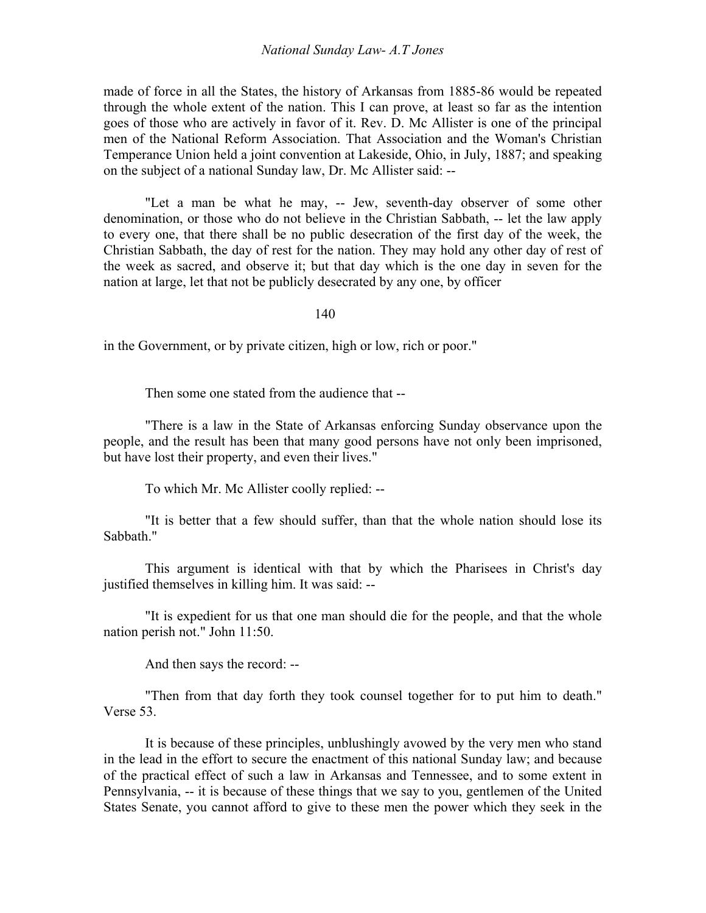made of force in all the States, the history of Arkansas from 1885-86 would be repeated through the whole extent of the nation. This I can prove, at least so far as the intention goes of those who are actively in favor of it. Rev. D. Mc Allister is one of the principal men of the National Reform Association. That Association and the Woman's Christian Temperance Union held a joint convention at Lakeside, Ohio, in July, 1887; and speaking on the subject of a national Sunday law, Dr. Mc Allister said: --

 "Let a man be what he may, -- Jew, seventh-day observer of some other denomination, or those who do not believe in the Christian Sabbath, -- let the law apply to every one, that there shall be no public desecration of the first day of the week, the Christian Sabbath, the day of rest for the nation. They may hold any other day of rest of the week as sacred, and observe it; but that day which is the one day in seven for the nation at large, let that not be publicly desecrated by any one, by officer

140

in the Government, or by private citizen, high or low, rich or poor."

Then some one stated from the audience that --

 "There is a law in the State of Arkansas enforcing Sunday observance upon the people, and the result has been that many good persons have not only been imprisoned, but have lost their property, and even their lives."

To which Mr. Mc Allister coolly replied: --

 "It is better that a few should suffer, than that the whole nation should lose its Sabbath."

 This argument is identical with that by which the Pharisees in Christ's day justified themselves in killing him. It was said: --

 "It is expedient for us that one man should die for the people, and that the whole nation perish not." John 11:50.

And then says the record: --

 "Then from that day forth they took counsel together for to put him to death." Verse 53.

 It is because of these principles, unblushingly avowed by the very men who stand in the lead in the effort to secure the enactment of this national Sunday law; and because of the practical effect of such a law in Arkansas and Tennessee, and to some extent in Pennsylvania, -- it is because of these things that we say to you, gentlemen of the United States Senate, you cannot afford to give to these men the power which they seek in the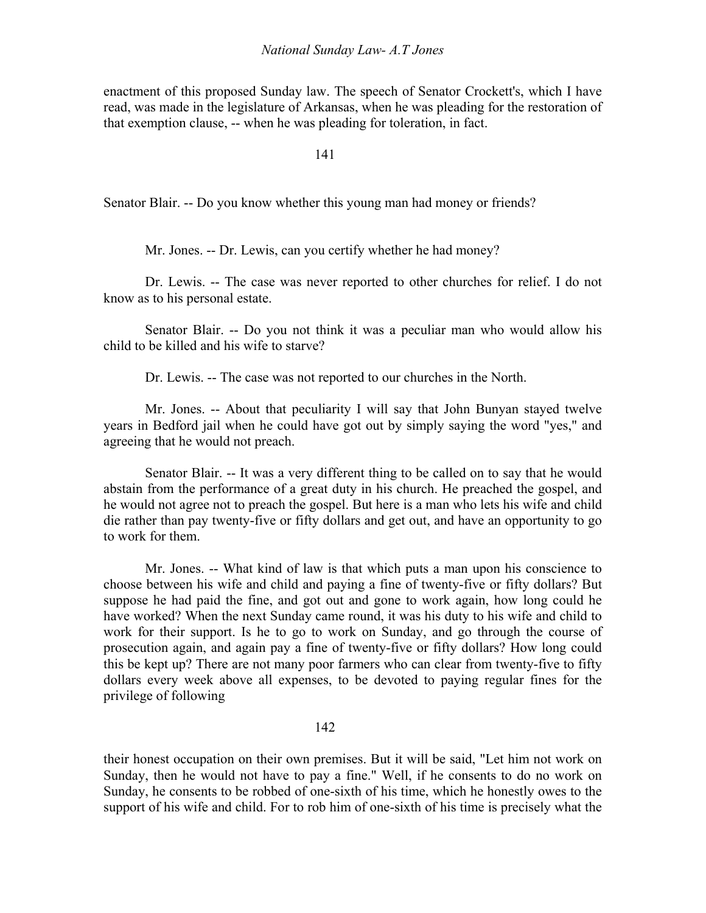enactment of this proposed Sunday law. The speech of Senator Crockett's, which I have read, was made in the legislature of Arkansas, when he was pleading for the restoration of that exemption clause, -- when he was pleading for toleration, in fact.

141

Senator Blair. -- Do you know whether this young man had money or friends?

Mr. Jones. -- Dr. Lewis, can you certify whether he had money?

 Dr. Lewis. -- The case was never reported to other churches for relief. I do not know as to his personal estate.

 Senator Blair. -- Do you not think it was a peculiar man who would allow his child to be killed and his wife to starve?

Dr. Lewis. -- The case was not reported to our churches in the North.

 Mr. Jones. -- About that peculiarity I will say that John Bunyan stayed twelve years in Bedford jail when he could have got out by simply saying the word "yes," and agreeing that he would not preach.

 Senator Blair. -- It was a very different thing to be called on to say that he would abstain from the performance of a great duty in his church. He preached the gospel, and he would not agree not to preach the gospel. But here is a man who lets his wife and child die rather than pay twenty-five or fifty dollars and get out, and have an opportunity to go to work for them.

 Mr. Jones. -- What kind of law is that which puts a man upon his conscience to choose between his wife and child and paying a fine of twenty-five or fifty dollars? But suppose he had paid the fine, and got out and gone to work again, how long could he have worked? When the next Sunday came round, it was his duty to his wife and child to work for their support. Is he to go to work on Sunday, and go through the course of prosecution again, and again pay a fine of twenty-five or fifty dollars? How long could this be kept up? There are not many poor farmers who can clear from twenty-five to fifty dollars every week above all expenses, to be devoted to paying regular fines for the privilege of following

### 142

their honest occupation on their own premises. But it will be said, "Let him not work on Sunday, then he would not have to pay a fine." Well, if he consents to do no work on Sunday, he consents to be robbed of one-sixth of his time, which he honestly owes to the support of his wife and child. For to rob him of one-sixth of his time is precisely what the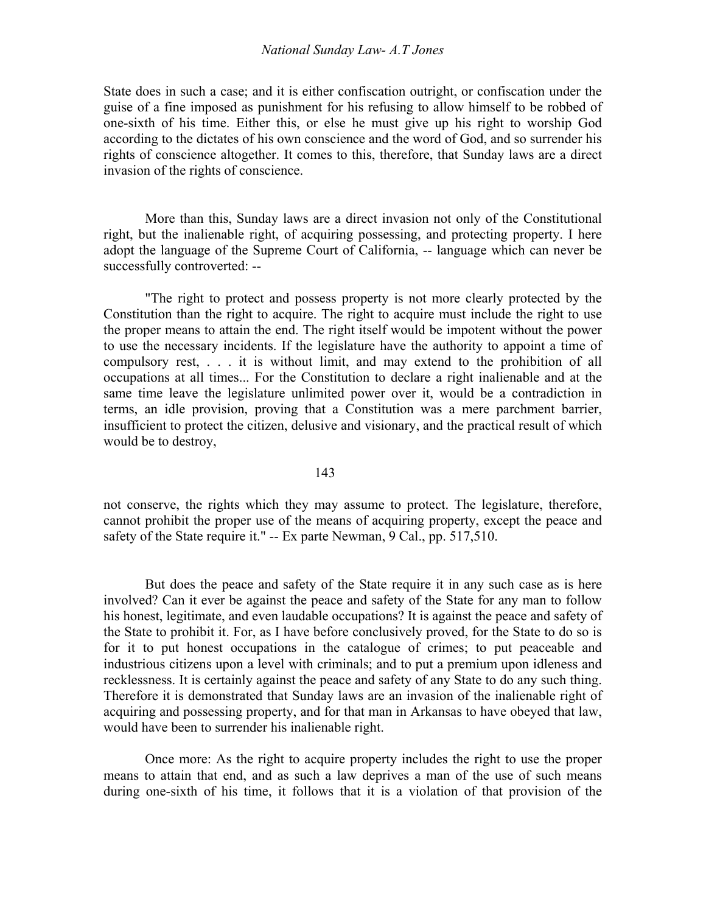State does in such a case; and it is either confiscation outright, or confiscation under the guise of a fine imposed as punishment for his refusing to allow himself to be robbed of one-sixth of his time. Either this, or else he must give up his right to worship God according to the dictates of his own conscience and the word of God, and so surrender his rights of conscience altogether. It comes to this, therefore, that Sunday laws are a direct invasion of the rights of conscience.

 More than this, Sunday laws are a direct invasion not only of the Constitutional right, but the inalienable right, of acquiring possessing, and protecting property. I here adopt the language of the Supreme Court of California, -- language which can never be successfully controverted: --

 "The right to protect and possess property is not more clearly protected by the Constitution than the right to acquire. The right to acquire must include the right to use the proper means to attain the end. The right itself would be impotent without the power to use the necessary incidents. If the legislature have the authority to appoint a time of compulsory rest, . . . it is without limit, and may extend to the prohibition of all occupations at all times... For the Constitution to declare a right inalienable and at the same time leave the legislature unlimited power over it, would be a contradiction in terms, an idle provision, proving that a Constitution was a mere parchment barrier, insufficient to protect the citizen, delusive and visionary, and the practical result of which would be to destroy,

### 143

not conserve, the rights which they may assume to protect. The legislature, therefore, cannot prohibit the proper use of the means of acquiring property, except the peace and safety of the State require it." -- Ex parte Newman, 9 Cal., pp. 517,510.

 But does the peace and safety of the State require it in any such case as is here involved? Can it ever be against the peace and safety of the State for any man to follow his honest, legitimate, and even laudable occupations? It is against the peace and safety of the State to prohibit it. For, as I have before conclusively proved, for the State to do so is for it to put honest occupations in the catalogue of crimes; to put peaceable and industrious citizens upon a level with criminals; and to put a premium upon idleness and recklessness. It is certainly against the peace and safety of any State to do any such thing. Therefore it is demonstrated that Sunday laws are an invasion of the inalienable right of acquiring and possessing property, and for that man in Arkansas to have obeyed that law, would have been to surrender his inalienable right.

 Once more: As the right to acquire property includes the right to use the proper means to attain that end, and as such a law deprives a man of the use of such means during one-sixth of his time, it follows that it is a violation of that provision of the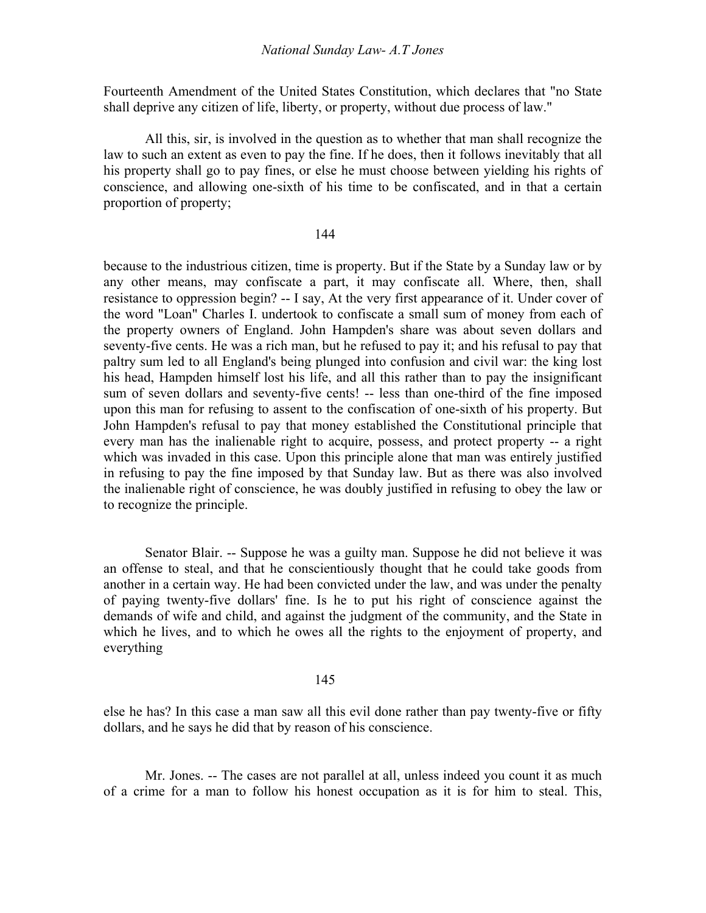Fourteenth Amendment of the United States Constitution, which declares that "no State shall deprive any citizen of life, liberty, or property, without due process of law."

 All this, sir, is involved in the question as to whether that man shall recognize the law to such an extent as even to pay the fine. If he does, then it follows inevitably that all his property shall go to pay fines, or else he must choose between yielding his rights of conscience, and allowing one-sixth of his time to be confiscated, and in that a certain proportion of property;

### 144

because to the industrious citizen, time is property. But if the State by a Sunday law or by any other means, may confiscate a part, it may confiscate all. Where, then, shall resistance to oppression begin? -- I say, At the very first appearance of it. Under cover of the word "Loan" Charles I. undertook to confiscate a small sum of money from each of the property owners of England. John Hampden's share was about seven dollars and seventy-five cents. He was a rich man, but he refused to pay it; and his refusal to pay that paltry sum led to all England's being plunged into confusion and civil war: the king lost his head, Hampden himself lost his life, and all this rather than to pay the insignificant sum of seven dollars and seventy-five cents! -- less than one-third of the fine imposed upon this man for refusing to assent to the confiscation of one-sixth of his property. But John Hampden's refusal to pay that money established the Constitutional principle that every man has the inalienable right to acquire, possess, and protect property -- a right which was invaded in this case. Upon this principle alone that man was entirely justified in refusing to pay the fine imposed by that Sunday law. But as there was also involved the inalienable right of conscience, he was doubly justified in refusing to obey the law or to recognize the principle.

 Senator Blair. -- Suppose he was a guilty man. Suppose he did not believe it was an offense to steal, and that he conscientiously thought that he could take goods from another in a certain way. He had been convicted under the law, and was under the penalty of paying twenty-five dollars' fine. Is he to put his right of conscience against the demands of wife and child, and against the judgment of the community, and the State in which he lives, and to which he owes all the rights to the enjoyment of property, and everything

### 145

else he has? In this case a man saw all this evil done rather than pay twenty-five or fifty dollars, and he says he did that by reason of his conscience.

 Mr. Jones. -- The cases are not parallel at all, unless indeed you count it as much of a crime for a man to follow his honest occupation as it is for him to steal. This,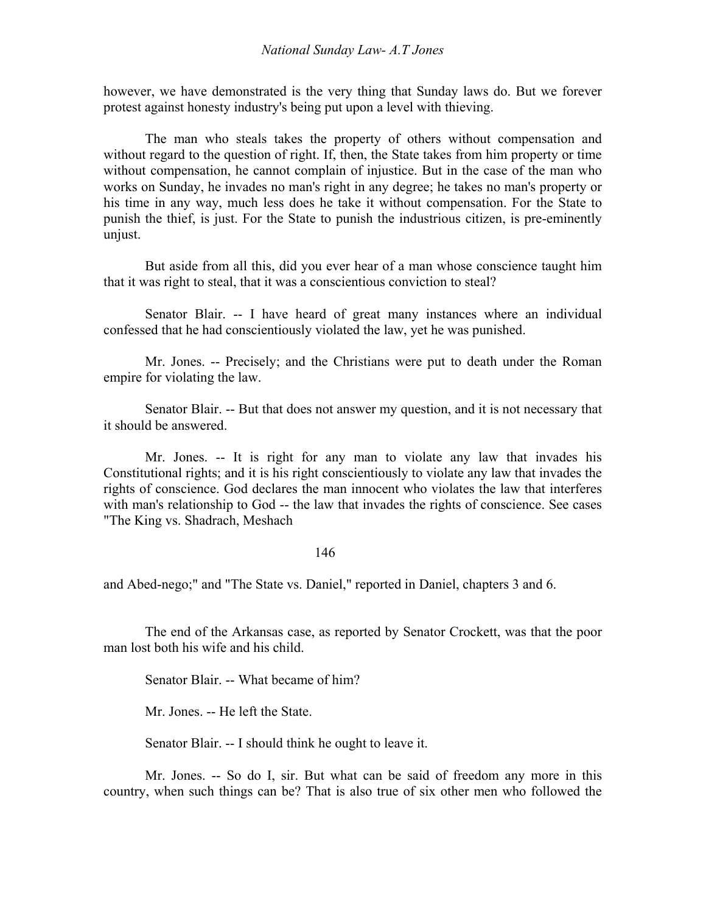however, we have demonstrated is the very thing that Sunday laws do. But we forever protest against honesty industry's being put upon a level with thieving.

 The man who steals takes the property of others without compensation and without regard to the question of right. If, then, the State takes from him property or time without compensation, he cannot complain of injustice. But in the case of the man who works on Sunday, he invades no man's right in any degree; he takes no man's property or his time in any way, much less does he take it without compensation. For the State to punish the thief, is just. For the State to punish the industrious citizen, is pre-eminently unjust.

 But aside from all this, did you ever hear of a man whose conscience taught him that it was right to steal, that it was a conscientious conviction to steal?

 Senator Blair. -- I have heard of great many instances where an individual confessed that he had conscientiously violated the law, yet he was punished.

 Mr. Jones. -- Precisely; and the Christians were put to death under the Roman empire for violating the law.

 Senator Blair. -- But that does not answer my question, and it is not necessary that it should be answered.

 Mr. Jones. -- It is right for any man to violate any law that invades his Constitutional rights; and it is his right conscientiously to violate any law that invades the rights of conscience. God declares the man innocent who violates the law that interferes with man's relationship to God -- the law that invades the rights of conscience. See cases "The King vs. Shadrach, Meshach

### 146

and Abed-nego;" and "The State vs. Daniel," reported in Daniel, chapters 3 and 6.

 The end of the Arkansas case, as reported by Senator Crockett, was that the poor man lost both his wife and his child.

Senator Blair. -- What became of him?

Mr. Jones. -- He left the State.

Senator Blair. -- I should think he ought to leave it.

 Mr. Jones. -- So do I, sir. But what can be said of freedom any more in this country, when such things can be? That is also true of six other men who followed the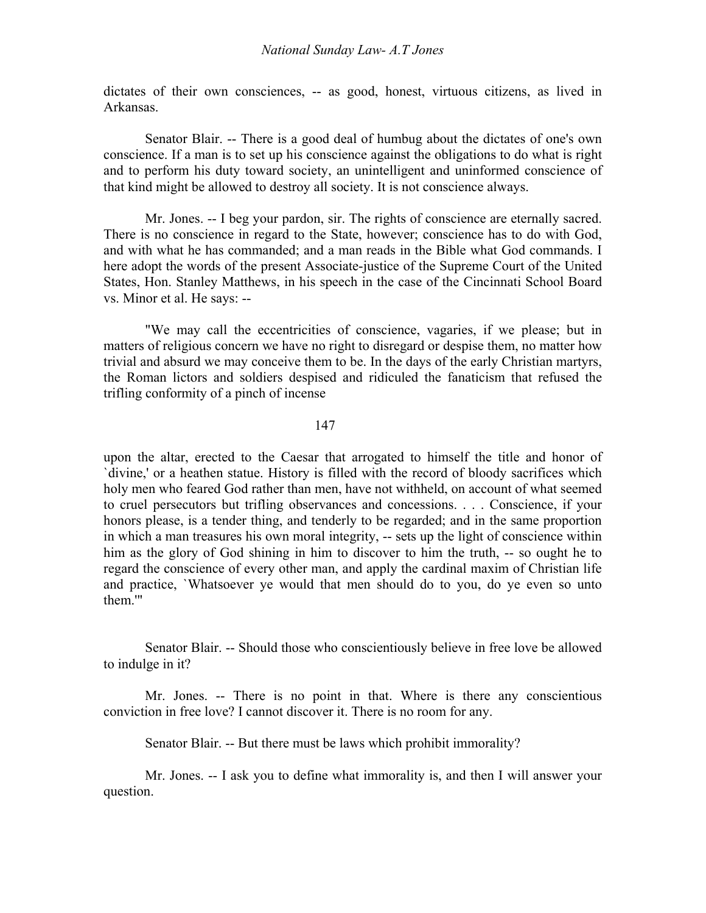dictates of their own consciences, -- as good, honest, virtuous citizens, as lived in Arkansas.

 Senator Blair. -- There is a good deal of humbug about the dictates of one's own conscience. If a man is to set up his conscience against the obligations to do what is right and to perform his duty toward society, an unintelligent and uninformed conscience of that kind might be allowed to destroy all society. It is not conscience always.

 Mr. Jones. -- I beg your pardon, sir. The rights of conscience are eternally sacred. There is no conscience in regard to the State, however; conscience has to do with God, and with what he has commanded; and a man reads in the Bible what God commands. I here adopt the words of the present Associate-justice of the Supreme Court of the United States, Hon. Stanley Matthews, in his speech in the case of the Cincinnati School Board vs. Minor et al. He says: --

 "We may call the eccentricities of conscience, vagaries, if we please; but in matters of religious concern we have no right to disregard or despise them, no matter how trivial and absurd we may conceive them to be. In the days of the early Christian martyrs, the Roman lictors and soldiers despised and ridiculed the fanaticism that refused the trifling conformity of a pinch of incense

### 147

upon the altar, erected to the Caesar that arrogated to himself the title and honor of `divine,' or a heathen statue. History is filled with the record of bloody sacrifices which holy men who feared God rather than men, have not withheld, on account of what seemed to cruel persecutors but trifling observances and concessions. . . . Conscience, if your honors please, is a tender thing, and tenderly to be regarded; and in the same proportion in which a man treasures his own moral integrity, -- sets up the light of conscience within him as the glory of God shining in him to discover to him the truth, -- so ought he to regard the conscience of every other man, and apply the cardinal maxim of Christian life and practice, `Whatsoever ye would that men should do to you, do ye even so unto them<sup>"</sup>

 Senator Blair. -- Should those who conscientiously believe in free love be allowed to indulge in it?

 Mr. Jones. -- There is no point in that. Where is there any conscientious conviction in free love? I cannot discover it. There is no room for any.

Senator Blair. -- But there must be laws which prohibit immorality?

 Mr. Jones. -- I ask you to define what immorality is, and then I will answer your question.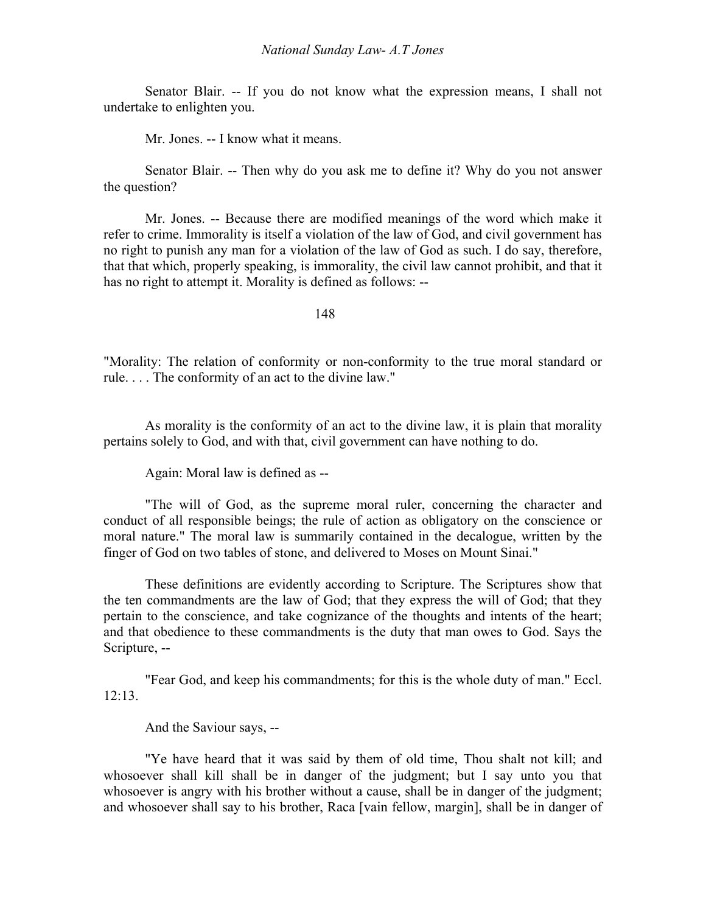Senator Blair. -- If you do not know what the expression means, I shall not undertake to enlighten you.

Mr. Jones. -- I know what it means.

 Senator Blair. -- Then why do you ask me to define it? Why do you not answer the question?

 Mr. Jones. -- Because there are modified meanings of the word which make it refer to crime. Immorality is itself a violation of the law of God, and civil government has no right to punish any man for a violation of the law of God as such. I do say, therefore, that that which, properly speaking, is immorality, the civil law cannot prohibit, and that it has no right to attempt it. Morality is defined as follows: --

148

"Morality: The relation of conformity or non-conformity to the true moral standard or rule. . . . The conformity of an act to the divine law."

 As morality is the conformity of an act to the divine law, it is plain that morality pertains solely to God, and with that, civil government can have nothing to do.

Again: Moral law is defined as --

 "The will of God, as the supreme moral ruler, concerning the character and conduct of all responsible beings; the rule of action as obligatory on the conscience or moral nature." The moral law is summarily contained in the decalogue, written by the finger of God on two tables of stone, and delivered to Moses on Mount Sinai."

 These definitions are evidently according to Scripture. The Scriptures show that the ten commandments are the law of God; that they express the will of God; that they pertain to the conscience, and take cognizance of the thoughts and intents of the heart; and that obedience to these commandments is the duty that man owes to God. Says the Scripture, --

 "Fear God, and keep his commandments; for this is the whole duty of man." Eccl. 12:13.

And the Saviour says, --

 "Ye have heard that it was said by them of old time, Thou shalt not kill; and whosoever shall kill shall be in danger of the judgment; but I say unto you that whosoever is angry with his brother without a cause, shall be in danger of the judgment; and whosoever shall say to his brother, Raca [vain fellow, margin], shall be in danger of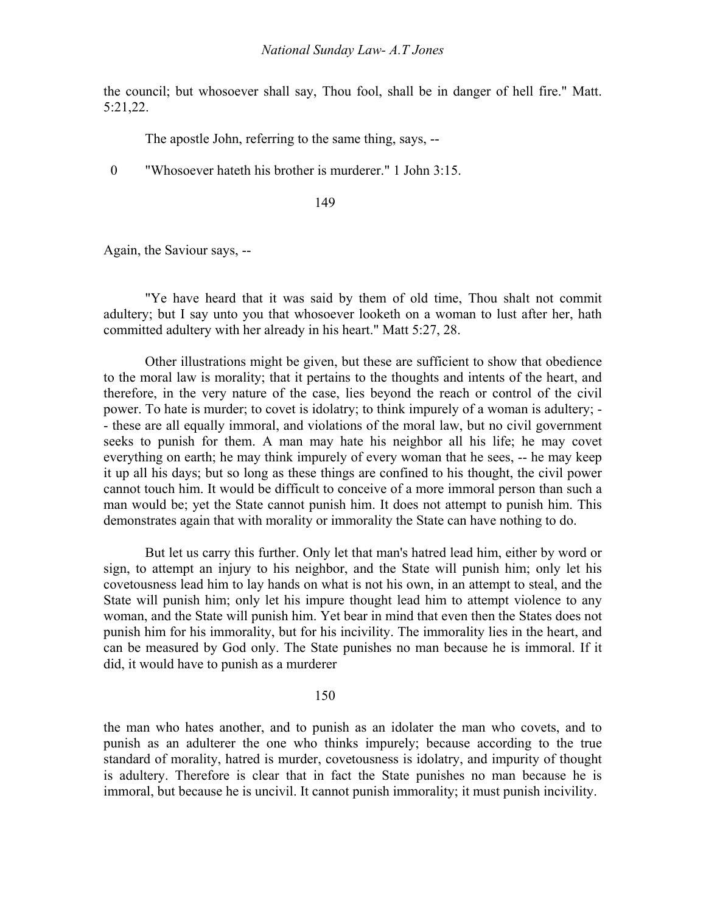the council; but whosoever shall say, Thou fool, shall be in danger of hell fire." Matt. 5:21,22.

The apostle John, referring to the same thing, says, --

0 "Whosoever hateth his brother is murderer." 1 John 3:15.

149

Again, the Saviour says, --

 "Ye have heard that it was said by them of old time, Thou shalt not commit adultery; but I say unto you that whosoever looketh on a woman to lust after her, hath committed adultery with her already in his heart." Matt 5:27, 28.

 Other illustrations might be given, but these are sufficient to show that obedience to the moral law is morality; that it pertains to the thoughts and intents of the heart, and therefore, in the very nature of the case, lies beyond the reach or control of the civil power. To hate is murder; to covet is idolatry; to think impurely of a woman is adultery; - - these are all equally immoral, and violations of the moral law, but no civil government seeks to punish for them. A man may hate his neighbor all his life; he may covet everything on earth; he may think impurely of every woman that he sees, -- he may keep it up all his days; but so long as these things are confined to his thought, the civil power cannot touch him. It would be difficult to conceive of a more immoral person than such a man would be; yet the State cannot punish him. It does not attempt to punish him. This demonstrates again that with morality or immorality the State can have nothing to do.

 But let us carry this further. Only let that man's hatred lead him, either by word or sign, to attempt an injury to his neighbor, and the State will punish him; only let his covetousness lead him to lay hands on what is not his own, in an attempt to steal, and the State will punish him; only let his impure thought lead him to attempt violence to any woman, and the State will punish him. Yet bear in mind that even then the States does not punish him for his immorality, but for his incivility. The immorality lies in the heart, and can be measured by God only. The State punishes no man because he is immoral. If it did, it would have to punish as a murderer

150

the man who hates another, and to punish as an idolater the man who covets, and to punish as an adulterer the one who thinks impurely; because according to the true standard of morality, hatred is murder, covetousness is idolatry, and impurity of thought is adultery. Therefore is clear that in fact the State punishes no man because he is immoral, but because he is uncivil. It cannot punish immorality; it must punish incivility.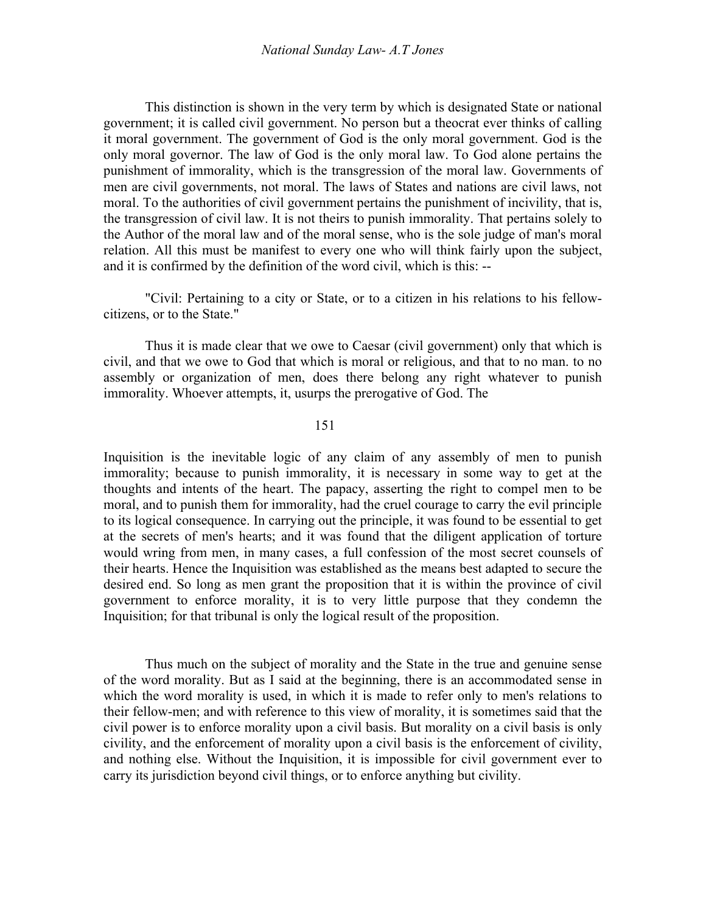This distinction is shown in the very term by which is designated State or national government; it is called civil government. No person but a theocrat ever thinks of calling it moral government. The government of God is the only moral government. God is the only moral governor. The law of God is the only moral law. To God alone pertains the punishment of immorality, which is the transgression of the moral law. Governments of men are civil governments, not moral. The laws of States and nations are civil laws, not moral. To the authorities of civil government pertains the punishment of incivility, that is, the transgression of civil law. It is not theirs to punish immorality. That pertains solely to the Author of the moral law and of the moral sense, who is the sole judge of man's moral relation. All this must be manifest to every one who will think fairly upon the subject, and it is confirmed by the definition of the word civil, which is this: --

 "Civil: Pertaining to a city or State, or to a citizen in his relations to his fellowcitizens, or to the State."

 Thus it is made clear that we owe to Caesar (civil government) only that which is civil, and that we owe to God that which is moral or religious, and that to no man. to no assembly or organization of men, does there belong any right whatever to punish immorality. Whoever attempts, it, usurps the prerogative of God. The

151

Inquisition is the inevitable logic of any claim of any assembly of men to punish immorality; because to punish immorality, it is necessary in some way to get at the thoughts and intents of the heart. The papacy, asserting the right to compel men to be moral, and to punish them for immorality, had the cruel courage to carry the evil principle to its logical consequence. In carrying out the principle, it was found to be essential to get at the secrets of men's hearts; and it was found that the diligent application of torture would wring from men, in many cases, a full confession of the most secret counsels of their hearts. Hence the Inquisition was established as the means best adapted to secure the desired end. So long as men grant the proposition that it is within the province of civil government to enforce morality, it is to very little purpose that they condemn the Inquisition; for that tribunal is only the logical result of the proposition.

 Thus much on the subject of morality and the State in the true and genuine sense of the word morality. But as I said at the beginning, there is an accommodated sense in which the word morality is used, in which it is made to refer only to men's relations to their fellow-men; and with reference to this view of morality, it is sometimes said that the civil power is to enforce morality upon a civil basis. But morality on a civil basis is only civility, and the enforcement of morality upon a civil basis is the enforcement of civility, and nothing else. Without the Inquisition, it is impossible for civil government ever to carry its jurisdiction beyond civil things, or to enforce anything but civility.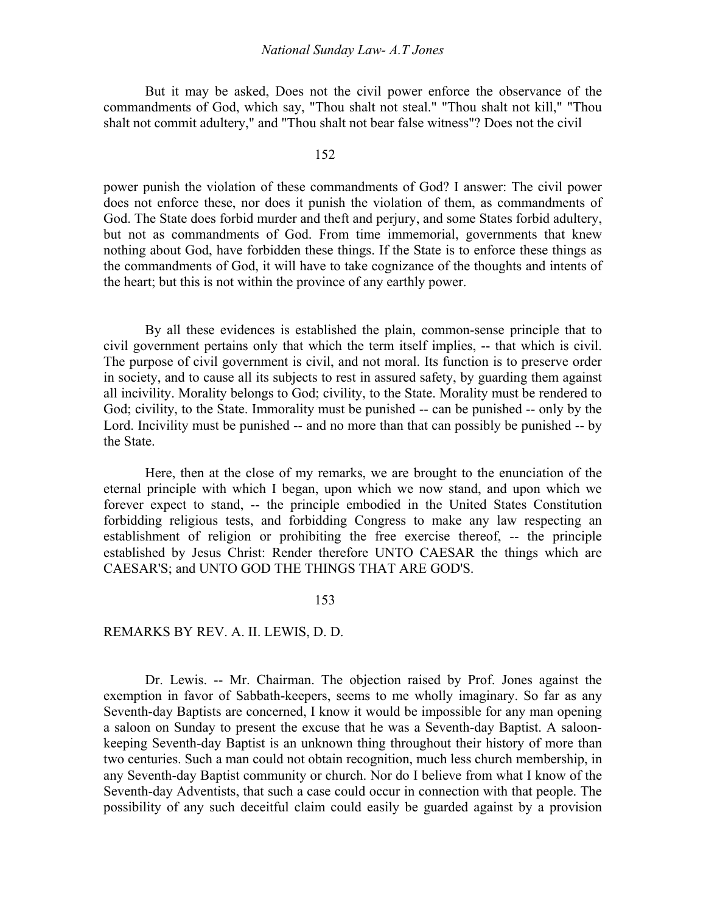But it may be asked, Does not the civil power enforce the observance of the commandments of God, which say, "Thou shalt not steal." "Thou shalt not kill," "Thou shalt not commit adultery," and "Thou shalt not bear false witness"? Does not the civil

### 152

power punish the violation of these commandments of God? I answer: The civil power does not enforce these, nor does it punish the violation of them, as commandments of God. The State does forbid murder and theft and perjury, and some States forbid adultery, but not as commandments of God. From time immemorial, governments that knew nothing about God, have forbidden these things. If the State is to enforce these things as the commandments of God, it will have to take cognizance of the thoughts and intents of the heart; but this is not within the province of any earthly power.

 By all these evidences is established the plain, common-sense principle that to civil government pertains only that which the term itself implies, -- that which is civil. The purpose of civil government is civil, and not moral. Its function is to preserve order in society, and to cause all its subjects to rest in assured safety, by guarding them against all incivility. Morality belongs to God; civility, to the State. Morality must be rendered to God; civility, to the State. Immorality must be punished -- can be punished -- only by the Lord. Incivility must be punished -- and no more than that can possibly be punished -- by the State.

 Here, then at the close of my remarks, we are brought to the enunciation of the eternal principle with which I began, upon which we now stand, and upon which we forever expect to stand, -- the principle embodied in the United States Constitution forbidding religious tests, and forbidding Congress to make any law respecting an establishment of religion or prohibiting the free exercise thereof, -- the principle established by Jesus Christ: Render therefore UNTO CAESAR the things which are CAESAR'S; and UNTO GOD THE THINGS THAT ARE GOD'S.

### 153

### REMARKS BY REV. A. II. LEWIS, D. D.

 Dr. Lewis. -- Mr. Chairman. The objection raised by Prof. Jones against the exemption in favor of Sabbath-keepers, seems to me wholly imaginary. So far as any Seventh-day Baptists are concerned, I know it would be impossible for any man opening a saloon on Sunday to present the excuse that he was a Seventh-day Baptist. A saloonkeeping Seventh-day Baptist is an unknown thing throughout their history of more than two centuries. Such a man could not obtain recognition, much less church membership, in any Seventh-day Baptist community or church. Nor do I believe from what I know of the Seventh-day Adventists, that such a case could occur in connection with that people. The possibility of any such deceitful claim could easily be guarded against by a provision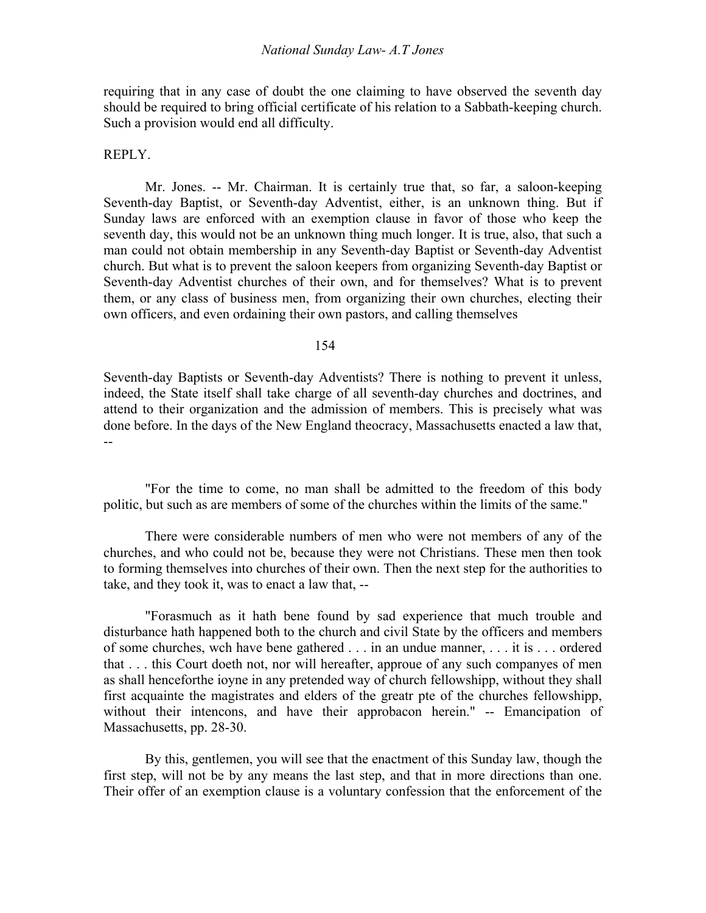requiring that in any case of doubt the one claiming to have observed the seventh day should be required to bring official certificate of his relation to a Sabbath-keeping church. Such a provision would end all difficulty.

#### REPLY.

 Mr. Jones. -- Mr. Chairman. It is certainly true that, so far, a saloon-keeping Seventh-day Baptist, or Seventh-day Adventist, either, is an unknown thing. But if Sunday laws are enforced with an exemption clause in favor of those who keep the seventh day, this would not be an unknown thing much longer. It is true, also, that such a man could not obtain membership in any Seventh-day Baptist or Seventh-day Adventist church. But what is to prevent the saloon keepers from organizing Seventh-day Baptist or Seventh-day Adventist churches of their own, and for themselves? What is to prevent them, or any class of business men, from organizing their own churches, electing their own officers, and even ordaining their own pastors, and calling themselves

154

Seventh-day Baptists or Seventh-day Adventists? There is nothing to prevent it unless, indeed, the State itself shall take charge of all seventh-day churches and doctrines, and attend to their organization and the admission of members. This is precisely what was done before. In the days of the New England theocracy, Massachusetts enacted a law that, --

 "For the time to come, no man shall be admitted to the freedom of this body politic, but such as are members of some of the churches within the limits of the same."

 There were considerable numbers of men who were not members of any of the churches, and who could not be, because they were not Christians. These men then took to forming themselves into churches of their own. Then the next step for the authorities to take, and they took it, was to enact a law that, --

 "Forasmuch as it hath bene found by sad experience that much trouble and disturbance hath happened both to the church and civil State by the officers and members of some churches, wch have bene gathered . . . in an undue manner, . . . it is . . . ordered that . . . this Court doeth not, nor will hereafter, approue of any such companyes of men as shall henceforthe ioyne in any pretended way of church fellowshipp, without they shall first acquainte the magistrates and elders of the greatr pte of the churches fellowshipp, without their intencons, and have their approbacon herein." -- Emancipation of Massachusetts, pp. 28-30.

 By this, gentlemen, you will see that the enactment of this Sunday law, though the first step, will not be by any means the last step, and that in more directions than one. Their offer of an exemption clause is a voluntary confession that the enforcement of the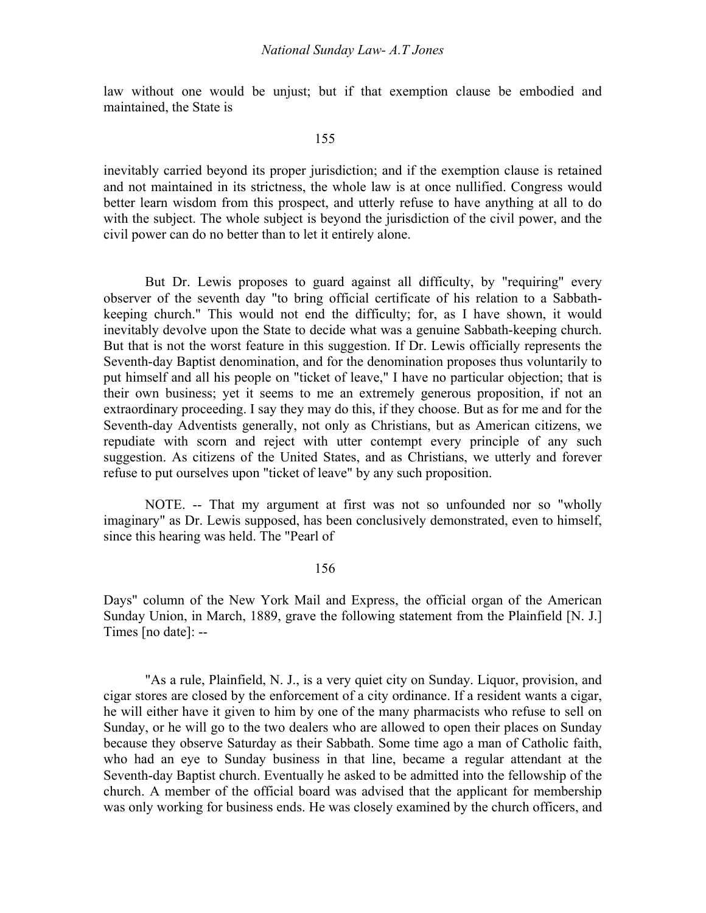law without one would be unjust; but if that exemption clause be embodied and maintained, the State is

155

inevitably carried beyond its proper jurisdiction; and if the exemption clause is retained and not maintained in its strictness, the whole law is at once nullified. Congress would better learn wisdom from this prospect, and utterly refuse to have anything at all to do with the subject. The whole subject is beyond the jurisdiction of the civil power, and the civil power can do no better than to let it entirely alone.

 But Dr. Lewis proposes to guard against all difficulty, by "requiring" every observer of the seventh day "to bring official certificate of his relation to a Sabbathkeeping church." This would not end the difficulty; for, as I have shown, it would inevitably devolve upon the State to decide what was a genuine Sabbath-keeping church. But that is not the worst feature in this suggestion. If Dr. Lewis officially represents the Seventh-day Baptist denomination, and for the denomination proposes thus voluntarily to put himself and all his people on "ticket of leave," I have no particular objection; that is their own business; yet it seems to me an extremely generous proposition, if not an extraordinary proceeding. I say they may do this, if they choose. But as for me and for the Seventh-day Adventists generally, not only as Christians, but as American citizens, we repudiate with scorn and reject with utter contempt every principle of any such suggestion. As citizens of the United States, and as Christians, we utterly and forever refuse to put ourselves upon "ticket of leave" by any such proposition.

 NOTE. -- That my argument at first was not so unfounded nor so "wholly imaginary" as Dr. Lewis supposed, has been conclusively demonstrated, even to himself, since this hearing was held. The "Pearl of

156

Days" column of the New York Mail and Express, the official organ of the American Sunday Union, in March, 1889, grave the following statement from the Plainfield [N. J.] Times [no date]: --

 "As a rule, Plainfield, N. J., is a very quiet city on Sunday. Liquor, provision, and cigar stores are closed by the enforcement of a city ordinance. If a resident wants a cigar, he will either have it given to him by one of the many pharmacists who refuse to sell on Sunday, or he will go to the two dealers who are allowed to open their places on Sunday because they observe Saturday as their Sabbath. Some time ago a man of Catholic faith, who had an eye to Sunday business in that line, became a regular attendant at the Seventh-day Baptist church. Eventually he asked to be admitted into the fellowship of the church. A member of the official board was advised that the applicant for membership was only working for business ends. He was closely examined by the church officers, and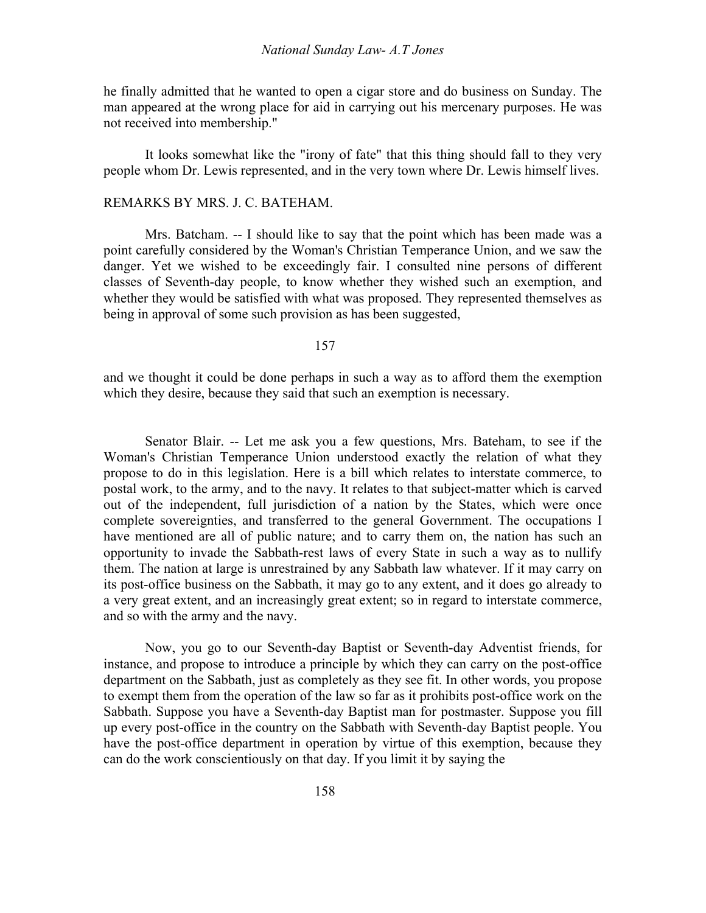he finally admitted that he wanted to open a cigar store and do business on Sunday. The man appeared at the wrong place for aid in carrying out his mercenary purposes. He was not received into membership."

 It looks somewhat like the "irony of fate" that this thing should fall to they very people whom Dr. Lewis represented, and in the very town where Dr. Lewis himself lives.

# REMARKS BY MRS. J. C. BATEHAM.

 Mrs. Batcham. -- I should like to say that the point which has been made was a point carefully considered by the Woman's Christian Temperance Union, and we saw the danger. Yet we wished to be exceedingly fair. I consulted nine persons of different classes of Seventh-day people, to know whether they wished such an exemption, and whether they would be satisfied with what was proposed. They represented themselves as being in approval of some such provision as has been suggested,

157

and we thought it could be done perhaps in such a way as to afford them the exemption which they desire, because they said that such an exemption is necessary.

 Senator Blair. -- Let me ask you a few questions, Mrs. Bateham, to see if the Woman's Christian Temperance Union understood exactly the relation of what they propose to do in this legislation. Here is a bill which relates to interstate commerce, to postal work, to the army, and to the navy. It relates to that subject-matter which is carved out of the independent, full jurisdiction of a nation by the States, which were once complete sovereignties, and transferred to the general Government. The occupations I have mentioned are all of public nature; and to carry them on, the nation has such an opportunity to invade the Sabbath-rest laws of every State in such a way as to nullify them. The nation at large is unrestrained by any Sabbath law whatever. If it may carry on its post-office business on the Sabbath, it may go to any extent, and it does go already to a very great extent, and an increasingly great extent; so in regard to interstate commerce, and so with the army and the navy.

 Now, you go to our Seventh-day Baptist or Seventh-day Adventist friends, for instance, and propose to introduce a principle by which they can carry on the post-office department on the Sabbath, just as completely as they see fit. In other words, you propose to exempt them from the operation of the law so far as it prohibits post-office work on the Sabbath. Suppose you have a Seventh-day Baptist man for postmaster. Suppose you fill up every post-office in the country on the Sabbath with Seventh-day Baptist people. You have the post-office department in operation by virtue of this exemption, because they can do the work conscientiously on that day. If you limit it by saying the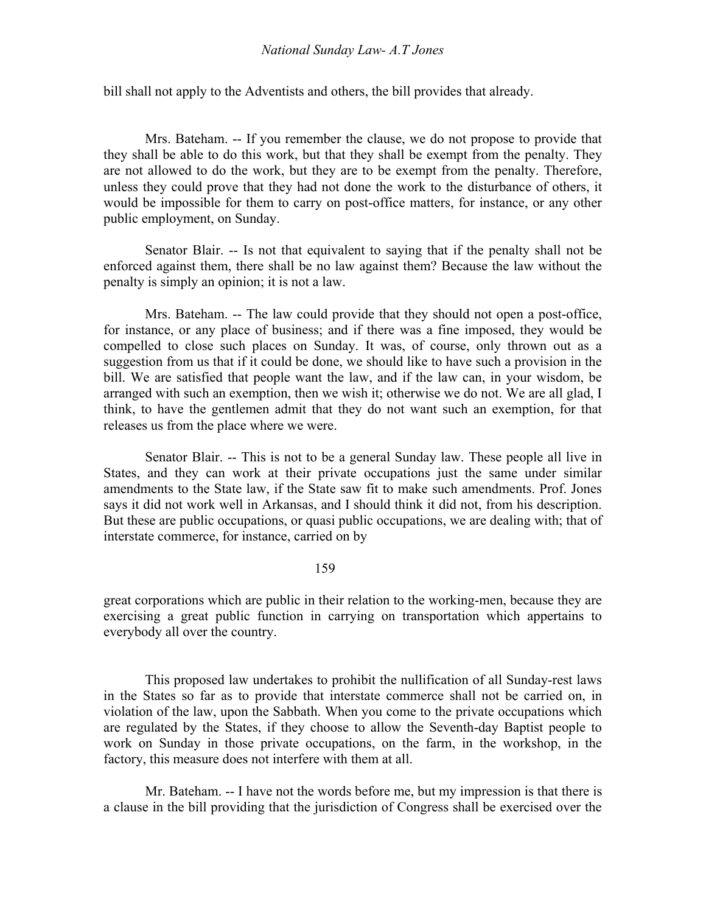bill shall not apply to the Adventists and others, the bill provides that already.

 Mrs. Bateham. -- If you remember the clause, we do not propose to provide that they shall be able to do this work, but that they shall be exempt from the penalty. They are not allowed to do the work, but they are to be exempt from the penalty. Therefore, unless they could prove that they had not done the work to the disturbance of others, it would be impossible for them to carry on post-office matters, for instance, or any other public employment, on Sunday.

 Senator Blair. -- Is not that equivalent to saying that if the penalty shall not be enforced against them, there shall be no law against them? Because the law without the penalty is simply an opinion; it is not a law.

 Mrs. Bateham. -- The law could provide that they should not open a post-office, for instance, or any place of business; and if there was a fine imposed, they would be compelled to close such places on Sunday. It was, of course, only thrown out as a suggestion from us that if it could be done, we should like to have such a provision in the bill. We are satisfied that people want the law, and if the law can, in your wisdom, be arranged with such an exemption, then we wish it; otherwise we do not. We are all glad, I think, to have the gentlemen admit that they do not want such an exemption, for that releases us from the place where we were.

 Senator Blair. -- This is not to be a general Sunday law. These people all live in States, and they can work at their private occupations just the same under similar amendments to the State law, if the State saw fit to make such amendments. Prof. Jones says it did not work well in Arkansas, and I should think it did not, from his description. But these are public occupations, or quasi public occupations, we are dealing with; that of interstate commerce, for instance, carried on by

159

great corporations which are public in their relation to the working-men, because they are exercising a great public function in carrying on transportation which appertains to everybody all over the country.

 This proposed law undertakes to prohibit the nullification of all Sunday-rest laws in the States so far as to provide that interstate commerce shall not be carried on, in violation of the law, upon the Sabbath. When you come to the private occupations which are regulated by the States, if they choose to allow the Seventh-day Baptist people to work on Sunday in those private occupations, on the farm, in the workshop, in the factory, this measure does not interfere with them at all.

 Mr. Bateham. -- I have not the words before me, but my impression is that there is a clause in the bill providing that the jurisdiction of Congress shall be exercised over the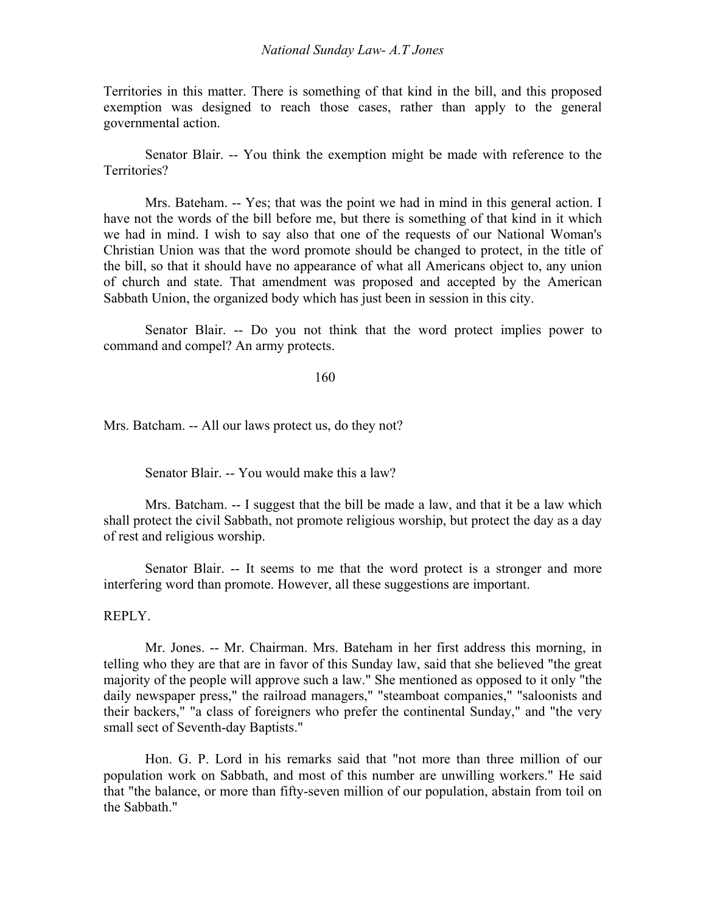Territories in this matter. There is something of that kind in the bill, and this proposed exemption was designed to reach those cases, rather than apply to the general governmental action.

 Senator Blair. -- You think the exemption might be made with reference to the Territories?

 Mrs. Bateham. -- Yes; that was the point we had in mind in this general action. I have not the words of the bill before me, but there is something of that kind in it which we had in mind. I wish to say also that one of the requests of our National Woman's Christian Union was that the word promote should be changed to protect, in the title of the bill, so that it should have no appearance of what all Americans object to, any union of church and state. That amendment was proposed and accepted by the American Sabbath Union, the organized body which has just been in session in this city.

 Senator Blair. -- Do you not think that the word protect implies power to command and compel? An army protects.

160

Mrs. Batcham. -- All our laws protect us, do they not?

Senator Blair. -- You would make this a law?

 Mrs. Batcham. -- I suggest that the bill be made a law, and that it be a law which shall protect the civil Sabbath, not promote religious worship, but protect the day as a day of rest and religious worship.

 Senator Blair. -- It seems to me that the word protect is a stronger and more interfering word than promote. However, all these suggestions are important.

REPLY.

 Mr. Jones. -- Mr. Chairman. Mrs. Bateham in her first address this morning, in telling who they are that are in favor of this Sunday law, said that she believed "the great majority of the people will approve such a law." She mentioned as opposed to it only "the daily newspaper press," the railroad managers," "steamboat companies," "saloonists and their backers," "a class of foreigners who prefer the continental Sunday," and "the very small sect of Seventh-day Baptists."

 Hon. G. P. Lord in his remarks said that "not more than three million of our population work on Sabbath, and most of this number are unwilling workers." He said that "the balance, or more than fifty-seven million of our population, abstain from toil on the Sabbath."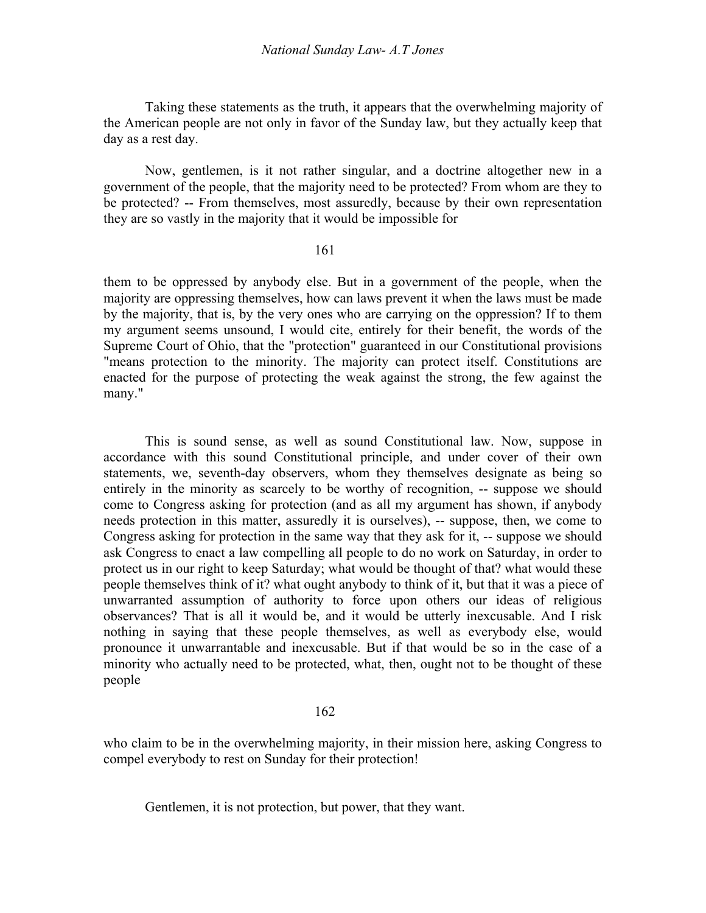Taking these statements as the truth, it appears that the overwhelming majority of the American people are not only in favor of the Sunday law, but they actually keep that day as a rest day.

 Now, gentlemen, is it not rather singular, and a doctrine altogether new in a government of the people, that the majority need to be protected? From whom are they to be protected? -- From themselves, most assuredly, because by their own representation they are so vastly in the majority that it would be impossible for

#### 161

them to be oppressed by anybody else. But in a government of the people, when the majority are oppressing themselves, how can laws prevent it when the laws must be made by the majority, that is, by the very ones who are carrying on the oppression? If to them my argument seems unsound, I would cite, entirely for their benefit, the words of the Supreme Court of Ohio, that the "protection" guaranteed in our Constitutional provisions "means protection to the minority. The majority can protect itself. Constitutions are enacted for the purpose of protecting the weak against the strong, the few against the many."

 This is sound sense, as well as sound Constitutional law. Now, suppose in accordance with this sound Constitutional principle, and under cover of their own statements, we, seventh-day observers, whom they themselves designate as being so entirely in the minority as scarcely to be worthy of recognition, -- suppose we should come to Congress asking for protection (and as all my argument has shown, if anybody needs protection in this matter, assuredly it is ourselves), -- suppose, then, we come to Congress asking for protection in the same way that they ask for it, -- suppose we should ask Congress to enact a law compelling all people to do no work on Saturday, in order to protect us in our right to keep Saturday; what would be thought of that? what would these people themselves think of it? what ought anybody to think of it, but that it was a piece of unwarranted assumption of authority to force upon others our ideas of religious observances? That is all it would be, and it would be utterly inexcusable. And I risk nothing in saying that these people themselves, as well as everybody else, would pronounce it unwarrantable and inexcusable. But if that would be so in the case of a minority who actually need to be protected, what, then, ought not to be thought of these people

## 162

who claim to be in the overwhelming majority, in their mission here, asking Congress to compel everybody to rest on Sunday for their protection!

Gentlemen, it is not protection, but power, that they want.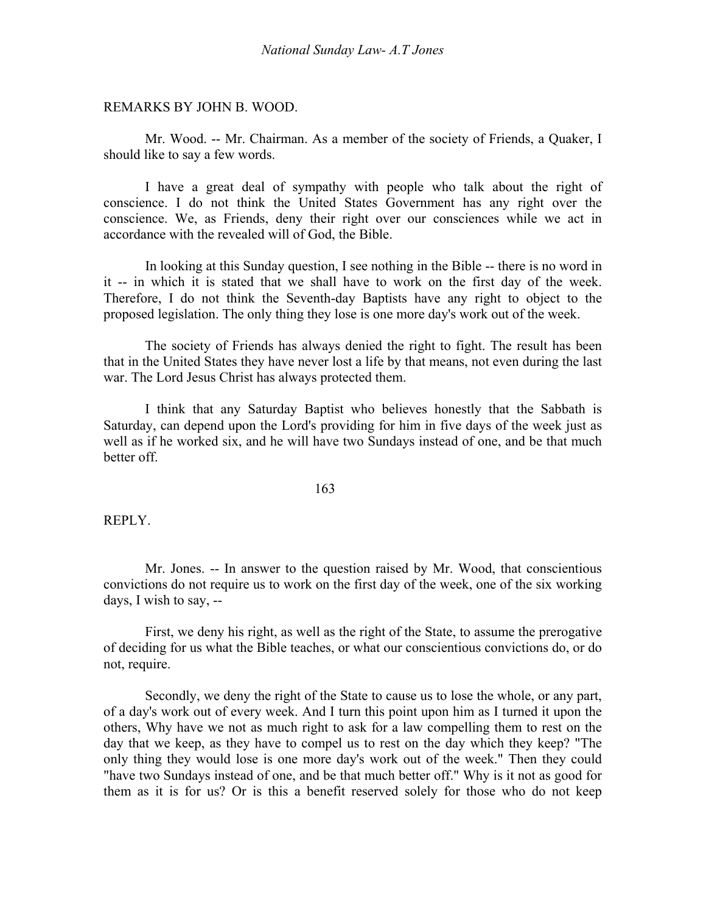REMARKS BY JOHN B. WOOD.

 Mr. Wood. -- Mr. Chairman. As a member of the society of Friends, a Quaker, I should like to say a few words.

 I have a great deal of sympathy with people who talk about the right of conscience. I do not think the United States Government has any right over the conscience. We, as Friends, deny their right over our consciences while we act in accordance with the revealed will of God, the Bible.

 In looking at this Sunday question, I see nothing in the Bible -- there is no word in it -- in which it is stated that we shall have to work on the first day of the week. Therefore, I do not think the Seventh-day Baptists have any right to object to the proposed legislation. The only thing they lose is one more day's work out of the week.

 The society of Friends has always denied the right to fight. The result has been that in the United States they have never lost a life by that means, not even during the last war. The Lord Jesus Christ has always protected them.

 I think that any Saturday Baptist who believes honestly that the Sabbath is Saturday, can depend upon the Lord's providing for him in five days of the week just as well as if he worked six, and he will have two Sundays instead of one, and be that much better off.

163

REPLY.

 Mr. Jones. -- In answer to the question raised by Mr. Wood, that conscientious convictions do not require us to work on the first day of the week, one of the six working days, I wish to say, --

 First, we deny his right, as well as the right of the State, to assume the prerogative of deciding for us what the Bible teaches, or what our conscientious convictions do, or do not, require.

 Secondly, we deny the right of the State to cause us to lose the whole, or any part, of a day's work out of every week. And I turn this point upon him as I turned it upon the others, Why have we not as much right to ask for a law compelling them to rest on the day that we keep, as they have to compel us to rest on the day which they keep? "The only thing they would lose is one more day's work out of the week." Then they could "have two Sundays instead of one, and be that much better off." Why is it not as good for them as it is for us? Or is this a benefit reserved solely for those who do not keep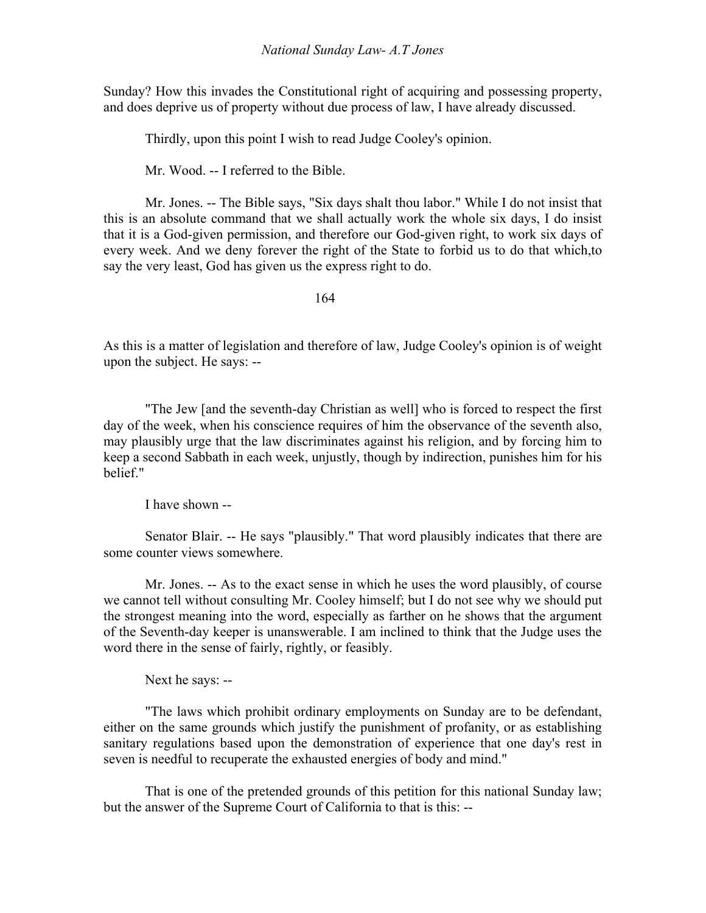Sunday? How this invades the Constitutional right of acquiring and possessing property, and does deprive us of property without due process of law, I have already discussed.

Thirdly, upon this point I wish to read Judge Cooley's opinion.

Mr. Wood. -- I referred to the Bible.

 Mr. Jones. -- The Bible says, "Six days shalt thou labor." While I do not insist that this is an absolute command that we shall actually work the whole six days, I do insist that it is a God-given permission, and therefore our God-given right, to work six days of every week. And we deny forever the right of the State to forbid us to do that which,to say the very least, God has given us the express right to do.

164

As this is a matter of legislation and therefore of law, Judge Cooley's opinion is of weight upon the subject. He says: --

 "The Jew [and the seventh-day Christian as well] who is forced to respect the first day of the week, when his conscience requires of him the observance of the seventh also, may plausibly urge that the law discriminates against his religion, and by forcing him to keep a second Sabbath in each week, unjustly, though by indirection, punishes him for his belief."

I have shown --

 Senator Blair. -- He says "plausibly." That word plausibly indicates that there are some counter views somewhere.

 Mr. Jones. -- As to the exact sense in which he uses the word plausibly, of course we cannot tell without consulting Mr. Cooley himself; but I do not see why we should put the strongest meaning into the word, especially as farther on he shows that the argument of the Seventh-day keeper is unanswerable. I am inclined to think that the Judge uses the word there in the sense of fairly, rightly, or feasibly.

Next he says: --

 "The laws which prohibit ordinary employments on Sunday are to be defendant, either on the same grounds which justify the punishment of profanity, or as establishing sanitary regulations based upon the demonstration of experience that one day's rest in seven is needful to recuperate the exhausted energies of body and mind."

 That is one of the pretended grounds of this petition for this national Sunday law; but the answer of the Supreme Court of California to that is this: --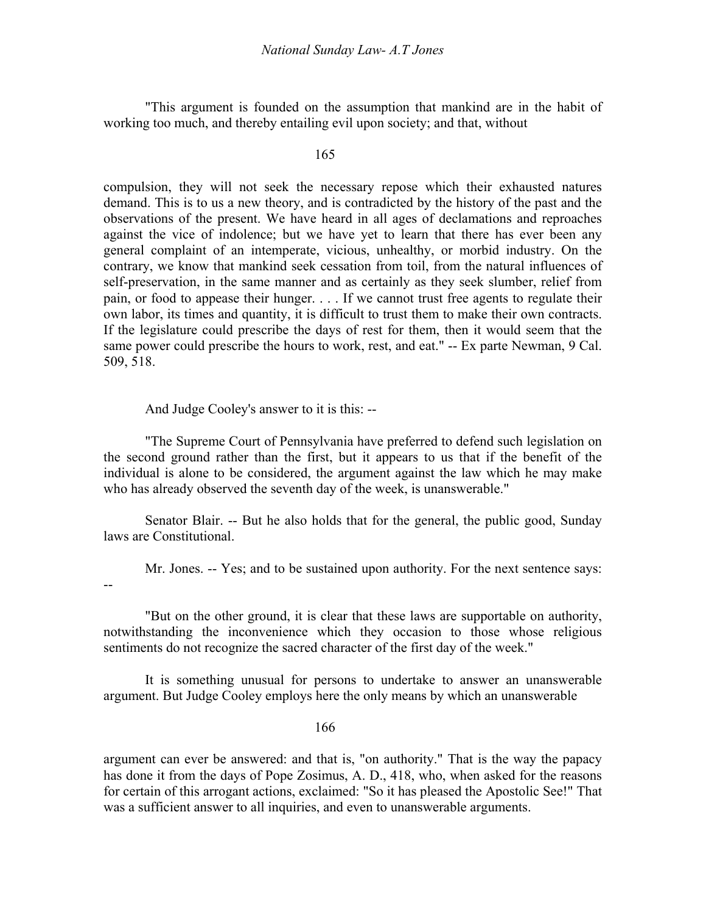"This argument is founded on the assumption that mankind are in the habit of working too much, and thereby entailing evil upon society; and that, without

#### 165

compulsion, they will not seek the necessary repose which their exhausted natures demand. This is to us a new theory, and is contradicted by the history of the past and the observations of the present. We have heard in all ages of declamations and reproaches against the vice of indolence; but we have yet to learn that there has ever been any general complaint of an intemperate, vicious, unhealthy, or morbid industry. On the contrary, we know that mankind seek cessation from toil, from the natural influences of self-preservation, in the same manner and as certainly as they seek slumber, relief from pain, or food to appease their hunger. . . . If we cannot trust free agents to regulate their own labor, its times and quantity, it is difficult to trust them to make their own contracts. If the legislature could prescribe the days of rest for them, then it would seem that the same power could prescribe the hours to work, rest, and eat." -- Ex parte Newman, 9 Cal. 509, 518.

And Judge Cooley's answer to it is this: --

 "The Supreme Court of Pennsylvania have preferred to defend such legislation on the second ground rather than the first, but it appears to us that if the benefit of the individual is alone to be considered, the argument against the law which he may make who has already observed the seventh day of the week, is unanswerable."

 Senator Blair. -- But he also holds that for the general, the public good, Sunday laws are Constitutional.

Mr. Jones. -- Yes; and to be sustained upon authority. For the next sentence says:

--

 "But on the other ground, it is clear that these laws are supportable on authority, notwithstanding the inconvenience which they occasion to those whose religious sentiments do not recognize the sacred character of the first day of the week."

 It is something unusual for persons to undertake to answer an unanswerable argument. But Judge Cooley employs here the only means by which an unanswerable

166

argument can ever be answered: and that is, "on authority." That is the way the papacy has done it from the days of Pope Zosimus, A. D., 418, who, when asked for the reasons for certain of this arrogant actions, exclaimed: "So it has pleased the Apostolic See!" That was a sufficient answer to all inquiries, and even to unanswerable arguments.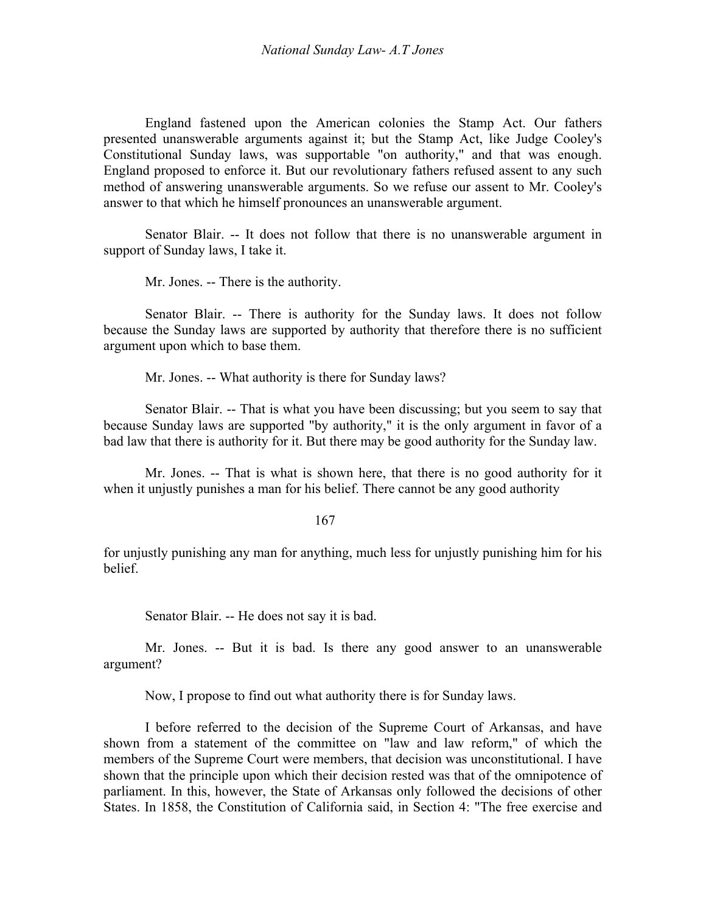England fastened upon the American colonies the Stamp Act. Our fathers presented unanswerable arguments against it; but the Stamp Act, like Judge Cooley's Constitutional Sunday laws, was supportable "on authority," and that was enough. England proposed to enforce it. But our revolutionary fathers refused assent to any such method of answering unanswerable arguments. So we refuse our assent to Mr. Cooley's answer to that which he himself pronounces an unanswerable argument.

 Senator Blair. -- It does not follow that there is no unanswerable argument in support of Sunday laws, I take it.

Mr. Jones. -- There is the authority.

 Senator Blair. -- There is authority for the Sunday laws. It does not follow because the Sunday laws are supported by authority that therefore there is no sufficient argument upon which to base them.

Mr. Jones. -- What authority is there for Sunday laws?

 Senator Blair. -- That is what you have been discussing; but you seem to say that because Sunday laws are supported "by authority," it is the only argument in favor of a bad law that there is authority for it. But there may be good authority for the Sunday law.

 Mr. Jones. -- That is what is shown here, that there is no good authority for it when it unjustly punishes a man for his belief. There cannot be any good authority

167

for unjustly punishing any man for anything, much less for unjustly punishing him for his belief.

Senator Blair. -- He does not say it is bad.

 Mr. Jones. -- But it is bad. Is there any good answer to an unanswerable argument?

Now, I propose to find out what authority there is for Sunday laws.

 I before referred to the decision of the Supreme Court of Arkansas, and have shown from a statement of the committee on "law and law reform," of which the members of the Supreme Court were members, that decision was unconstitutional. I have shown that the principle upon which their decision rested was that of the omnipotence of parliament. In this, however, the State of Arkansas only followed the decisions of other States. In 1858, the Constitution of California said, in Section 4: "The free exercise and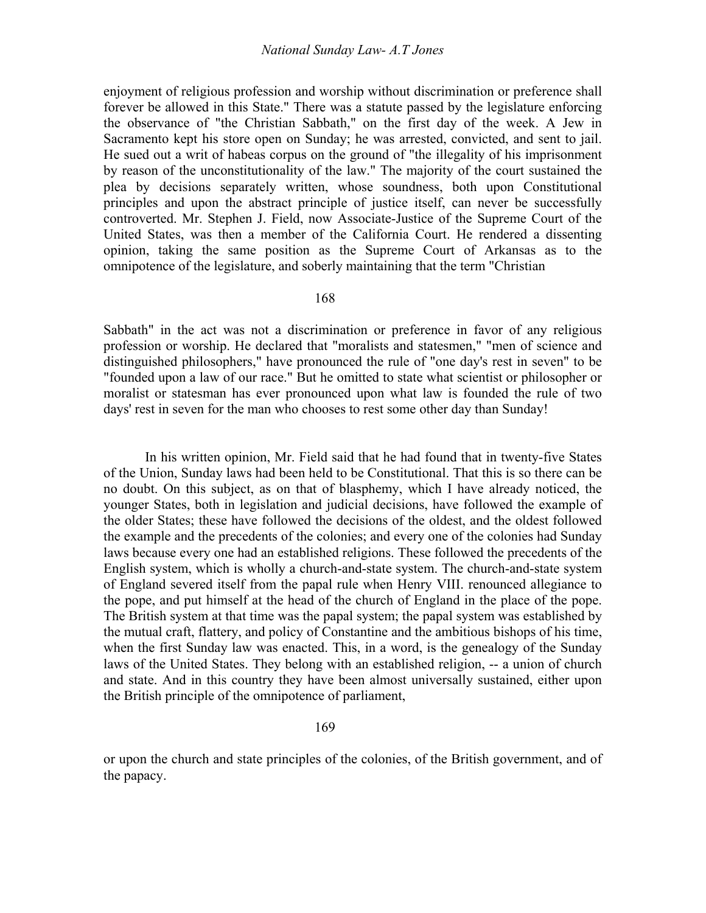enjoyment of religious profession and worship without discrimination or preference shall forever be allowed in this State." There was a statute passed by the legislature enforcing the observance of "the Christian Sabbath," on the first day of the week. A Jew in Sacramento kept his store open on Sunday; he was arrested, convicted, and sent to jail. He sued out a writ of habeas corpus on the ground of "the illegality of his imprisonment by reason of the unconstitutionality of the law." The majority of the court sustained the plea by decisions separately written, whose soundness, both upon Constitutional principles and upon the abstract principle of justice itself, can never be successfully controverted. Mr. Stephen J. Field, now Associate-Justice of the Supreme Court of the United States, was then a member of the California Court. He rendered a dissenting opinion, taking the same position as the Supreme Court of Arkansas as to the omnipotence of the legislature, and soberly maintaining that the term "Christian

## 168

Sabbath" in the act was not a discrimination or preference in favor of any religious profession or worship. He declared that "moralists and statesmen," "men of science and distinguished philosophers," have pronounced the rule of "one day's rest in seven" to be "founded upon a law of our race." But he omitted to state what scientist or philosopher or moralist or statesman has ever pronounced upon what law is founded the rule of two days' rest in seven for the man who chooses to rest some other day than Sunday!

 In his written opinion, Mr. Field said that he had found that in twenty-five States of the Union, Sunday laws had been held to be Constitutional. That this is so there can be no doubt. On this subject, as on that of blasphemy, which I have already noticed, the younger States, both in legislation and judicial decisions, have followed the example of the older States; these have followed the decisions of the oldest, and the oldest followed the example and the precedents of the colonies; and every one of the colonies had Sunday laws because every one had an established religions. These followed the precedents of the English system, which is wholly a church-and-state system. The church-and-state system of England severed itself from the papal rule when Henry VIII. renounced allegiance to the pope, and put himself at the head of the church of England in the place of the pope. The British system at that time was the papal system; the papal system was established by the mutual craft, flattery, and policy of Constantine and the ambitious bishops of his time, when the first Sunday law was enacted. This, in a word, is the genealogy of the Sunday laws of the United States. They belong with an established religion, -- a union of church and state. And in this country they have been almost universally sustained, either upon the British principle of the omnipotence of parliament,

#### 169

or upon the church and state principles of the colonies, of the British government, and of the papacy.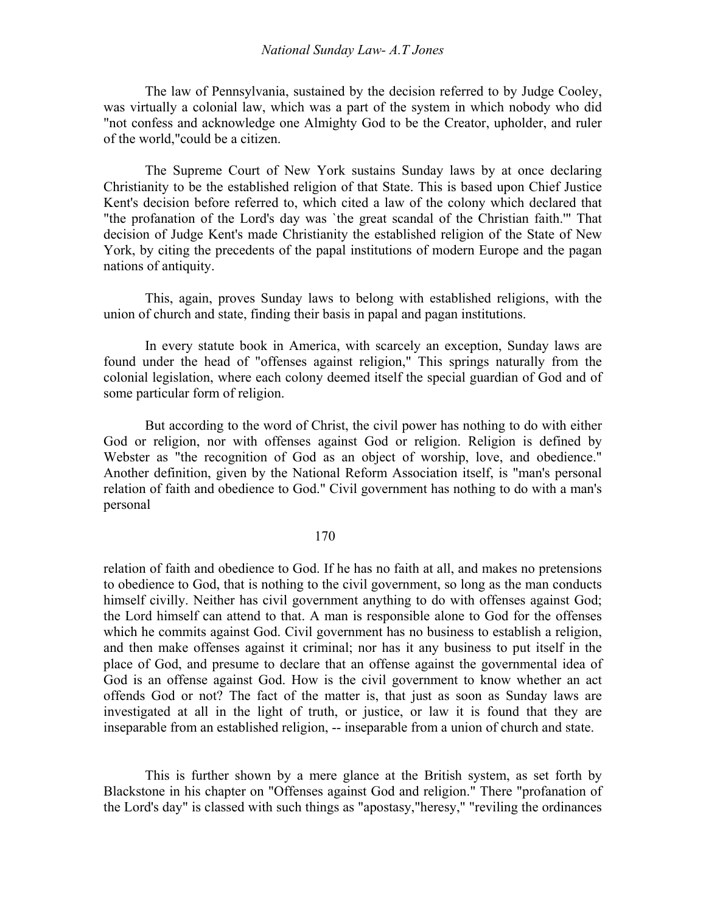The law of Pennsylvania, sustained by the decision referred to by Judge Cooley, was virtually a colonial law, which was a part of the system in which nobody who did "not confess and acknowledge one Almighty God to be the Creator, upholder, and ruler of the world,"could be a citizen.

 The Supreme Court of New York sustains Sunday laws by at once declaring Christianity to be the established religion of that State. This is based upon Chief Justice Kent's decision before referred to, which cited a law of the colony which declared that "the profanation of the Lord's day was `the great scandal of the Christian faith.'" That decision of Judge Kent's made Christianity the established religion of the State of New York, by citing the precedents of the papal institutions of modern Europe and the pagan nations of antiquity.

 This, again, proves Sunday laws to belong with established religions, with the union of church and state, finding their basis in papal and pagan institutions.

 In every statute book in America, with scarcely an exception, Sunday laws are found under the head of "offenses against religion," This springs naturally from the colonial legislation, where each colony deemed itself the special guardian of God and of some particular form of religion.

 But according to the word of Christ, the civil power has nothing to do with either God or religion, nor with offenses against God or religion. Religion is defined by Webster as "the recognition of God as an object of worship, love, and obedience." Another definition, given by the National Reform Association itself, is "man's personal relation of faith and obedience to God." Civil government has nothing to do with a man's personal

170

relation of faith and obedience to God. If he has no faith at all, and makes no pretensions to obedience to God, that is nothing to the civil government, so long as the man conducts himself civilly. Neither has civil government anything to do with offenses against God; the Lord himself can attend to that. A man is responsible alone to God for the offenses which he commits against God. Civil government has no business to establish a religion, and then make offenses against it criminal; nor has it any business to put itself in the place of God, and presume to declare that an offense against the governmental idea of God is an offense against God. How is the civil government to know whether an act offends God or not? The fact of the matter is, that just as soon as Sunday laws are investigated at all in the light of truth, or justice, or law it is found that they are inseparable from an established religion, -- inseparable from a union of church and state.

 This is further shown by a mere glance at the British system, as set forth by Blackstone in his chapter on "Offenses against God and religion." There "profanation of the Lord's day" is classed with such things as "apostasy,"heresy," "reviling the ordinances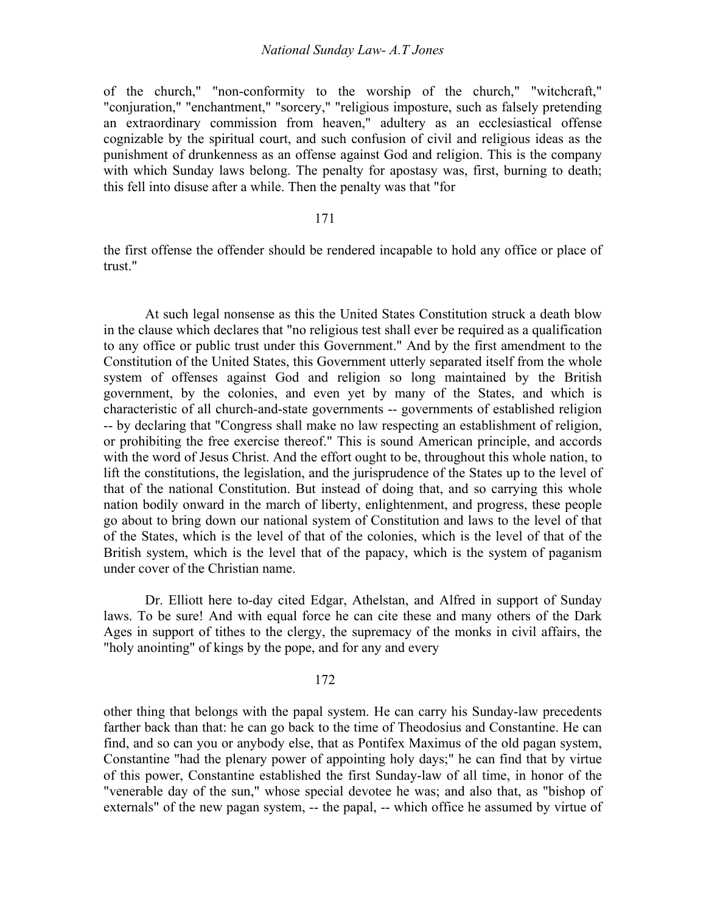of the church," "non-conformity to the worship of the church," "witchcraft," "conjuration," "enchantment," "sorcery," "religious imposture, such as falsely pretending an extraordinary commission from heaven," adultery as an ecclesiastical offense cognizable by the spiritual court, and such confusion of civil and religious ideas as the punishment of drunkenness as an offense against God and religion. This is the company with which Sunday laws belong. The penalty for apostasy was, first, burning to death; this fell into disuse after a while. Then the penalty was that "for

#### 171

the first offense the offender should be rendered incapable to hold any office or place of trust."

 At such legal nonsense as this the United States Constitution struck a death blow in the clause which declares that "no religious test shall ever be required as a qualification to any office or public trust under this Government." And by the first amendment to the Constitution of the United States, this Government utterly separated itself from the whole system of offenses against God and religion so long maintained by the British government, by the colonies, and even yet by many of the States, and which is characteristic of all church-and-state governments -- governments of established religion -- by declaring that "Congress shall make no law respecting an establishment of religion, or prohibiting the free exercise thereof." This is sound American principle, and accords with the word of Jesus Christ. And the effort ought to be, throughout this whole nation, to lift the constitutions, the legislation, and the jurisprudence of the States up to the level of that of the national Constitution. But instead of doing that, and so carrying this whole nation bodily onward in the march of liberty, enlightenment, and progress, these people go about to bring down our national system of Constitution and laws to the level of that of the States, which is the level of that of the colonies, which is the level of that of the British system, which is the level that of the papacy, which is the system of paganism under cover of the Christian name.

 Dr. Elliott here to-day cited Edgar, Athelstan, and Alfred in support of Sunday laws. To be sure! And with equal force he can cite these and many others of the Dark Ages in support of tithes to the clergy, the supremacy of the monks in civil affairs, the "holy anointing" of kings by the pope, and for any and every

#### 172

other thing that belongs with the papal system. He can carry his Sunday-law precedents farther back than that: he can go back to the time of Theodosius and Constantine. He can find, and so can you or anybody else, that as Pontifex Maximus of the old pagan system, Constantine "had the plenary power of appointing holy days;" he can find that by virtue of this power, Constantine established the first Sunday-law of all time, in honor of the "venerable day of the sun," whose special devotee he was; and also that, as "bishop of externals" of the new pagan system, -- the papal, -- which office he assumed by virtue of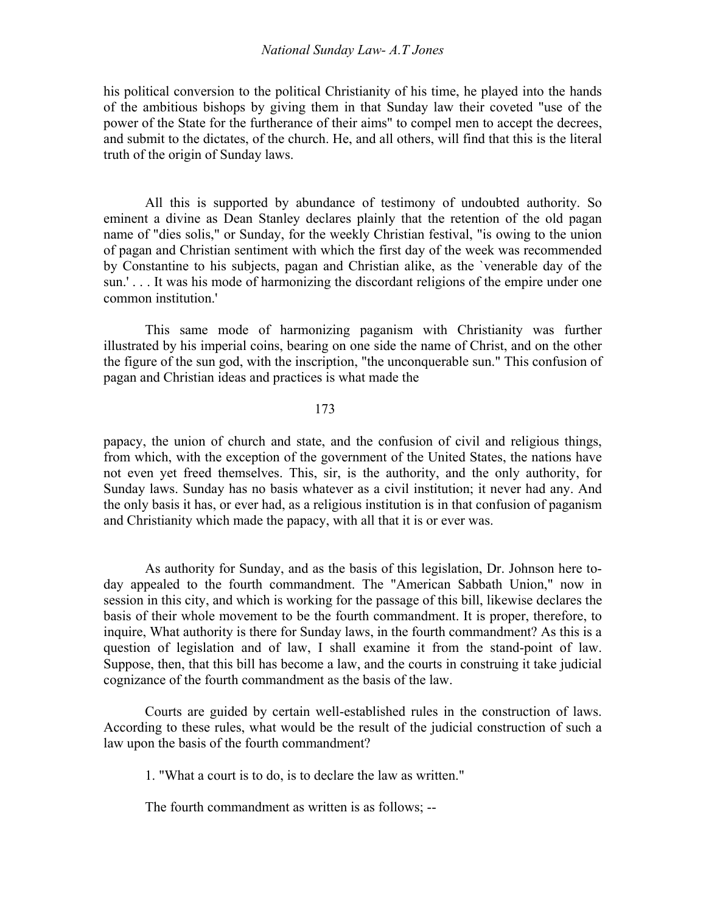his political conversion to the political Christianity of his time, he played into the hands of the ambitious bishops by giving them in that Sunday law their coveted "use of the power of the State for the furtherance of their aims" to compel men to accept the decrees, and submit to the dictates, of the church. He, and all others, will find that this is the literal truth of the origin of Sunday laws.

 All this is supported by abundance of testimony of undoubted authority. So eminent a divine as Dean Stanley declares plainly that the retention of the old pagan name of "dies solis," or Sunday, for the weekly Christian festival, "is owing to the union of pagan and Christian sentiment with which the first day of the week was recommended by Constantine to his subjects, pagan and Christian alike, as the `venerable day of the sun.' . . . It was his mode of harmonizing the discordant religions of the empire under one common institution.'

 This same mode of harmonizing paganism with Christianity was further illustrated by his imperial coins, bearing on one side the name of Christ, and on the other the figure of the sun god, with the inscription, "the unconquerable sun." This confusion of pagan and Christian ideas and practices is what made the

#### 173

papacy, the union of church and state, and the confusion of civil and religious things, from which, with the exception of the government of the United States, the nations have not even yet freed themselves. This, sir, is the authority, and the only authority, for Sunday laws. Sunday has no basis whatever as a civil institution; it never had any. And the only basis it has, or ever had, as a religious institution is in that confusion of paganism and Christianity which made the papacy, with all that it is or ever was.

 As authority for Sunday, and as the basis of this legislation, Dr. Johnson here today appealed to the fourth commandment. The "American Sabbath Union," now in session in this city, and which is working for the passage of this bill, likewise declares the basis of their whole movement to be the fourth commandment. It is proper, therefore, to inquire, What authority is there for Sunday laws, in the fourth commandment? As this is a question of legislation and of law, I shall examine it from the stand-point of law. Suppose, then, that this bill has become a law, and the courts in construing it take judicial cognizance of the fourth commandment as the basis of the law.

 Courts are guided by certain well-established rules in the construction of laws. According to these rules, what would be the result of the judicial construction of such a law upon the basis of the fourth commandment?

1. "What a court is to do, is to declare the law as written."

The fourth commandment as written is as follows; --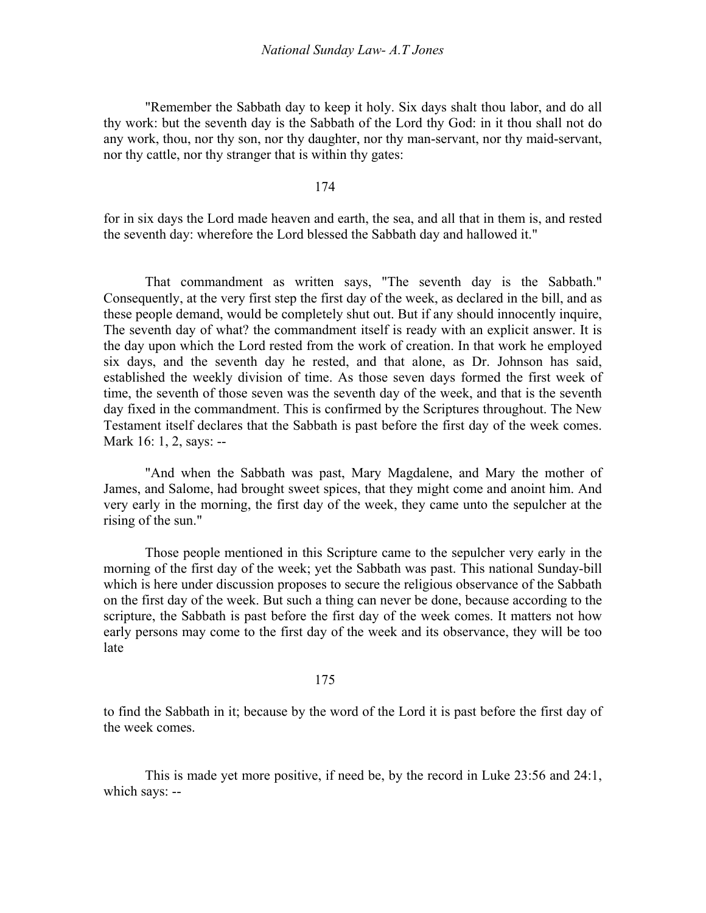"Remember the Sabbath day to keep it holy. Six days shalt thou labor, and do all thy work: but the seventh day is the Sabbath of the Lord thy God: in it thou shall not do any work, thou, nor thy son, nor thy daughter, nor thy man-servant, nor thy maid-servant, nor thy cattle, nor thy stranger that is within thy gates:

174

for in six days the Lord made heaven and earth, the sea, and all that in them is, and rested the seventh day: wherefore the Lord blessed the Sabbath day and hallowed it."

 That commandment as written says, "The seventh day is the Sabbath." Consequently, at the very first step the first day of the week, as declared in the bill, and as these people demand, would be completely shut out. But if any should innocently inquire, The seventh day of what? the commandment itself is ready with an explicit answer. It is the day upon which the Lord rested from the work of creation. In that work he employed six days, and the seventh day he rested, and that alone, as Dr. Johnson has said, established the weekly division of time. As those seven days formed the first week of time, the seventh of those seven was the seventh day of the week, and that is the seventh day fixed in the commandment. This is confirmed by the Scriptures throughout. The New Testament itself declares that the Sabbath is past before the first day of the week comes. Mark 16: 1, 2, says: --

 "And when the Sabbath was past, Mary Magdalene, and Mary the mother of James, and Salome, had brought sweet spices, that they might come and anoint him. And very early in the morning, the first day of the week, they came unto the sepulcher at the rising of the sun."

 Those people mentioned in this Scripture came to the sepulcher very early in the morning of the first day of the week; yet the Sabbath was past. This national Sunday-bill which is here under discussion proposes to secure the religious observance of the Sabbath on the first day of the week. But such a thing can never be done, because according to the scripture, the Sabbath is past before the first day of the week comes. It matters not how early persons may come to the first day of the week and its observance, they will be too late

#### 175

to find the Sabbath in it; because by the word of the Lord it is past before the first day of the week comes.

 This is made yet more positive, if need be, by the record in Luke 23:56 and 24:1, which says: --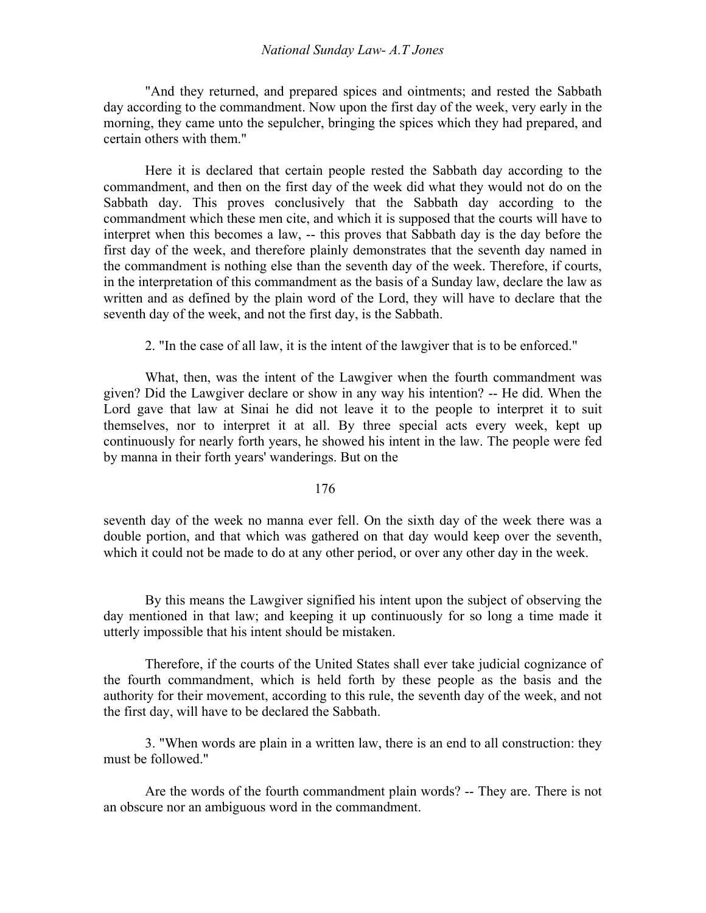"And they returned, and prepared spices and ointments; and rested the Sabbath day according to the commandment. Now upon the first day of the week, very early in the morning, they came unto the sepulcher, bringing the spices which they had prepared, and certain others with them."

 Here it is declared that certain people rested the Sabbath day according to the commandment, and then on the first day of the week did what they would not do on the Sabbath day. This proves conclusively that the Sabbath day according to the commandment which these men cite, and which it is supposed that the courts will have to interpret when this becomes a law, -- this proves that Sabbath day is the day before the first day of the week, and therefore plainly demonstrates that the seventh day named in the commandment is nothing else than the seventh day of the week. Therefore, if courts, in the interpretation of this commandment as the basis of a Sunday law, declare the law as written and as defined by the plain word of the Lord, they will have to declare that the seventh day of the week, and not the first day, is the Sabbath.

2. "In the case of all law, it is the intent of the lawgiver that is to be enforced."

 What, then, was the intent of the Lawgiver when the fourth commandment was given? Did the Lawgiver declare or show in any way his intention? -- He did. When the Lord gave that law at Sinai he did not leave it to the people to interpret it to suit themselves, nor to interpret it at all. By three special acts every week, kept up continuously for nearly forth years, he showed his intent in the law. The people were fed by manna in their forth years' wanderings. But on the

176

seventh day of the week no manna ever fell. On the sixth day of the week there was a double portion, and that which was gathered on that day would keep over the seventh, which it could not be made to do at any other period, or over any other day in the week.

 By this means the Lawgiver signified his intent upon the subject of observing the day mentioned in that law; and keeping it up continuously for so long a time made it utterly impossible that his intent should be mistaken.

 Therefore, if the courts of the United States shall ever take judicial cognizance of the fourth commandment, which is held forth by these people as the basis and the authority for their movement, according to this rule, the seventh day of the week, and not the first day, will have to be declared the Sabbath.

 3. "When words are plain in a written law, there is an end to all construction: they must be followed."

 Are the words of the fourth commandment plain words? -- They are. There is not an obscure nor an ambiguous word in the commandment.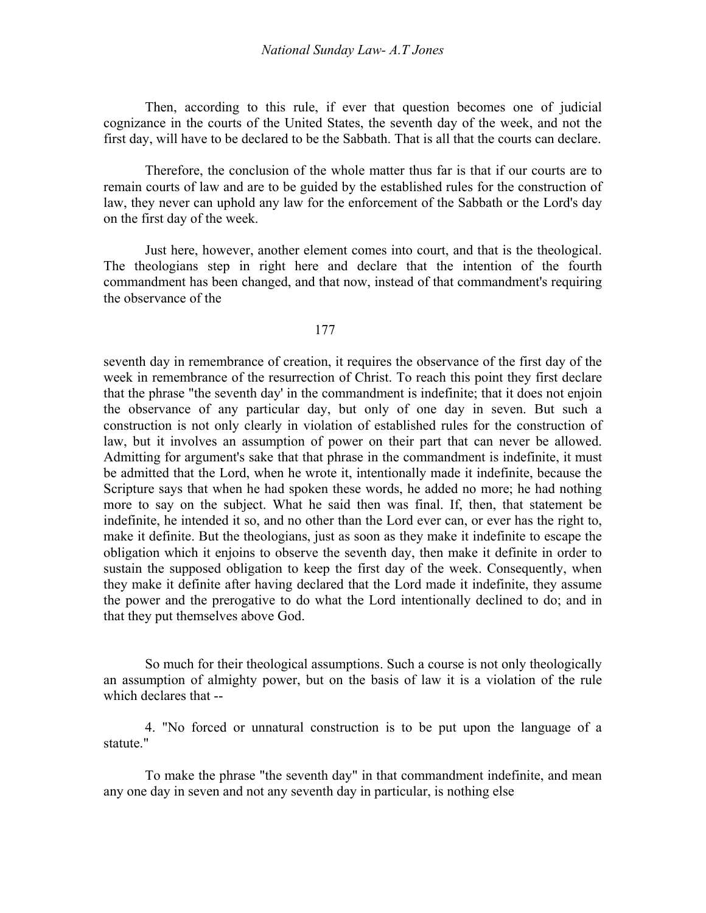Then, according to this rule, if ever that question becomes one of judicial cognizance in the courts of the United States, the seventh day of the week, and not the first day, will have to be declared to be the Sabbath. That is all that the courts can declare.

 Therefore, the conclusion of the whole matter thus far is that if our courts are to remain courts of law and are to be guided by the established rules for the construction of law, they never can uphold any law for the enforcement of the Sabbath or the Lord's day on the first day of the week.

 Just here, however, another element comes into court, and that is the theological. The theologians step in right here and declare that the intention of the fourth commandment has been changed, and that now, instead of that commandment's requiring the observance of the

#### 177

seventh day in remembrance of creation, it requires the observance of the first day of the week in remembrance of the resurrection of Christ. To reach this point they first declare that the phrase "the seventh day' in the commandment is indefinite; that it does not enjoin the observance of any particular day, but only of one day in seven. But such a construction is not only clearly in violation of established rules for the construction of law, but it involves an assumption of power on their part that can never be allowed. Admitting for argument's sake that that phrase in the commandment is indefinite, it must be admitted that the Lord, when he wrote it, intentionally made it indefinite, because the Scripture says that when he had spoken these words, he added no more; he had nothing more to say on the subject. What he said then was final. If, then, that statement be indefinite, he intended it so, and no other than the Lord ever can, or ever has the right to, make it definite. But the theologians, just as soon as they make it indefinite to escape the obligation which it enjoins to observe the seventh day, then make it definite in order to sustain the supposed obligation to keep the first day of the week. Consequently, when they make it definite after having declared that the Lord made it indefinite, they assume the power and the prerogative to do what the Lord intentionally declined to do; and in that they put themselves above God.

 So much for their theological assumptions. Such a course is not only theologically an assumption of almighty power, but on the basis of law it is a violation of the rule which declares that --

 4. "No forced or unnatural construction is to be put upon the language of a statute."

 To make the phrase "the seventh day" in that commandment indefinite, and mean any one day in seven and not any seventh day in particular, is nothing else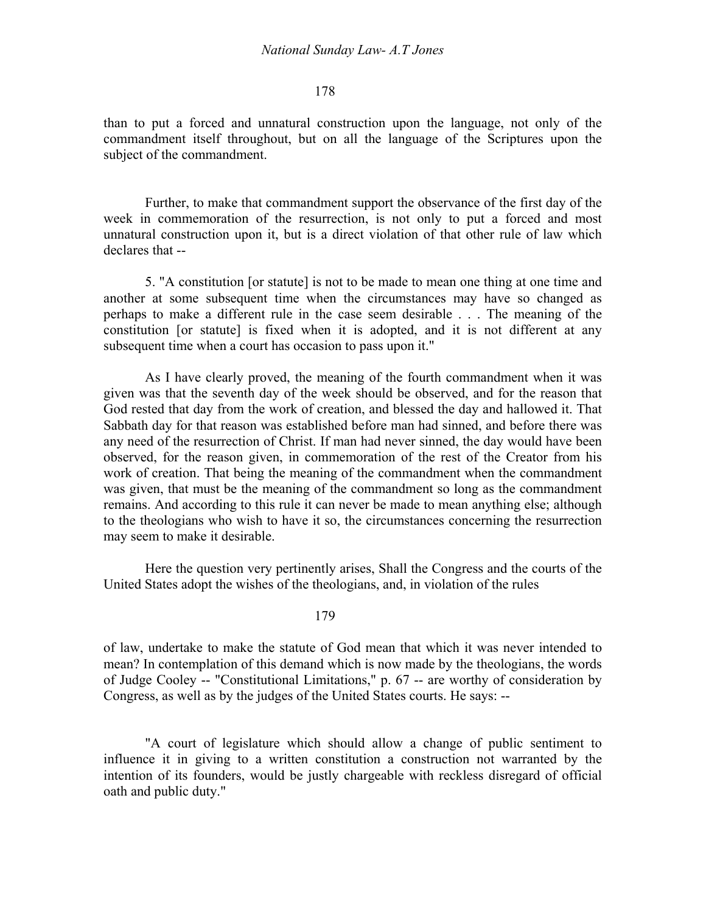178

than to put a forced and unnatural construction upon the language, not only of the commandment itself throughout, but on all the language of the Scriptures upon the subject of the commandment.

 Further, to make that commandment support the observance of the first day of the week in commemoration of the resurrection, is not only to put a forced and most unnatural construction upon it, but is a direct violation of that other rule of law which declares that --

 5. "A constitution [or statute] is not to be made to mean one thing at one time and another at some subsequent time when the circumstances may have so changed as perhaps to make a different rule in the case seem desirable . . . The meaning of the constitution [or statute] is fixed when it is adopted, and it is not different at any subsequent time when a court has occasion to pass upon it."

 As I have clearly proved, the meaning of the fourth commandment when it was given was that the seventh day of the week should be observed, and for the reason that God rested that day from the work of creation, and blessed the day and hallowed it. That Sabbath day for that reason was established before man had sinned, and before there was any need of the resurrection of Christ. If man had never sinned, the day would have been observed, for the reason given, in commemoration of the rest of the Creator from his work of creation. That being the meaning of the commandment when the commandment was given, that must be the meaning of the commandment so long as the commandment remains. And according to this rule it can never be made to mean anything else; although to the theologians who wish to have it so, the circumstances concerning the resurrection may seem to make it desirable.

 Here the question very pertinently arises, Shall the Congress and the courts of the United States adopt the wishes of the theologians, and, in violation of the rules

#### 179

of law, undertake to make the statute of God mean that which it was never intended to mean? In contemplation of this demand which is now made by the theologians, the words of Judge Cooley -- "Constitutional Limitations," p. 67 -- are worthy of consideration by Congress, as well as by the judges of the United States courts. He says: --

 "A court of legislature which should allow a change of public sentiment to influence it in giving to a written constitution a construction not warranted by the intention of its founders, would be justly chargeable with reckless disregard of official oath and public duty."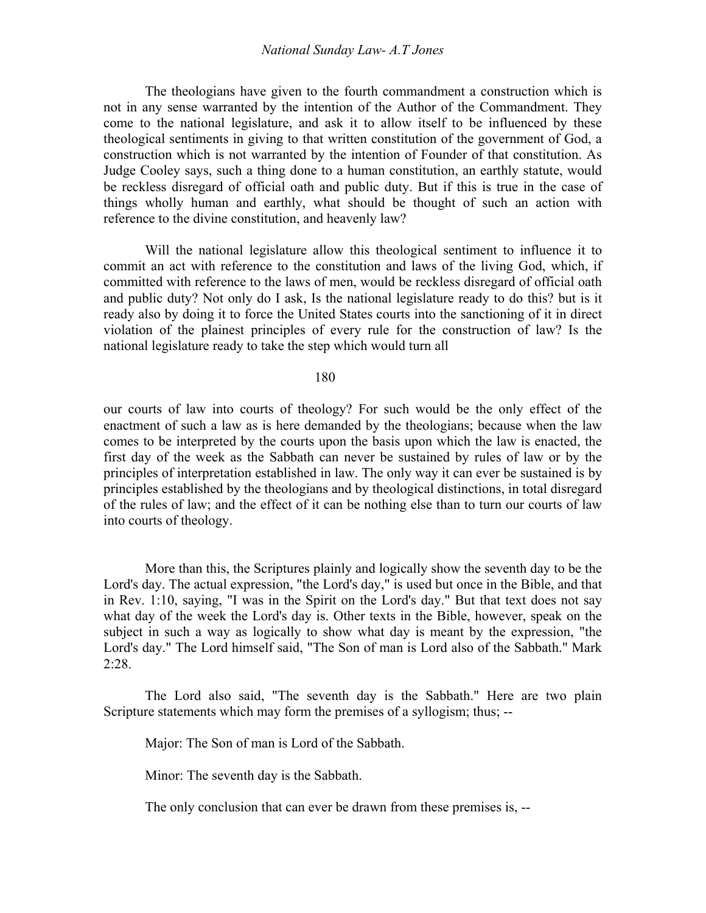The theologians have given to the fourth commandment a construction which is not in any sense warranted by the intention of the Author of the Commandment. They come to the national legislature, and ask it to allow itself to be influenced by these theological sentiments in giving to that written constitution of the government of God, a construction which is not warranted by the intention of Founder of that constitution. As Judge Cooley says, such a thing done to a human constitution, an earthly statute, would be reckless disregard of official oath and public duty. But if this is true in the case of things wholly human and earthly, what should be thought of such an action with reference to the divine constitution, and heavenly law?

 Will the national legislature allow this theological sentiment to influence it to commit an act with reference to the constitution and laws of the living God, which, if committed with reference to the laws of men, would be reckless disregard of official oath and public duty? Not only do I ask, Is the national legislature ready to do this? but is it ready also by doing it to force the United States courts into the sanctioning of it in direct violation of the plainest principles of every rule for the construction of law? Is the national legislature ready to take the step which would turn all

180

our courts of law into courts of theology? For such would be the only effect of the enactment of such a law as is here demanded by the theologians; because when the law comes to be interpreted by the courts upon the basis upon which the law is enacted, the first day of the week as the Sabbath can never be sustained by rules of law or by the principles of interpretation established in law. The only way it can ever be sustained is by principles established by the theologians and by theological distinctions, in total disregard of the rules of law; and the effect of it can be nothing else than to turn our courts of law into courts of theology.

 More than this, the Scriptures plainly and logically show the seventh day to be the Lord's day. The actual expression, "the Lord's day," is used but once in the Bible, and that in Rev. 1:10, saying, "I was in the Spirit on the Lord's day." But that text does not say what day of the week the Lord's day is. Other texts in the Bible, however, speak on the subject in such a way as logically to show what day is meant by the expression, "the Lord's day." The Lord himself said, "The Son of man is Lord also of the Sabbath." Mark 2:28.

 The Lord also said, "The seventh day is the Sabbath." Here are two plain Scripture statements which may form the premises of a syllogism; thus; --

Major: The Son of man is Lord of the Sabbath.

Minor: The seventh day is the Sabbath.

The only conclusion that can ever be drawn from these premises is, --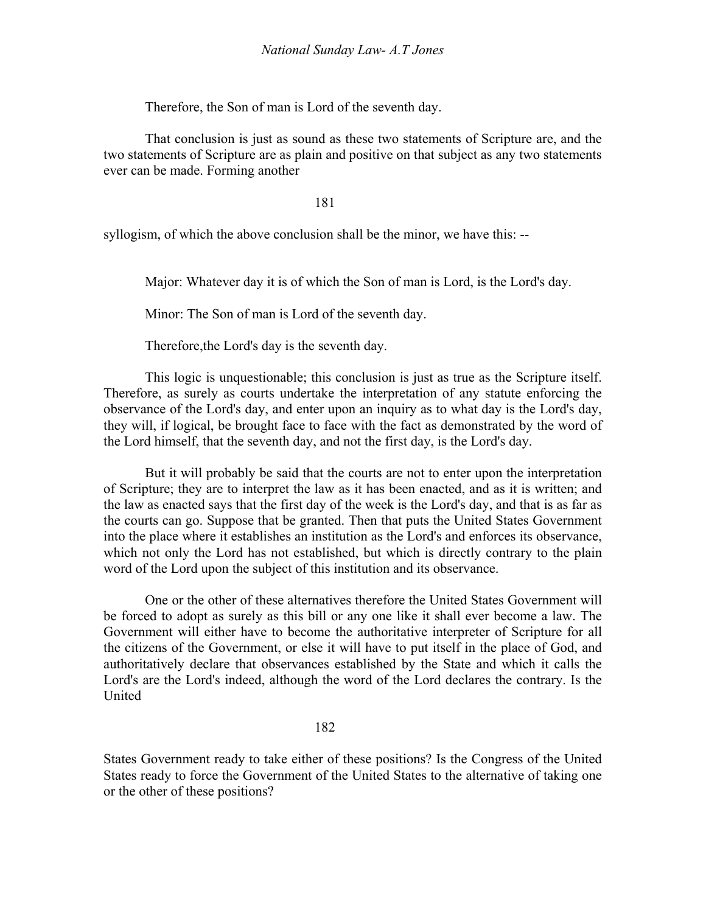Therefore, the Son of man is Lord of the seventh day.

 That conclusion is just as sound as these two statements of Scripture are, and the two statements of Scripture are as plain and positive on that subject as any two statements ever can be made. Forming another

181

syllogism, of which the above conclusion shall be the minor, we have this: --

Major: Whatever day it is of which the Son of man is Lord, is the Lord's day.

Minor: The Son of man is Lord of the seventh day.

Therefore,the Lord's day is the seventh day.

 This logic is unquestionable; this conclusion is just as true as the Scripture itself. Therefore, as surely as courts undertake the interpretation of any statute enforcing the observance of the Lord's day, and enter upon an inquiry as to what day is the Lord's day, they will, if logical, be brought face to face with the fact as demonstrated by the word of the Lord himself, that the seventh day, and not the first day, is the Lord's day.

 But it will probably be said that the courts are not to enter upon the interpretation of Scripture; they are to interpret the law as it has been enacted, and as it is written; and the law as enacted says that the first day of the week is the Lord's day, and that is as far as the courts can go. Suppose that be granted. Then that puts the United States Government into the place where it establishes an institution as the Lord's and enforces its observance, which not only the Lord has not established, but which is directly contrary to the plain word of the Lord upon the subject of this institution and its observance.

 One or the other of these alternatives therefore the United States Government will be forced to adopt as surely as this bill or any one like it shall ever become a law. The Government will either have to become the authoritative interpreter of Scripture for all the citizens of the Government, or else it will have to put itself in the place of God, and authoritatively declare that observances established by the State and which it calls the Lord's are the Lord's indeed, although the word of the Lord declares the contrary. Is the United

182

States Government ready to take either of these positions? Is the Congress of the United States ready to force the Government of the United States to the alternative of taking one or the other of these positions?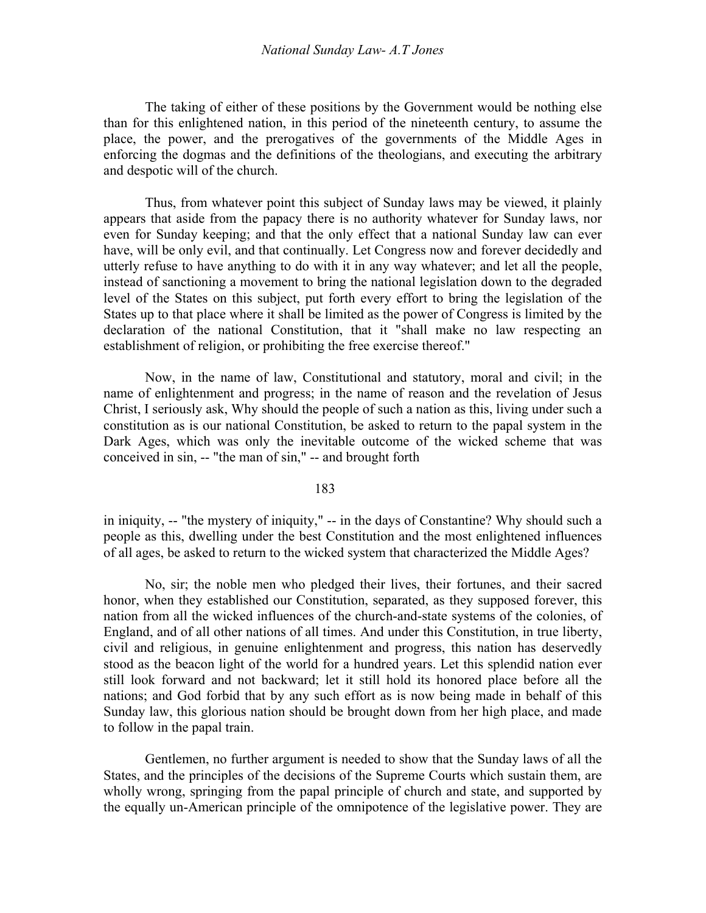The taking of either of these positions by the Government would be nothing else than for this enlightened nation, in this period of the nineteenth century, to assume the place, the power, and the prerogatives of the governments of the Middle Ages in enforcing the dogmas and the definitions of the theologians, and executing the arbitrary and despotic will of the church.

 Thus, from whatever point this subject of Sunday laws may be viewed, it plainly appears that aside from the papacy there is no authority whatever for Sunday laws, nor even for Sunday keeping; and that the only effect that a national Sunday law can ever have, will be only evil, and that continually. Let Congress now and forever decidedly and utterly refuse to have anything to do with it in any way whatever; and let all the people, instead of sanctioning a movement to bring the national legislation down to the degraded level of the States on this subject, put forth every effort to bring the legislation of the States up to that place where it shall be limited as the power of Congress is limited by the declaration of the national Constitution, that it "shall make no law respecting an establishment of religion, or prohibiting the free exercise thereof."

 Now, in the name of law, Constitutional and statutory, moral and civil; in the name of enlightenment and progress; in the name of reason and the revelation of Jesus Christ, I seriously ask, Why should the people of such a nation as this, living under such a constitution as is our national Constitution, be asked to return to the papal system in the Dark Ages, which was only the inevitable outcome of the wicked scheme that was conceived in sin, -- "the man of sin," -- and brought forth

183

in iniquity, -- "the mystery of iniquity," -- in the days of Constantine? Why should such a people as this, dwelling under the best Constitution and the most enlightened influences of all ages, be asked to return to the wicked system that characterized the Middle Ages?

 No, sir; the noble men who pledged their lives, their fortunes, and their sacred honor, when they established our Constitution, separated, as they supposed forever, this nation from all the wicked influences of the church-and-state systems of the colonies, of England, and of all other nations of all times. And under this Constitution, in true liberty, civil and religious, in genuine enlightenment and progress, this nation has deservedly stood as the beacon light of the world for a hundred years. Let this splendid nation ever still look forward and not backward; let it still hold its honored place before all the nations; and God forbid that by any such effort as is now being made in behalf of this Sunday law, this glorious nation should be brought down from her high place, and made to follow in the papal train.

 Gentlemen, no further argument is needed to show that the Sunday laws of all the States, and the principles of the decisions of the Supreme Courts which sustain them, are wholly wrong, springing from the papal principle of church and state, and supported by the equally un-American principle of the omnipotence of the legislative power. They are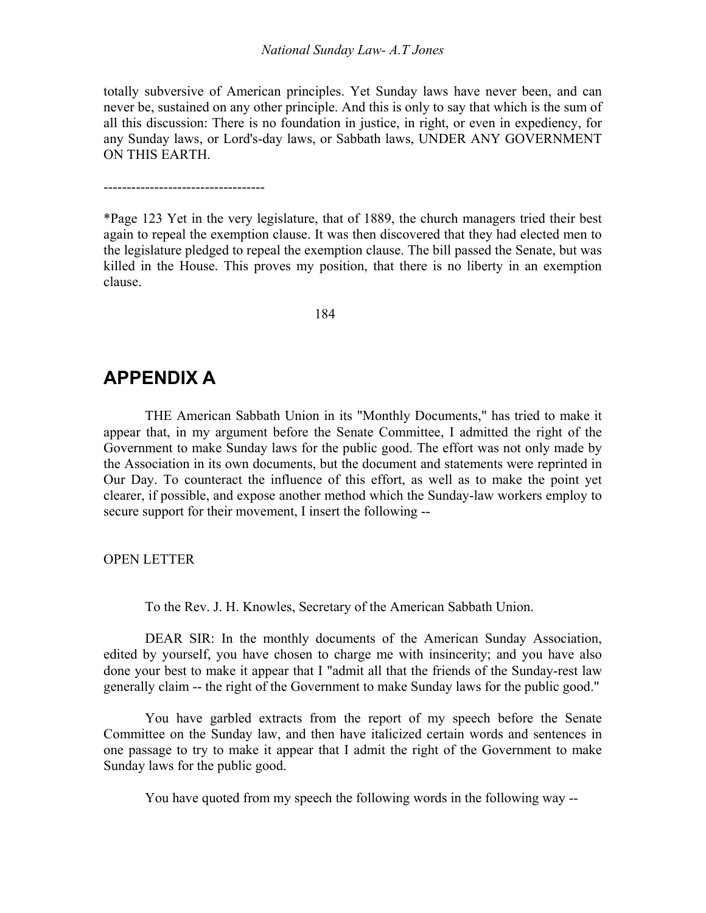totally subversive of American principles. Yet Sunday laws have never been, and can never be, sustained on any other principle. And this is only to say that which is the sum of all this discussion: There is no foundation in justice, in right, or even in expediency, for any Sunday laws, or Lord's-day laws, or Sabbath laws, UNDER ANY GOVERNMENT ON THIS EARTH.

-----------------------------------

\*Page 123 Yet in the very legislature, that of 1889, the church managers tried their best again to repeal the exemption clause. It was then discovered that they had elected men to the legislature pledged to repeal the exemption clause. The bill passed the Senate, but was killed in the House. This proves my position, that there is no liberty in an exemption clause.

184

# **APPENDIX A**

 THE American Sabbath Union in its "Monthly Documents," has tried to make it appear that, in my argument before the Senate Committee, I admitted the right of the Government to make Sunday laws for the public good. The effort was not only made by the Association in its own documents, but the document and statements were reprinted in Our Day. To counteract the influence of this effort, as well as to make the point yet clearer, if possible, and expose another method which the Sunday-law workers employ to secure support for their movement, I insert the following --

OPEN LETTER

To the Rev. J. H. Knowles, Secretary of the American Sabbath Union.

 DEAR SIR: In the monthly documents of the American Sunday Association, edited by yourself, you have chosen to charge me with insincerity; and you have also done your best to make it appear that I "admit all that the friends of the Sunday-rest law generally claim -- the right of the Government to make Sunday laws for the public good."

 You have garbled extracts from the report of my speech before the Senate Committee on the Sunday law, and then have italicized certain words and sentences in one passage to try to make it appear that I admit the right of the Government to make Sunday laws for the public good.

You have quoted from my speech the following words in the following way --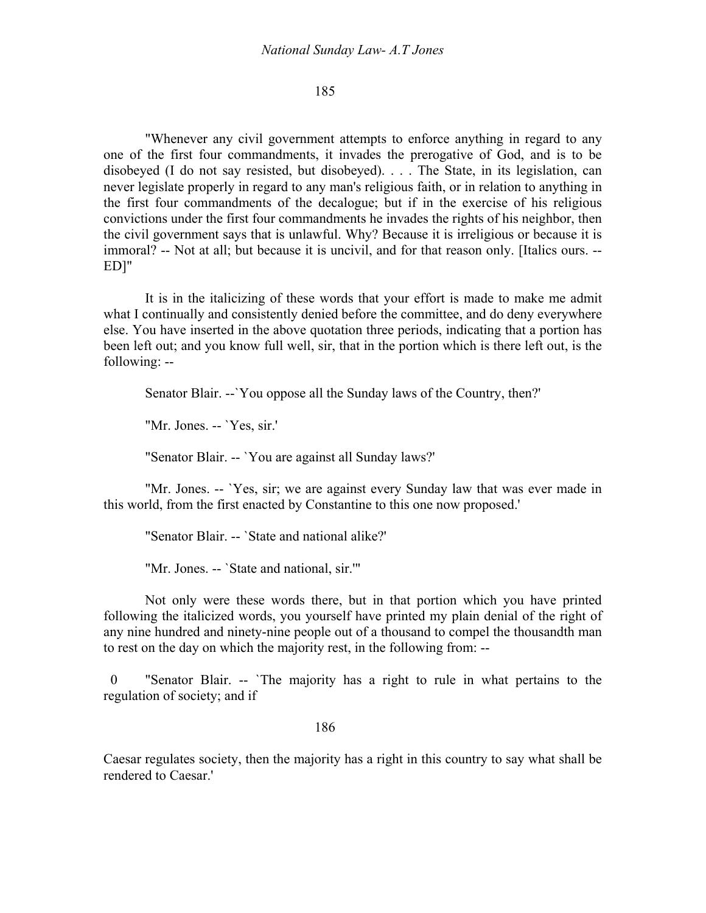## 185

 "Whenever any civil government attempts to enforce anything in regard to any one of the first four commandments, it invades the prerogative of God, and is to be disobeyed (I do not say resisted, but disobeyed). . . . The State, in its legislation, can never legislate properly in regard to any man's religious faith, or in relation to anything in the first four commandments of the decalogue; but if in the exercise of his religious convictions under the first four commandments he invades the rights of his neighbor, then the civil government says that is unlawful. Why? Because it is irreligious or because it is immoral? -- Not at all; but because it is uncivil, and for that reason only. [Italics ours. -- ED]"

 It is in the italicizing of these words that your effort is made to make me admit what I continually and consistently denied before the committee, and do deny everywhere else. You have inserted in the above quotation three periods, indicating that a portion has been left out; and you know full well, sir, that in the portion which is there left out, is the following: --

Senator Blair. --`You oppose all the Sunday laws of the Country, then?'

"Mr. Jones. -- `Yes, sir.'

"Senator Blair. -- `You are against all Sunday laws?'

"Mr. Jones. -- 'Yes, sir; we are against every Sunday law that was ever made in this world, from the first enacted by Constantine to this one now proposed.'

"Senator Blair. -- `State and national alike?'

"Mr. Jones. -- `State and national, sir.'"

 Not only were these words there, but in that portion which you have printed following the italicized words, you yourself have printed my plain denial of the right of any nine hundred and ninety-nine people out of a thousand to compel the thousandth man to rest on the day on which the majority rest, in the following from: --

 0 "Senator Blair. -- `The majority has a right to rule in what pertains to the regulation of society; and if

#### 186

Caesar regulates society, then the majority has a right in this country to say what shall be rendered to Caesar.'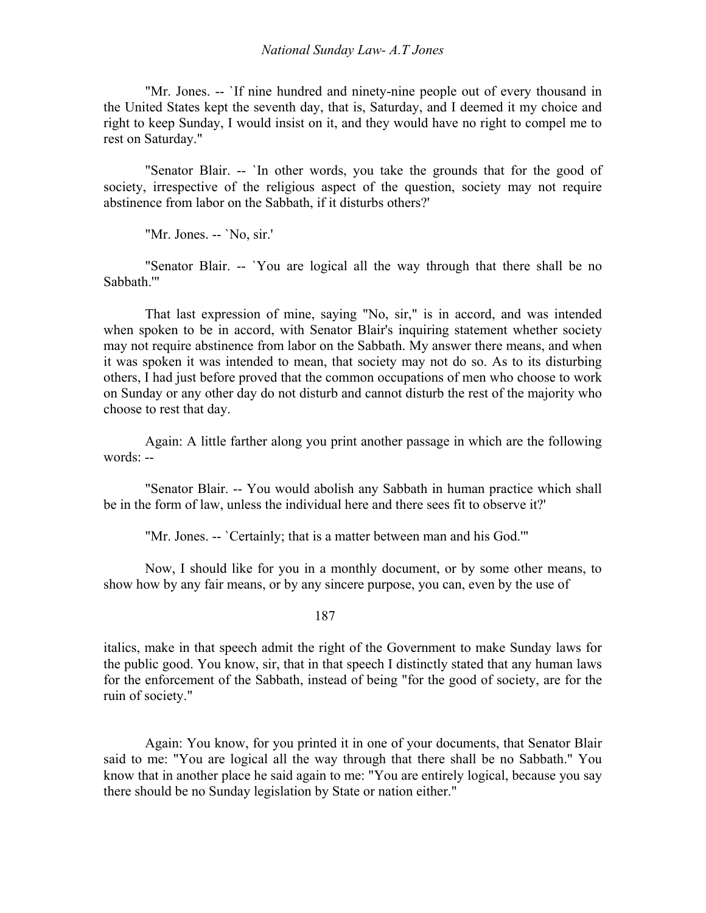"Mr. Jones. -- `If nine hundred and ninety-nine people out of every thousand in the United States kept the seventh day, that is, Saturday, and I deemed it my choice and right to keep Sunday, I would insist on it, and they would have no right to compel me to rest on Saturday."

"Senator Blair. -- `In other words, you take the grounds that for the good of society, irrespective of the religious aspect of the question, society may not require abstinence from labor on the Sabbath, if it disturbs others?'

"Mr. Jones. -- `No, sir.'

 "Senator Blair. -- `You are logical all the way through that there shall be no Sabbath.'"

 That last expression of mine, saying "No, sir," is in accord, and was intended when spoken to be in accord, with Senator Blair's inquiring statement whether society may not require abstinence from labor on the Sabbath. My answer there means, and when it was spoken it was intended to mean, that society may not do so. As to its disturbing others, I had just before proved that the common occupations of men who choose to work on Sunday or any other day do not disturb and cannot disturb the rest of the majority who choose to rest that day.

 Again: A little farther along you print another passage in which are the following words: --

 "Senator Blair. -- You would abolish any Sabbath in human practice which shall be in the form of law, unless the individual here and there sees fit to observe it?'

"Mr. Jones. -- `Certainly; that is a matter between man and his God."'

 Now, I should like for you in a monthly document, or by some other means, to show how by any fair means, or by any sincere purpose, you can, even by the use of

#### 187

italics, make in that speech admit the right of the Government to make Sunday laws for the public good. You know, sir, that in that speech I distinctly stated that any human laws for the enforcement of the Sabbath, instead of being "for the good of society, are for the ruin of society."

 Again: You know, for you printed it in one of your documents, that Senator Blair said to me: "You are logical all the way through that there shall be no Sabbath." You know that in another place he said again to me: "You are entirely logical, because you say there should be no Sunday legislation by State or nation either."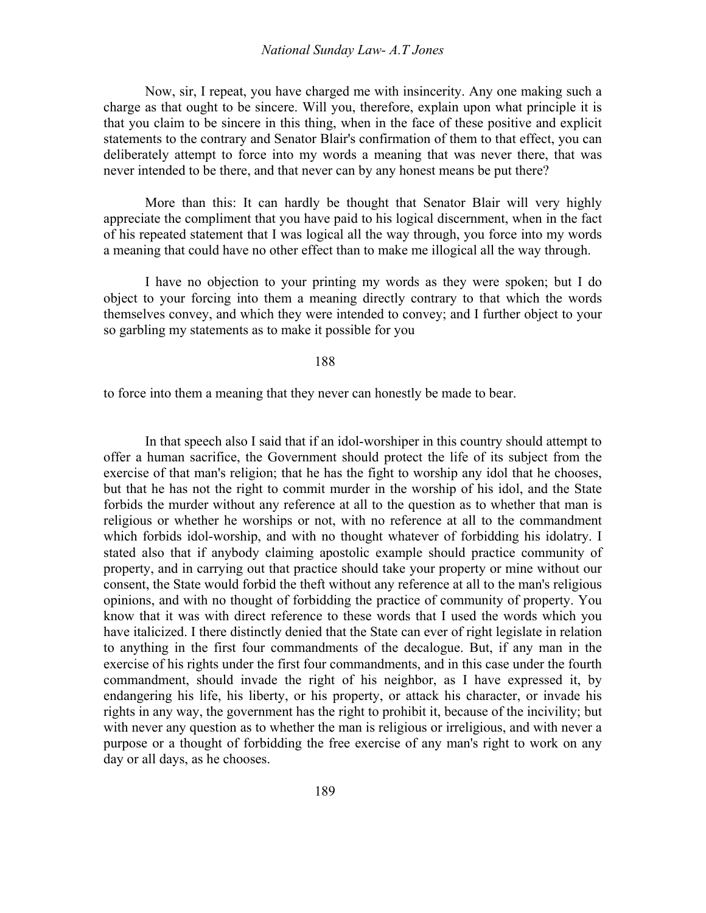Now, sir, I repeat, you have charged me with insincerity. Any one making such a charge as that ought to be sincere. Will you, therefore, explain upon what principle it is that you claim to be sincere in this thing, when in the face of these positive and explicit statements to the contrary and Senator Blair's confirmation of them to that effect, you can deliberately attempt to force into my words a meaning that was never there, that was never intended to be there, and that never can by any honest means be put there?

 More than this: It can hardly be thought that Senator Blair will very highly appreciate the compliment that you have paid to his logical discernment, when in the fact of his repeated statement that I was logical all the way through, you force into my words a meaning that could have no other effect than to make me illogical all the way through.

 I have no objection to your printing my words as they were spoken; but I do object to your forcing into them a meaning directly contrary to that which the words themselves convey, and which they were intended to convey; and I further object to your so garbling my statements as to make it possible for you

188

to force into them a meaning that they never can honestly be made to bear.

 In that speech also I said that if an idol-worshiper in this country should attempt to offer a human sacrifice, the Government should protect the life of its subject from the exercise of that man's religion; that he has the fight to worship any idol that he chooses, but that he has not the right to commit murder in the worship of his idol, and the State forbids the murder without any reference at all to the question as to whether that man is religious or whether he worships or not, with no reference at all to the commandment which forbids idol-worship, and with no thought whatever of forbidding his idolatry. I stated also that if anybody claiming apostolic example should practice community of property, and in carrying out that practice should take your property or mine without our consent, the State would forbid the theft without any reference at all to the man's religious opinions, and with no thought of forbidding the practice of community of property. You know that it was with direct reference to these words that I used the words which you have italicized. I there distinctly denied that the State can ever of right legislate in relation to anything in the first four commandments of the decalogue. But, if any man in the exercise of his rights under the first four commandments, and in this case under the fourth commandment, should invade the right of his neighbor, as I have expressed it, by endangering his life, his liberty, or his property, or attack his character, or invade his rights in any way, the government has the right to prohibit it, because of the incivility; but with never any question as to whether the man is religious or irreligious, and with never a purpose or a thought of forbidding the free exercise of any man's right to work on any day or all days, as he chooses.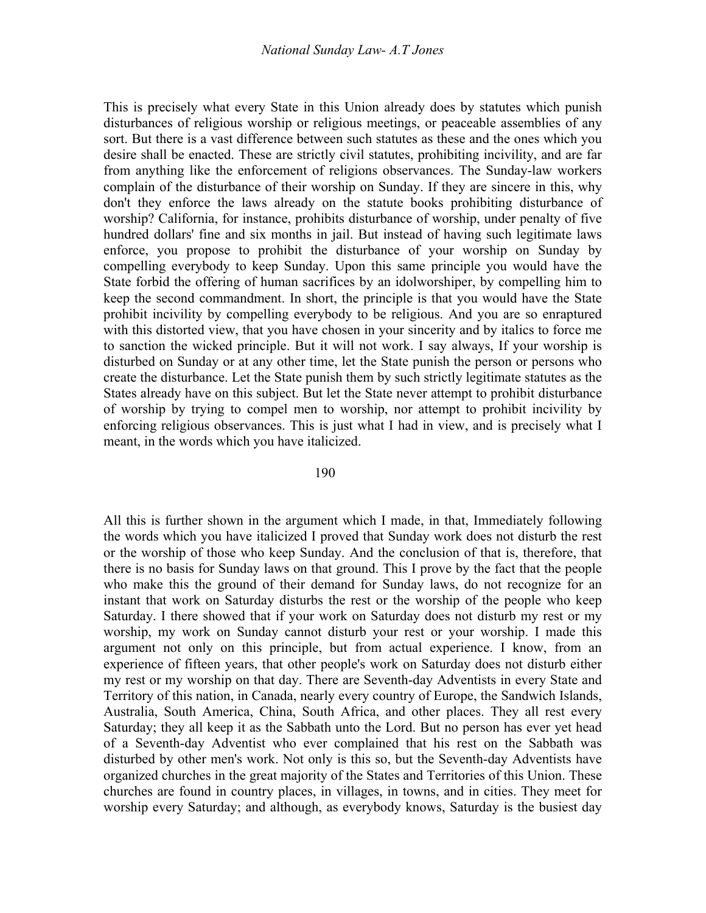This is precisely what every State in this Union already does by statutes which punish disturbances of religious worship or religious meetings, or peaceable assemblies of any sort. But there is a vast difference between such statutes as these and the ones which you desire shall be enacted. These are strictly civil statutes, prohibiting incivility, and are far from anything like the enforcement of religions observances. The Sunday-law workers complain of the disturbance of their worship on Sunday. If they are sincere in this, why don't they enforce the laws already on the statute books prohibiting disturbance of worship? California, for instance, prohibits disturbance of worship, under penalty of five hundred dollars' fine and six months in jail. But instead of having such legitimate laws enforce, you propose to prohibit the disturbance of your worship on Sunday by compelling everybody to keep Sunday. Upon this same principle you would have the State forbid the offering of human sacrifices by an idolworshiper, by compelling him to keep the second commandment. In short, the principle is that you would have the State prohibit incivility by compelling everybody to be religious. And you are so enraptured with this distorted view, that you have chosen in your sincerity and by italics to force me to sanction the wicked principle. But it will not work. I say always, If your worship is disturbed on Sunday or at any other time, let the State punish the person or persons who create the disturbance. Let the State punish them by such strictly legitimate statutes as the States already have on this subject. But let the State never attempt to prohibit disturbance of worship by trying to compel men to worship, nor attempt to prohibit incivility by enforcing religious observances. This is just what I had in view, and is precisely what I meant, in the words which you have italicized.

#### 190

All this is further shown in the argument which I made, in that, Immediately following the words which you have italicized I proved that Sunday work does not disturb the rest or the worship of those who keep Sunday. And the conclusion of that is, therefore, that there is no basis for Sunday laws on that ground. This I prove by the fact that the people who make this the ground of their demand for Sunday laws, do not recognize for an instant that work on Saturday disturbs the rest or the worship of the people who keep Saturday. I there showed that if your work on Saturday does not disturb my rest or my worship, my work on Sunday cannot disturb your rest or your worship. I made this argument not only on this principle, but from actual experience. I know, from an experience of fifteen years, that other people's work on Saturday does not disturb either my rest or my worship on that day. There are Seventh-day Adventists in every State and Territory of this nation, in Canada, nearly every country of Europe, the Sandwich Islands, Australia, South America, China, South Africa, and other places. They all rest every Saturday; they all keep it as the Sabbath unto the Lord. But no person has ever yet head of a Seventh-day Adventist who ever complained that his rest on the Sabbath was disturbed by other men's work. Not only is this so, but the Seventh-day Adventists have organized churches in the great majority of the States and Territories of this Union. These churches are found in country places, in villages, in towns, and in cities. They meet for worship every Saturday; and although, as everybody knows, Saturday is the busiest day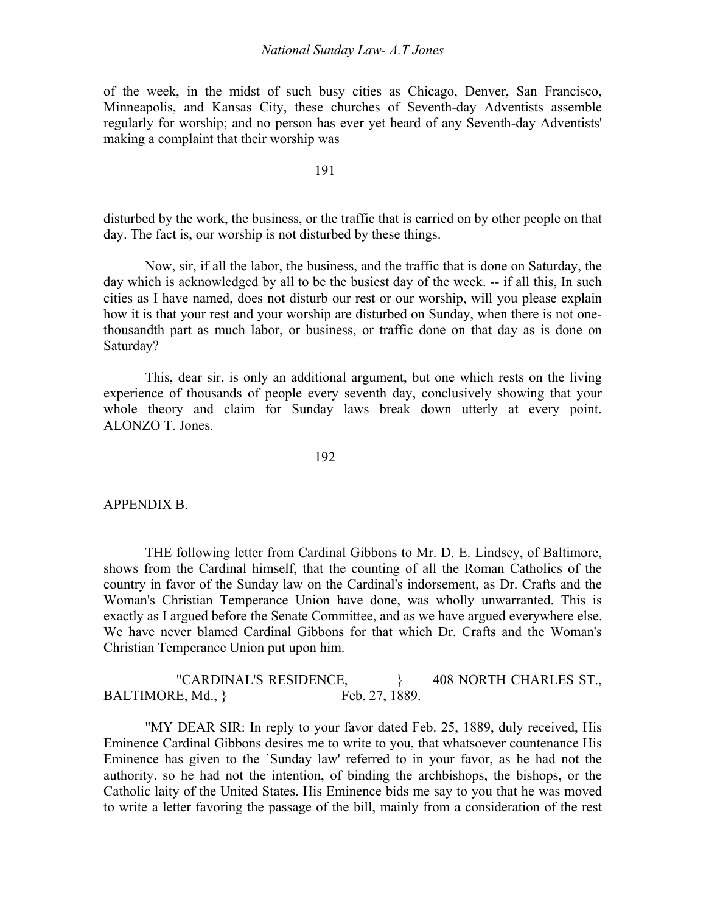of the week, in the midst of such busy cities as Chicago, Denver, San Francisco, Minneapolis, and Kansas City, these churches of Seventh-day Adventists assemble regularly for worship; and no person has ever yet heard of any Seventh-day Adventists' making a complaint that their worship was

191

disturbed by the work, the business, or the traffic that is carried on by other people on that day. The fact is, our worship is not disturbed by these things.

 Now, sir, if all the labor, the business, and the traffic that is done on Saturday, the day which is acknowledged by all to be the busiest day of the week. -- if all this, In such cities as I have named, does not disturb our rest or our worship, will you please explain how it is that your rest and your worship are disturbed on Sunday, when there is not onethousandth part as much labor, or business, or traffic done on that day as is done on Saturday?

 This, dear sir, is only an additional argument, but one which rests on the living experience of thousands of people every seventh day, conclusively showing that your whole theory and claim for Sunday laws break down utterly at every point. ALONZO T. Jones.

192

APPENDIX B.

 THE following letter from Cardinal Gibbons to Mr. D. E. Lindsey, of Baltimore, shows from the Cardinal himself, that the counting of all the Roman Catholics of the country in favor of the Sunday law on the Cardinal's indorsement, as Dr. Crafts and the Woman's Christian Temperance Union have done, was wholly unwarranted. This is exactly as I argued before the Senate Committee, and as we have argued everywhere else. We have never blamed Cardinal Gibbons for that which Dr. Crafts and the Woman's Christian Temperance Union put upon him.

"CARDINAL'S RESIDENCE,  $\qquad$  408 NORTH CHARLES ST., BALTIMORE, Md., } Feb. 27, 1889.

 "MY DEAR SIR: In reply to your favor dated Feb. 25, 1889, duly received, His Eminence Cardinal Gibbons desires me to write to you, that whatsoever countenance His Eminence has given to the `Sunday law' referred to in your favor, as he had not the authority. so he had not the intention, of binding the archbishops, the bishops, or the Catholic laity of the United States. His Eminence bids me say to you that he was moved to write a letter favoring the passage of the bill, mainly from a consideration of the rest